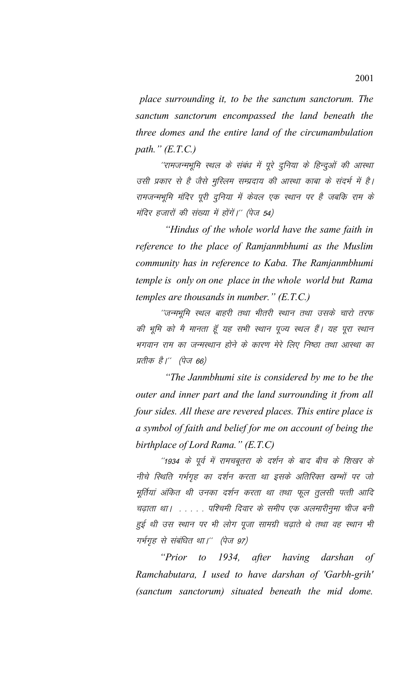*place surrounding it, to be the sanctum sanctorum. The sanctum sanctorum encompassed the land beneath the three domes and the entire land of the circumambulation path." (E.T.C.)*

''रामजन्मभूमि स्थल के संबंध में पूरे दुनिया के हिन्दुओं की आस्था उसी प्रकार से है जैसे मुस्लिम सम्प्रदाय की आस्था काबा के संदर्भ में है। रामजन्मभूमि मंदिर पूरी दुनिया में केवल एक स्थान पर है जबकि राम के मंदिर हजारों की संख्या में होंगें।'' (पेज 54)

*"Hindus of the whole world have the same faith in reference to the place of Ramjanmbhumi as the Muslim community has in reference to Kaba. The Ramjanmbhumi temple is only on one place in the whole world but Rama temples are thousands in number." (E.T.C.)*

''जन्मभूमि स्थल बाहरी तथा भीतरी स्थान तथा उसके चारो तरफ की भूमि को मै मानता हूँ यह सभी स्थान पूज्य स्थल हैं। यह पूरा स्थान भगवान राम का जन्मस्थान होने के कारण मेरे लिए निष्ठा तथा आस्था का प्रतीक है।'' (पेज 66)

*"The Janmbhumi site is considered by me to be the outer and inner part and the land surrounding it from all four sides. All these are revered places. This entire place is a symbol of faith and belief for me on account of being the birthplace of Lord Rama." (E.T.C)*

''1934 के पूर्व में रामचबूतरा के दर्शन के बाद बीच के शिखर के नीचे स्थिति गर्भगृह का दर्शन करता था इसके अतिरिक्त खम्भों पर जो मूर्तियां अंकित थी उनका दर्शन करता था तथा फूल तुलसी पत्ती आदि चढ़ाता था। . . . . . पश्चिमी दिवार के समीप एक अलमारीनुमा चीज बनी हुई थी उस स्थान पर भी लोग पूजा सामग्री चढ़ाते थे तथा वह स्थान भी गर्भगृह से संबंधित था।'' (पेज 97)

*"Prior to 1934, after having darshan of Ramchabutara, I used to have darshan of 'Garbh-grih' (sanctum sanctorum) situated beneath the mid dome.*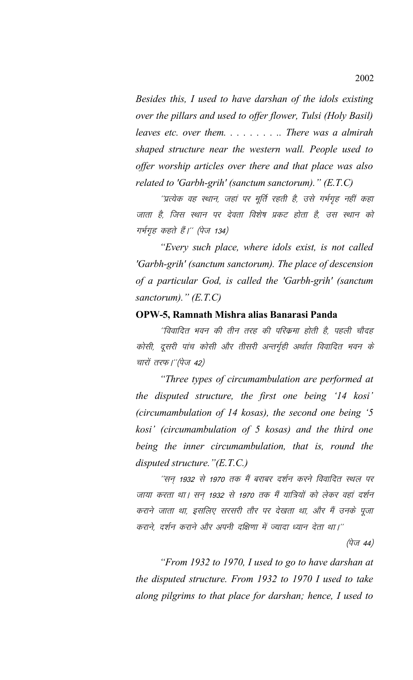*Besides this, I used to have darshan of the idols existing over the pillars and used to offer flower, Tulsi (Holy Basil) leaves etc. over them. . . . . . . . .. There was a almirah shaped structure near the western wall. People used to offer worship articles over there and that place was also related to 'Garbh-grih' (sanctum sanctorum)." (E.T.C)*

''प्रत्येक वह स्थान, जहां पर मूर्ति रहती है, उसे गर्भगृह नहीं कहा जाता है, जिस स्थान पर देवता विशेष प्रकट होता है, उस स्थान को गर्भगृह कहते हैं।'' (पेज 134)

*"Every such place, where idols exist, is not called 'Garbh-grih' (sanctum sanctorum). The place of descension of a particular God, is called the 'Garbh-grih' (sanctum sanctorum)." (E.T.C)*

## **OPW-5, Ramnath Mishra alias Banarasi Panda**

''विवादित भवन की तीन तरह की परिक्रमा होती है. पहली चौदह कोसी, दूसरी पांच कोसी और तीसरी अन्तर्गृही अर्थात विवादित भवन के चारों तरफ।''(पेज 42)

*"Three types of circumambulation are performed at the disputed structure, the first one being '14 kosi' (circumambulation of 14 kosas), the second one being '5 kosi' (circumambulation of 5 kosas) and the third one being the inner circumambulation, that is, round the disputed structure."(E.T.C.)*

''सन 1932 से 1970 तक मैं बराबर दर्शन करने विवादित स्थल पर जाया करता था। सन् 1932 से 1970 तक मैं यात्रियों को लेकर वहां दर्शन कराने जाता था, इसलिए सरसरी तौर पर देखता था, और मैं उनके पूजा कराने, दर्शन कराने और अपनी दक्षिणा में ज्यादा ध्यान देता था।''

(पेज  $44)$ 

*"From 1932 to 1970, I used to go to have darshan at the disputed structure. From 1932 to 1970 I used to take along pilgrims to that place for darshan; hence, I used to*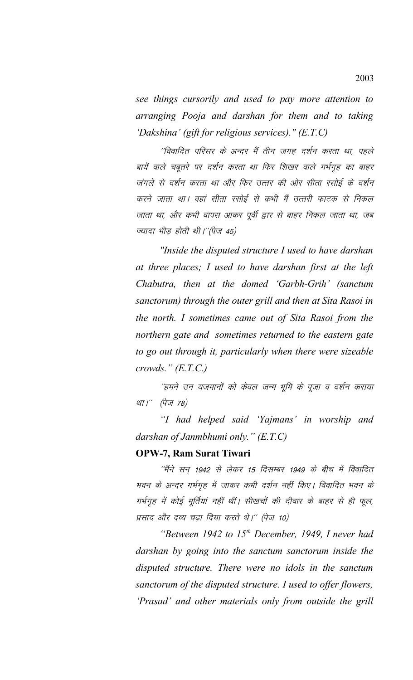*see things cursorily and used to pay more attention to arranging Pooja and darshan for them and to taking 'Dakshina' (gift for religious services)." (E.T.C)*

''विवादित परिसर के अन्दर मैं तीन जगह दर्शन करता था, पहले बायें वाले चबूतरे पर दर्शन करता था फिर शिखर वाले गर्भगृह का बाहर जंगले से दर्शन करता था और फिर उत्तर की ओर सीता रसोई के दर्शन करने जाता था। वहां सीता रसोई से कभी मैं उत्तरी फाटक से निकल जाता था, और कभी वापस आकर पूर्वी द्वार से बाहर निकल जाता था, जब ज्यादा भीड़ होती थी।''(पेज 45)

*"Inside the disputed structure I used to have darshan at three places; I used to have darshan first at the left Chabutra, then at the domed 'Garbh-Grih' (sanctum sanctorum) through the outer grill and then at Sita Rasoi in the north. I sometimes came out of Sita Rasoi from the northern gate and sometimes returned to the eastern gate to go out through it, particularly when there were sizeable crowds." (E.T.C.)*

''हमने उन यजमानों को केवल जन्म भूमि के पूजा व दर्शन कराया था।'' (पेज 78)

*"I had helped said 'Yajmans' in worship and darshan of Janmbhumi only." (E.T.C)*

#### **OPW-7, Ram Surat Tiwari**

''मैंने सन 1942 से लेकर 15 दिसम्बर 1949 के बीच में विवादित भवन के अन्दर गर्भगृह में जाकर कभी दर्शन नहीं किए। विवादित भवन के गर्भगृह में कोई मूर्तियां नहीं थीं। सीखचों की दीवार के बाहर से ही फूल, प्रसाद और दव्य चढ़ा दिया करते थे।'' (पेज 10)

*"Between 1942 to 15th December, 1949, I never had darshan by going into the sanctum sanctorum inside the disputed structure. There were no idols in the sanctum sanctorum of the disputed structure. I used to offer flowers, 'Prasad' and other materials only from outside the grill*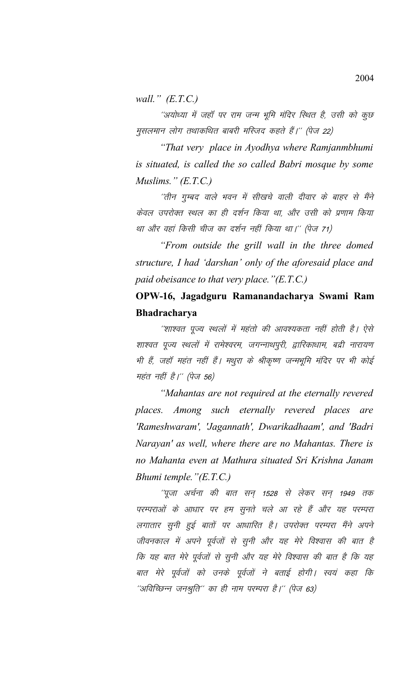*wall." (E.T.C.)*

''अयोध्या में जहाँ पर राम जन्म भूमि मंदिर स्थित है, उसी को कुछ मुसलमान लोग तथाकथित बाबरी मस्जिद कहते हैं।'' (पेज 22)

*"That very place in Ayodhya where Ramjanmbhumi is situated, is called the so called Babri mosque by some Muslims." (E.T.C.)*

''तीन गुम्बद वाले भवन में सीखचे वाली दीवार के बाहर से मैंने केवल उपरोक्त स्थल का ही दर्शन किया था, और उसी को प्रणाम किया था और वहां किसी चीज का दर्शन नहीं किया था।'' (पेज 71)

*"From outside the grill wall in the three domed structure, I had 'darshan' only of the aforesaid place and paid obeisance to that very place."(E.T.C.)*

# **OPW-16, Jagadguru Ramanandacharya Swami Ram Bhadracharya**

''शाश्वत पूज्य स्थलों में महंतो की आवश्यकता नहीं होती है। ऐसे शाश्वत पुज्य स्थलों में रामेश्वरम, जगन्नाथपुरी, द्वारिकाधाम, बद्री नारायण भी हैं, जहाँ महंत नहीं हैं। मथुरा के श्रीकृष्ण जन्मभूमि मंदिर पर भी कोई महंत नहीं है।'' (पेज 56)

*"Mahantas are not required at the eternally revered places. Among such eternally revered places are 'Rameshwaram', 'Jagannath', Dwarikadhaam', and 'Badri Narayan' as well, where there are no Mahantas. There is no Mahanta even at Mathura situated Sri Krishna Janam Bhumi temple."(E.T.C.)*

<sup>''पू</sup>जा अर्चना की बात सन् 1528 से लेकर सन् 1949 तक परम्पराओं के आधार पर हम सूनते चले आ रहे हैं और यह परम्परा लगातार सूनी हुई बातों पर आधारित है। उपरोक्त परम्परा मैंने अपने जीवनकाल में अपने पूर्वजों से सूनी और यह मेरे विश्वास की बात है कि यह बात मेरे पूर्वजों से सूनी और यह मेरे विश्वास की बात है कि यह बात मेरे पूर्वजों को उनके पूर्वजों ने बताई होगी। स्वयं कहा कि ''अविच्छिन्न जनश्रुति'' का ही नाम परम्परा है।'' (पेज 63)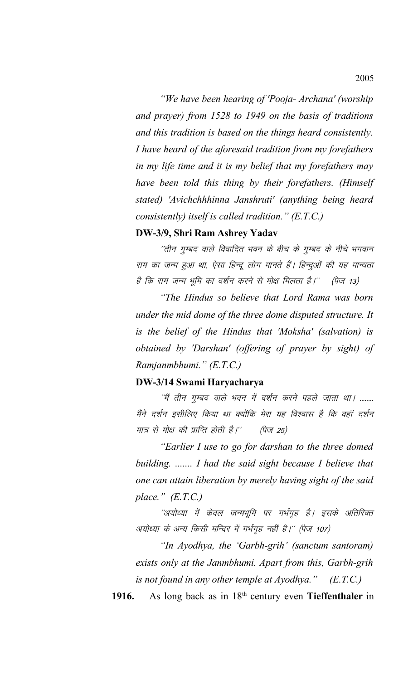*"We have been hearing of 'Pooja- Archana' (worship and prayer) from 1528 to 1949 on the basis of traditions and this tradition is based on the things heard consistently. I have heard of the aforesaid tradition from my forefathers in my life time and it is my belief that my forefathers may have been told this thing by their forefathers. (Himself stated) 'Avichchhhinna Janshruti' (anything being heard consistently) itself is called tradition." (E.T.C.)*

### **DW-3/9, Shri Ram Ashrey Yadav**

''तीन गुम्बद वाले विवादित भवन के बीच के गुम्बद के नीचे भगवान राम का जन्म हुआ था, ऐसा हिन्दू लोग मानते हैं। हिन्दुओं की यह मान्यता है कि राम जन्म भूमि का दर्शन करने से मोक्ष मिलता है।'' (पेज 13)

*"The Hindus so believe that Lord Rama was born under the mid dome of the three dome disputed structure. It is the belief of the Hindus that 'Moksha' (salvation) is obtained by 'Darshan' (offering of prayer by sight) of Ramjanmbhumi." (E.T.C.)*

### **DW-3/14 Swami Haryacharya**

''मैं तीन गुम्बद वाले भवन में दर्शन करने पहले जाता था। ........ मैंने दर्शन इसीलिए किया था क्योंकि मेरा यह विश्वास है कि वहाँ दर्शन मात्र से मोक्ष की प्राप्ति होती है।'' (पेज 25)

*"Earlier I use to go for darshan to the three domed building. ....... I had the said sight because I believe that one can attain liberation by merely having sight of the said place." (E.T.C.)*

''अयोध्या में केवल जन्मभूमि पर गर्भगृह है। इसके अतिरिक्त अयोध्या के अन्य किसी मन्दिर में गर्भगृह नहीं है।'' (पेज 107)

*"In Ayodhya, the 'Garbh-grih' (sanctum santoram) exists only at the Janmbhumi. Apart from this, Garbh-grih is not found in any other temple at Ayodhya." (E.T.C.)*

1916. As long back as in 18<sup>th</sup> century even **Tieffenthaler** in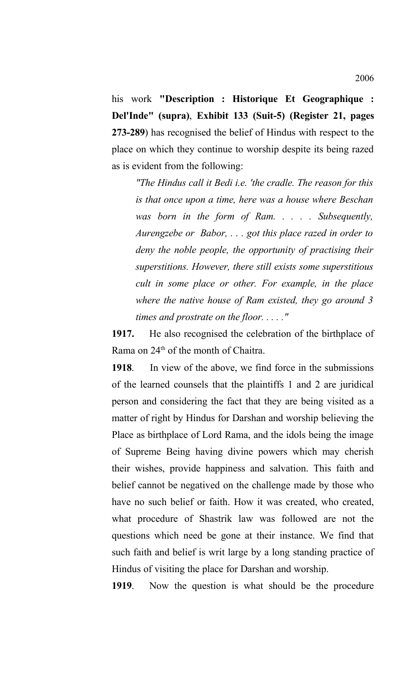his work **"Description : Historique Et Geographique : Del'Inde" (supra)**, **Exhibit 133 (Suit-5) (Register 21, pages 273-289**) has recognised the belief of Hindus with respect to the place on which they continue to worship despite its being razed as is evident from the following:

*"The Hindus call it Bedi i.e. 'the cradle. The reason for this is that once upon a time, here was a house where Beschan was born in the form of Ram. . . . . Subsequently, Aurengzebe or Babor, . . . got this place razed in order to deny the noble people, the opportunity of practising their superstitions. However, there still exists some superstitious cult in some place or other. For example, in the place where the native house of Ram existed, they go around 3 times and prostrate on the floor. . . . ."*

**1917.** He also recognised the celebration of the birthplace of Rama on 24<sup>th</sup> of the month of Chaitra.

**1918**. In view of the above, we find force in the submissions of the learned counsels that the plaintiffs 1 and 2 are juridical person and considering the fact that they are being visited as a matter of right by Hindus for Darshan and worship believing the Place as birthplace of Lord Rama, and the idols being the image of Supreme Being having divine powers which may cherish their wishes, provide happiness and salvation. This faith and belief cannot be negatived on the challenge made by those who have no such belief or faith. How it was created, who created, what procedure of Shastrik law was followed are not the questions which need be gone at their instance. We find that such faith and belief is writ large by a long standing practice of Hindus of visiting the place for Darshan and worship.

**1919**. Now the question is what should be the procedure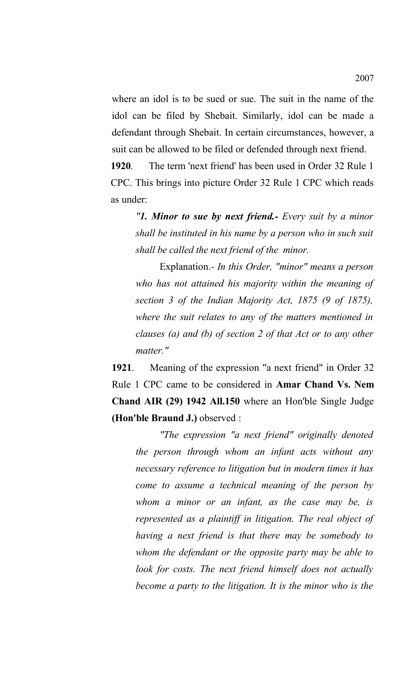where an idol is to be sued or sue. The suit in the name of the idol can be filed by Shebait. Similarly, idol can be made a defendant through Shebait. In certain circumstances, however, a suit can be allowed to be filed or defended through next friend.

**1920**. The term 'next friend' has been used in Order 32 Rule 1 CPC. This brings into picture Order 32 Rule 1 CPC which reads as under:

*"1. Minor to sue by next friend.- Every suit by a minor shall be instituted in his name by a person who in such suit shall be called the next friend of the minor.*

Explanation.*- In this Order, "minor" means a person who has not attained his majority within the meaning of section 3 of the Indian Majority Act, 1875 (9 of 1875), where the suit relates to any of the matters mentioned in clauses (a) and (b) of section 2 of that Act or to any other matter."*

**1921**. Meaning of the expression "a next friend" in Order 32 Rule 1 CPC came to be considered in **Amar Chand Vs. Nem Chand AIR (29) 1942 All.150** where an Hon'ble Single Judge **(Hon'ble Braund J.)** observed :

*"The expression "a next friend" originally denoted the person through whom an infant acts without any necessary reference to litigation but in modern times it has come to assume a technical meaning of the person by whom a minor or an infant, as the case may be, is represented as a plaintiff in litigation. The real object of having a next friend is that there may be somebody to whom the defendant or the opposite party may be able to look for costs. The next friend himself does not actually become a party to the litigation. It is the minor who is the*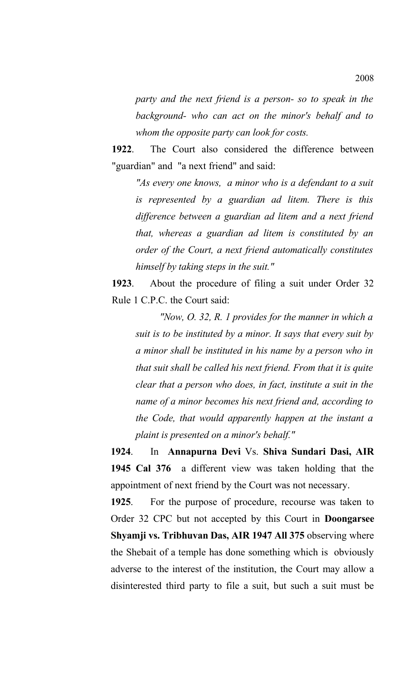*party and the next friend is a person- so to speak in the background- who can act on the minor's behalf and to whom the opposite party can look for costs.* 

**1922**. The Court also considered the difference between "guardian" and "a next friend" and said:

*"As every one knows, a minor who is a defendant to a suit is represented by a guardian ad litem. There is this difference between a guardian ad litem and a next friend that, whereas a guardian ad litem is constituted by an order of the Court, a next friend automatically constitutes himself by taking steps in the suit."*

**1923**. About the procedure of filing a suit under Order 32 Rule 1 C.P.C. the Court said:

*"Now, O. 32, R. 1 provides for the manner in which a suit is to be instituted by a minor. It says that every suit by a minor shall be instituted in his name by a person who in that suit shall be called his next friend. From that it is quite clear that a person who does, in fact, institute a suit in the name of a minor becomes his next friend and, according to the Code, that would apparently happen at the instant a plaint is presented on a minor's behalf."*

**1924**. In **Annapurna Devi** Vs. **Shiva Sundari Dasi, AIR 1945 Cal 376** a different view was taken holding that the appointment of next friend by the Court was not necessary.

**1925**. For the purpose of procedure, recourse was taken to Order 32 CPC but not accepted by this Court in **Doongarsee Shyamji vs. Tribhuvan Das, AIR 1947 All 375** observing where the Shebait of a temple has done something which is obviously adverse to the interest of the institution, the Court may allow a disinterested third party to file a suit, but such a suit must be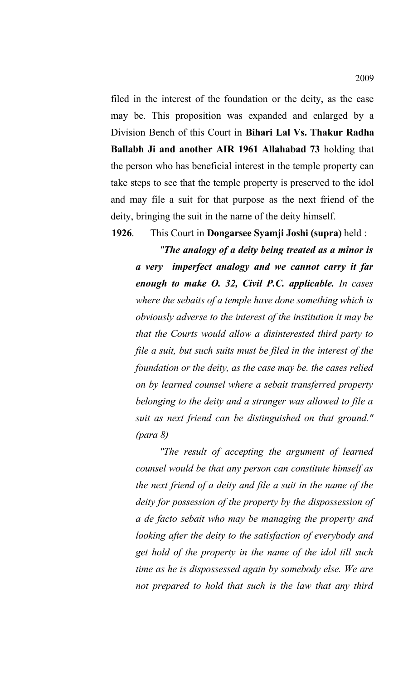filed in the interest of the foundation or the deity, as the case may be. This proposition was expanded and enlarged by a Division Bench of this Court in **Bihari Lal Vs. Thakur Radha Ballabh Ji and another AIR 1961 Allahabad 73** holding that the person who has beneficial interest in the temple property can take steps to see that the temple property is preserved to the idol and may file a suit for that purpose as the next friend of the deity, bringing the suit in the name of the deity himself.

**1926**. This Court in **Dongarsee Syamji Joshi (supra)** held :

*"The analogy of a deity being treated as a minor is a very imperfect analogy and we cannot carry it far enough to make O. 32, Civil P.C. applicable. In cases where the sebaits of a temple have done something which is obviously adverse to the interest of the institution it may be that the Courts would allow a disinterested third party to file a suit, but such suits must be filed in the interest of the foundation or the deity, as the case may be. the cases relied on by learned counsel where a sebait transferred property belonging to the deity and a stranger was allowed to file a suit as next friend can be distinguished on that ground." (para 8)*

*"The result of accepting the argument of learned counsel would be that any person can constitute himself as the next friend of a deity and file a suit in the name of the deity for possession of the property by the dispossession of a de facto sebait who may be managing the property and looking after the deity to the satisfaction of everybody and get hold of the property in the name of the idol till such time as he is dispossessed again by somebody else. We are not prepared to hold that such is the law that any third*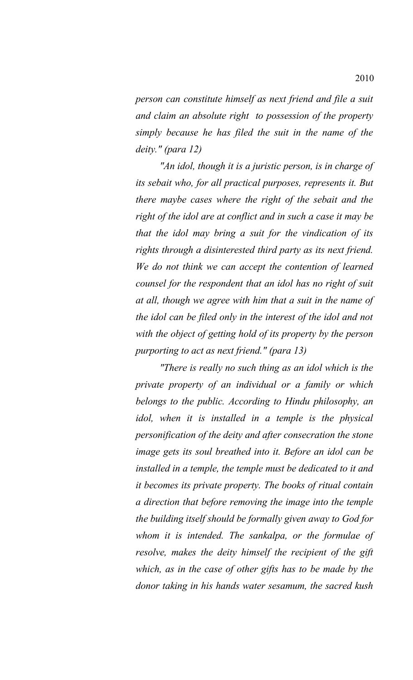*person can constitute himself as next friend and file a suit and claim an absolute right to possession of the property simply because he has filed the suit in the name of the deity." (para 12)*

*"An idol, though it is a juristic person, is in charge of its sebait who, for all practical purposes, represents it. But there maybe cases where the right of the sebait and the right of the idol are at conflict and in such a case it may be that the idol may bring a suit for the vindication of its rights through a disinterested third party as its next friend. We do not think we can accept the contention of learned counsel for the respondent that an idol has no right of suit at all, though we agree with him that a suit in the name of the idol can be filed only in the interest of the idol and not with the object of getting hold of its property by the person purporting to act as next friend." (para 13)*

*"There is really no such thing as an idol which is the private property of an individual or a family or which belongs to the public. According to Hindu philosophy, an idol, when it is installed in a temple is the physical personification of the deity and after consecration the stone image gets its soul breathed into it. Before an idol can be installed in a temple, the temple must be dedicated to it and it becomes its private property. The books of ritual contain a direction that before removing the image into the temple the building itself should be formally given away to God for whom it is intended. The sankalpa, or the formulae of resolve, makes the deity himself the recipient of the gift which, as in the case of other gifts has to be made by the donor taking in his hands water sesamum, the sacred kush*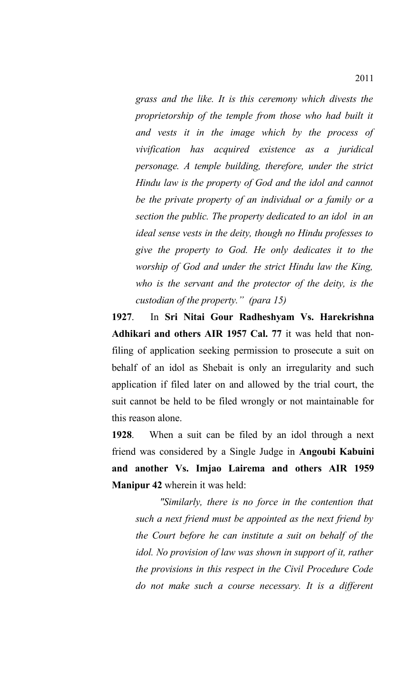*grass and the like. It is this ceremony which divests the proprietorship of the temple from those who had built it and vests it in the image which by the process of vivification has acquired existence as a juridical personage. A temple building, therefore, under the strict Hindu law is the property of God and the idol and cannot be the private property of an individual or a family or a section the public. The property dedicated to an idol in an ideal sense vests in the deity, though no Hindu professes to give the property to God. He only dedicates it to the worship of God and under the strict Hindu law the King, who is the servant and the protector of the deity, is the custodian of the property." (para 15)*

**1927**. In **Sri Nitai Gour Radheshyam Vs. Harekrishna Adhikari and others AIR 1957 Cal. 77** it was held that nonfiling of application seeking permission to prosecute a suit on behalf of an idol as Shebait is only an irregularity and such application if filed later on and allowed by the trial court, the suit cannot be held to be filed wrongly or not maintainable for this reason alone.

**1928**. When a suit can be filed by an idol through a next friend was considered by a Single Judge in **Angoubi Kabuini and another Vs. Imjao Lairema and others AIR 1959 Manipur 42** wherein it was held:

*"Similarly, there is no force in the contention that such a next friend must be appointed as the next friend by the Court before he can institute a suit on behalf of the idol. No provision of law was shown in support of it, rather the provisions in this respect in the Civil Procedure Code do not make such a course necessary. It is a different*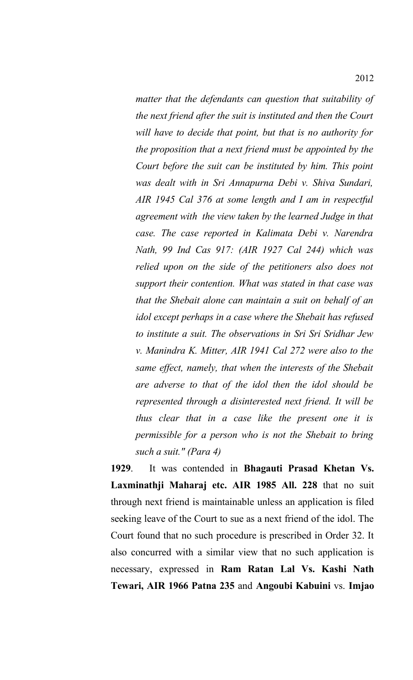*matter that the defendants can question that suitability of the next friend after the suit is instituted and then the Court will have to decide that point, but that is no authority for the proposition that a next friend must be appointed by the Court before the suit can be instituted by him. This point was dealt with in Sri Annapurna Debi v. Shiva Sundari, AIR 1945 Cal 376 at some length and I am in respectful agreement with the view taken by the learned Judge in that case. The case reported in Kalimata Debi v. Narendra Nath, 99 Ind Cas 917: (AIR 1927 Cal 244) which was relied upon on the side of the petitioners also does not support their contention. What was stated in that case was that the Shebait alone can maintain a suit on behalf of an idol except perhaps in a case where the Shebait has refused to institute a suit. The observations in Sri Sri Sridhar Jew v. Manindra K. Mitter, AIR 1941 Cal 272 were also to the same effect, namely, that when the interests of the Shebait are adverse to that of the idol then the idol should be represented through a disinterested next friend. It will be thus clear that in a case like the present one it is permissible for a person who is not the Shebait to bring such a suit." (Para 4)*

**1929**. It was contended in **Bhagauti Prasad Khetan Vs. Laxminathji Maharaj etc. AIR 1985 All. 228** that no suit through next friend is maintainable unless an application is filed seeking leave of the Court to sue as a next friend of the idol. The Court found that no such procedure is prescribed in Order 32. It also concurred with a similar view that no such application is necessary, expressed in **Ram Ratan Lal Vs. Kashi Nath Tewari, AIR 1966 Patna 235** and **Angoubi Kabuini** vs. **Imjao**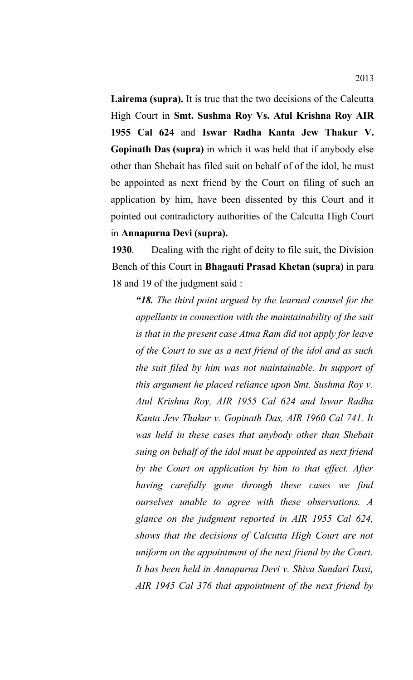**Lairema (supra).** It is true that the two decisions of the Calcutta High Court in **Smt. Sushma Roy Vs. Atul Krishna Roy AIR 1955 Cal 624** and **Iswar Radha Kanta Jew Thakur V. Gopinath Das (supra)** in which it was held that if anybody else other than Shebait has filed suit on behalf of of the idol, he must be appointed as next friend by the Court on filing of such an application by him, have been dissented by this Court and it pointed out contradictory authorities of the Calcutta High Court in **Annapurna Devi (supra).**

**1930**. Dealing with the right of deity to file suit, the Division Bench of this Court in **Bhagauti Prasad Khetan (supra)** in para 18 and 19 of the judgment said :

*"18. The third point argued by the learned counsel for the appellants in connection with the maintainability of the suit is that in the present case Atma Ram did not apply for leave of the Court to sue as a next friend of the idol and as such the suit filed by him was not maintainable. In support of this argument he placed reliance upon Smt. Sushma Roy v. Atul Krishna Roy, AIR 1955 Cal 624 and Iswar Radha Kanta Jew Thakur v. Gopinath Das, AIR 1960 Cal 741. It was held in these cases that anybody other than Shebait suing on behalf of the idol must be appointed as next friend by the Court on application by him to that effect. After having carefully gone through these cases we find ourselves unable to agree with these observations. A glance on the judgment reported in AIR 1955 Cal 624, shows that the decisions of Calcutta High Court are not uniform on the appointment of the next friend by the Court. It has been held in Annapurna Devi v. Shiva Sundari Dasi, AIR 1945 Cal 376 that appointment of the next friend by*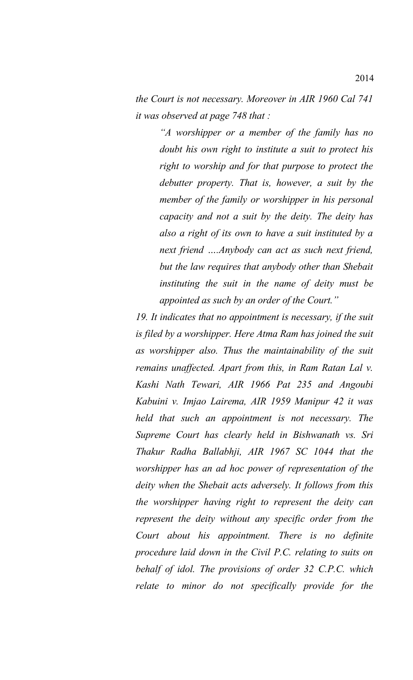*the Court is not necessary. Moreover in AIR 1960 Cal 741 it was observed at page 748 that :*

> *"A worshipper or a member of the family has no doubt his own right to institute a suit to protect his right to worship and for that purpose to protect the debutter property. That is, however, a suit by the member of the family or worshipper in his personal capacity and not a suit by the deity. The deity has also a right of its own to have a suit instituted by a next friend ….Anybody can act as such next friend, but the law requires that anybody other than Shebait instituting the suit in the name of deity must be appointed as such by an order of the Court."*

*19. It indicates that no appointment is necessary, if the suit is filed by a worshipper. Here Atma Ram has joined the suit as worshipper also. Thus the maintainability of the suit remains unaffected. Apart from this, in Ram Ratan Lal v. Kashi Nath Tewari, AIR 1966 Pat 235 and Angoubi Kabuini v. Imjao Lairema, AIR 1959 Manipur 42 it was held that such an appointment is not necessary. The Supreme Court has clearly held in Bishwanath vs. Sri Thakur Radha Ballabhji, AIR 1967 SC 1044 that the worshipper has an ad hoc power of representation of the deity when the Shebait acts adversely. It follows from this the worshipper having right to represent the deity can represent the deity without any specific order from the Court about his appointment. There is no definite procedure laid down in the Civil P.C. relating to suits on behalf of idol. The provisions of order 32 C.P.C. which relate to minor do not specifically provide for the*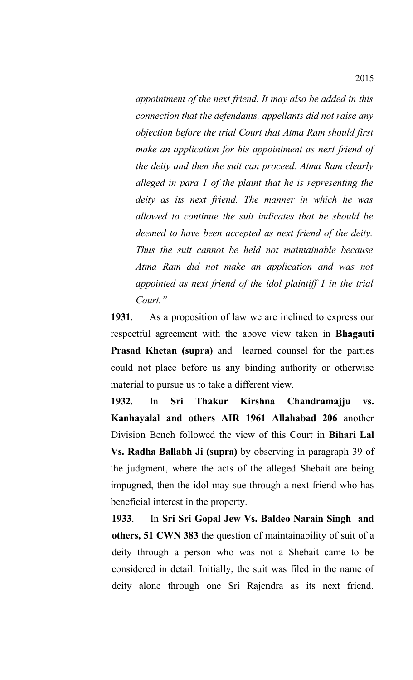*appointment of the next friend. It may also be added in this connection that the defendants, appellants did not raise any objection before the trial Court that Atma Ram should first make an application for his appointment as next friend of the deity and then the suit can proceed. Atma Ram clearly alleged in para 1 of the plaint that he is representing the deity as its next friend. The manner in which he was allowed to continue the suit indicates that he should be deemed to have been accepted as next friend of the deity. Thus the suit cannot be held not maintainable because Atma Ram did not make an application and was not appointed as next friend of the idol plaintiff 1 in the trial Court."*

**1931**. As a proposition of law we are inclined to express our respectful agreement with the above view taken in **Bhagauti Prasad Khetan (supra)** andlearned counsel for the parties could not place before us any binding authority or otherwise material to pursue us to take a different view.

**1932**. In **Sri Thakur Kirshna Chandramajju vs. Kanhayalal and others AIR 1961 Allahabad 206** another Division Bench followed the view of this Court in **Bihari Lal Vs. Radha Ballabh Ji (supra)** by observing in paragraph 39 of the judgment, where the acts of the alleged Shebait are being impugned, then the idol may sue through a next friend who has beneficial interest in the property.

**1933**. In **Sri Sri Gopal Jew Vs. Baldeo Narain Singh and others, 51 CWN 383** the question of maintainability of suit of a deity through a person who was not a Shebait came to be considered in detail. Initially, the suit was filed in the name of deity alone through one Sri Rajendra as its next friend.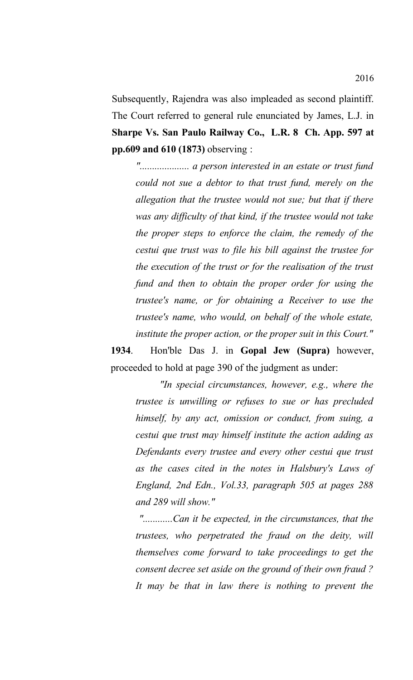Subsequently, Rajendra was also impleaded as second plaintiff. The Court referred to general rule enunciated by James, L.J. in **Sharpe Vs. San Paulo Railway Co., L.R. 8 Ch. App. 597 at pp.609 and 610 (1873)** observing :

*".................... a person interested in an estate or trust fund could not sue a debtor to that trust fund, merely on the allegation that the trustee would not sue; but that if there was any difficulty of that kind, if the trustee would not take the proper steps to enforce the claim, the remedy of the cestui que trust was to file his bill against the trustee for the execution of the trust or for the realisation of the trust fund and then to obtain the proper order for using the trustee's name, or for obtaining a Receiver to use the trustee's name, who would, on behalf of the whole estate, institute the proper action, or the proper suit in this Court."*

**1934**. Hon'ble Das J. in **Gopal Jew (Supra)** however, proceeded to hold at page 390 of the judgment as under:

*"In special circumstances, however, e.g., where the trustee is unwilling or refuses to sue or has precluded himself, by any act, omission or conduct, from suing, a cestui que trust may himself institute the action adding as Defendants every trustee and every other cestui que trust as the cases cited in the notes in Halsbury's Laws of England, 2nd Edn., Vol.33, paragraph 505 at pages 288 and 289 will show."*

 *"............Can it be expected, in the circumstances, that the trustees, who perpetrated the fraud on the deity, will themselves come forward to take proceedings to get the consent decree set aside on the ground of their own fraud ? It may be that in law there is nothing to prevent the*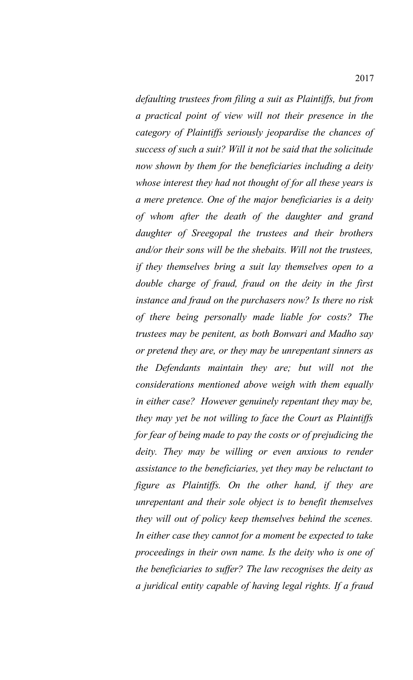*defaulting trustees from filing a suit as Plaintiffs, but from a practical point of view will not their presence in the category of Plaintiffs seriously jeopardise the chances of success of such a suit? Will it not be said that the solicitude now shown by them for the beneficiaries including a deity whose interest they had not thought of for all these years is a mere pretence. One of the major beneficiaries is a deity of whom after the death of the daughter and grand daughter of Sreegopal the trustees and their brothers and/or their sons will be the shebaits. Will not the trustees, if they themselves bring a suit lay themselves open to a double charge of fraud, fraud on the deity in the first instance and fraud on the purchasers now? Is there no risk of there being personally made liable for costs? The trustees may be penitent, as both Bonwari and Madho say or pretend they are, or they may be unrepentant sinners as the Defendants maintain they are; but will not the considerations mentioned above weigh with them equally in either case? However genuinely repentant they may be, they may yet be not willing to face the Court as Plaintiffs for fear of being made to pay the costs or of prejudicing the deity. They may be willing or even anxious to render assistance to the beneficiaries, yet they may be reluctant to figure as Plaintiffs. On the other hand, if they are unrepentant and their sole object is to benefit themselves they will out of policy keep themselves behind the scenes. In either case they cannot for a moment be expected to take proceedings in their own name. Is the deity who is one of the beneficiaries to suffer? The law recognises the deity as*

*a juridical entity capable of having legal rights. If a fraud*

2017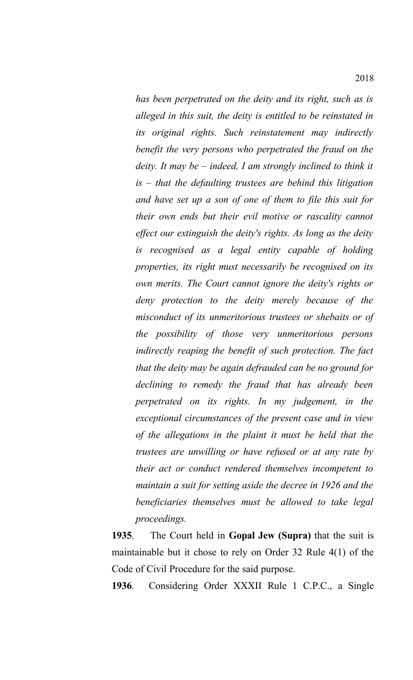*has been perpetrated on the deity and its right, such as is alleged in this suit, the deity is entitled to be reinstated in its original rights. Such reinstatement may indirectly benefit the very persons who perpetrated the fraud on the deity. It may be – indeed, I am strongly inclined to think it is – that the defaulting trustees are behind this litigation and have set up a son of one of them to file this suit for their own ends but their evil motive or rascality cannot effect our extinguish the deity's rights. As long as the deity is recognised as a legal entity capable of holding properties, its right must necessarily be recognised on its own merits. The Court cannot ignore the deity's rights or deny protection to the deity merely because of the misconduct of its unmeritorious trustees or shebaits or of the possibility of those very unmeritorious persons indirectly reaping the benefit of such protection. The fact that the deity may be again defrauded can be no ground for declining to remedy the fraud that has already been perpetrated on its rights. In my judgement, in the exceptional circumstances of the present case and in view of the allegations in the plaint it must be held that the trustees are unwilling or have refused or at any rate by their act or conduct rendered themselves incompetent to maintain a suit for setting aside the decree in 1926 and the beneficiaries themselves must be allowed to take legal proceedings.*

**1935**. The Court held in **Gopal Jew (Supra)** that the suit is maintainable but it chose to rely on Order 32 Rule 4(1) of the Code of Civil Procedure for the said purpose.

**1936**. Considering Order XXXII Rule 1 C.P.C., a Single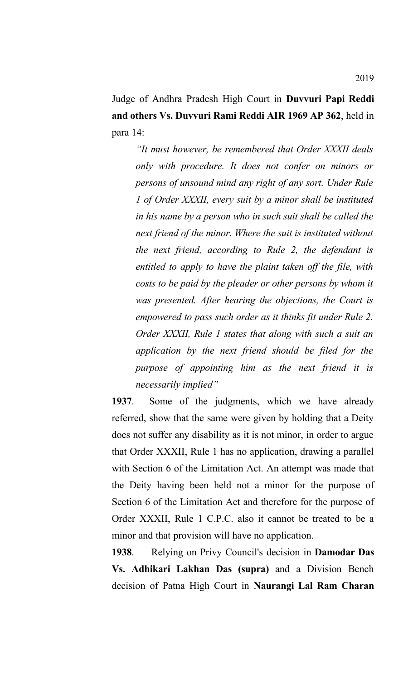Judge of Andhra Pradesh High Court in **Duvvuri Papi Reddi and others Vs. Duvvuri Rami Reddi AIR 1969 AP 362**, held in para 14:

*"It must however, be remembered that Order XXXII deals only with procedure. It does not confer on minors or persons of unsound mind any right of any sort. Under Rule 1 of Order XXXII, every suit by a minor shall be instituted in his name by a person who in such suit shall be called the next friend of the minor. Where the suit is instituted without the next friend, according to Rule 2, the defendant is entitled to apply to have the plaint taken off the file, with costs to be paid by the pleader or other persons by whom it was presented. After hearing the objections, the Court is empowered to pass such order as it thinks fit under Rule 2. Order XXXII, Rule 1 states that along with such a suit an application by the next friend should be filed for the purpose of appointing him as the next friend it is necessarily implied"*

**1937**. Some of the judgments, which we have already referred, show that the same were given by holding that a Deity does not suffer any disability as it is not minor, in order to argue that Order XXXII, Rule 1 has no application, drawing a parallel with Section 6 of the Limitation Act. An attempt was made that the Deity having been held not a minor for the purpose of Section 6 of the Limitation Act and therefore for the purpose of Order XXXII, Rule 1 C.P.C. also it cannot be treated to be a minor and that provision will have no application.

**1938**. Relying on Privy Council's decision in **Damodar Das Vs. Adhikari Lakhan Das (supra)** and a Division Bench decision of Patna High Court in **Naurangi Lal Ram Charan**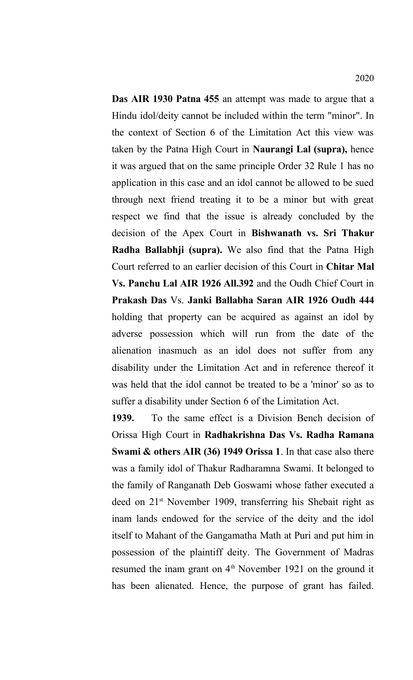**Das AIR 1930 Patna 455** an attempt was made to argue that a Hindu idol/deity cannot be included within the term "minor". In the context of Section 6 of the Limitation Act this view was taken by the Patna High Court in **Naurangi Lal (supra),** hence it was argued that on the same principle Order 32 Rule 1 has no application in this case and an idol cannot be allowed to be sued through next friend treating it to be a minor but with great respect we find that the issue is already concluded by the decision of the Apex Court in **Bishwanath vs. Sri Thakur Radha Ballabhji (supra).** We also find that the Patna High Court referred to an earlier decision of this Court in **Chitar Mal Vs. Panchu Lal AIR 1926 All.392** and the Oudh Chief Court in **Prakash Das** Vs. **Janki Ballabha Saran AIR 1926 Oudh 444** holding that property can be acquired as against an idol by adverse possession which will run from the date of the alienation inasmuch as an idol does not suffer from any disability under the Limitation Act and in reference thereof it was held that the idol cannot be treated to be a 'minor' so as to suffer a disability under Section 6 of the Limitation Act.

**1939.** To the same effect is a Division Bench decision of Orissa High Court in **Radhakrishna Das Vs. Radha Ramana Swami & others AIR (36) 1949 Orissa 1**. In that case also there was a family idol of Thakur Radharamna Swami. It belonged to the family of Ranganath Deb Goswami whose father executed a deed on 21<sup>st</sup> November 1909, transferring his Shebait right as inam lands endowed for the service of the deity and the idol itself to Mahant of the Gangamatha Math at Puri and put him in possession of the plaintiff deity. The Government of Madras resumed the inam grant on  $4<sup>th</sup>$  November 1921 on the ground it has been alienated. Hence, the purpose of grant has failed.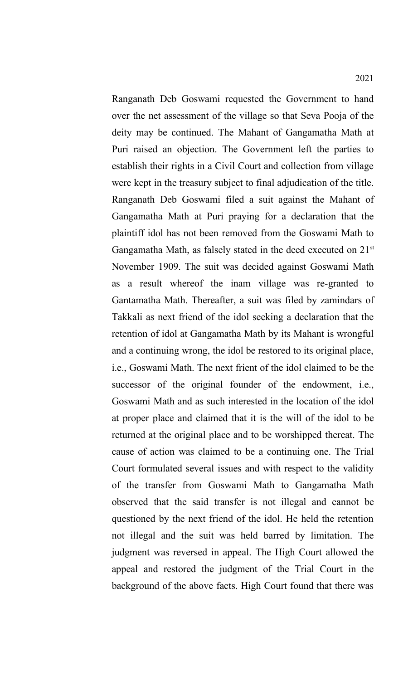Ranganath Deb Goswami requested the Government to hand over the net assessment of the village so that Seva Pooja of the deity may be continued. The Mahant of Gangamatha Math at Puri raised an objection. The Government left the parties to establish their rights in a Civil Court and collection from village were kept in the treasury subject to final adjudication of the title. Ranganath Deb Goswami filed a suit against the Mahant of Gangamatha Math at Puri praying for a declaration that the plaintiff idol has not been removed from the Goswami Math to Gangamatha Math, as falsely stated in the deed executed on 21<sup>st</sup> November 1909. The suit was decided against Goswami Math as a result whereof the inam village was re-granted to Gantamatha Math. Thereafter, a suit was filed by zamindars of Takkali as next friend of the idol seeking a declaration that the retention of idol at Gangamatha Math by its Mahant is wrongful and a continuing wrong, the idol be restored to its original place, i.e., Goswami Math. The next frient of the idol claimed to be the successor of the original founder of the endowment, i.e., Goswami Math and as such interested in the location of the idol at proper place and claimed that it is the will of the idol to be returned at the original place and to be worshipped thereat. The cause of action was claimed to be a continuing one. The Trial Court formulated several issues and with respect to the validity of the transfer from Goswami Math to Gangamatha Math observed that the said transfer is not illegal and cannot be questioned by the next friend of the idol. He held the retention not illegal and the suit was held barred by limitation. The judgment was reversed in appeal. The High Court allowed the appeal and restored the judgment of the Trial Court in the background of the above facts. High Court found that there was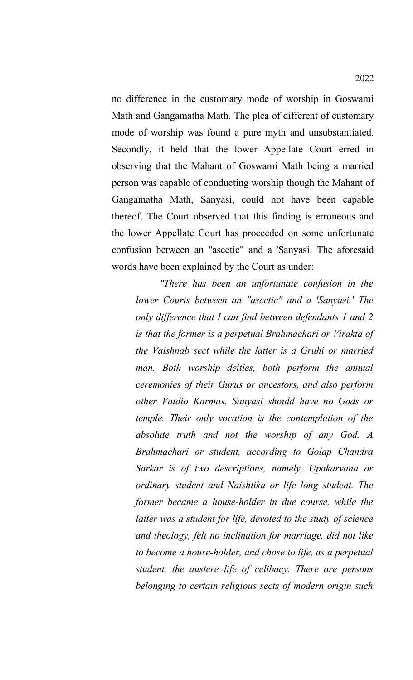no difference in the customary mode of worship in Goswami Math and Gangamatha Math. The plea of different of customary mode of worship was found a pure myth and unsubstantiated. Secondly, it held that the lower Appellate Court erred in observing that the Mahant of Goswami Math being a married person was capable of conducting worship though the Mahant of Gangamatha Math, Sanyasi, could not have been capable thereof. The Court observed that this finding is erroneous and the lower Appellate Court has proceeded on some unfortunate confusion between an "ascetic" and a 'Sanyasi. The aforesaid words have been explained by the Court as under:

*"There has been an unfortunate confusion in the lower Courts between an "ascetic" and a 'Sanyasi.' The only difference that I can find between defendants 1 and 2 is that the former is a perpetual Brahmachari or Virakta of the Vaishnab sect while the latter is a Gruhi or married man. Both worship deities, both perform the annual ceremonies of their Gurus or ancestors, and also perform other Vaidio Karmas. Sanyasi should have no Gods or temple. Their only vocation is the contemplation of the absolute truth and not the worship of any God. A Brahmachari or student, according to Golap Chandra Sarkar is of two descriptions, namely, Upakarvana or ordinary student and Naishtika or life long student. The former became a house-holder in due course, while the latter was a student for life, devoted to the study of science and theology, felt no inclination for marriage, did not like to become a house-holder, and chose to life, as a perpetual student, the austere life of celibacy. There are persons belonging to certain religious sects of modern origin such*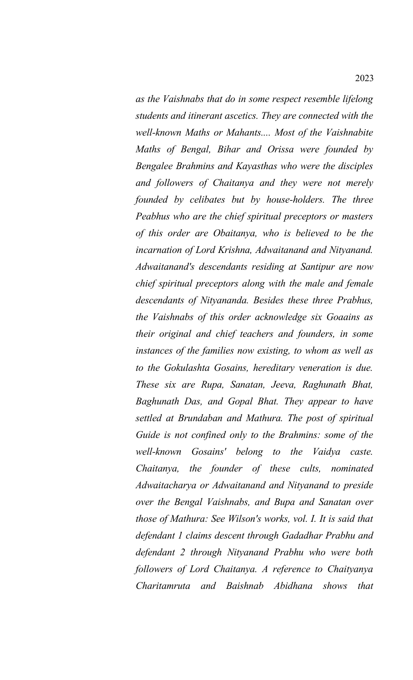*as the Vaishnabs that do in some respect resemble lifelong students and itinerant ascetics. They are connected with the well-known Maths or Mahants.... Most of the Vaishnabite Maths of Bengal, Bihar and Orissa were founded by Bengalee Brahmins and Kayasthas who were the disciples and followers of Chaitanya and they were not merely founded by celibates but by house-holders. The three Peabhus who are the chief spiritual preceptors or masters of this order are Obaitanya, who is believed to be the incarnation of Lord Krishna, Adwaitanand and Nityanand. Adwaitanand's descendants residing at Santipur are now chief spiritual preceptors along with the male and female descendants of Nityananda. Besides these three Prabhus, the Vaishnabs of this order acknowledge six Goaains as their original and chief teachers and founders, in some instances of the families now existing, to whom as well as to the Gokulashta Gosains, hereditary veneration is due. These six are Rupa, Sanatan, Jeeva, Raghunath Bhat, Baghunath Das, and Gopal Bhat. They appear to have settled at Brundaban and Mathura. The post of spiritual Guide is not confined only to the Brahmins: some of the well-known Gosains' belong to the Vaidya caste. Chaitanya, the founder of these cults, nominated Adwaitacharya or Adwaitanand and Nityanand to preside over the Bengal Vaishnabs, and Bupa and Sanatan over those of Mathura: See Wilson's works, vol. I. It is said that defendant 1 claims descent through Gadadhar Prabhu and defendant 2 through Nityanand Prabhu who were both followers of Lord Chaitanya. A reference to Chaityanya Charitamruta and Baishnab Abidhana shows that*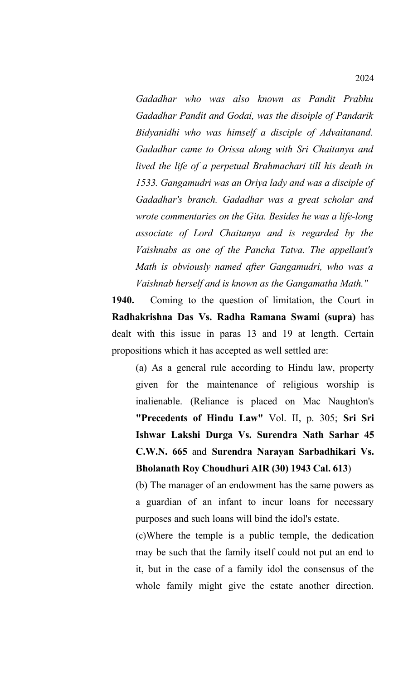*Gadadhar who was also known as Pandit Prabhu Gadadhar Pandit and Godai, was the disoiple of Pandarik Bidyanidhi who was himself a disciple of Advaitanand. Gadadhar came to Orissa along with Sri Chaitanya and lived the life of a perpetual Brahmachari till his death in 1533. Gangamudri was an Oriya lady and was a disciple of Gadadhar's branch. Gadadhar was a great scholar and wrote commentaries on the Gita. Besides he was a life-long associate of Lord Chaitanya and is regarded by the Vaishnabs as one of the Pancha Tatva. The appellant's Math is obviously named after Gangamudri, who was a Vaishnab herself and is known as the Gangamatha Math."* 

**1940.** Coming to the question of limitation, the Court in **Radhakrishna Das Vs. Radha Ramana Swami (supra)** has dealt with this issue in paras 13 and 19 at length. Certain propositions which it has accepted as well settled are:

(a) As a general rule according to Hindu law, property given for the maintenance of religious worship is inalienable. (Reliance is placed on Mac Naughton's **"Precedents of Hindu Law"** Vol. II, p. 305; **Sri Sri Ishwar Lakshi Durga Vs. Surendra Nath Sarhar 45 C.W.N. 665** and **Surendra Narayan Sarbadhikari Vs. Bholanath Roy Choudhuri AIR (30) 1943 Cal. 613**)

(b) The manager of an endowment has the same powers as a guardian of an infant to incur loans for necessary purposes and such loans will bind the idol's estate.

(c)Where the temple is a public temple, the dedication may be such that the family itself could not put an end to it, but in the case of a family idol the consensus of the whole family might give the estate another direction.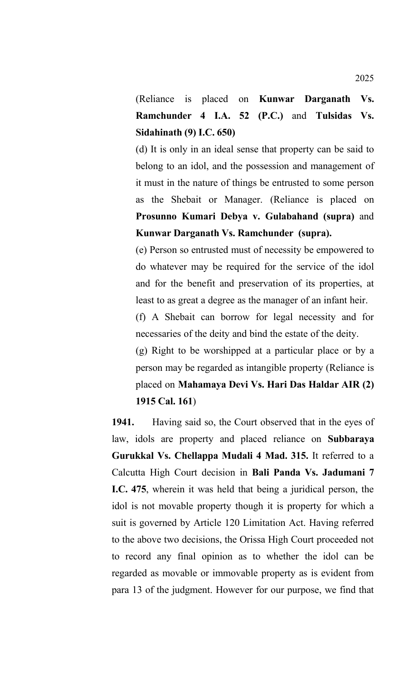(Reliance is placed on **Kunwar Darganath Vs. Ramchunder 4 I.A. 52 (P.C.)** and **Tulsidas Vs. Sidahinath (9) I.C. 650)**

(d) It is only in an ideal sense that property can be said to belong to an idol, and the possession and management of it must in the nature of things be entrusted to some person as the Shebait or Manager. (Reliance is placed on **Prosunno Kumari Debya v. Gulabahand (supra)** and **Kunwar Darganath Vs. Ramchunder (supra).**

(e) Person so entrusted must of necessity be empowered to do whatever may be required for the service of the idol and for the benefit and preservation of its properties, at least to as great a degree as the manager of an infant heir.

(f) A Shebait can borrow for legal necessity and for necessaries of the deity and bind the estate of the deity.

(g) Right to be worshipped at a particular place or by a person may be regarded as intangible property (Reliance is placed on **Mahamaya Devi Vs. Hari Das Haldar AIR (2) 1915 Cal. 161**)

**1941.** Having said so, the Court observed that in the eyes of law, idols are property and placed reliance on **Subbaraya Gurukkal Vs. Chellappa Mudali 4 Mad. 315.** It referred to a Calcutta High Court decision in **Bali Panda Vs. Jadumani 7 I.C. 475**, wherein it was held that being a juridical person, the idol is not movable property though it is property for which a suit is governed by Article 120 Limitation Act. Having referred to the above two decisions, the Orissa High Court proceeded not to record any final opinion as to whether the idol can be regarded as movable or immovable property as is evident from para 13 of the judgment. However for our purpose, we find that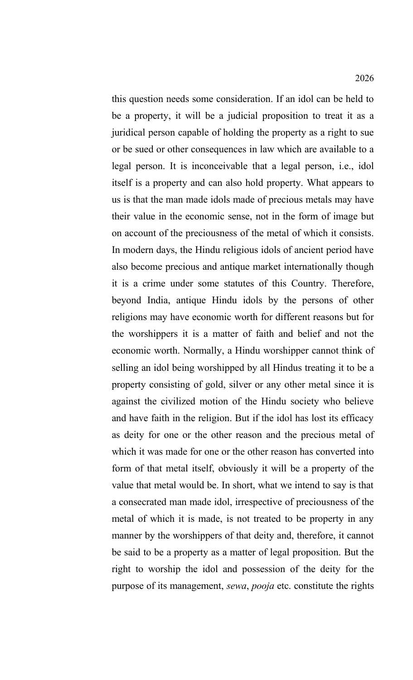this question needs some consideration. If an idol can be held to be a property, it will be a judicial proposition to treat it as a juridical person capable of holding the property as a right to sue or be sued or other consequences in law which are available to a legal person. It is inconceivable that a legal person, i.e., idol itself is a property and can also hold property. What appears to us is that the man made idols made of precious metals may have their value in the economic sense, not in the form of image but on account of the preciousness of the metal of which it consists. In modern days, the Hindu religious idols of ancient period have also become precious and antique market internationally though it is a crime under some statutes of this Country. Therefore, beyond India, antique Hindu idols by the persons of other religions may have economic worth for different reasons but for the worshippers it is a matter of faith and belief and not the economic worth. Normally, a Hindu worshipper cannot think of selling an idol being worshipped by all Hindus treating it to be a property consisting of gold, silver or any other metal since it is against the civilized motion of the Hindu society who believe and have faith in the religion. But if the idol has lost its efficacy as deity for one or the other reason and the precious metal of which it was made for one or the other reason has converted into form of that metal itself, obviously it will be a property of the value that metal would be. In short, what we intend to say is that a consecrated man made idol, irrespective of preciousness of the metal of which it is made, is not treated to be property in any manner by the worshippers of that deity and, therefore, it cannot be said to be a property as a matter of legal proposition. But the right to worship the idol and possession of the deity for the purpose of its management, *sewa*, *pooja* etc. constitute the rights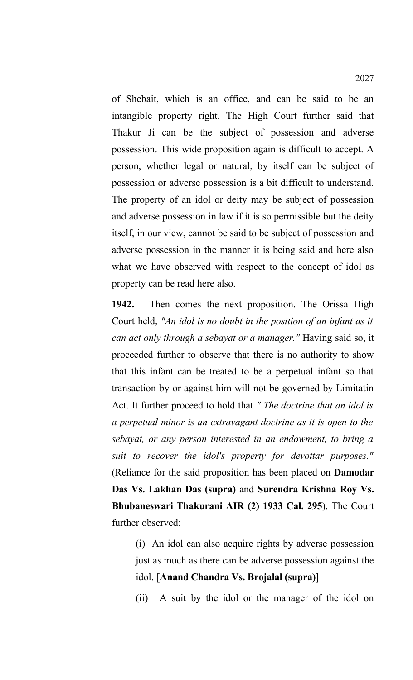of Shebait, which is an office, and can be said to be an intangible property right. The High Court further said that Thakur Ji can be the subject of possession and adverse possession. This wide proposition again is difficult to accept. A person, whether legal or natural, by itself can be subject of possession or adverse possession is a bit difficult to understand. The property of an idol or deity may be subject of possession and adverse possession in law if it is so permissible but the deity itself, in our view, cannot be said to be subject of possession and adverse possession in the manner it is being said and here also what we have observed with respect to the concept of idol as property can be read here also.

**1942.** Then comes the next proposition. The Orissa High Court held, *"An idol is no doubt in the position of an infant as it can act only through a sebayat or a manager."* Having said so, it proceeded further to observe that there is no authority to show that this infant can be treated to be a perpetual infant so that transaction by or against him will not be governed by Limitatin Act. It further proceed to hold that *" The doctrine that an idol is a perpetual minor is an extravagant doctrine as it is open to the sebayat, or any person interested in an endowment, to bring a suit to recover the idol's property for devottar purposes."* (Reliance for the said proposition has been placed on **Damodar Das Vs. Lakhan Das (supra)** and **Surendra Krishna Roy Vs. Bhubaneswari Thakurani AIR (2) 1933 Cal. 295**). The Court further observed:

(i) An idol can also acquire rights by adverse possession just as much as there can be adverse possession against the idol. [**Anand Chandra Vs. Brojalal (supra)**]

(ii) A suit by the idol or the manager of the idol on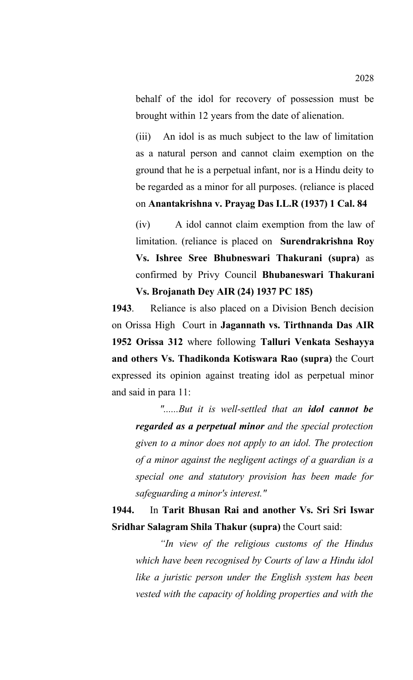behalf of the idol for recovery of possession must be brought within 12 years from the date of alienation.

(iii) An idol is as much subject to the law of limitation as a natural person and cannot claim exemption on the ground that he is a perpetual infant, nor is a Hindu deity to be regarded as a minor for all purposes. (reliance is placed on **Anantakrishna v. Prayag Das I.L.R (1937) 1 Cal. 84**

(iv) A idol cannot claim exemption from the law of limitation. (reliance is placed on **Surendrakrishna Roy Vs. Ishree Sree Bhubneswari Thakurani (supra)** as confirmed by Privy Council **Bhubaneswari Thakurani Vs. Brojanath Dey AIR (24) 1937 PC 185)**

**1943**. Reliance is also placed on a Division Bench decision on Orissa High Court in **Jagannath vs. Tirthnanda Das AIR 1952 Orissa 312** where following **Talluri Venkata Seshayya and others Vs. Thadikonda Kotiswara Rao (supra)** the Court expressed its opinion against treating idol as perpetual minor and said in para 11:

*"......But it is well-settled that an idol cannot be regarded as a perpetual minor and the special protection given to a minor does not apply to an idol. The protection of a minor against the negligent actings of a guardian is a special one and statutory provision has been made for safeguarding a minor's interest."*

**1944.** In **Tarit Bhusan Rai and another Vs. Sri Sri Iswar Sridhar Salagram Shila Thakur (supra)** the Court said:

*"In view of the religious customs of the Hindus which have been recognised by Courts of law a Hindu idol like a juristic person under the English system has been vested with the capacity of holding properties and with the*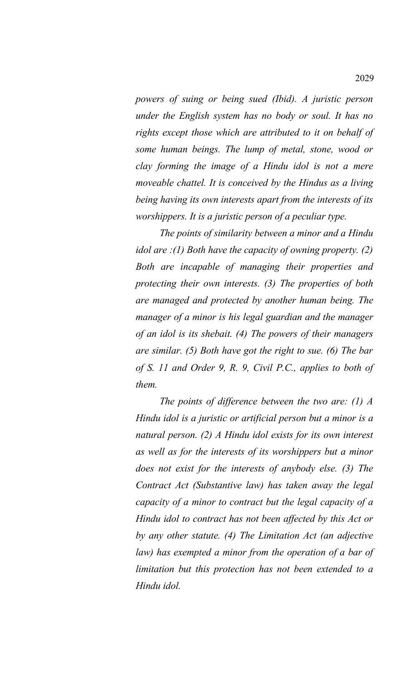*powers of suing or being sued (Ibid). A juristic person under the English system has no body or soul. It has no rights except those which are attributed to it on behalf of some human beings. The lump of metal, stone, wood or clay forming the image of a Hindu idol is not a mere moveable chattel. It is conceived by the Hindus as a living being having its own interests apart from the interests of its worshippers. It is a juristic person of a peculiar type.* 

*The points of similarity between a minor and a Hindu idol are :(1) Both have the capacity of owning property. (2) Both are incapable of managing their properties and protecting their own interests. (3) The properties of both are managed and protected by another human being. The manager of a minor is his legal guardian and the manager of an idol is its shebait. (4) The powers of their managers are similar. (5) Both have got the right to sue. (6) The bar of S. 11 and Order 9, R. 9, Civil P.C., applies to both of them.* 

*The points of difference between the two are: (1) A Hindu idol is a juristic or artificial person but a minor is a natural person. (2) A Hindu idol exists for its own interest as well as for the interests of its worshippers but a minor does not exist for the interests of anybody else. (3) The Contract Act (Substantive law) has taken away the legal capacity of a minor to contract but the legal capacity of a Hindu idol to contract has not been affected by this Act or by any other statute. (4) The Limitation Act (an adjective law) has exempted a minor from the operation of a bar of limitation but this protection has not been extended to a Hindu idol.*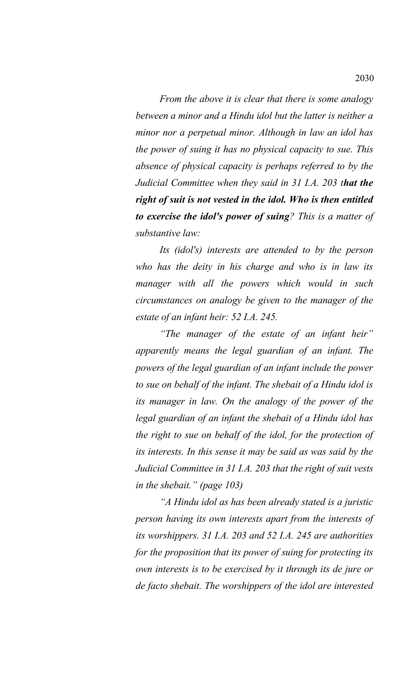*From the above it is clear that there is some analogy between a minor and a Hindu idol but the latter is neither a minor nor a perpetual minor. Although in law an idol has the power of suing it has no physical capacity to sue. This absence of physical capacity is perhaps referred to by the Judicial Committee when they said in 31 I.A. 203 that the right of suit is not vested in the idol. Who is then entitled to exercise the idol's power of suing? This is a matter of substantive law:*

*Its (idol's) interests are attended to by the person who has the deity in his charge and who is in law its manager with all the powers which would in such circumstances on analogy be given to the manager of the estate of an infant heir: 52 I.A. 245.* 

*"The manager of the estate of an infant heir" apparently means the legal guardian of an infant. The powers of the legal guardian of an infant include the power to sue on behalf of the infant. The shebait of a Hindu idol is its manager in law. On the analogy of the power of the legal guardian of an infant the shebait of a Hindu idol has the right to sue on behalf of the idol, for the protection of its interests. In this sense it may be said as was said by the Judicial Committee in 31 I.A. 203 that the right of suit vests in the shebait." (page 103)*

*"A Hindu idol as has been already stated is a juristic person having its own interests apart from the interests of its worshippers. 31 I.A. 203 and 52 I.A. 245 are authorities for the proposition that its power of suing for protecting its own interests is to be exercised by it through its de jure or de facto shebait. The worshippers of the idol are interested*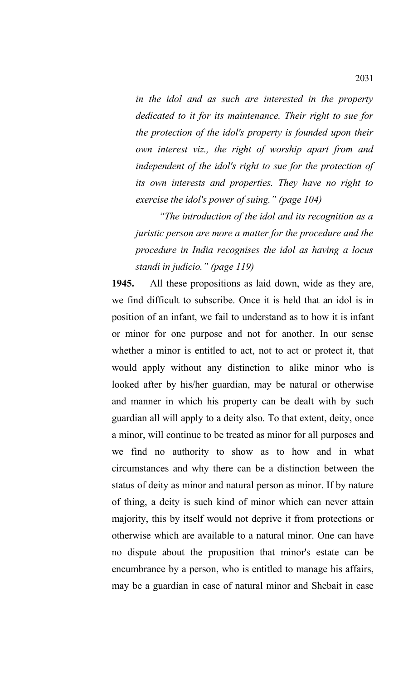*in the idol and as such are interested in the property dedicated to it for its maintenance. Their right to sue for the protection of the idol's property is founded upon their own interest viz., the right of worship apart from and independent of the idol's right to sue for the protection of its own interests and properties. They have no right to exercise the idol's power of suing." (page 104)*

*"The introduction of the idol and its recognition as a juristic person are more a matter for the procedure and the procedure in India recognises the idol as having a locus standi in judicio." (page 119)*

**1945.** All these propositions as laid down, wide as they are, we find difficult to subscribe. Once it is held that an idol is in position of an infant, we fail to understand as to how it is infant or minor for one purpose and not for another. In our sense whether a minor is entitled to act, not to act or protect it, that would apply without any distinction to alike minor who is looked after by his/her guardian, may be natural or otherwise and manner in which his property can be dealt with by such guardian all will apply to a deity also. To that extent, deity, once a minor, will continue to be treated as minor for all purposes and we find no authority to show as to how and in what circumstances and why there can be a distinction between the status of deity as minor and natural person as minor. If by nature of thing, a deity is such kind of minor which can never attain majority, this by itself would not deprive it from protections or otherwise which are available to a natural minor. One can have no dispute about the proposition that minor's estate can be encumbrance by a person, who is entitled to manage his affairs, may be a guardian in case of natural minor and Shebait in case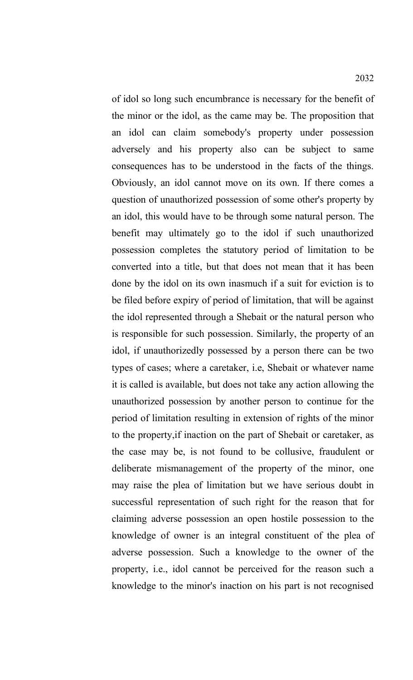of idol so long such encumbrance is necessary for the benefit of the minor or the idol, as the came may be. The proposition that an idol can claim somebody's property under possession adversely and his property also can be subject to same consequences has to be understood in the facts of the things. Obviously, an idol cannot move on its own. If there comes a question of unauthorized possession of some other's property by an idol, this would have to be through some natural person. The benefit may ultimately go to the idol if such unauthorized possession completes the statutory period of limitation to be converted into a title, but that does not mean that it has been done by the idol on its own inasmuch if a suit for eviction is to be filed before expiry of period of limitation, that will be against the idol represented through a Shebait or the natural person who is responsible for such possession. Similarly, the property of an idol, if unauthorizedly possessed by a person there can be two types of cases; where a caretaker, i.e, Shebait or whatever name it is called is available, but does not take any action allowing the unauthorized possession by another person to continue for the period of limitation resulting in extension of rights of the minor to the property,if inaction on the part of Shebait or caretaker, as the case may be, is not found to be collusive, fraudulent or deliberate mismanagement of the property of the minor, one may raise the plea of limitation but we have serious doubt in successful representation of such right for the reason that for claiming adverse possession an open hostile possession to the knowledge of owner is an integral constituent of the plea of adverse possession. Such a knowledge to the owner of the property, i.e., idol cannot be perceived for the reason such a knowledge to the minor's inaction on his part is not recognised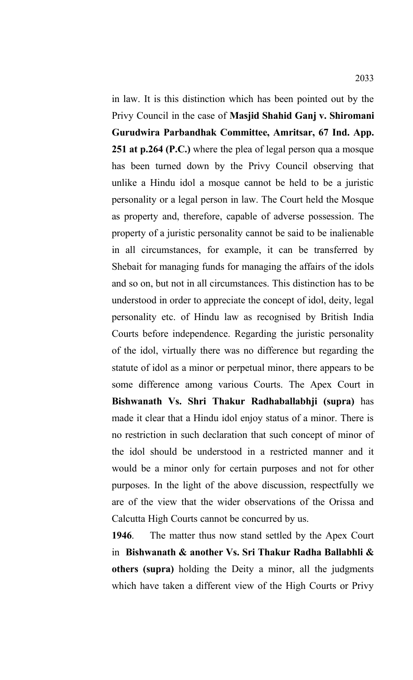in law. It is this distinction which has been pointed out by the Privy Council in the case of **Masjid Shahid Ganj v. Shiromani Gurudwira Parbandhak Committee, Amritsar, 67 Ind. App. 251 at p.264 (P.C.)** where the plea of legal person qua a mosque has been turned down by the Privy Council observing that unlike a Hindu idol a mosque cannot be held to be a juristic personality or a legal person in law. The Court held the Mosque as property and, therefore, capable of adverse possession. The property of a juristic personality cannot be said to be inalienable in all circumstances, for example, it can be transferred by Shebait for managing funds for managing the affairs of the idols and so on, but not in all circumstances. This distinction has to be understood in order to appreciate the concept of idol, deity, legal personality etc. of Hindu law as recognised by British India Courts before independence. Regarding the juristic personality of the idol, virtually there was no difference but regarding the statute of idol as a minor or perpetual minor, there appears to be some difference among various Courts. The Apex Court in **Bishwanath Vs. Shri Thakur Radhaballabhji (supra)** has made it clear that a Hindu idol enjoy status of a minor. There is no restriction in such declaration that such concept of minor of the idol should be understood in a restricted manner and it would be a minor only for certain purposes and not for other purposes. In the light of the above discussion, respectfully we are of the view that the wider observations of the Orissa and Calcutta High Courts cannot be concurred by us.

**1946**. The matter thus now stand settled by the Apex Court in **Bishwanath & another Vs. Sri Thakur Radha Ballabhli & others (supra)** holding the Deity a minor, all the judgments which have taken a different view of the High Courts or Privy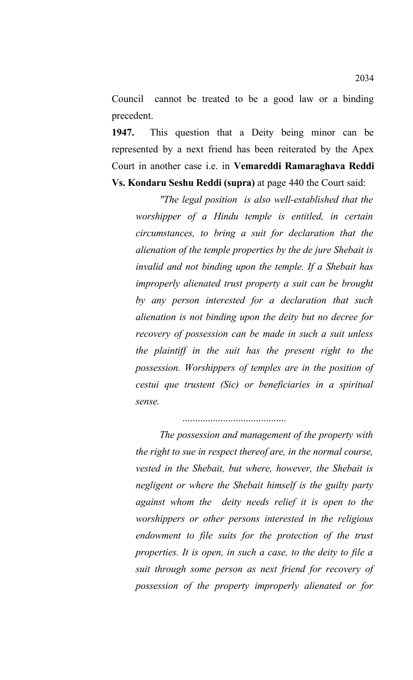Council cannot be treated to be a good law or a binding precedent.

**1947.** This question that a Deity being minor can be represented by a next friend has been reiterated by the Apex Court in another case i.e. in **Vemareddi Ramaraghava Reddi Vs. Kondaru Seshu Reddi (supra)** at page 440 the Court said:

*"The legal position is also well-established that the worshipper of a Hindu temple is entitled, in certain circumstances, to bring a suit for declaration that the alienation of the temple properties by the de jure Shebait is invalid and not binding upon the temple. If a Shebait has improperly alienated trust property a suit can be brought by any person interested for a declaration that such alienation is not binding upon the deity but no decree for recovery of possession can be made in such a suit unless the plaintiff in the suit has the present right to the possession. Worshippers of temples are in the position of cestui que trustent (Sic) or beneficiaries in a spiritual sense.*

.........................................

*The possession and management of the property with the right to sue in respect thereof are, in the normal course, vested in the Shebait, but where, however, the Shebait is negligent or where the Shebait himself is the guilty party against whom the deity needs relief it is open to the worshippers or other persons interested in the religious endowment to file suits for the protection of the trust properties. It is open, in such a case, to the deity to file a suit through some person as next friend for recovery of possession of the property improperly alienated or for*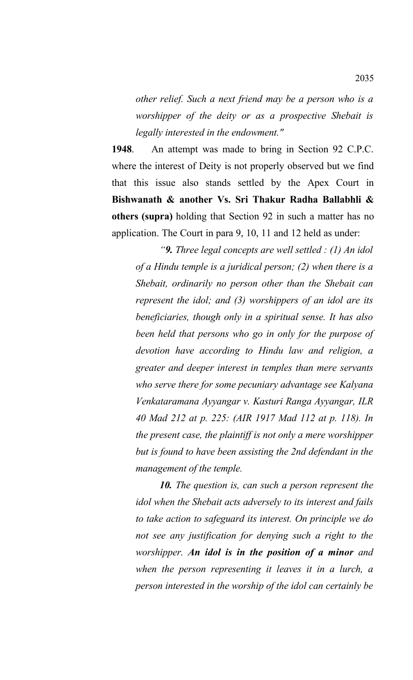*other relief. Such a next friend may be a person who is a worshipper of the deity or as a prospective Shebait is legally interested in the endowment."*

**1948**. An attempt was made to bring in Section 92 C.P.C. where the interest of Deity is not properly observed but we find that this issue also stands settled by the Apex Court in **Bishwanath & another Vs. Sri Thakur Radha Ballabhli & others (supra)** holding that Section 92 in such a matter has no application. The Court in para 9, 10, 11 and 12 held as under:

*"9. Three legal concepts are well settled : (1) An idol of a Hindu temple is a juridical person; (2) when there is a Shebait, ordinarily no person other than the Shebait can represent the idol; and (3) worshippers of an idol are its beneficiaries, though only in a spiritual sense. It has also been held that persons who go in only for the purpose of devotion have according to Hindu law and religion, a greater and deeper interest in temples than mere servants who serve there for some pecuniary advantage see Kalyana Venkataramana Ayyangar v. Kasturi Ranga Ayyangar, ILR 40 Mad 212 at p. 225: (AIR 1917 Mad 112 at p. 118). In the present case, the plaintiff is not only a mere worshipper but is found to have been assisting the 2nd defendant in the management of the temple.*

*10. The question is, can such a person represent the idol when the Shebait acts adversely to its interest and fails to take action to safeguard its interest. On principle we do not see any justification for denying such a right to the worshipper. An idol is in the position of a minor and when the person representing it leaves it in a lurch, a person interested in the worship of the idol can certainly be*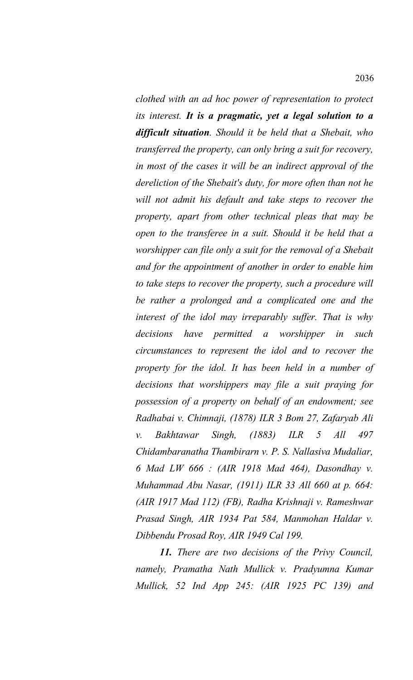*clothed with an ad hoc power of representation to protect its interest. It is a pragmatic, yet a legal solution to a difficult situation. Should it be held that a Shebait, who transferred the property, can only bring a suit for recovery, in most of the cases it will be an indirect approval of the dereliction of the Shebait's duty, for more often than not he will not admit his default and take steps to recover the property, apart from other technical pleas that may be open to the transferee in a suit. Should it be held that a worshipper can file only a suit for the removal of a Shebait and for the appointment of another in order to enable him to take steps to recover the property, such a procedure will be rather a prolonged and a complicated one and the interest of the idol may irreparably suffer. That is why decisions have permitted a worshipper in such circumstances to represent the idol and to recover the property for the idol. It has been held in a number of decisions that worshippers may file a suit praying for possession of a property on behalf of an endowment; see Radhabai v. Chimnaji, (1878) ILR 3 Bom 27, Zafaryab Ali v. Bakhtawar Singh, (1883) ILR 5 All 497 Chidambaranatha Thambirarn v. P. S. Nallasiva Mudaliar, 6 Mad LW 666 : (AIR 1918 Mad 464), Dasondhay v. Muhammad Abu Nasar, (1911) ILR 33 All 660 at p. 664: (AIR 1917 Mad 112) (FB), Radha Krishnaji v. Rameshwar Prasad Singh, AIR 1934 Pat 584, Manmohan Haldar v. Dibbendu Prosad Roy, AIR 1949 Cal 199.*

*11. There are two decisions of the Privy Council, namely, Pramatha Nath Mullick v. Pradyumna Kumar Mullick, 52 Ind App 245: (AIR 1925 PC 139) and*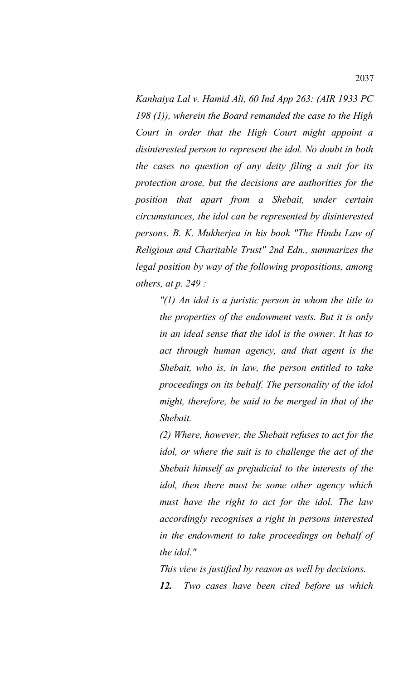*Kanhaiya Lal v. Hamid Ali, 60 Ind App 263: (AIR 1933 PC 198 (1)), wherein the Board remanded the case to the High Court in order that the High Court might appoint a disinterested person to represent the idol. No doubt in both the cases no question of any deity filing a suit for its protection arose, but the decisions are authorities for the position that apart from a Shebait, under certain circumstances, the idol can be represented by disinterested persons. B. K. Mukherjea in his book "The Hindu Law of Religious and Charitable Trust" 2nd Edn., summarizes the legal position by way of the following propositions, among others, at p. 249 :*

*"(1) An idol is a juristic person in whom the title to the properties of the endowment vests. But it is only in an ideal sense that the idol is the owner. It has to act through human agency, and that agent is the Shebait, who is, in law, the person entitled to take proceedings on its behalf. The personality of the idol might, therefore, be said to be merged in that of the Shebait.*

*(2) Where, however, the Shebait refuses to act for the idol, or where the suit is to challenge the act of the Shebait himself as prejudicial to the interests of the idol, then there must be some other agency which must have the right to act for the idol. The law accordingly recognises a right in persons interested in the endowment to take proceedings on behalf of the idol."*

*This view is justified by reason as well by decisions.*

*12. Two cases have been cited before us which*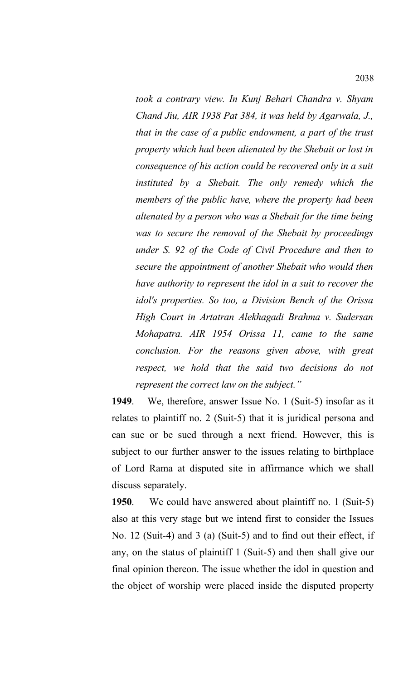*took a contrary view. In Kunj Behari Chandra v. Shyam Chand Jiu, AIR 1938 Pat 384, it was held by Agarwala, J., that in the case of a public endowment, a part of the trust property which had been alienated by the Shebait or lost in consequence of his action could be recovered only in a suit instituted by a Shebait. The only remedy which the members of the public have, where the property had been altenated by a person who was a Shebait for the time being was to secure the removal of the Shebait by proceedings under S. 92 of the Code of Civil Procedure and then to secure the appointment of another Shebait who would then have authority to represent the idol in a suit to recover the idol's properties. So too, a Division Bench of the Orissa High Court in Artatran Alekhagadi Brahma v. Sudersan Mohapatra. AIR 1954 Orissa 11, came to the same conclusion. For the reasons given above, with great respect, we hold that the said two decisions do not represent the correct law on the subject."*

**1949**. We, therefore, answer Issue No. 1 (Suit-5) insofar as it relates to plaintiff no. 2 (Suit-5) that it is juridical persona and can sue or be sued through a next friend. However, this is subject to our further answer to the issues relating to birthplace of Lord Rama at disputed site in affirmance which we shall discuss separately.

**1950**. We could have answered about plaintiff no. 1 (Suit-5) also at this very stage but we intend first to consider the Issues No. 12 (Suit-4) and 3 (a) (Suit-5) and to find out their effect, if any, on the status of plaintiff 1 (Suit-5) and then shall give our final opinion thereon. The issue whether the idol in question and the object of worship were placed inside the disputed property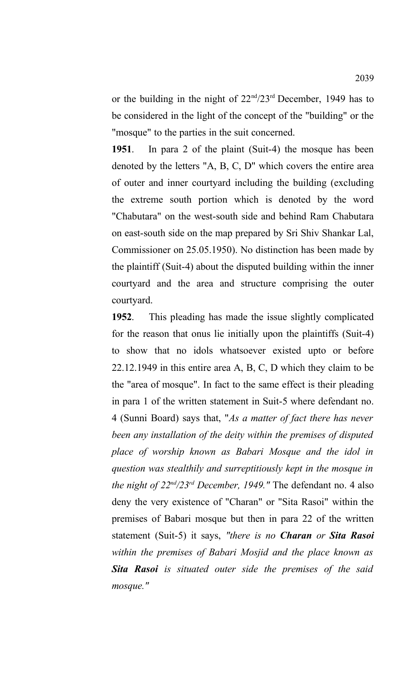or the building in the night of 22nd/23rd December, 1949 has to be considered in the light of the concept of the "building" or the "mosque" to the parties in the suit concerned.

**1951**. In para 2 of the plaint (Suit-4) the mosque has been denoted by the letters "A, B, C, D" which covers the entire area of outer and inner courtyard including the building (excluding the extreme south portion which is denoted by the word "Chabutara" on the west-south side and behind Ram Chabutara on east-south side on the map prepared by Sri Shiv Shankar Lal, Commissioner on 25.05.1950). No distinction has been made by the plaintiff (Suit-4) about the disputed building within the inner courtyard and the area and structure comprising the outer courtyard.

**1952**. This pleading has made the issue slightly complicated for the reason that onus lie initially upon the plaintiffs (Suit-4) to show that no idols whatsoever existed upto or before 22.12.1949 in this entire area A, B, C, D which they claim to be the "area of mosque". In fact to the same effect is their pleading in para 1 of the written statement in Suit-5 where defendant no. 4 (Sunni Board) says that, "*As a matter of fact there has never been any installation of the deity within the premises of disputed place of worship known as Babari Mosque and the idol in question was stealthily and surreptitiously kept in the mosque in the night of 22nd/23rd December, 1949."* The defendant no. 4 also deny the very existence of "Charan" or "Sita Rasoi" within the premises of Babari mosque but then in para 22 of the written statement (Suit-5) it says, *"there is no Charan or Sita Rasoi within the premises of Babari Mosjid and the place known as Sita Rasoi is situated outer side the premises of the said mosque."*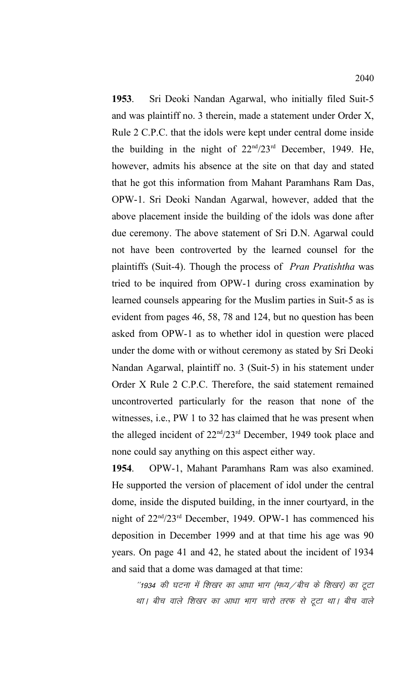**1953**. Sri Deoki Nandan Agarwal, who initially filed Suit-5 and was plaintiff no. 3 therein, made a statement under Order X, Rule 2 C.P.C. that the idols were kept under central dome inside the building in the night of 22nd/23rd December, 1949. He, however, admits his absence at the site on that day and stated that he got this information from Mahant Paramhans Ram Das, OPW-1. Sri Deoki Nandan Agarwal, however, added that the above placement inside the building of the idols was done after due ceremony. The above statement of Sri D.N. Agarwal could not have been controverted by the learned counsel for the plaintiffs (Suit-4). Though the process of *Pran Pratishtha* was tried to be inquired from OPW-1 during cross examination by learned counsels appearing for the Muslim parties in Suit-5 as is evident from pages 46, 58, 78 and 124, but no question has been asked from OPW-1 as to whether idol in question were placed under the dome with or without ceremony as stated by Sri Deoki Nandan Agarwal, plaintiff no. 3 (Suit-5) in his statement under Order X Rule 2 C.P.C. Therefore, the said statement remained uncontroverted particularly for the reason that none of the witnesses, i.e., PW 1 to 32 has claimed that he was present when the alleged incident of 22nd/23rd December, 1949 took place and none could say anything on this aspect either way.

**1954**. OPW-1, Mahant Paramhans Ram was also examined. He supported the version of placement of idol under the central dome, inside the disputed building, in the inner courtyard, in the night of 22nd/23rd December, 1949. OPW-1 has commenced his deposition in December 1999 and at that time his age was 90 years. On page 41 and 42, he stated about the incident of 1934 and said that a dome was damaged at that time:

''1934 की घटना में शिखर का आधा भाग (मध्य ⁄बीच के शिखर) का टूटा था। बीच वाले शिखर का आधा भाग चारो तरफ से टूटा था। बीच वाले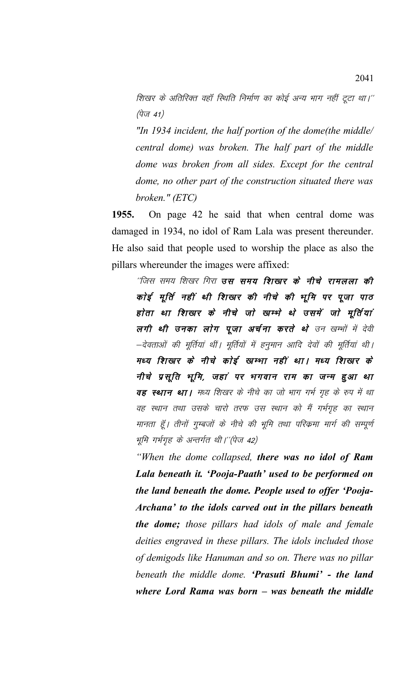शिखर के अतिरिक्त वहाँ स्थिति निर्माण का कोई अन्य भाग नहीं ट्टा था।'' (पेज $41)$ 

*"In 1934 incident, the half portion of the dome(the middle/ central dome) was broken. The half part of the middle dome was broken from all sides. Except for the central dome, no other part of the construction situated there was broken." (ETC)*

**1955.** On page 42 he said that when central dome was damaged in 1934, no idol of Ram Lala was present thereunder. He also said that people used to worship the place as also the pillars whereunder the images were affixed:

''जिस समय शिखर गिरा **उस समय शिखार के नीचे रामलला की** कोई मूर्ति नहीं थी शिखर की नीचे की भूमि पर पूजा पाठ होता था शिखर के नीचे जो खम्भे थे उसमें जो मूर्तियां लगी थी उनका लोग पूजा अर्चना करते थे उन खम्भों में देवी —देवताओं की मूर्तियां थीं। मूर्तियों में हनूमान आदि देवों की मूर्तियां थी। मध्य शिखार के नीचे कोई खम्भा नहीं था। मध्य शिखार के नीचे प्रसूति भूमि, जहां पर भगवान राम का जन्म हुआ था **वह स्थान था।** मध्य शिखर के नीचे का जो भाग गर्भ गृह के रुप में था वह स्थान तथा उसके चारो तरफ उस स्थान को मैं गर्भगृह का स्थान मानता हूँ। तीनों गुम्बजों के नीचे की भूमि तथा परिकमा मार्ग की सम्पूर्ण भूमि गर्भगृह के अन्तर्गत थी।''(पेज 42)

*"When the dome collapsed, there was no idol of Ram Lala beneath it. 'Pooja-Paath' used to be performed on the land beneath the dome. People used to offer 'Pooja-Archana' to the idols carved out in the pillars beneath the dome; those pillars had idols of male and female deities engraved in these pillars. The idols included those of demigods like Hanuman and so on. There was no pillar beneath the middle dome. 'Prasuti Bhumi' - the land where Lord Rama was born – was beneath the middle*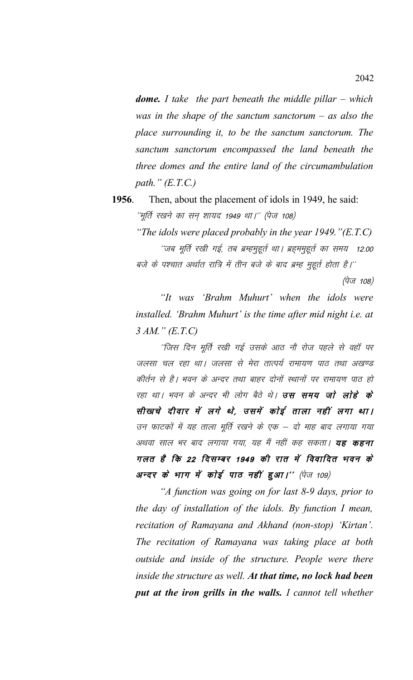*dome. I take the part beneath the middle pillar – which was in the shape of the sanctum sanctorum – as also the place surrounding it, to be the sanctum sanctorum. The sanctum sanctorum encompassed the land beneath the three domes and the entire land of the circumambulation path." (E.T.C.)*

**1956**. Then, about the placement of idols in 1949, he said: ''मूर्ति रखने का सन शायद 1949 था।'' (पेज 108)

*"The idols were placed probably in the year 1949."(E.T.C)* ''जब मूर्ति रखी गई, तब ब्रम्हमुद्दूर्त था। ब्रह्**ममु**हूर्त का समय 12.00 बजे के पश्चात अर्थात रात्रि में तीन बजे के बाद ब्रम्ह मुहर्त होता है।''

(पेज 108)

*"It was 'Brahm Muhurt' when the idols were installed. 'Brahm Muhurt' is the time after mid night i.e. at 3 AM." (E.T.C)*

´'जिस दिन मूर्ति रखी गई उसके आठ नौ रोज पहले से वहाँ पर जलसा चल रहा था। जलसा से मेरा तात्पर्य रामायण पाठ तथा अखण्ड कीर्तन से है। भवन के अन्दर तथा बाहर दोनों स्थानों पर रामायण पाठ हो रहा था। भवन के अन्दर भी लोग बैठे थे। **उस समय जो लोहे के** सीखचे दीवार में लगे थे, उसमें कोई ताला नहीं लगा था। उन फाटकों में यह ताला मूर्ति रखने के एक – दो माह बाद लगाया गया अथवा साल भर बाद लगाया गया, यह मैं नहीं कह सकता। **यह कहना** गलत है कि 22 दिसम्बर 1949 की रात में विवादित भवन के अन्दर के भाग में कोई पाठ नहीं हुआ।'' (पेज 109)

*"A function was going on for last 8-9 days, prior to the day of installation of the idols. By function I mean, recitation of Ramayana and Akhand (non-stop) 'Kirtan'. The recitation of Ramayana was taking place at both outside and inside of the structure. People were there inside the structure as well. At that time, no lock had been put at the iron grills in the walls. I cannot tell whether*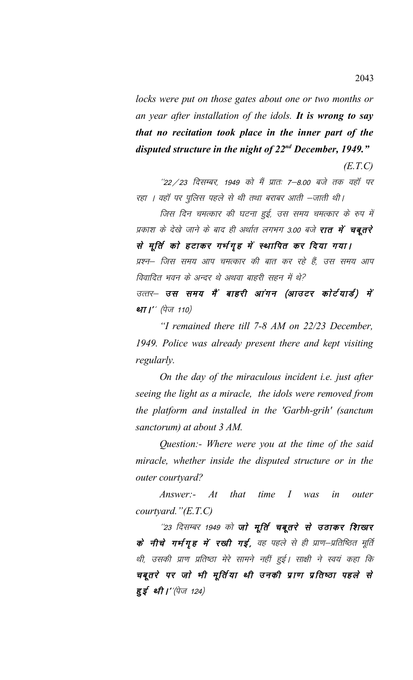*locks were put on those gates about one or two months or an year after installation of the idols. It is wrong to say that no recitation took place in the inner part of the disputed structure in the night of 22nd December, 1949."*

*(E.T.C)*

 $\frac{1}{22}/23$  दिसम्बर, 1949 को मैं प्रातः 7–8.00 बजे तक वहाँ पर रहा । वहाँ पर पुलिस पहले से थी तथा बराबर आती –जाती थी।

जिस दिन चमत्कार की घटना हुई, उस समय चमत्कार के रुप में प्रकाश के देखे जाने के बाद ही अर्थात लगभग 3.00 बजे **रात में चबूतरे** से मूर्ति को हटाकर गर्भगृह में स्थापित कर दिया गया। प्रश्न– जिस समय आप चमत्कार की बात कर रहे हैं, उस समय आप विवादित भवन के अन्दर थे अथवा बाहरी सहन में थे? उत्तर– उस समय मैं बाहरी आंगन (आउटर कोर्टथार्ड) में था।'' (पेज 110)

*"I remained there till 7-8 AM on 22/23 December, 1949. Police was already present there and kept visiting regularly.* 

*On the day of the miraculous incident i.e. just after seeing the light as a miracle, the idols were removed from the platform and installed in the 'Garbh-grih' (sanctum sanctorum) at about 3 AM.*

*Question:- Where were you at the time of the said miracle, whether inside the disputed structure or in the outer courtyard?*

*Answer:- At that time I was in outer courtyard."(E.T.C)*

''23 दिसम्बर 1949 को **जो मूर्ति चबूतरे से उठाकर शिखार** के नीचे गर्भगृह में रखी गई, वह पहले से ही प्राण-प्रतिष्ठित मूर्ति थी, उसकी प्राण प्रतिष्ठा मेरे सामने नहीं हुई। साक्षी ने स्वयं कहा कि चबूतरे पर जो भी मूर्तिया थी उनकी प्राण प्रतिष्ठा पहले से  $\bar{\mathbf{g}}$ ई थी।''(पेज 124)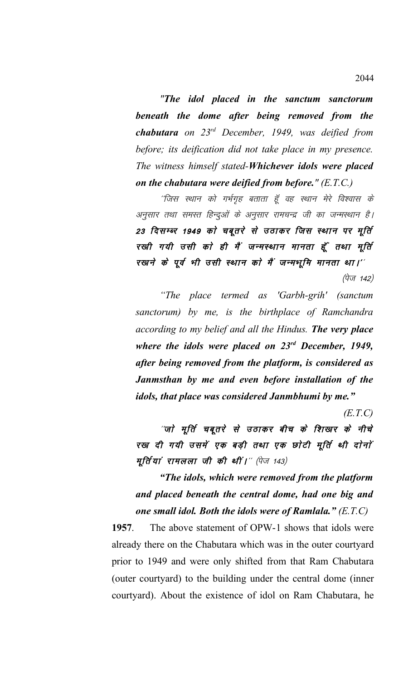*"The idol placed in the sanctum sanctorum beneath the dome after being removed from the chabutara on 23rd December, 1949, was deified from before; its deification did not take place in my presence. The witness himself stated-Whichever idols were placed on the chabutara were deified from before." (E.T.C.)* 

´'जिस स्थान को गर्भगृह बताता हूँ वह स्थान मेरे विश्वास के अनुसार तथा समस्त हिन्दुओं के अनुसार रामचन्द्र जी का जन्मस्थान है। 23 दिसम्बर 1949 को चबूतरे से उठाकर जिस स्थान पर मूर्ति रखी गयी उसी को ही मैं जन्मस्थान मानता हूँ तथा मूर्ति रखने के पूर्व भी उसी स्थान को मैं जन्मभूमि मानता था।''  $(\dot{q}_{\nabla}$  142)

*"The place termed as 'Garbh-grih' (sanctum sanctorum) by me, is the birthplace of Ramchandra according to my belief and all the Hindus. The very place where the idols were placed on 23rd December, 1949, after being removed from the platform, is considered as Janmsthan by me and even before installation of the idols, that place was considered Janmbhumi by me."*

 *(E.T.C)*

*"जो मूर्ति चबूतरे से उठाकर बीच के शिखार के नीचे* रख दी गयी उसमें एक बड़ी तथा एक छोटी मूर्ति थी दोनों मूर्तियां रामलला जी की थीं।" (पेज 143)

*"The idols, which were removed from the platform and placed beneath the central dome, had one big and one small idol. Both the idols were of Ramlala." (E.T.C)*

**1957**. The above statement of OPW-1 shows that idols were already there on the Chabutara which was in the outer courtyard prior to 1949 and were only shifted from that Ram Chabutara (outer courtyard) to the building under the central dome (inner courtyard). About the existence of idol on Ram Chabutara, he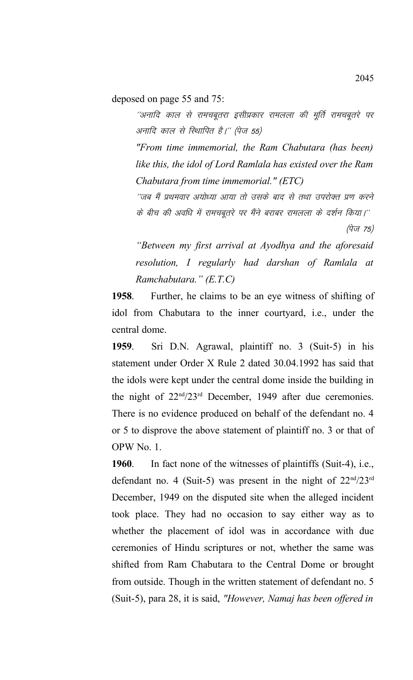deposed on page 55 and 75:

"अनादि काल से रामचबूतरा इसीप्रकार रामलला की मूर्ति रामचबूतरे पर अनादि काल से स्थिापित है।'' (पेज 55)

*"From time immemorial, the Ram Chabutara (has been) like this, the idol of Lord Ramlala has existed over the Ram Chabutara from time immemorial." (ETC)* 

''जब मैं प्रथमवार अयोध्या आया तो उसके बाद से तथा उपरोक्त प्रण करने के बीच की अवधि में रामचबूतरे पर मैंने बराबर रामलला के दर्शन किया।'' (पेज 75)

*"Between my first arrival at Ayodhya and the aforesaid resolution, I regularly had darshan of Ramlala at Ramchabutara." (E.T.C)*

**1958**. Further, he claims to be an eye witness of shifting of idol from Chabutara to the inner courtyard, i.e., under the central dome.

**1959**. Sri D.N. Agrawal, plaintiff no. 3 (Suit-5) in his statement under Order X Rule 2 dated 30.04.1992 has said that the idols were kept under the central dome inside the building in the night of 22nd/23rd December, 1949 after due ceremonies. There is no evidence produced on behalf of the defendant no. 4 or 5 to disprove the above statement of plaintiff no. 3 or that of OPW No. 1.

**1960**. In fact none of the witnesses of plaintiffs (Suit-4), i.e., defendant no. 4 (Suit-5) was present in the night of  $22<sup>nd</sup>/23<sup>rd</sup>$ December, 1949 on the disputed site when the alleged incident took place. They had no occasion to say either way as to whether the placement of idol was in accordance with due ceremonies of Hindu scriptures or not, whether the same was shifted from Ram Chabutara to the Central Dome or brought from outside. Though in the written statement of defendant no. 5 (Suit-5), para 28, it is said, *"However, Namaj has been offered in*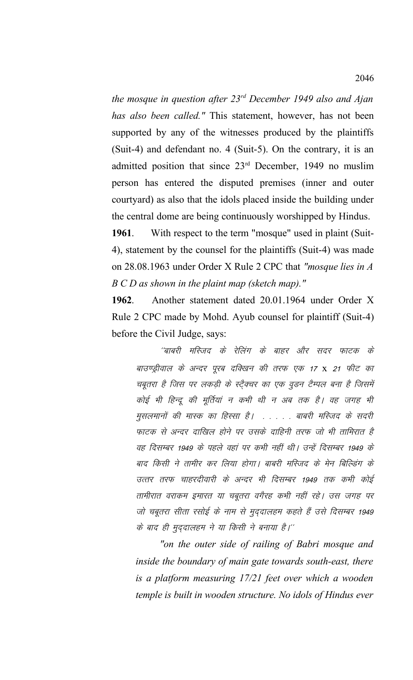*the mosque in question after 23rd December 1949 also and Ajan has also been called."* This statement, however, has not been supported by any of the witnesses produced by the plaintiffs (Suit-4) and defendant no. 4 (Suit-5). On the contrary, it is an admitted position that since 23rd December, 1949 no muslim person has entered the disputed premises (inner and outer courtyard) as also that the idols placed inside the building under the central dome are being continuously worshipped by Hindus.

**1961**. With respect to the term "mosque" used in plaint (Suit-4), statement by the counsel for the plaintiffs (Suit-4) was made on 28.08.1963 under Order X Rule 2 CPC that *"mosque lies in A B C D as shown in the plaint map (sketch map)."*

**1962**. Another statement dated 20.01.1964 under Order X Rule 2 CPC made by Mohd. Ayub counsel for plaintiff (Suit-4) before the Civil Judge, says:

<sup>''बाबरी मस्जिद के रेलिंग के बाहर और सदर फाटक के</sup> बाउण्ड्रीवाल के अन्दर पुरब दक्खिन की तरफ एक 17 x 21 फीट का चबूतरा है जिस पर लकड़ी के स्टैक्चर का एक वृडन टैम्पल बना है जिसमें कोई भी हिन्दू की मूर्तियां न कभी थी न अब तक है। वह जगह भी मुसलमानों की मास्क का हिस्सा है। . . . . बाबरी मस्जिद के सदरी फाटक से अन्दर दाखिल होने पर उसके दाहिनी तरफ जो भी तामिरात है वह दिसम्बर 1949 के पहले वहां पर कभी नहीं थी। उन्हें दिसम्बर 1949 के बाद किसी ने तामीर कर लिया होगा। बाबरी मस्जिद के मेन बिल्डिंग के उत्तर तरफ चाहरदीवारी के अन्दर भी दिसम्बर 1949 तक कभी कोई तामीरात वराकम इमारत या चबूतरा वगैरह कभी नहीं रहे। उस जगह पर जो चबूतरा सीता रसोई के नाम से मुददालहम कहते हैं उसे दिसम्बर 1949 के बाद ही मुद्दालहम ने या किसी ने बनाया है।''

*"on the outer side of railing of Babri mosque and inside the boundary of main gate towards south-east, there is a platform measuring 17/21 feet over which a wooden temple is built in wooden structure. No idols of Hindus ever*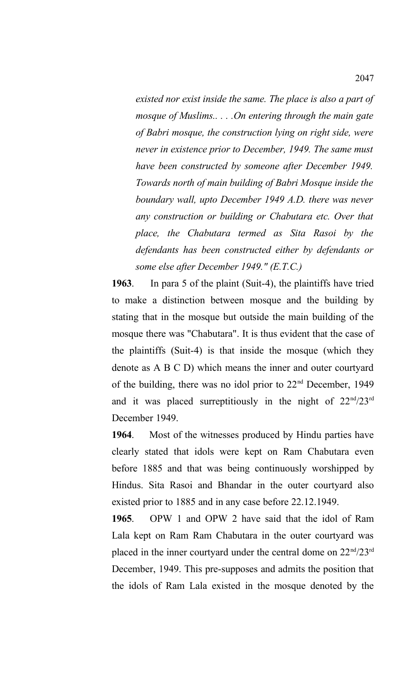*existed nor exist inside the same. The place is also a part of mosque of Muslims.. . . .On entering through the main gate of Babri mosque, the construction lying on right side, were never in existence prior to December, 1949. The same must have been constructed by someone after December 1949. Towards north of main building of Babri Mosque inside the boundary wall, upto December 1949 A.D. there was never any construction or building or Chabutara etc. Over that place, the Chabutara termed as Sita Rasoi by the defendants has been constructed either by defendants or some else after December 1949." (E.T.C.)* 

**1963**. In para 5 of the plaint (Suit-4), the plaintiffs have tried to make a distinction between mosque and the building by stating that in the mosque but outside the main building of the mosque there was "Chabutara". It is thus evident that the case of the plaintiffs (Suit-4) is that inside the mosque (which they denote as A B C D) which means the inner and outer courtyard of the building, there was no idol prior to  $22<sup>nd</sup>$  December, 1949 and it was placed surreptitiously in the night of  $22<sup>nd</sup>/23<sup>rd</sup>$ December 1949.

**1964**. Most of the witnesses produced by Hindu parties have clearly stated that idols were kept on Ram Chabutara even before 1885 and that was being continuously worshipped by Hindus. Sita Rasoi and Bhandar in the outer courtyard also existed prior to 1885 and in any case before 22.12.1949.

**1965**. OPW 1 and OPW 2 have said that the idol of Ram Lala kept on Ram Ram Chabutara in the outer courtyard was placed in the inner courtyard under the central dome on  $22<sup>nd</sup>/23<sup>rd</sup>$ December, 1949. This pre-supposes and admits the position that the idols of Ram Lala existed in the mosque denoted by the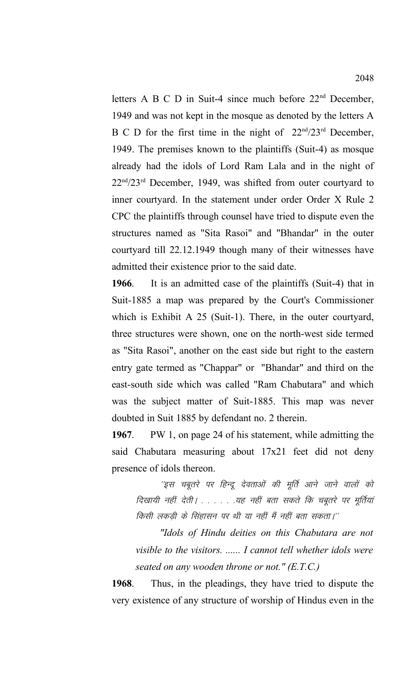letters A B C D in Suit-4 since much before 22<sup>nd</sup> December, 1949 and was not kept in the mosque as denoted by the letters A B C D for the first time in the night of  $22<sup>nd</sup>/23<sup>rd</sup>$  December, 1949. The premises known to the plaintiffs (Suit-4) as mosque already had the idols of Lord Ram Lala and in the night of  $22<sup>nd</sup>/23<sup>rd</sup>$  December, 1949, was shifted from outer courtyard to inner courtyard. In the statement under order Order X Rule 2 CPC the plaintiffs through counsel have tried to dispute even the structures named as "Sita Rasoi" and "Bhandar" in the outer courtyard till 22.12.1949 though many of their witnesses have admitted their existence prior to the said date.

**1966**. It is an admitted case of the plaintiffs (Suit-4) that in Suit-1885 a map was prepared by the Court's Commissioner which is Exhibit A 25 (Suit-1). There, in the outer courtyard, three structures were shown, one on the north-west side termed as "Sita Rasoi", another on the east side but right to the eastern entry gate termed as "Chappar" or "Bhandar" and third on the east-south side which was called "Ram Chabutara" and which was the subject matter of Suit-1885. This map was never doubted in Suit 1885 by defendant no. 2 therein.

**1967**. PW 1, on page 24 of his statement, while admitting the said Chabutara measuring about 17x21 feet did not deny presence of idols thereon.

'इस चबूतरे पर हिन्दू देवताओं की मूर्ति आने जाने वालों को दिखायी नहीं देती। . . . . . यह नहीं बता सकते कि चबुतरे पर मुर्तियां किसी लकड़ी के सिंहासन पर थी या नहीं मैं नहीं बता सकता।''

*"Idols of Hindu deities on this Chabutara are not visible to the visitors. ...... I cannot tell whether idols were seated on any wooden throne or not." (E.T.C.)*

**1968**. Thus, in the pleadings, they have tried to dispute the very existence of any structure of worship of Hindus even in the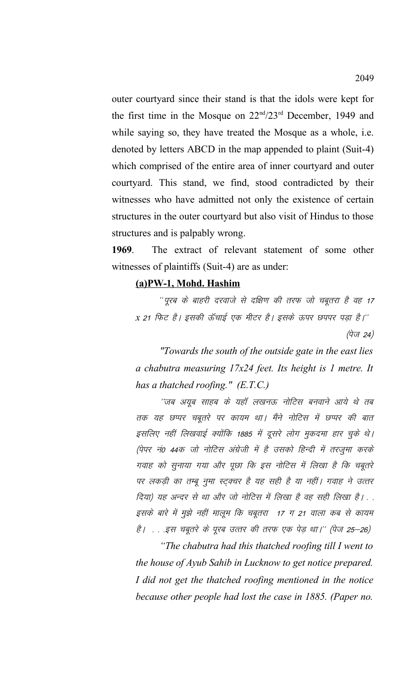outer courtyard since their stand is that the idols were kept for the first time in the Mosque on 22nd/23rd December, 1949 and while saying so, they have treated the Mosque as a whole, i.e. denoted by letters ABCD in the map appended to plaint (Suit-4) which comprised of the entire area of inner courtyard and outer courtyard. This stand, we find, stood contradicted by their witnesses who have admitted not only the existence of certain structures in the outer courtyard but also visit of Hindus to those structures and is palpably wrong.

**1969**. The extract of relevant statement of some other witnesses of plaintiffs (Suit-4) are as under:

## **(a)PW-1, Mohd. Hashim**

''पूरब के बाहरी दरवाजे से दक्षिण की तरफ जो चबूतरा है वह 17  $x$  21 फिट है। इसकी ऊँचाई एक मीटर है। इसके ऊपर छपपर पड़ा है।'' (पेज 24)

*"Towards the south of the outside gate in the east lies a chabutra measuring 17x24 feet. Its height is 1 metre. It has a thatched roofing." (E.T.C.)*

´´जब अयुब साहब के यहाँ लखनऊ नोटिस बनवाने आये थे तब तक यह छप्पर चबूतरे पर कायम था। मैंने नोटिस में छप्पर की बात इसलिए नहीं लिखवाई क्योंकि 1885 में दूसरे लोग मुकदमा हार चुके थे। (पेपर नं0 44क जो नोटिस अंग्रेजी में है उसको हिन्दी में तरजुमा करके गवाह को सुनाया गया और पूछा कि इस नोटिस में लिखा है कि चबूतरे पर लकड़ी का तम्बू नुमा स्ट्क्चर है यह सही है या नहीं। गवाह ने उत्तर दिया) यह अन्दर से था और जो नोटिस में लिखा है वह सही लिखा है। . . इसके बारे में मुझे नहीं मालूम कि चबूतरा 17 ग 21 वाला कब से कायम है। . . .इस चबूतरे के पूरब उत्तर की तरफ एक पेड़ था।'' (पेज 25–26)

*"The chabutra had this thatched roofing till I went to the house of Ayub Sahib in Lucknow to get notice prepared. I did not get the thatched roofing mentioned in the notice because other people had lost the case in 1885. (Paper no.*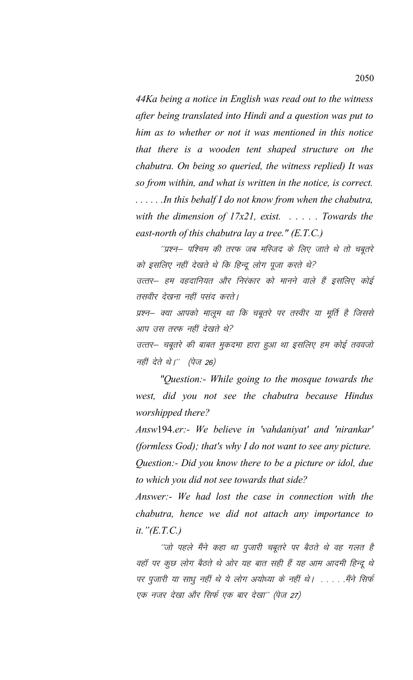*44Ka being a notice in English was read out to the witness after being translated into Hindi and a question was put to him as to whether or not it was mentioned in this notice that there is a wooden tent shaped structure on the chabutra. On being so queried, the witness replied) It was so from within, and what is written in the notice, is correct. . . . . . .In this behalf I do not know from when the chabutra, with the dimension of 17x21, exist. . . . . . Towards the east-north of this chabutra lay a tree." (E.T.C.)*

''प्रश्न– पश्चिम की तरफ जब मस्जिद के लिए जाते थे तो चबूतरे को इसलिए नहीं देखते थे कि हिन्दू लोग पूजा करते थे?

उत्तर– हम वहदानियत और निरंकार को मानने वाले हैं इसलिए कोई तसवीर देखना नहीं पसंद करते।

प्रश्न– क्या आपको मालूम था कि चबूतरे पर तस्वीर या मूर्ति है जिससे आप उस तरफ नहीं देखते थे?

उत्तर– चबूतरे की बाबत मुकदमा हारा हुआ था इसलिए हम कोई तववजो नहीं देते थे।'' (पेज 26)

*"Question:- While going to the mosque towards the west, did you not see the chabutra because Hindus worshipped there?*

*Answ*194.*er:- We believe in 'vahdaniyat' and 'nirankar' (formless God); that's why I do not want to see any picture.*

*Question:- Did you know there to be a picture or idol, due to which you did not see towards that side?*

*Answer:- We had lost the case in connection with the chabutra, hence we did not attach any importance to it."(E.T.C.)*

''जो पहले मैंने कहा था पुजारी चबूतरे पर बैठते थे वह गलत है वहॉ पर कुछ लोग बैठते थे ओर यह बात सही हैं यह आम आदमी हिन्दू थे पर पुजारी या साधू नहीं थे ये लोग अयोध्या के नहीं थे। . . . . . मैंने सिर्फ एक नजर देखा और सिर्फ एक बार देखा" (पेज 27)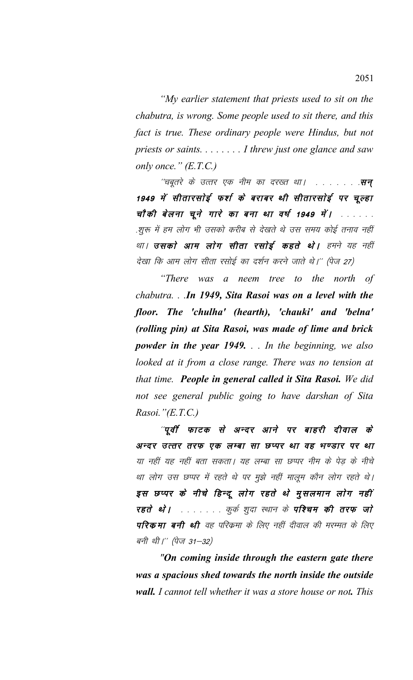*"My earlier statement that priests used to sit on the chabutra, is wrong. Some people used to sit there, and this fact is true. These ordinary people were Hindus, but not priests or saints. . . . . . . . I threw just one glance and saw only once." (E.T.C.)*

''चबूतरे के उत्तर एक नीम का दरख्त था। . . . . . . . .**सन्** 1949 में सीतारसोई फर्श के बराबर थी सीतारसोई पर चूल्हा चौकी बेलना चूने गारे का बना था वर्ष 1949 में। ....... .शुरू में हम लोग भी उसको करीब से देखते थे उस समय कोई तनाव नहीं था। **उसको आम लोग सीता रसोई कहते थे।** हमने यह नहीं देखा कि आम लोग सीता रसोई का दर्शन करने जाते थे।'' (पेज 27)

*"There was a neem tree to the north of chabutra. . .In 1949, Sita Rasoi was on a level with the floor. The 'chulha' (hearth), 'chauki' and 'belna' (rolling pin) at Sita Rasoi, was made of lime and brick powder in the year 1949. . . In the beginning, we also looked at it from a close range. There was no tension at that time. People in general called it Sita Rasoi. We did not see general public going to have darshan of Sita Rasoi."(E.T.C.)*

"पूर्वी फाटक से अन्दर आने पर बाहरी दीवाल के अन्दर उत्तर तरफ एक लम्बा सा छप्पर था वह भण्डार पर था या नहीं यह नहीं बता सकता। यह लम्बा सा छप्पर नीम के पेड के नीचे था लोग उस छप्पर में रहते थे पर मुझे नहीं मालूम कौन लोग रहते थे। इस छप्पर के नीचे हिन्दू लोग रहते थे मुसलमान लोग नहीं रहते थे। . . . . . . कुर्क शुदा स्थान के पश्चिम की तरफ जो परिकमा बनी थी वह परिकमा के लिए नहीं दीवाल की मरम्मत के लिए बनी थी।'' (पेज 31–32)

*"On coming inside through the eastern gate there was a spacious shed towards the north inside the outside wall. I cannot tell whether it was a store house or not. This*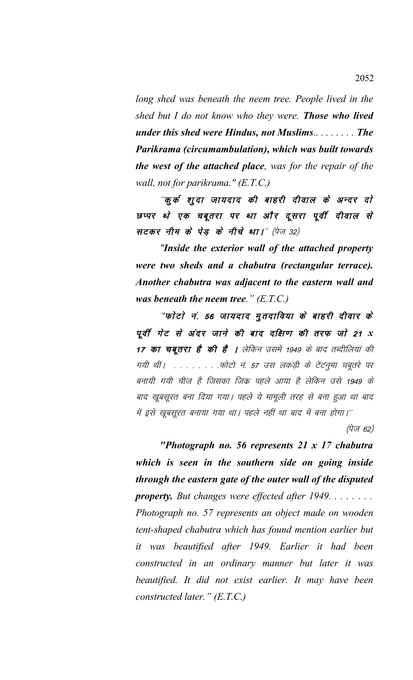*long shed was beneath the neem tree. People lived in the shed but I do not know who they were. Those who lived under this shed were Hindus, not Muslims.. . . . . . . . The Parikrama (circumambulation), which was built towards the west of the attached place, was for the repair of the wall, not for parikrama." (E.T.C.)*

''कूर्क शुदा जायदाद की बाहरी दीवाल के अन्दर दो छप्पर थे एक चबूतरा पर था और दूसरा पूर्वी दीवाल से सटकर नीम के पेड़ के नीचे था।" (पेज 32)

*"Inside the exterior wall of the attached property were two sheds and a chabutra (rectangular terrace). Another chabutra was adjacent to the eastern wall and was beneath the neem tree." (E.T.C.)*

''फोटो नं. 56 जायदाद मूतदाविया के बाहरी दीवार के  $\overline{q}$ वीं गेट से अंदर जाने की बाद दक्षिण की तरफ जो 21  $x$ 17 का चबूतरा है की है । लेकिन उसमें 1949 के बाद तब्दीलियां की गयी थीं। . . . . . . . . फोटो नं. 57 उस लकड़ी के टेंटनुमा चबूतरे पर बनायी गयी चीज है जिसका जिक पहले आया है लेकिन उसे 1949 के बाद खूबसूरत बना दिया गया। पहले ये मामूली तरह से बना हुआ था बाद में इसे खूबसूरत बनाया गया था। पहले नहीं था बाद में बना होगा।''

(पेज 62)

*"Photograph no. 56 represents 21 x 17 chabutra which is seen in the southern side on going inside through the eastern gate of the outer wall of the disputed property. But changes were effected after 1949. . . . . . . . Photograph no. 57 represents an object made on wooden tent-shaped chabutra which has found mention earlier but it was beautified after 1949. Earlier it had been constructed in an ordinary manner but later it was beautified. It did not exist earlier. It may have been constructed later." (E.T.C.)*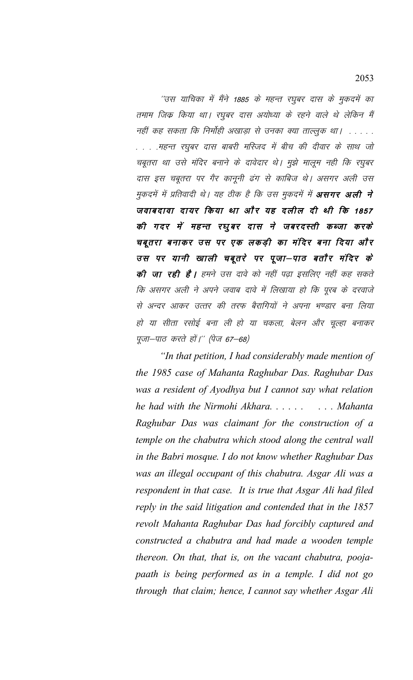''उस याचिका में मैंने 1885 के महन्त रघुबर दास के मुकदमें का तमाम जिक किया था। रघुबर दास अयोध्या के रहने वाले थे लेकिन मैं नहीं कह सकता कि निर्मोही अखाड़ा से उनका क्या ताल्लुक था। . . . . . . . . .महन्त रघुबर दास बाबरी मस्जिद में बीच की दीवार के साथ जो चबूतरा था उसे मंदिर बनाने के दावेदार थे। मुझे मालूम नही कि रघुबर दास इस चबूतरा पर गैर कानूनी ढंग से काबिज थे। असगर अली उस मुकदमें में प्रतिवादी थे। यह ठीक है कि उस मुकदमें में **असगर अली ने** जवाबदावा दायर किया था और यह दलील दी थी कि 1857 की गदर में महन्त रघूबर दास ने जबरदस्ती कब्जा करके चबूतरा बनाकर उस पर एक लकड़ी का मंदिर बना दिया और उस पर यानी खाली चबूतरे पर पूजा–पाठ बतौर मंदिर के की जा रही है। हमने उस दावे को नहीं पढा इसलिए नहीं कह सकते कि असगर अली ने अपने जवाब दावे में लिखाया हो कि पूरब के दरवाजे से अन्दर आकर उत्तर की तरफ बैरागियों ने अपना भण्डार बना लिया हो या सीता रसोई बना ली हो या चकला, बेलन और चूल्हा बनाकर पूजा-पाठ करते हों।'' (पेज 67–68)

*"In that petition, I had considerably made mention of the 1985 case of Mahanta Raghubar Das. Raghubar Das was a resident of Ayodhya but I cannot say what relation he had with the Nirmohi Akhara. . . . . . . . . Mahanta Raghubar Das was claimant for the construction of a temple on the chabutra which stood along the central wall in the Babri mosque. I do not know whether Raghubar Das was an illegal occupant of this chabutra. Asgar Ali was a respondent in that case. It is true that Asgar Ali had filed reply in the said litigation and contended that in the 1857 revolt Mahanta Raghubar Das had forcibly captured and constructed a chabutra and had made a wooden temple thereon. On that, that is, on the vacant chabutra, poojapaath is being performed as in a temple. I did not go through that claim; hence, I cannot say whether Asgar Ali*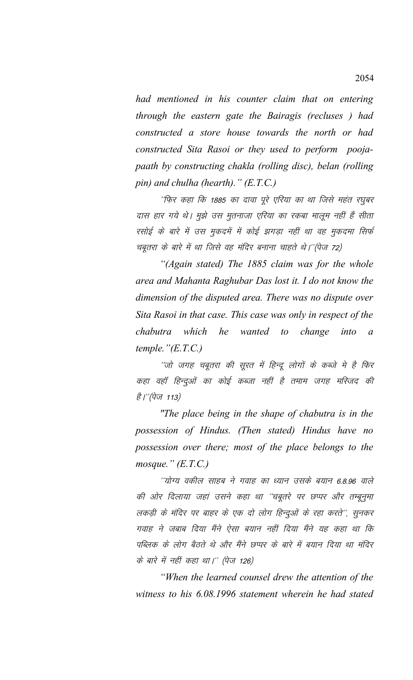*had mentioned in his counter claim that on entering through the eastern gate the Bairagis (recluses ) had constructed a store house towards the north or had constructed Sita Rasoi or they used to perform poojapaath by constructing chakla (rolling disc), belan (rolling pin) and chulha (hearth)." (E.T.C.)*

^'फिर कहा कि 1885 का दावा पूरे एरिया का था जिसे महंत रघुबर दास हार गये थे। मुझे उस मुतनाजा एरिया का रकबा मालूम नहीं हैं सीता रसोई के बारे में उस मुकदमें में कोई झगड़ा नहीं था वह मुकदमा सिर्फ चबूतरा के बारे में था जिसे वह मंदिर बनाना चाहते थे।''(पेज 72)

*"(Again stated) The 1885 claim was for the whole area and Mahanta Raghubar Das lost it. I do not know the dimension of the disputed area. There was no dispute over Sita Rasoi in that case. This case was only in respect of the chabutra which he wanted to change into a temple."(E.T.C.)*

''जो जगह चबूतरा की सूरत में हिन्दू लोगों के कब्जे मे है फिर कहा वहाँ हिन्दुओं का कोई कब्जा नहीं है तमाम जगह मस्जिद की *है।''(पेज 113)* 

*"The place being in the shape of chabutra is in the possession of Hindus. (Then stated) Hindus have no possession over there; most of the place belongs to the mosque." (E.T.C.)*

''योग्य वकील साहब ने गवाह का ध्यान उसके बयान 6.8.96 वाले की ओर दिलाया जहां उसने कहा था ''चबूतरे पर छप्पर और तम्बूनुमा लकड़ी के मंदिर पर बाहर के एक दो लोग हिन्दुओं के रहा करते'', सुनकर गवाह ने जबाब दिया मैंने ऐसा बयान नहीं दिया मैंने यह कहा था कि पब्लिक के लोग बैठते थे और मैंने छप्पर के बारे में बयान दिया था मंदिर के बारे में नहीं कहा था।'' (पेज 126)

*"When the learned counsel drew the attention of the witness to his 6.08.1996 statement wherein he had stated*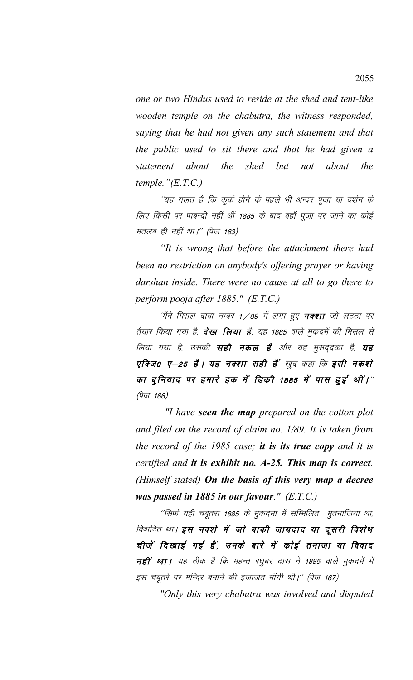*one or two Hindus used to reside at the shed and tent-like wooden temple on the chabutra, the witness responded, saying that he had not given any such statement and that the public used to sit there and that he had given a statement about the shed but not about the temple."(E.T.C.)*

''यह गलत है कि कुर्क होने के पहले भी अन्दर पूजा या दर्शन के लिए किसी पर पाबन्दी नहीं थीं 1885 के बाद वहाँ पूजा पर जाने का कोई मतलब ही नहीं था।'' (पेज 163)

*"It is wrong that before the attachment there had been no restriction on anybody's offering prayer or having darshan inside. There were no cause at all to go there to perform pooja after 1885." (E.T.C.)*

'मैंने मिसल दावा नम्बर 1/89 में लगा हुए **नक्शा** जो लटठा पर तैयार किया गया है, **देखा लिया है**, यह 1885 वाले मुकदमें की मिसल से लिया गया है, उसकी **सही नकल है** और यह मुसददका है, **यह** एक्जि0 ए—25 है। यह नक्शा सही हैं खुद कहा कि इसी नकशे का बुनियाद पर हमारे हक में डिकी 1885 में पास हुई थीं।''  $(\vec{q}$ ज 166)

*"I have seen the map prepared on the cotton plot and filed on the record of claim no. 1/89. It is taken from the record of the 1985 case; it is its true copy and it is certified and it is exhibit no. A-25. This map is correct. (Himself stated) On the basis of this very map a decree was passed in 1885 in our favour." (E.T.C.)*

''सिर्फ यही चबूतरा 1885 के मुकदमा में सम्मिलित मुतनाजिया था, विवादित था। **इस नक्शे में जो बाकी जायदाद या दूसरी विशेष** चीजें दिखाई गई हैं, उनके बारे में कोई तनाजा या विवाद नहीं था। यह ठीक है कि महन्त रघुबर दास ने 1885 वाले मुकदमें में इस चबूतरे पर मन्दिर बनाने की इजाजत मॉंगी थी।'' (पेज 167)

*"Only this very chabutra was involved and disputed*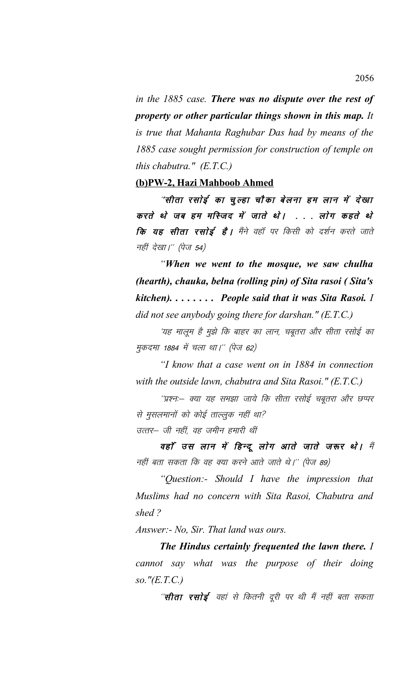*in the 1885 case. There was no dispute over the rest of property or other particular things shown in this map. It is true that Mahanta Raghubar Das had by means of the 1885 case sought permission for construction of temple on this chabutra." (E.T.C.)*

## **(b)PW-2, Hazi Mahboob Ahmed**

"सीता रसोई का चुल्हा चौका बेलना हम लान में देखा करते थे जब हम मस्जिद में जाते थे। . . . लोग कहते थे **कि यह सीता रसोई है।** मैंने वहाँ पर किसी को दर्शन करते जाते नहीं देखा।" (पेज 54)

*"When we went to the mosque, we saw chulha (hearth), chauka, belna (rolling pin) of Sita rasoi ( Sita's kitchen). . . . . . . . People said that it was Sita Rasoi. I did not see anybody going there for darshan." (E.T.C.)*

'यह मालूम है मुझे कि बाहर का लान, चबूतरा और सीता रसोई का मुकदमा 1884 में चला था।'' (पेज 62)

*"I know that a case went on in 1884 in connection with the outside lawn, chabutra and Sita Rasoi." (E.T.C.)*

''प्रश्नः– क्या यह समझा जाये कि सीता रसोई चबूतरा और छप्पर से मुसलमानों को कोई ताल्लुक नहीं था? उत्तर– जी नहीं, वह जमीन हमारी थीं

वहाँ उस लान में हिन्दू लोग आते जाते जरूर थे। मैं नहीं बता सकता कि वह क्या करने आते जाते थे।'' (पेज 89)

*"Question:- Should I have the impression that Muslims had no concern with Sita Rasoi, Chabutra and shed ?*

*Answer:- No, Sir. That land was ours.*

*The Hindus certainly frequented the lawn there. I cannot say what was the purpose of their doing so."(E.T.C.)*

''**सीता रसोई** वहां से कितनी दूरी पर थी मैं नहीं बता सकता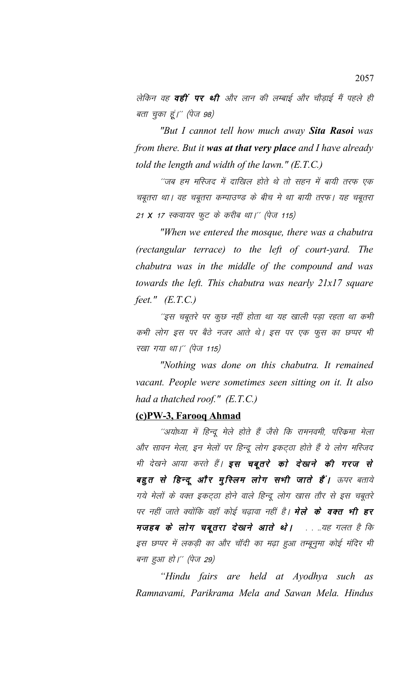लेकिन वह **वहीं पर थी** और लान की लम्बाई और चौड़ाई मैं पहले ही बता चुका हूं।'' (पेज 98)

*"But I cannot tell how much away Sita Rasoi was from there. But it was at that very place and I have already told the length and width of the lawn." (E.T.C.)*

''जब हम मस्जिद में दाखिल होते थे तो सहन में बायी तरफ एक चबूतरा था। वह चबूतरा कम्पाउण्ड के बीच मे था बायी तरफ। यह चबूतरा 21 X 17 स्कवायर फूट के करीब था।" (पेज 115)

*"When we entered the mosque, there was a chabutra (rectangular terrace) to the left of court-yard. The chabutra was in the middle of the compound and was towards the left. This chabutra was nearly 21x17 square feet." (E.T.C.)*

''इस चबूतरे पर कुछ नहीं होता था यह खाली पड़ा रहता था कभी कभी लोग इस पर बैठे नजर आते थे। इस पर एक फूस का छप्पर भी रखा गया था।'' (पेज 115)

*"Nothing was done on this chabutra. It remained vacant. People were sometimes seen sitting on it. It also had a thatched roof." (E.T.C.)*

#### **(c)PW-3, Farooq Ahmad**

''अयोध्या में हिन्दू मेले होते हैं जैसे कि रामनवमी, परिक्रमा मेला और सावन मेला, इन मेलों पर हिन्दू लोग इकट्ठा होते हैं ये लोग मस्जिद भी देखने आया करते हैं। **इस चबूतरे को देखाने की गरज से** बद्दत से हिन्दू और मुस्लिम लोग सभी जाते हैं। ऊपर बताये गये मेलों के वक्त इकट्ठा होने वाले हिन्दू लोग खास तौर से इस चबूतरे पर नहीं जाते क्योंकि वहाँ कोई चढ़ावा नहीं है। **मेले के वक्त भी हर** मजहब के लोग चबूतरा देखाने आते थे। ....यह गलत है कि इस छप्पर में लकड़ी का और चॉदी का मढ़ा हुआ तम्बूनुमा कोई मंदिर भी बना हुआ हो।'' (पेज 29)

*"Hindu fairs are held at Ayodhya such as Ramnavami, Parikrama Mela and Sawan Mela. Hindus*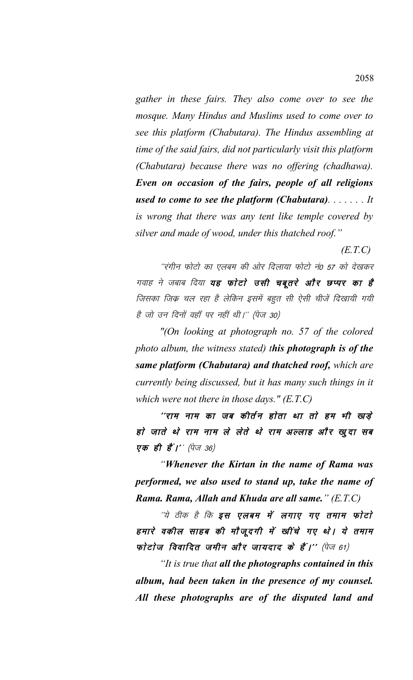*gather in these fairs. They also come over to see the mosque. Many Hindus and Muslims used to come over to see this platform (Chabutara). The Hindus assembling at time of the said fairs, did not particularly visit this platform (Chabutara) because there was no offering (chadhawa). Even on occasion of the fairs, people of all religions used to come to see the platform (Chabutara). . . . . . . It is wrong that there was any tent like temple covered by silver and made of wood, under this thatched roof."*

 *(E.T.C)* 

"रंगीन फोटो का एलबम की ओर दिलाया फोटो नं0 57 को देखकर गवाह ने जबाब दिया **यह फोटो उसी चब्***तरे और छप्पर का* **है** जिसका जिक चल रहा है लेकिन इसमें बहुत सी ऐसी चीजें दिखायी गयी है जो उन दिनों वहाँ पर नहीं थी।'' (पेज 30)

*"(On looking at photograph no. 57 of the colored photo album, the witness stated) this photograph is of the same platform (Chabutara) and thatched roof, which are currently being discussed, but it has many such things in it which were not there in those days." (E.T.C)*

''राम नाम का जब कीर्तन होता था तो हम भी खड़े हो जाते थे राम नाम ले लेते थे राम अल्लाह और खुदा सब  $\nabla \boldsymbol{\phi}$  ही हैं।'' (पेज 36)

*"Whenever the Kirtan in the name of Rama was performed, we also used to stand up, take the name of Rama. Rama, Allah and Khuda are all same." (E.T.C)*

'ये ठीक है कि इस एलबम में लगाए गए तमाम फोटो हमारे वकील साहब की मौजूदगी में खींचे गए थे। ये तमाम फोटोज विवादित जमीन और जायदाद के हैं।'' (पेज 61)

*"It is true that all the photographs contained in this album, had been taken in the presence of my counsel. All these photographs are of the disputed land and*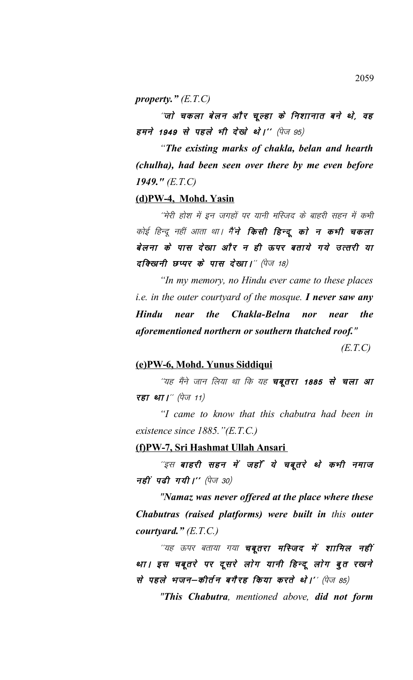*property." (E.T.C)*

"जो चकला बेलन और चूल्हा के निशानात बने थे, वह हमने 1949 से पहले भी देखो थे।" (पेज 95)

*"The existing marks of chakla, belan and hearth (chulha), had been seen over there by me even before 1949." (E.T.C)* 

## **(d)PW-4, Mohd. Yasin**

´'मेरी होश में इन जगहों पर यानी मस्जिद के बाहरी सहन में कभी कोई हिन्दू नहीं आता था। मैं**ने किसी हिन्दू को न कभी चकला** बेलना के पास देखा और न ही ऊपर बताये गये उत्तरी या दक्खिनी छप्पर के पास देखा।'' (पेज 18)

*"In my memory, no Hindu ever came to these places i.e. in the outer courtyard of the mosque. I never saw any Hindu near the Chakla-Belna nor near the aforementioned northern or southern thatched roof."*

 *(E.T.C)* 

## **(e)PW-6, Mohd. Yunus Siddiqui**

''यह मैंने जान लिया था कि यह **चबूतरा 1885 से चला आ रहा था।'' (पेज 11)** 

*"I came to know that this chabutra had been in existence since 1885."(E.T.C.)*

## **(f)PW-7, Sri Hashmat Ullah Ansari**

"इस **बाहरी सहन में जहाँ ये चबूतरे थे कभी नमाज** नहीं पढी गयी।''  $(\dot{\theta} \vec{\sigma} \vec{\sigma} 30)$ 

*"Namaz was never offered at the place where these Chabutras (raised platforms) were built in this outer courtyard." (E.T.C.)*

''यह ऊपर बताया गया **चबूतरा मस्जिद में शामिल नहीं** था। इस चबूतरे पर दूसरे लोग यानी हिन्दू लोग बूत रखाने से पहले भजन–कीर्तन बगैरह किया करते थे।'' (पेज 85)

*"This Chabutra, mentioned above, did not form*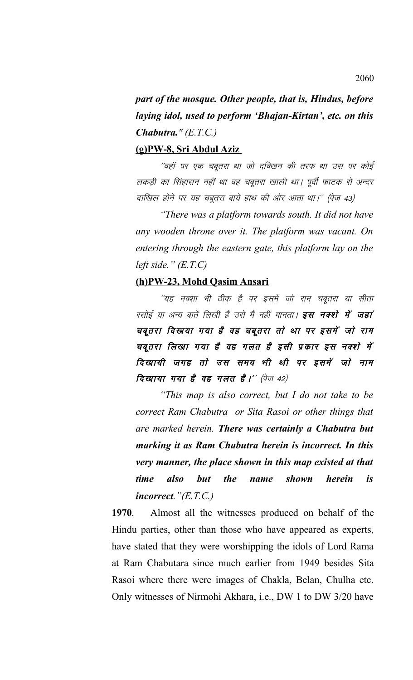*part of the mosque. Other people, that is, Hindus, before laying idol, used to perform 'Bhajan-Kirtan', etc. on this Chabutra." (E.T.C.)*

#### **(g)PW-8, Sri Abdul Aziz**

''वहॉ पर एक चबूतरा था जो दक्खिन की तरफ था उस पर कोई लकड़ी का सिंहासन नहीं था वह चबूतरा खाली था। पूर्वी फाटक से अन्दर दाखिल होने पर यह चबूतरा बाये हाथ की ओर आता था।'' (पेज 43)

*"There was a platform towards south. It did not have any wooden throne over it. The platform was vacant. On entering through the eastern gate, this platform lay on the left side." (E.T.C)*

## **(h)PW-23, Mohd Qasim Ansari**

''यह नक्शा भी ठीक है पर इसमें जो राम चबूतरा या सीता रसोई या अन्य बातें लिखी हैं उसे मैं नहीं मानता। **इस नक्शे में जहां** चबूतरा दिखया गया है वह चबूतरा तो था पर इसमें जो राम चबूतरा लिखा गया है वह गलत है इसी प्रकार इस नक्शे में दिखायी जगह तो उस समय भी थी पर इसमें जो नाम दिखाया गया है वह गलत है।'' (पेज 42)

*"This map is also correct, but I do not take to be correct Ram Chabutra or Sita Rasoi or other things that are marked herein. There was certainly a Chabutra but marking it as Ram Chabutra herein is incorrect. In this very manner, the place shown in this map existed at that time also but the name shown herein is incorrect."(E.T.C.)*

**1970**. Almost all the witnesses produced on behalf of the Hindu parties, other than those who have appeared as experts, have stated that they were worshipping the idols of Lord Rama at Ram Chabutara since much earlier from 1949 besides Sita Rasoi where there were images of Chakla, Belan, Chulha etc. Only witnesses of Nirmohi Akhara, i.e., DW 1 to DW 3/20 have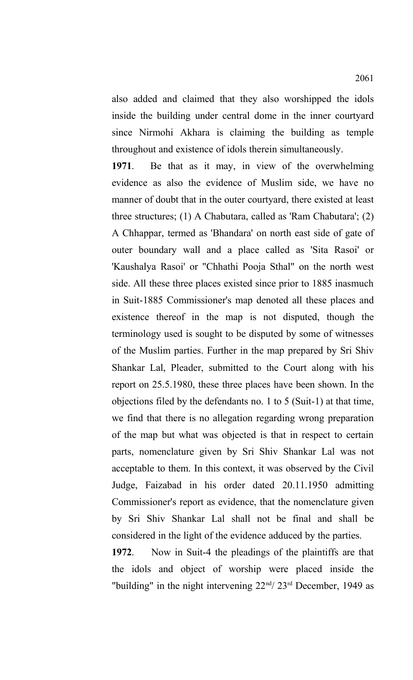also added and claimed that they also worshipped the idols inside the building under central dome in the inner courtyard since Nirmohi Akhara is claiming the building as temple throughout and existence of idols therein simultaneously.

**1971**. Be that as it may, in view of the overwhelming evidence as also the evidence of Muslim side, we have no manner of doubt that in the outer courtyard, there existed at least three structures; (1) A Chabutara, called as 'Ram Chabutara'; (2) A Chhappar, termed as 'Bhandara' on north east side of gate of outer boundary wall and a place called as 'Sita Rasoi' or 'Kaushalya Rasoi' or "Chhathi Pooja Sthal" on the north west side. All these three places existed since prior to 1885 inasmuch in Suit-1885 Commissioner's map denoted all these places and existence thereof in the map is not disputed, though the terminology used is sought to be disputed by some of witnesses of the Muslim parties. Further in the map prepared by Sri Shiv Shankar Lal, Pleader, submitted to the Court along with his report on 25.5.1980, these three places have been shown. In the objections filed by the defendants no. 1 to 5 (Suit-1) at that time, we find that there is no allegation regarding wrong preparation of the map but what was objected is that in respect to certain parts, nomenclature given by Sri Shiv Shankar Lal was not acceptable to them. In this context, it was observed by the Civil Judge, Faizabad in his order dated 20.11.1950 admitting Commissioner's report as evidence, that the nomenclature given by Sri Shiv Shankar Lal shall not be final and shall be considered in the light of the evidence adduced by the parties.

**1972**. Now in Suit-4 the pleadings of the plaintiffs are that the idols and object of worship were placed inside the "building" in the night intervening  $22<sup>nd</sup>/23<sup>rd</sup>$  December, 1949 as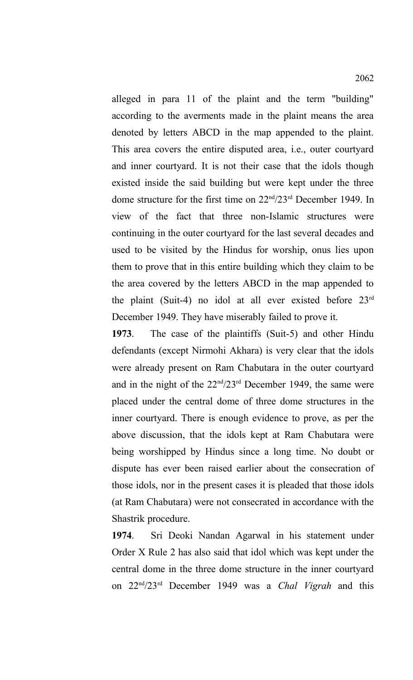alleged in para 11 of the plaint and the term "building" according to the averments made in the plaint means the area denoted by letters ABCD in the map appended to the plaint. This area covers the entire disputed area, i.e., outer courtyard and inner courtyard. It is not their case that the idols though existed inside the said building but were kept under the three dome structure for the first time on 22nd/23rd December 1949. In view of the fact that three non-Islamic structures were continuing in the outer courtyard for the last several decades and used to be visited by the Hindus for worship, onus lies upon them to prove that in this entire building which they claim to be the area covered by the letters ABCD in the map appended to the plaint (Suit-4) no idol at all ever existed before 23rd December 1949. They have miserably failed to prove it.

**1973**. The case of the plaintiffs (Suit-5) and other Hindu defendants (except Nirmohi Akhara) is very clear that the idols were already present on Ram Chabutara in the outer courtyard and in the night of the 22nd/23rd December 1949, the same were placed under the central dome of three dome structures in the inner courtyard. There is enough evidence to prove, as per the above discussion, that the idols kept at Ram Chabutara were being worshipped by Hindus since a long time. No doubt or dispute has ever been raised earlier about the consecration of those idols, nor in the present cases it is pleaded that those idols (at Ram Chabutara) were not consecrated in accordance with the Shastrik procedure.

**1974**. Sri Deoki Nandan Agarwal in his statement under Order X Rule 2 has also said that idol which was kept under the central dome in the three dome structure in the inner courtyard on 22nd/23rd December 1949 was a *Chal Vigrah* and this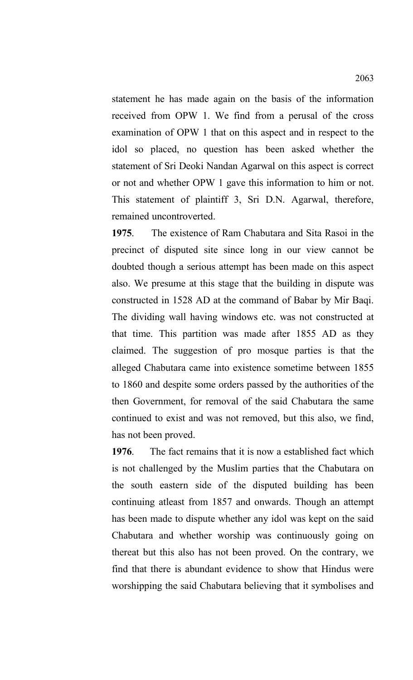statement he has made again on the basis of the information received from OPW 1. We find from a perusal of the cross examination of OPW 1 that on this aspect and in respect to the idol so placed, no question has been asked whether the statement of Sri Deoki Nandan Agarwal on this aspect is correct or not and whether OPW 1 gave this information to him or not. This statement of plaintiff 3, Sri D.N. Agarwal, therefore, remained uncontroverted.

**1975**. The existence of Ram Chabutara and Sita Rasoi in the precinct of disputed site since long in our view cannot be doubted though a serious attempt has been made on this aspect also. We presume at this stage that the building in dispute was constructed in 1528 AD at the command of Babar by Mir Baqi. The dividing wall having windows etc. was not constructed at that time. This partition was made after 1855 AD as they claimed. The suggestion of pro mosque parties is that the alleged Chabutara came into existence sometime between 1855 to 1860 and despite some orders passed by the authorities of the then Government, for removal of the said Chabutara the same continued to exist and was not removed, but this also, we find, has not been proved.

**1976**. The fact remains that it is now a established fact which is not challenged by the Muslim parties that the Chabutara on the south eastern side of the disputed building has been continuing atleast from 1857 and onwards. Though an attempt has been made to dispute whether any idol was kept on the said Chabutara and whether worship was continuously going on thereat but this also has not been proved. On the contrary, we find that there is abundant evidence to show that Hindus were worshipping the said Chabutara believing that it symbolises and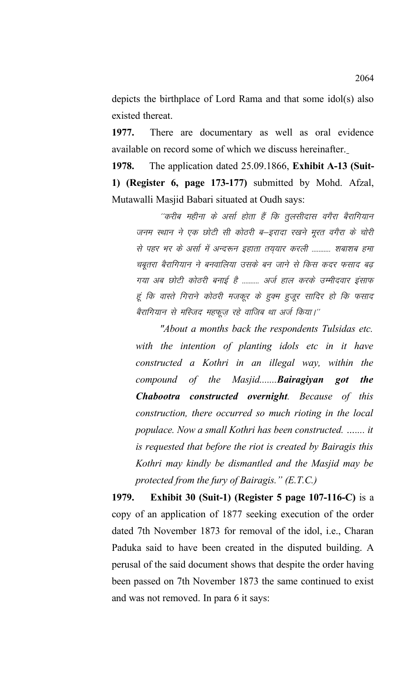depicts the birthplace of Lord Rama and that some idol(s) also existed thereat.

**1977.** There are documentary as well as oral evidence available on record some of which we discuss hereinafter.

**1978.** The application dated 25.09.1866, **Exhibit A-13 (Suit-1) (Register 6, page 173-177)** submitted by Mohd. Afzal, Mutawalli Masjid Babari situated at Oudh says:

''करीब महीना के अर्सा होता हैं कि तुलसीदास वगैरा बैरागियान जनम स्थान ने एक छोटी सी कोठरी ब–इरादा रखने मूरत वगैरा के चोरी से पहर भर के अर्सा में अन्दरून इहाता तय़यार करली ........... शबाशब हमा चबुतरा बैरागियान ने बनवालिया उसके बन जाने से किस कदर फसाद बढ़ गया अब छोटी कोठरी बनाई है .......... अर्ज हाल करके उम्मीदवार इंसाफ हूं कि वास्ते गिराने कोठरी मजकूर के हुक्म हुजूर सादिर हो कि फसाद बैरागियान से मस्जिद महफूज़ रहे वाजिब था अर्ज किया।''

*"About a months back the respondents Tulsidas etc. with the intention of planting idols etc in it have constructed a Kothri in an illegal way, within the compound of the Masjid.......Bairagiyan got the Chabootra constructed overnight. Because of this construction, there occurred so much rioting in the local populace. Now a small Kothri has been constructed. ….... it is requested that before the riot is created by Bairagis this Kothri may kindly be dismantled and the Masjid may be protected from the fury of Bairagis." (E.T.C.)*

**1979. Exhibit 30 (Suit-1) (Register 5 page 107-116-C)** is a copy of an application of 1877 seeking execution of the order dated 7th November 1873 for removal of the idol, i.e., Charan Paduka said to have been created in the disputed building. A perusal of the said document shows that despite the order having been passed on 7th November 1873 the same continued to exist and was not removed. In para 6 it says: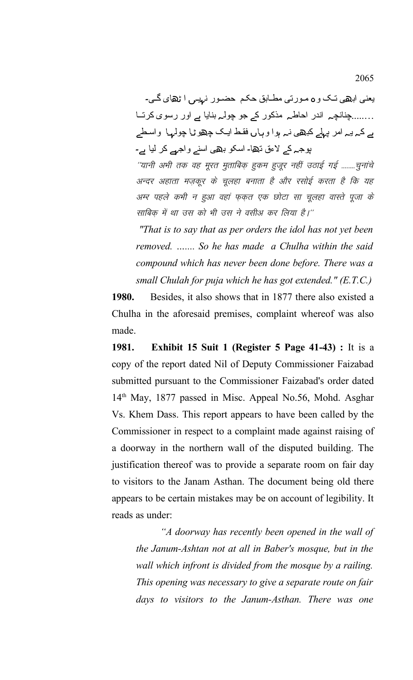یعنی ابھی تک و ہ مورتی مطـابق حکم حضـور نہیـں ا ٹھای گـی۔ ........چنانچہ اندر احاطہ مذکور کے جو چولہ بنایا ہے اور رسوی کرتا ہے کہ یہ امر پہلے کبھی نہ ہوا و ہاں فقط ایک چھو ٹا چولہا ۖ واسطے پوجہ کے لاءق تھا۔ اسکو بھی اسنے واجہے کر لیا ہے۔ ''यानी अभी तक वह मूरत मुताबिक़ हुकम हुजूर नहीं उठाई गई ........चुनांचे अन्दर अहाता मज़कूर के चूलहा बनाता है और रसोई करता है कि यह अम्र पहले कभी न हुआ वहां फ़क़त एक छोटा सा चूलहा वास्ते पूजा के

 *"That is to say that as per orders the idol has not yet been removed. ….... So he has made a Chulha within the said compound which has never been done before. There was a small Chulah for puja which he has got extended." (E.T.C.)*

**1980.** Besides, it also shows that in 1877 there also existed a Chulha in the aforesaid premises, complaint whereof was also made.

साबिक में था उस को भी उस ने वसीअ कर लिया है।''

**1981. Exhibit 15 Suit 1 (Register 5 Page 41-43) :** It is a copy of the report dated Nil of Deputy Commissioner Faizabad submitted pursuant to the Commissioner Faizabad's order dated 14<sup>th</sup> May, 1877 passed in Misc. Appeal No.56, Mohd. Asghar Vs. Khem Dass. This report appears to have been called by the Commissioner in respect to a complaint made against raising of a doorway in the northern wall of the disputed building. The justification thereof was to provide a separate room on fair day to visitors to the Janam Asthan. The document being old there appears to be certain mistakes may be on account of legibility. It reads as under:

*"A doorway has recently been opened in the wall of the Janum-Ashtan not at all in Baber's mosque, but in the wall which infront is divided from the mosque by a railing. This opening was necessary to give a separate route on fair days to visitors to the Janum-Asthan. There was one*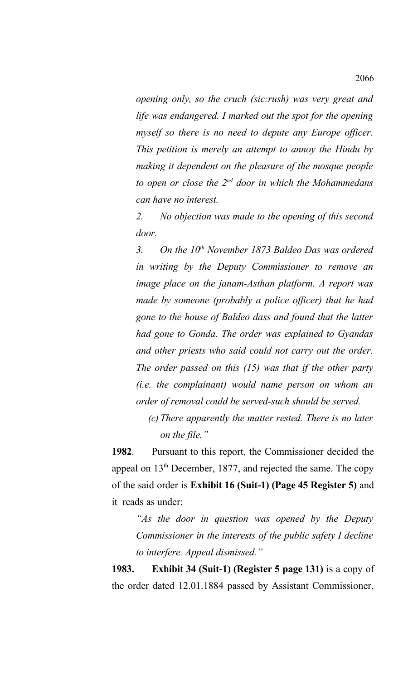*opening only, so the cruch (sic:rush) was very great and life was endangered. I marked out the spot for the opening myself so there is no need to depute any Europe officer. This petition is merely an attempt to annoy the Hindu by making it dependent on the pleasure of the mosque people to open or close the 2nd door in which the Mohammedans can have no interest.*

*2. No objection was made to the opening of this second door.*

*3. On the 10th November 1873 Baldeo Das was ordered in writing by the Deputy Commissioner to remove an image place on the janam-Asthan platform. A report was made by someone (probably a police officer) that he had gone to the house of Baldeo dass and found that the latter had gone to Gonda. The order was explained to Gyandas and other priests who said could not carry out the order. The order passed on this (15) was that if the other party (i.e. the complainant) would name person on whom an order of removal could be served-such should be served.*

*(c) There apparently the matter rested. There is no later on the file."*

**1982**. Pursuant to this report, the Commissioner decided the appeal on  $13<sup>th</sup>$  December, 1877, and rejected the same. The copy of the said order is **Exhibit 16 (Suit-1) (Page 45 Register 5)** and it reads as under:

*"As the door in question was opened by the Deputy Commissioner in the interests of the public safety I decline to interfere. Appeal dismissed."*

**1983. Exhibit 34 (Suit-1) (Register 5 page 131)** is a copy of the order dated 12.01.1884 passed by Assistant Commissioner,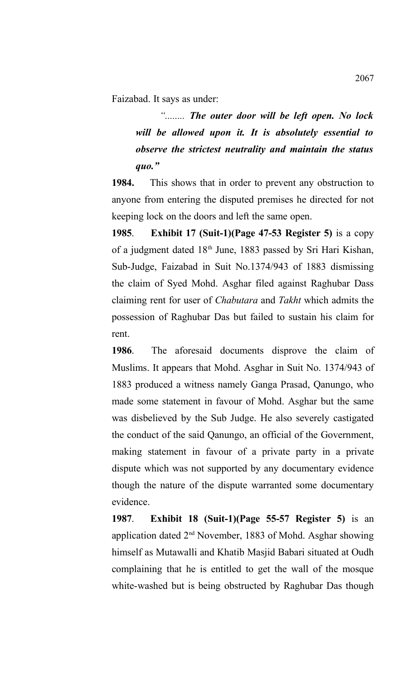Faizabad. It says as under:

*"........ The outer door will be left open. No lock will be allowed upon it. It is absolutely essential to observe the strictest neutrality and maintain the status quo."*

**1984.** This shows that in order to prevent any obstruction to anyone from entering the disputed premises he directed for not keeping lock on the doors and left the same open.

**1985**. **Exhibit 17 (Suit-1)(Page 47-53 Register 5)** is a copy of a judgment dated 18<sup>th</sup> June, 1883 passed by Sri Hari Kishan, Sub-Judge, Faizabad in Suit No.1374/943 of 1883 dismissing the claim of Syed Mohd. Asghar filed against Raghubar Dass claiming rent for user of *Chabutara* and *Takht* which admits the possession of Raghubar Das but failed to sustain his claim for rent.

**1986**. The aforesaid documents disprove the claim of Muslims. It appears that Mohd. Asghar in Suit No. 1374/943 of 1883 produced a witness namely Ganga Prasad, Qanungo, who made some statement in favour of Mohd. Asghar but the same was disbelieved by the Sub Judge. He also severely castigated the conduct of the said Qanungo, an official of the Government, making statement in favour of a private party in a private dispute which was not supported by any documentary evidence though the nature of the dispute warranted some documentary evidence.

**1987**. **Exhibit 18 (Suit-1)(Page 55-57 Register 5)** is an application dated 2nd November, 1883 of Mohd. Asghar showing himself as Mutawalli and Khatib Masjid Babari situated at Oudh complaining that he is entitled to get the wall of the mosque white-washed but is being obstructed by Raghubar Das though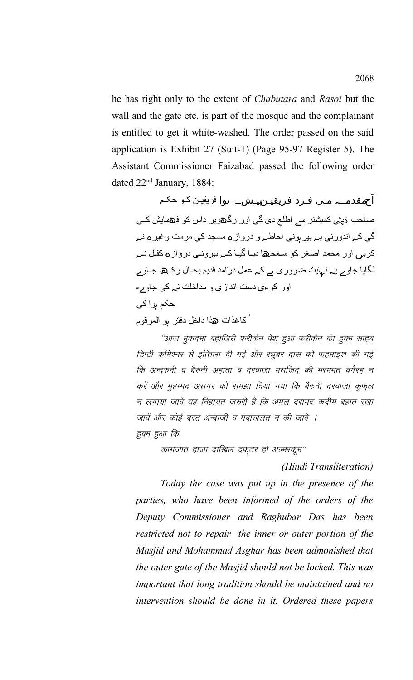he has right only to the extent of *Chabutara* and *Rasoi* but the wall and the gate etc. is part of the mosque and the complainant is entitled to get it white-washed. The order passed on the said application is Exhibit 27 (Suit-1) (Page 95-97 Register 5). The Assistant Commissioner Faizabad passed the following order dated 22nd January, 1884:

آجمقدمــہ مـي فـرد فریقیـرہیـش\_ ہوا فریقیـن کـو حکم صاحب ڈپ<sub>ٹ</sub>ی کمیشنر سے اطلع دی گی اور رگھوبر داس کو فھمایش ک*ے* گی کہ اندورنی بہ بیر ہونی احاطہ و درواز م مسجد کی مرمت وغیر o نہ کریں اور محمد اصغر کو سمجھا دیـا گیـا کـے بیرونـی درواز **ہ** کفـل نـے لگایا جاوے پہ نہایت ضروری ہے کہ عمل درآمد قدیم بحـال رک ہا جـاوے اور کو ءی دست اندازی و مداخلت نے کی جاوے۔ ہ حکم وا کی ٰ ھ ہ کاغذات ذا داخل دفتر و المرقوم

''आज मुकदमा बहाजिरी फरीकैन पेश हुआ फरीकैन केा हुक्म साहब हिप्टी कमिश्नर से इत्तिला दी गई और रघुबर दास को फहमाइश की गई कि अन्दरुनी व बैरुनी अहाता व दरवाजा मसजिद की मरममत वगैरह न करें और मुहम्मद असगर को समझा दिया गया कि बैरुनी दरवाजा कुफ़्ल न लगाया जावें यह निहायत जरुरी है कि अमल दरामद कदीम बहात रखा जावें और कोई दस्त अन्दाजी व मदाखलत न की जावे । हुक्म हुआ कि

कागजात हाजा दाखिल दफ्तर हो अल्मरकूम"

*(Hindi Transliteration)*

*Today the case was put up in the presence of the parties, who have been informed of the orders of the Deputy Commissioner and Raghubar Das has been restricted not to repair the inner or outer portion of the Masjid and Mohammad Asghar has been admonished that the outer gate of the Masjid should not be locked. This was important that long tradition should be maintained and no intervention should be done in it. Ordered these papers*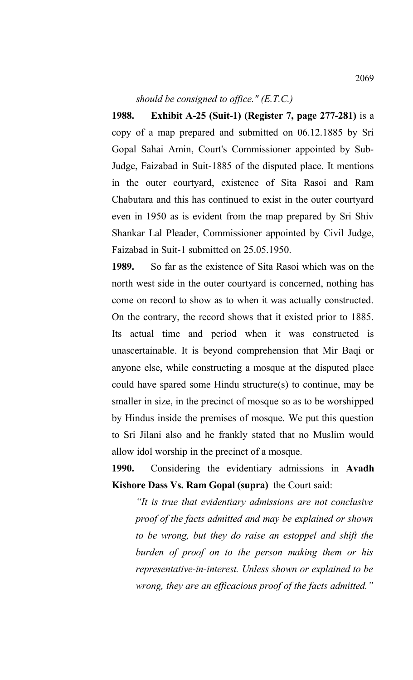## *should be consigned to office." (E.T.C.)*

**1988. Exhibit A-25 (Suit-1) (Register 7, page 277-281)** is a copy of a map prepared and submitted on 06.12.1885 by Sri Gopal Sahai Amin, Court's Commissioner appointed by Sub-Judge, Faizabad in Suit-1885 of the disputed place. It mentions in the outer courtyard, existence of Sita Rasoi and Ram Chabutara and this has continued to exist in the outer courtyard even in 1950 as is evident from the map prepared by Sri Shiv Shankar Lal Pleader, Commissioner appointed by Civil Judge, Faizabad in Suit-1 submitted on 25.05.1950.

**1989.** So far as the existence of Sita Rasoi which was on the north west side in the outer courtyard is concerned, nothing has come on record to show as to when it was actually constructed. On the contrary, the record shows that it existed prior to 1885. Its actual time and period when it was constructed is unascertainable. It is beyond comprehension that Mir Baqi or anyone else, while constructing a mosque at the disputed place could have spared some Hindu structure(s) to continue, may be smaller in size, in the precinct of mosque so as to be worshipped by Hindus inside the premises of mosque. We put this question to Sri Jilani also and he frankly stated that no Muslim would allow idol worship in the precinct of a mosque.

**1990.** Considering the evidentiary admissions in **Avadh Kishore Dass Vs. Ram Gopal (supra)** the Court said:

*"It is true that evidentiary admissions are not conclusive proof of the facts admitted and may be explained or shown to be wrong, but they do raise an estoppel and shift the burden of proof on to the person making them or his representative-in-interest. Unless shown or explained to be wrong, they are an efficacious proof of the facts admitted."*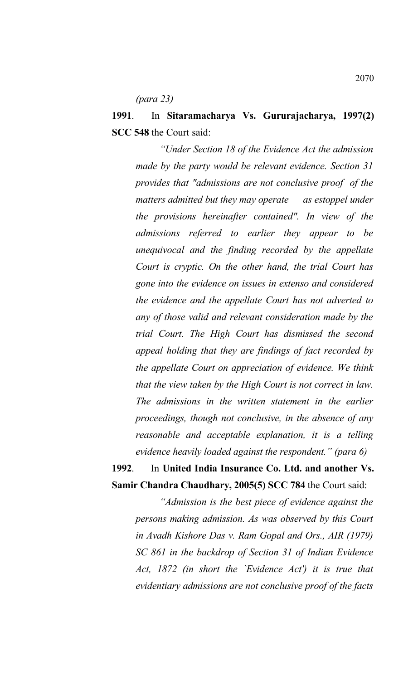*(para 23)* 

# **1991**. In **Sitaramacharya Vs. Gururajacharya, 1997(2) SCC 548** the Court said:

*"Under Section 18 of the Evidence Act the admission made by the party would be relevant evidence. Section 31 provides that "admissions are not conclusive proof of the matters admitted but they may operate as estoppel under the provisions hereinafter contained". In view of the admissions referred to earlier they appear to be unequivocal and the finding recorded by the appellate Court is cryptic. On the other hand, the trial Court has gone into the evidence on issues in extenso and considered the evidence and the appellate Court has not adverted to any of those valid and relevant consideration made by the trial Court. The High Court has dismissed the second appeal holding that they are findings of fact recorded by the appellate Court on appreciation of evidence. We think that the view taken by the High Court is not correct in law. The admissions in the written statement in the earlier proceedings, though not conclusive, in the absence of any reasonable and acceptable explanation, it is a telling evidence heavily loaded against the respondent." (para 6)* 

# **1992**. In **United India Insurance Co. Ltd. and another Vs. Samir Chandra Chaudhary, 2005(5) SCC 784** the Court said:

*"Admission is the best piece of evidence against the persons making admission. As was observed by this Court in Avadh Kishore Das v. Ram Gopal and Ors., AIR (1979) SC 861 in the backdrop of Section 31 of Indian Evidence Act, 1872 (in short the `Evidence Act') it is true that evidentiary admissions are not conclusive proof of the facts*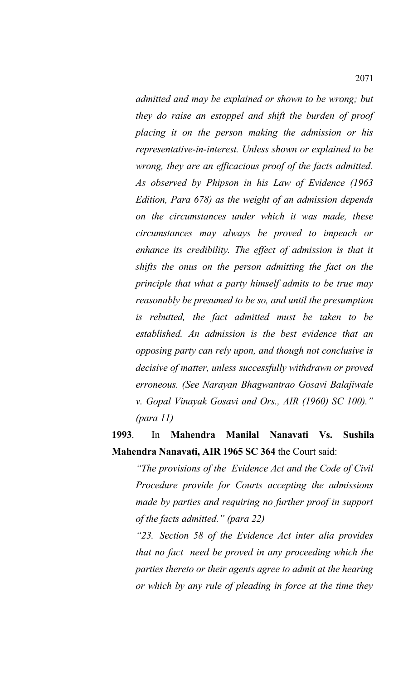*admitted and may be explained or shown to be wrong; but they do raise an estoppel and shift the burden of proof placing it on the person making the admission or his representative-in-interest. Unless shown or explained to be wrong, they are an efficacious proof of the facts admitted. As observed by Phipson in his Law of Evidence (1963 Edition, Para 678) as the weight of an admission depends on the circumstances under which it was made, these circumstances may always be proved to impeach or enhance its credibility. The effect of admission is that it shifts the onus on the person admitting the fact on the principle that what a party himself admits to be true may reasonably be presumed to be so, and until the presumption is rebutted, the fact admitted must be taken to be established. An admission is the best evidence that an opposing party can rely upon, and though not conclusive is decisive of matter, unless successfully withdrawn or proved erroneous. (See Narayan Bhagwantrao Gosavi Balajiwale v. Gopal Vinayak Gosavi and Ors., AIR (1960) SC 100)." (para 11)* 

# **1993**. In **Mahendra Manilal Nanavati Vs. Sushila Mahendra Nanavati, AIR 1965 SC 364** the Court said:

*"The provisions of the Evidence Act and the Code of Civil Procedure provide for Courts accepting the admissions made by parties and requiring no further proof in support of the facts admitted." (para 22)*

*"23. Section 58 of the Evidence Act inter alia provides that no fact need be proved in any proceeding which the parties thereto or their agents agree to admit at the hearing or which by any rule of pleading in force at the time they*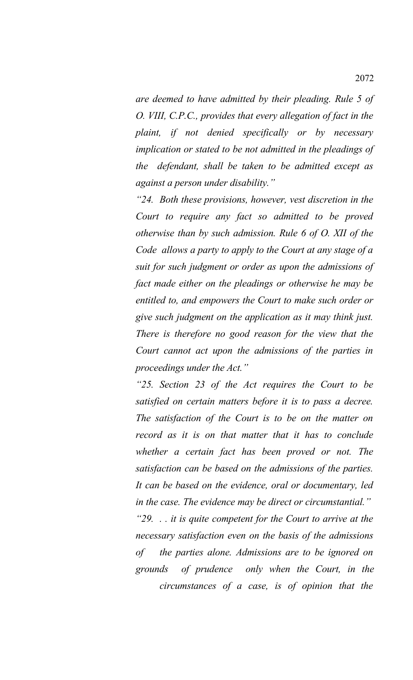*are deemed to have admitted by their pleading. Rule 5 of O. VIII, C.P.C., provides that every allegation of fact in the plaint, if not denied specifically or by necessary implication or stated to be not admitted in the pleadings of the defendant, shall be taken to be admitted except as against a person under disability."*

*"24. Both these provisions, however, vest discretion in the Court to require any fact so admitted to be proved otherwise than by such admission. Rule 6 of O. XII of the Code allows a party to apply to the Court at any stage of a suit for such judgment or order as upon the admissions of fact made either on the pleadings or otherwise he may be entitled to, and empowers the Court to make such order or give such judgment on the application as it may think just. There is therefore no good reason for the view that the Court cannot act upon the admissions of the parties in proceedings under the Act."*

*"25. Section 23 of the Act requires the Court to be satisfied on certain matters before it is to pass a decree. The satisfaction of the Court is to be on the matter on record as it is on that matter that it has to conclude whether a certain fact has been proved or not. The satisfaction can be based on the admissions of the parties. It can be based on the evidence, oral or documentary, led in the case. The evidence may be direct or circumstantial." "29. . . it is quite competent for the Court to arrive at the necessary satisfaction even on the basis of the admissions of the parties alone. Admissions are to be ignored on grounds of prudence only when the Court, in the*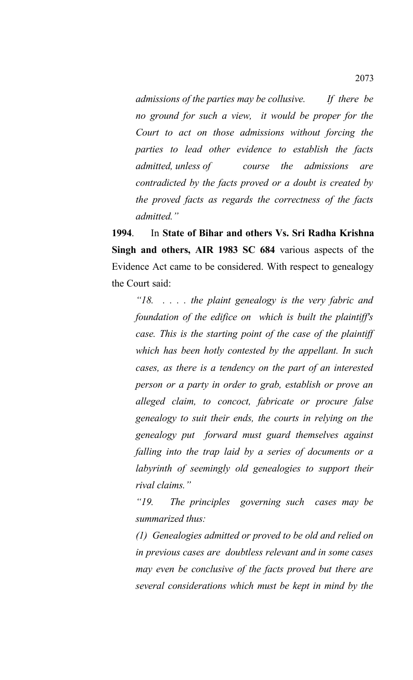*admissions of the parties may be collusive. If there be no ground for such a view, it would be proper for the Court to act on those admissions without forcing the parties to lead other evidence to establish the facts admitted, unless of course the admissions are contradicted by the facts proved or a doubt is created by the proved facts as regards the correctness of the facts admitted."* 

**1994**. In **State of Bihar and others Vs. Sri Radha Krishna Singh and others, AIR 1983 SC 684** various aspects of the Evidence Act came to be considered. With respect to genealogy the Court said:

*"18. . . . . the plaint genealogy is the very fabric and foundation of the edifice on which is built the plaintiff's case. This is the starting point of the case of the plaintiff which has been hotly contested by the appellant. In such cases, as there is a tendency on the part of an interested person or a party in order to grab, establish or prove an alleged claim, to concoct, fabricate or procure false genealogy to suit their ends, the courts in relying on the genealogy put forward must guard themselves against falling into the trap laid by a series of documents or a labyrinth of seemingly old genealogies to support their rival claims."*

*"19. The principles governing such cases may be summarized thus:*

*(1) Genealogies admitted or proved to be old and relied on in previous cases are doubtless relevant and in some cases may even be conclusive of the facts proved but there are several considerations which must be kept in mind by the*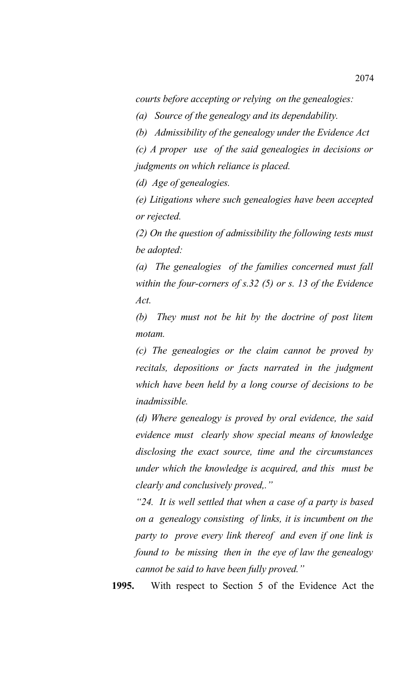*courts before accepting or relying on the genealogies:*

*(a) Source of the genealogy and its dependability.*

*(b) Admissibility of the genealogy under the Evidence Act*

*(c) A proper use of the said genealogies in decisions or judgments on which reliance is placed.*

*(d) Age of genealogies.*

*(e) Litigations where such genealogies have been accepted or rejected.* 

*(2) On the question of admissibility the following tests must be adopted:*

*(a) The genealogies of the families concerned must fall within the four-corners of s.32 (5) or s. 13 of the Evidence Act.*

*(b) They must not be hit by the doctrine of post litem motam.*

*(c) The genealogies or the claim cannot be proved by recitals, depositions or facts narrated in the judgment which have been held by a long course of decisions to be inadmissible.*

*(d) Where genealogy is proved by oral evidence, the said evidence must clearly show special means of knowledge disclosing the exact source, time and the circumstances under which the knowledge is acquired, and this must be clearly and conclusively proved,."*

*"24. It is well settled that when a case of a party is based on a genealogy consisting of links, it is incumbent on the party to prove every link thereof and even if one link is found to be missing then in the eye of law the genealogy cannot be said to have been fully proved."* 

**1995.** With respect to Section 5 of the Evidence Act the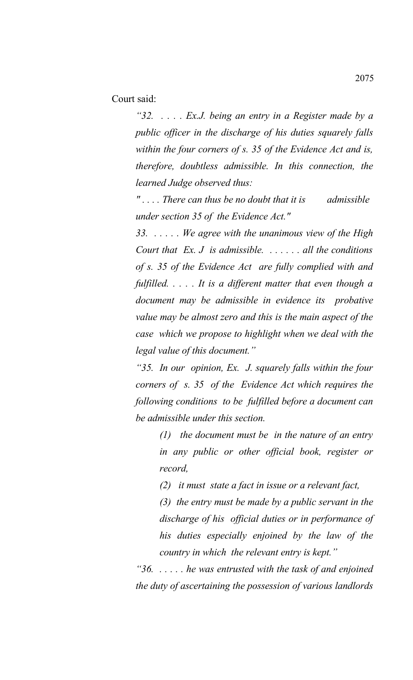Court said:

*"32. . . . . Ex.J. being an entry in a Register made by a public officer in the discharge of his duties squarely falls within the four corners of s. 35 of the Evidence Act and is, therefore, doubtless admissible. In this connection, the learned Judge observed thus:*

*" . . . . There can thus be no doubt that it is admissible under section 35 of the Evidence Act."*

*33. . . . . . We agree with the unanimous view of the High Court that Ex. J is admissible. . . . . . . all the conditions of s. 35 of the Evidence Act are fully complied with and fulfilled. . . . . It is a different matter that even though a document may be admissible in evidence its probative value may be almost zero and this is the main aspect of the case which we propose to highlight when we deal with the legal value of this document."*

*"35. In our opinion, Ex. J. squarely falls within the four corners of s. 35 of the Evidence Act which requires the following conditions to be fulfilled before a document can be admissible under this section.*

> *(1) the document must be in the nature of an entry in any public or other official book, register or record,*

*(2) it must state a fact in issue or a relevant fact,*

*(3) the entry must be made by a public servant in the discharge of his official duties or in performance of his duties especially enjoined by the law of the country in which the relevant entry is kept."*

*"36. . . . . . he was entrusted with the task of and enjoined the duty of ascertaining the possession of various landlords*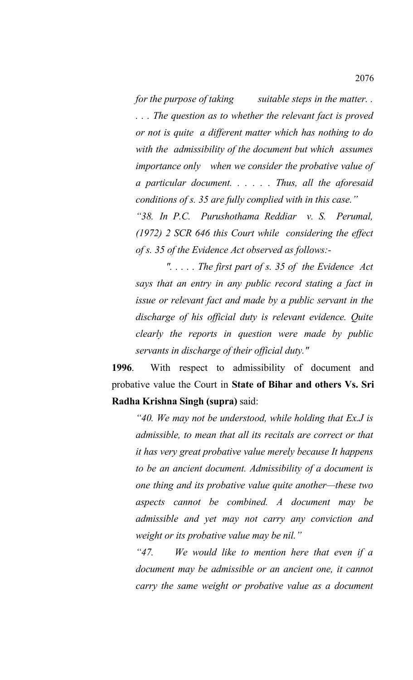*for the purpose of taking suitable steps in the matter... . . . The question as to whether the relevant fact is proved or not is quite a different matter which has nothing to do with the admissibility of the document but which assumes importance only when we consider the probative value of a particular document. . . . . . Thus, all the aforesaid conditions of s. 35 are fully complied with in this case." "38. In P.C. Purushothama Reddiar v. S. Perumal,*

*(1972) 2 SCR 646 this Court while considering the effect of s. 35 of the Evidence Act observed as follows:-*

 *". . . . . The first part of s. 35 of the Evidence Act says that an entry in any public record stating a fact in issue or relevant fact and made by a public servant in the discharge of his official duty is relevant evidence. Quite clearly the reports in question were made by public servants in discharge of their official duty."* 

**1996**. With respect to admissibility of document and probative value the Court in **State of Bihar and others Vs. Sri Radha Krishna Singh (supra)** said:

*"40. We may not be understood, while holding that Ex.J is admissible, to mean that all its recitals are correct or that it has very great probative value merely because It happens to be an ancient document. Admissibility of a document is one thing and its probative value quite another—these two aspects cannot be combined. A document may be admissible and yet may not carry any conviction and weight or its probative value may be nil."*

*"47. We would like to mention here that even if a document may be admissible or an ancient one, it cannot carry the same weight or probative value as a document*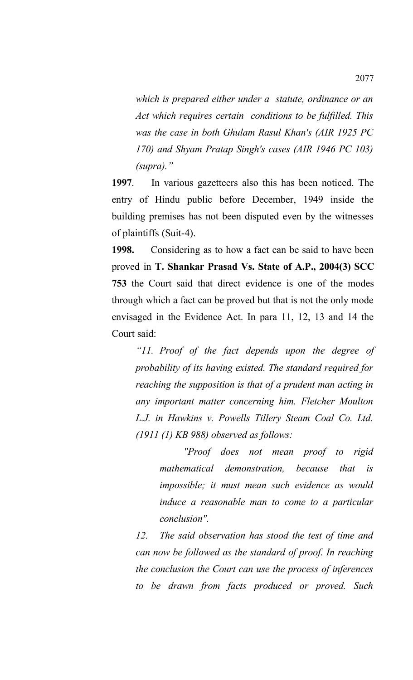*which is prepared either under a statute, ordinance or an Act which requires certain conditions to be fulfilled. This was the case in both Ghulam Rasul Khan's (AIR 1925 PC 170) and Shyam Pratap Singh's cases (AIR 1946 PC 103) (supra)."* 

**1997**. In various gazetteers also this has been noticed. The entry of Hindu public before December, 1949 inside the building premises has not been disputed even by the witnesses of plaintiffs (Suit-4).

**1998.** Considering as to how a fact can be said to have been proved in **T. Shankar Prasad Vs. State of A.P., 2004(3) SCC 753** the Court said that direct evidence is one of the modes through which a fact can be proved but that is not the only mode envisaged in the Evidence Act. In para 11, 12, 13 and 14 the Court said:

*"11. Proof of the fact depends upon the degree of probability of its having existed. The standard required for reaching the supposition is that of a prudent man acting in any important matter concerning him. Fletcher Moulton L.J. in Hawkins v. Powells Tillery Steam Coal Co. Ltd. (1911 (1) KB 988) observed as follows:*

> *"Proof does not mean proof to rigid mathematical demonstration, because that is impossible; it must mean such evidence as would induce a reasonable man to come to a particular conclusion".*

*12. The said observation has stood the test of time and can now be followed as the standard of proof. In reaching the conclusion the Court can use the process of inferences to be drawn from facts produced or proved. Such*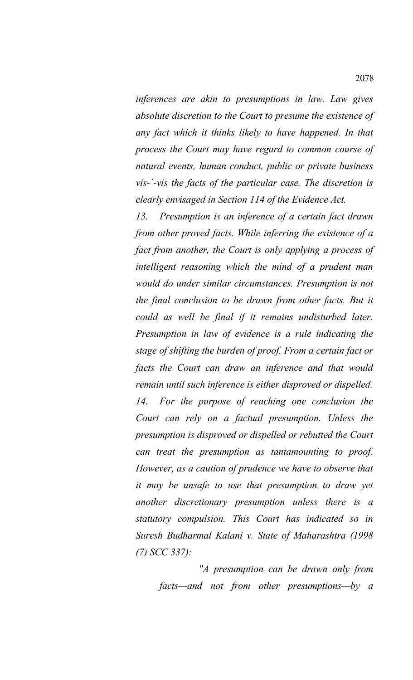*inferences are akin to presumptions in law. Law gives absolute discretion to the Court to presume the existence of any fact which it thinks likely to have happened. In that process the Court may have regard to common course of natural events, human conduct, public or private business vis-`-vis the facts of the particular case. The discretion is clearly envisaged in Section 114 of the Evidence Act.* 

*13. Presumption is an inference of a certain fact drawn from other proved facts. While inferring the existence of a fact from another, the Court is only applying a process of intelligent reasoning which the mind of a prudent man would do under similar circumstances. Presumption is not the final conclusion to be drawn from other facts. But it could as well be final if it remains undisturbed later. Presumption in law of evidence is a rule indicating the stage of shifting the burden of proof. From a certain fact or facts the Court can draw an inference and that would remain until such inference is either disproved or dispelled. 14. For the purpose of reaching one conclusion the Court can rely on a factual presumption. Unless the presumption is disproved or dispelled or rebutted the Court can treat the presumption as tantamounting to proof. However, as a caution of prudence we have to observe that it may be unsafe to use that presumption to draw yet another discretionary presumption unless there is a statutory compulsion. This Court has indicated so in Suresh Budharmal Kalani v. State of Maharashtra (1998 (7) SCC 337):*

*"A presumption can be drawn only from facts—and not from other presumptions—by a*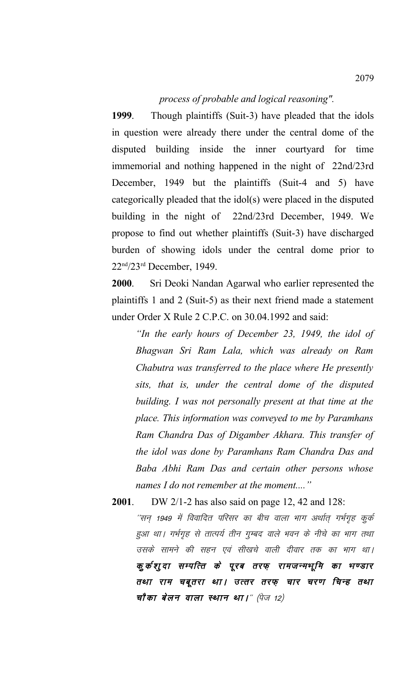## *process of probable and logical reasoning".*

**1999**. Though plaintiffs (Suit-3) have pleaded that the idols in question were already there under the central dome of the disputed building inside the inner courtyard for time immemorial and nothing happened in the night of 22nd/23rd December, 1949 but the plaintiffs (Suit-4 and 5) have categorically pleaded that the idol(s) were placed in the disputed building in the night of 22nd/23rd December, 1949. We propose to find out whether plaintiffs (Suit-3) have discharged burden of showing idols under the central dome prior to 22nd/23rd December, 1949.

**2000**. Sri Deoki Nandan Agarwal who earlier represented the plaintiffs 1 and 2 (Suit-5) as their next friend made a statement under Order X Rule 2 C.P.C. on 30.04.1992 and said:

*"In the early hours of December 23, 1949, the idol of Bhagwan Sri Ram Lala, which was already on Ram Chabutra was transferred to the place where He presently sits, that is, under the central dome of the disputed building. I was not personally present at that time at the place. This information was conveyed to me by Paramhans Ram Chandra Das of Digamber Akhara. This transfer of the idol was done by Paramhans Ram Chandra Das and Baba Abhi Ram Das and certain other persons whose names I do not remember at the moment...."*

**2001**. DW 2/1-2 has also said on page 12, 42 and 128:

 $^\prime$ सन् 1949 में विवादित परिसर का बीच वाला भाग अर्थात् गर्भगृह कुर्क हुआ था। गर्भगृह से तात्पर्य तीन गुम्बद वाले भवन के नीचे का भाग तथा उसके सामने की सहन एवं सीखचे वाली दीवार तक का भाग था। कूर्कशूदा सम्पत्ति के पूरब तरफ रामजन्मभूमि का भण्डार तथा राम चबूतरा था। उत्तर तरफ़ चार चरण चिन्ह तथा चौका बेलन वाला स्थान था।" (पेज 12)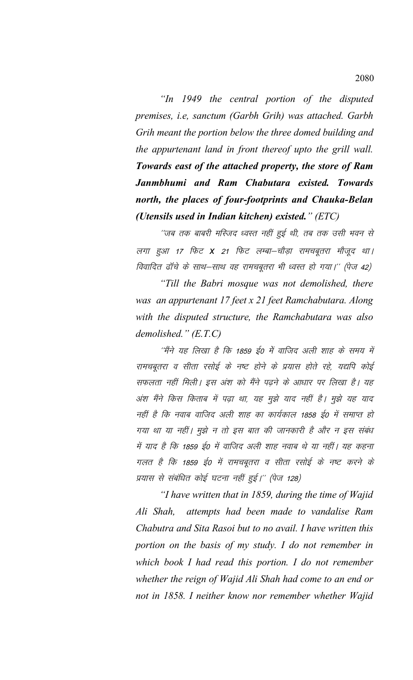*"In 1949 the central portion of the disputed premises, i.e, sanctum (Garbh Grih) was attached. Garbh Grih meant the portion below the three domed building and the appurtenant land in front thereof upto the grill wall. Towards east of the attached property, the store of Ram Janmbhumi and Ram Chabutara existed. Towards north, the places of four-footprints and Chauka-Belan (Utensils used in Indian kitchen) existed." (ETC)*

''जब तक बाबरी मस्जिद ध्वस्त नहीं हुई थी, तब तक उसी भवन से लगा हुआ 17 फिट X 21 फिट लम्बा–चौड़ा रामचबूतरा मौजूद था। विवादित ढॉचे के साथ-साथ वह रामचबूतरा भी ध्वस्त हो गया।'' (पेज 42)

*"Till the Babri mosque was not demolished, there was an appurtenant 17 feet x 21 feet Ramchabutara. Along with the disputed structure, the Ramchabutara was also demolished." (E.T.C)*

''मैंने यह लिखा है कि 1859 ई0 में वाजिद अली शाह के समय में रामचबूतरा व सीता रसोई के नष्ट होने के प्रयास होते रहे, यद्यपि कोई सफलता नहीं मिली। इस अंश को मैंने पढने के आधार पर लिखा है। यह अंश मैंने किस किताब में पढ़ा था, यह मुझे याद नहीं है। मुझे यह याद नहीं है कि नवाब वाजिद अली शाह का कार्यकाल 1858 ई0 में समाप्त हो गया था या नहीं। मुझे न तो इस बात की जानकारी है और न इस संबंध में याद है कि 1859 ई0 में वाजिद अली शाह नवाब थे या नहीं। यह कहना गलत है कि 1859 ई0 में रामचबूतरा व सीता रसोई के नष्ट करने के प्रयास से संबंधित कोई घटना नहीं हुई।'' (पेज 128)

*"I have written that in 1859, during the time of Wajid Ali Shah, attempts had been made to vandalise Ram Chabutra and Sita Rasoi but to no avail. I have written this portion on the basis of my study. I do not remember in which book I had read this portion. I do not remember whether the reign of Wajid Ali Shah had come to an end or not in 1858. I neither know nor remember whether Wajid*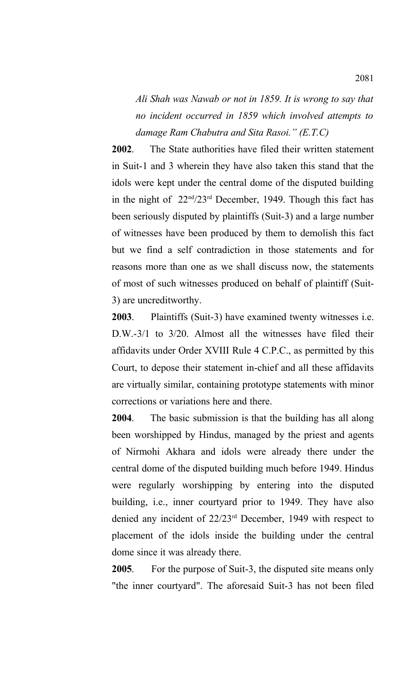*Ali Shah was Nawab or not in 1859. It is wrong to say that no incident occurred in 1859 which involved attempts to damage Ram Chabutra and Sita Rasoi." (E.T.C)*

**2002**. The State authorities have filed their written statement in Suit-1 and 3 wherein they have also taken this stand that the idols were kept under the central dome of the disputed building in the night of 22nd/23rd December, 1949. Though this fact has been seriously disputed by plaintiffs (Suit-3) and a large number of witnesses have been produced by them to demolish this fact but we find a self contradiction in those statements and for reasons more than one as we shall discuss now, the statements of most of such witnesses produced on behalf of plaintiff (Suit-3) are uncreditworthy.

**2003**. Plaintiffs (Suit-3) have examined twenty witnesses i.e. D.W.-3/1 to 3/20. Almost all the witnesses have filed their affidavits under Order XVIII Rule 4 C.P.C., as permitted by this Court, to depose their statement in-chief and all these affidavits are virtually similar, containing prototype statements with minor corrections or variations here and there.

**2004**. The basic submission is that the building has all along been worshipped by Hindus, managed by the priest and agents of Nirmohi Akhara and idols were already there under the central dome of the disputed building much before 1949. Hindus were regularly worshipping by entering into the disputed building, i.e., inner courtyard prior to 1949. They have also denied any incident of 22/23rd December, 1949 with respect to placement of the idols inside the building under the central dome since it was already there.

**2005**. For the purpose of Suit-3, the disputed site means only "the inner courtyard". The aforesaid Suit-3 has not been filed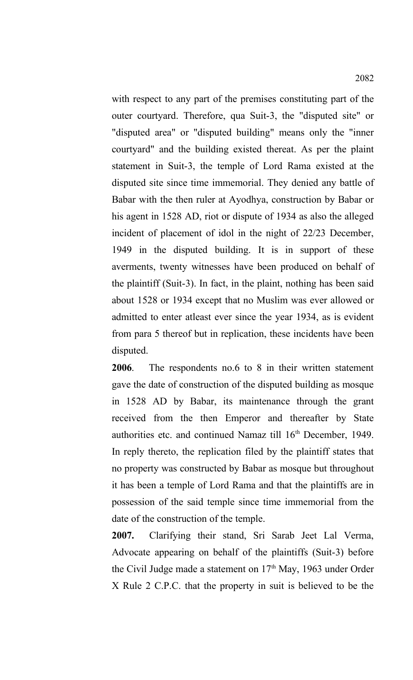with respect to any part of the premises constituting part of the outer courtyard. Therefore, qua Suit-3, the "disputed site" or "disputed area" or "disputed building" means only the "inner courtyard" and the building existed thereat. As per the plaint statement in Suit-3, the temple of Lord Rama existed at the disputed site since time immemorial. They denied any battle of Babar with the then ruler at Ayodhya, construction by Babar or his agent in 1528 AD, riot or dispute of 1934 as also the alleged incident of placement of idol in the night of 22/23 December, 1949 in the disputed building. It is in support of these averments, twenty witnesses have been produced on behalf of the plaintiff (Suit-3). In fact, in the plaint, nothing has been said about 1528 or 1934 except that no Muslim was ever allowed or admitted to enter atleast ever since the year 1934, as is evident from para 5 thereof but in replication, these incidents have been disputed.

**2006**. The respondents no.6 to 8 in their written statement gave the date of construction of the disputed building as mosque in 1528 AD by Babar, its maintenance through the grant received from the then Emperor and thereafter by State authorities etc. and continued Namaz till 16<sup>th</sup> December, 1949. In reply thereto, the replication filed by the plaintiff states that no property was constructed by Babar as mosque but throughout it has been a temple of Lord Rama and that the plaintiffs are in possession of the said temple since time immemorial from the date of the construction of the temple.

**2007.** Clarifying their stand, Sri Sarab Jeet Lal Verma, Advocate appearing on behalf of the plaintiffs (Suit-3) before the Civil Judge made a statement on  $17<sup>th</sup>$  May, 1963 under Order X Rule 2 C.P.C. that the property in suit is believed to be the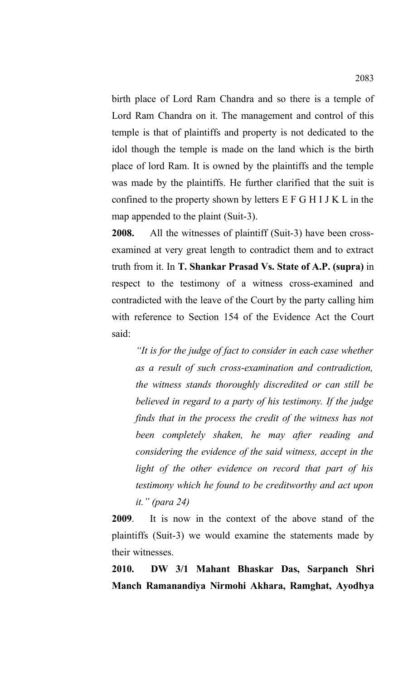birth place of Lord Ram Chandra and so there is a temple of Lord Ram Chandra on it. The management and control of this temple is that of plaintiffs and property is not dedicated to the idol though the temple is made on the land which is the birth place of lord Ram. It is owned by the plaintiffs and the temple was made by the plaintiffs. He further clarified that the suit is confined to the property shown by letters E F G H I J K L in the map appended to the plaint (Suit-3).

**2008.** All the witnesses of plaintiff (Suit-3) have been crossexamined at very great length to contradict them and to extract truth from it. In **T. Shankar Prasad Vs. State of A.P. (supra)** in respect to the testimony of a witness cross-examined and contradicted with the leave of the Court by the party calling him with reference to Section 154 of the Evidence Act the Court said:

*"It is for the judge of fact to consider in each case whether as a result of such cross-examination and contradiction, the witness stands thoroughly discredited or can still be believed in regard to a party of his testimony. If the judge finds that in the process the credit of the witness has not been completely shaken, he may after reading and considering the evidence of the said witness, accept in the light of the other evidence on record that part of his testimony which he found to be creditworthy and act upon it." (para 24)* 

**2009**. It is now in the context of the above stand of the plaintiffs (Suit-3) we would examine the statements made by their witnesses.

**2010. DW 3/1 Mahant Bhaskar Das, Sarpanch Shri Manch Ramanandiya Nirmohi Akhara, Ramghat, Ayodhya**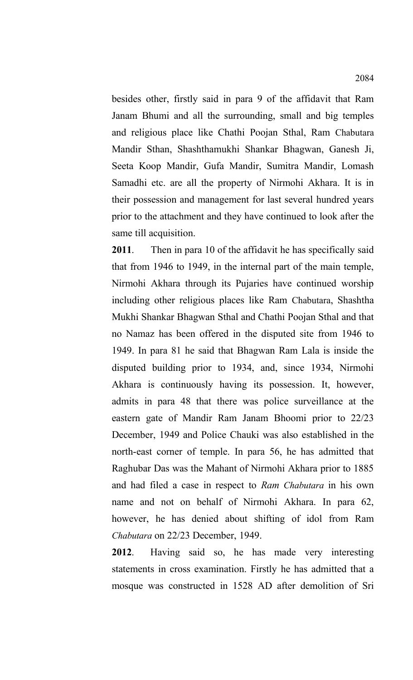besides other, firstly said in para 9 of the affidavit that Ram Janam Bhumi and all the surrounding, small and big temples and religious place like Chathi Poojan Sthal, Ram Chabutara Mandir Sthan, Shashthamukhi Shankar Bhagwan, Ganesh Ji, Seeta Koop Mandir, Gufa Mandir, Sumitra Mandir, Lomash Samadhi etc. are all the property of Nirmohi Akhara. It is in their possession and management for last several hundred years prior to the attachment and they have continued to look after the same till acquisition.

**2011**. Then in para 10 of the affidavit he has specifically said that from 1946 to 1949, in the internal part of the main temple, Nirmohi Akhara through its Pujaries have continued worship including other religious places like Ram Chabutara, Shashtha Mukhi Shankar Bhagwan Sthal and Chathi Poojan Sthal and that no Namaz has been offered in the disputed site from 1946 to 1949. In para 81 he said that Bhagwan Ram Lala is inside the disputed building prior to 1934, and, since 1934, Nirmohi Akhara is continuously having its possession. It, however, admits in para 48 that there was police surveillance at the eastern gate of Mandir Ram Janam Bhoomi prior to 22/23 December, 1949 and Police Chauki was also established in the north-east corner of temple. In para 56, he has admitted that Raghubar Das was the Mahant of Nirmohi Akhara prior to 1885 and had filed a case in respect to *Ram Chabutara* in his own name and not on behalf of Nirmohi Akhara. In para 62, however, he has denied about shifting of idol from Ram *Chabutara* on 22/23 December, 1949.

**2012**. Having said so, he has made very interesting statements in cross examination. Firstly he has admitted that a mosque was constructed in 1528 AD after demolition of Sri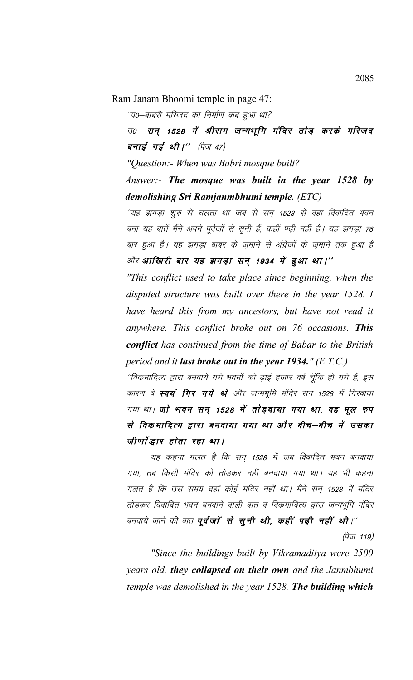Ram Janam Bhoomi temple in page 47:

 $\hat{a}$ प्र0 $-$ बाबरी मस्जिद का निर्माण कब हुआ था?

उ० सन् 1528 में श्रीराम जन्मभूमि मंदिर तोड़ करके मस्जिद बनाई गई थी।'' (पेज 47)

*"Question:- When was Babri mosque built?*

*Answer:- The mosque was built in the year 1528 by demolishing Sri Ramjanmbhumi temple. (ETC)*

´´यह झगडा शुरु से चलता था जब से सन 1528 से वहां विवादित भवन बना यह बातें मैंने अपने पूर्वजों से सुनी हैं, कहीं पढ़ी नहीं हैं। यह झगड़ा 76 बार हुआ है। यह झगड़ा बाबर के जमाने से अंग्रेजों के जमाने तक हुआ है ओर आखिरी बार यह झगड़ा सन् 1934 में हुआ था।''

*"This conflict used to take place since beginning, when the disputed structure was built over there in the year 1528. I have heard this from my ancestors, but have not read it anywhere. This conflict broke out on 76 occasions. This conflict has continued from the time of Babar to the British period and it last broke out in the year 1934." (E.T.C.)*

''विकमादित्य द्वारा बनवाये गये भवनों को ढ़ाई हजार वर्ष चूँकि हो गये हैं, इस कारण वे **स्वयं गिर गये थे** और जन्मभूमि मंदिर सन् 1528 में गिरवाया गया था। जो भवन सन् 1528 में तोड़वाया गया था, वह मूल रुप से विकमादित्य द्वारा बनवाया गया था और बीच—बीच में उसका जीर्णोद्धार होता रहा था।

यह कहना गलत है कि सन 1528 में जब विवादित भवन बनवाया गया. तब किसी मंदिर को तोडकर नहीं बनवाया गया था। यह भी कहना गलत है कि उस समय वहां कोई मंदिर नहीं था। मैंने सन 1528 में मंदिर तोडकर विवादित भवन बनवाने वाली बात व विक्रमादित्य द्वारा जन्मभूमि मंदिर बनवाये जाने की बात **पूर्वजों से सूनी थी, कहीं पढ़ी नहीं थी**।''

 $(\dot{q}_{\nabla}$  119)

*"Since the buildings built by Vikramaditya were 2500 years old, they collapsed on their own and the Janmbhumi temple was demolished in the year 1528. The building which*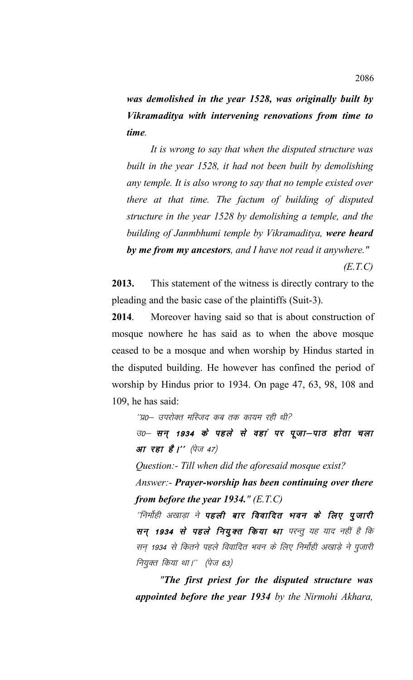*was demolished in the year 1528, was originally built by Vikramaditya with intervening renovations from time to time.*

*It is wrong to say that when the disputed structure was built in the year 1528, it had not been built by demolishing any temple. It is also wrong to say that no temple existed over there at that time. The factum of building of disputed structure in the year 1528 by demolishing a temple, and the building of Janmbhumi temple by Vikramaditya, were heard by me from my ancestors, and I have not read it anywhere." (E.T.C)*

**2013.** This statement of the witness is directly contrary to the pleading and the basic case of the plaintiffs (Suit-3).

**2014**. Moreover having said so that is about construction of mosque nowhere he has said as to when the above mosque ceased to be a mosque and when worship by Hindus started in the disputed building. He however has confined the period of worship by Hindus prior to 1934. On page 47, 63, 98, 108 and 109, he has said:

 $\hat{a}^{\prime\prime}$ प्र0— उपरोक्त मस्जिद कब तक कायम रही थी?

उ० सन् 1934 के पहले से वहां पर पूजा पाठ होता चला आ $\vec{v}$ हा है |'' (पेज 47)

*Question:- Till when did the aforesaid mosque exist?*

*Answer:- Prayer-worship has been continuing over there from before the year 1934." (E.T.C)*

 $^{\prime\prime}$ निर्मोही अखाड़ा ने **पहली बार विवादित भवन के लिए पुजारी** सन् 1934 से पहले नियुक्त किया था परन्तु यह याद नहीं है कि सन् 1934 से कितने पहले विवादित भवन के लिए निर्मोही अखाड़े ने पूजारी नियुक्त किया था।'' (पेज 63)

*"The first priest for the disputed structure was appointed before the year 1934 by the Nirmohi Akhara,*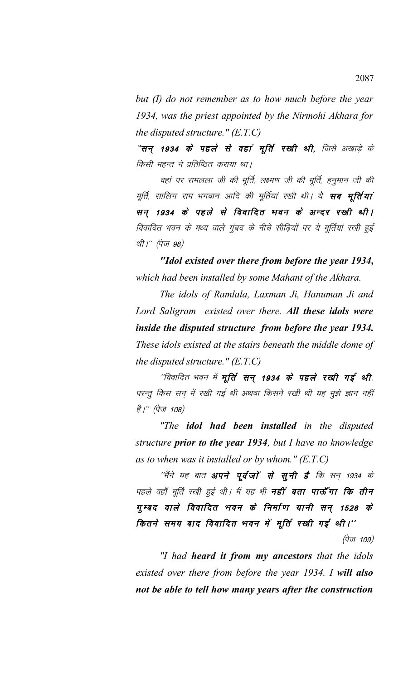*but (I) do not remember as to how much before the year 1934, was the priest appointed by the Nirmohi Akhara for the disputed structure." (E.T.C)*

"सन् 1934 के पहले से वहां मूर्ति रखी थी, जिसे अखाड़े के किसी महन्त ने प्रतिष्ठित कराया था।

वहां पर रामलला जी की मूर्ति, लक्ष्मण जी की मूर्ति, हनुमान जी की मूर्ति, सालिग राम भगवान आदि की मूर्तियां रखी थी। ये **सब मूर्तियां** सन् 1934 के पहले से विवादित भवन के अन्दर रखी थी। विवादित भवन के मध्य वाले गुंबद के नीचे सीढ़ियों पर ये मूर्तियां रखी हुई थी।'' (पेज 98)

*"Idol existed over there from before the year 1934, which had been installed by some Mahant of the Akhara.*

*The idols of Ramlala, Laxman Ji, Hanuman Ji and Lord Saligram existed over there. All these idols were inside the disputed structure from before the year 1934. These idols existed at the stairs beneath the middle dome of the disputed structure." (E.T.C)*

'विवादित भवन में **मूर्ति सन् 1934 के पहले रखी गई थी**, परन्तु किस सन् में रखी गई थी अथवा किसने रखी थी यह मुझे ज्ञान नहीं है।'' (पेज 108)

*"The idol had been installed in the disputed structure prior to the year 1934, but I have no knowledge as to when was it installed or by whom." (E.T.C)*

^^मेंने यह बात **अपने पूर्वजों से सूनी है** कि सन् 1934 के पहले वहॉ मूर्ति रखी हुई थी। मैं यह भी **नहीं बता पाऊँगा कि तीन** गुम्बद वाले विवादित भवन के निर्माण यानी सन् 1528 के कितने समय बाद विवादित भवन में मूर्ति रखी गई थी।''

(पेज 109)

*"I had heard it from my ancestors that the idols existed over there from before the year 1934. I will also not be able to tell how many years after the construction*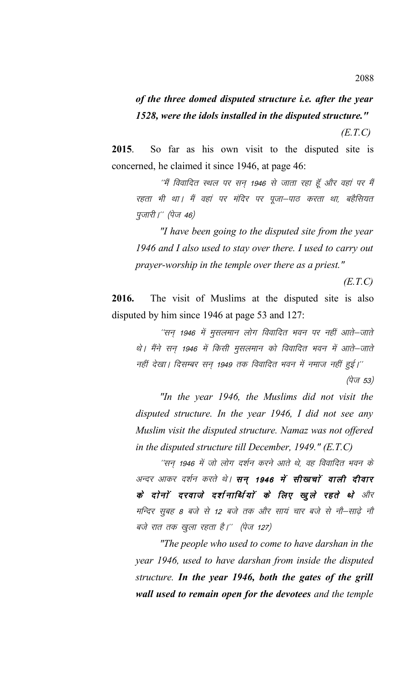*of the three domed disputed structure i.e. after the year 1528, were the idols installed in the disputed structure."*

**2015**. So far as his own visit to the disputed site is concerned, he claimed it since 1946, at page 46:

''मैं विवादित स्थल पर सन् 1946 से जाता रहा हूँ और वहां पर मैं रहता भी था। मैं वहां पर मंदिर पर पूजा–पाठ करता था, बहैसियत पुजारी ।'' (पेज 46)

*"I have been going to the disputed site from the year 1946 and I also used to stay over there. I used to carry out prayer-worship in the temple over there as a priest."* 

*(E.T.C)*

**2016.** The visit of Muslims at the disputed site is also disputed by him since 1946 at page 53 and 127:

''सन् 1946 में मुसलमान लोग विवादित भवन पर नहीं आते–जाते थे । मैंने सन् 1946 में किसी मुसलमान को विवादित भवन में आते–जाते नहीं देखा। दिसम्बर सन् 1949 तक विवादित भवन में नमाज नहीं हुई।''  $(\dot{q}_{\nabla} 53)$ 

*"In the year 1946, the Muslims did not visit the disputed structure. In the year 1946, I did not see any Muslim visit the disputed structure. Namaz was not offered in the disputed structure till December, 1949." (E.T.C)*

''सन् 1946 में जो लोग दर्शन करने आते थे, वह विवादित भवन के अन्दर आकर दर्शन करते थे। **सन् 1946 में सीखचों वाली दीवार** के दोनों दरवाजे दर्शनार्थियों के लिए खुले रहते थे और मन्दिर सुबह 8 बजे से 12 बजे तक और सायं चार बजे से नौ–साढ़े नौ बजे रात तक खुला रहता है।'' (पेज 127)

*"The people who used to come to have darshan in the year 1946, used to have darshan from inside the disputed structure. In the year 1946, both the gates of the grill wall used to remain open for the devotees and the temple*

 *(E.T.C)*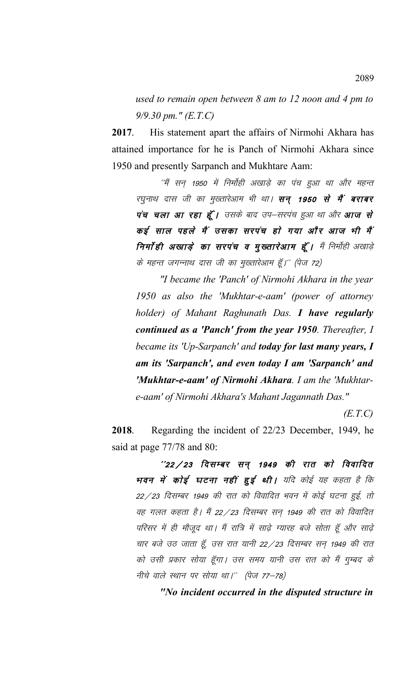*used to remain open between 8 am to 12 noon and 4 pm to 9/9.30 pm." (E.T.C)*

**2017**. His statement apart the affairs of Nirmohi Akhara has attained importance for he is Panch of Nirmohi Akhara since 1950 and presently Sarpanch and Mukhtare Aam:

 $^{\prime\prime}\!\dot{\vec{\tau}}$  सन 1950 में निर्मोही अखाड़े का पंच हुआ था और महन्त रघुनाथ दास जी का मुख्तारेआम भी था। **सन् 1950 से मैं बराबर** पंच चला आ रहा हूँ। उसके बाद उप–सरपंच हुआ था और आज से कई साल पहले मैं उसका सरपंच हो गया और आज भी मैं निर्मा ही अखाड़े का सरपंच व मुख्तारेआम हूँ। मैं निर्मोही अखाड़े के महन्त जगन्नाथ दास जी का मुख्तारेआम हूँ।'' (पेज 72)

*"I became the 'Panch' of Nirmohi Akhara in the year 1950 as also the 'Mukhtar-e-aam' (power of attorney holder) of Mahant Raghunath Das. I have regularly continued as a 'Panch' from the year 1950. Thereafter, I became its 'Up-Sarpanch' and today for last many years, I am its 'Sarpanch', and even today I am 'Sarpanch' and 'Mukhtar-e-aam' of Nirmohi Akhara. I am the 'Mukhtare-aam' of Nirmohi Akhara's Mahant Jagannath Das."* 

*(E.T.C)*

**2018**. Regarding the incident of 22/23 December, 1949, he said at page 77/78 and 80:

 $^{\prime\prime}$ 22/23 दिसम्बर सन् 1949 की रात को विवादित भवन में कोई घटना नहीं हुई थी। यदि कोई यह कहता है कि 22/23 दिसम्बर 1949 की रात को विवादित भवन में कोई घटना हुई, तो वह गलत कहता है। मैं 22/23 दिसम्बर सन् 1949 की रात को विवादित परिसर में ही मौजूद था। मैं रात्रि में साढ़े ग्यारह बजे सोता हूँ और साढ़े चार बजे उठ जाता हूँ, उस रात यानी 22/23 दिसम्बर सन् 1949 की रात को उसी प्रकार सोया हूँगा। उस समय यानी उस रात को मैं गुम्बद के नीचे वाले स्थान पर सोया था।" (पेज 77-78)

*"No incident occurred in the disputed structure in*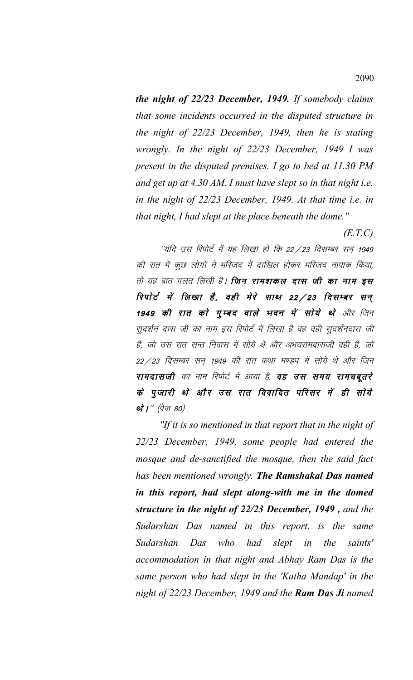*the night of 22/23 December, 1949. If somebody claims that some incidents occurred in the disputed structure in the night of 22/23 December, 1949, then he is stating wrongly. In the night of 22/23 December, 1949 I was present in the disputed premises. I go to bed at 11.30 PM and get up at 4.30 AM. I must have slept so in that night i.e. in the night of 22/23 December, 1949. At that time i.e. in that night, I had slept at the place beneath the dome."* 

*(E.T.C)*

 $^{\prime\prime}$ यदि उस रिपोर्ट में यह लिखा हो कि 22 $\diagup$ 23 दिसम्बर सन 1949 की रात में कुछ लोगों ने मस्जिद में दाखिल होकर मस्जिद नापाक किया, तो यह बात गलत लिखी है। **जिन रामशकल दास जी का नाम इस** रिपोर्ट में लिखा है, वही मेरे साथ 22/23 दिसम्बर सन् 1949 की रात को गुम्बद वाले भवन में सोये थे और जिन सुदर्शन दास जी का नाम इस रिपोर्ट में लिखा है वह वही सुदर्शनदास जी हैं, जो उस रात सन्त निवास में सोये थे और अभयरामदासजी वहीं हैं, जो 22/23 दिसम्बर सन् 1949 की रात कथा मण्डप में सोये थे और जिन रामदासजी का नाम रिपोर्ट में आया है, वह उस समय रामचबूतरे के पुजारी थे और उस रात विवादित परिसर में ही सोये थे।" (पेज 80)

*"If it is so mentioned in that report that in the night of 22/23 December, 1949, some people had entered the mosque and de-sanctified the mosque, then the said fact has been mentioned wrongly. The Ramshakal Das named in this report, had slept along-with me in the domed structure in the night of 22/23 December, 1949 , and the Sudarshan Das named in this report, is the same Sudarshan Das who had slept in the saints' accommodation in that night and Abhay Ram Das is the same person who had slept in the 'Katha Mandap' in the night of 22/23 December, 1949 and the Ram Das Ji named*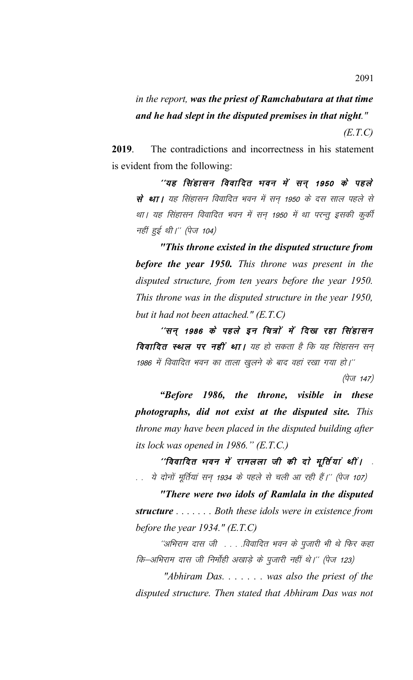*in the report, was the priest of Ramchabutara at that time and he had slept in the disputed premises in that night."*

 *(E.T.C)*

**2019**. The contradictions and incorrectness in his statement is evident from the following:

 $^{\prime\prime}$ यह सिंहासन विवादित भवन में सन् 1950 के पहले से था। यह सिंहासन विवादित भवन में सन 1950 के दस साल पहले से था। यह सिंहासन विवादित भवन में सन् 1950 में था परन्तु इसकी कुर्की नहीं हुई थी।'' (पेज 104)

*"This throne existed in the disputed structure from before the year 1950. This throne was present in the disputed structure, from ten years before the year 1950. This throne was in the disputed structure in the year 1950, but it had not been attached." (E.T.C)*

''सन् 1986 के पहले इन चित्रों में दिख रहा सिंहासन **विवादित स्थल पर नहीं था।** यह हो सकता है कि यह सिंहासन सन् 1986 में विवादित भवन का ताला खुलने के बाद वहां रखा गया हो।''

 $(\dot{q}_{\nabla}$  147)

*"Before 1986, the throne, visible in these photographs, did not exist at the disputed site. This throne may have been placed in the disputed building after its lock was opened in 1986." (E.T.C.)*

''विवादित भवन में रामलला जी की दो मूर्तियां थीं। . ये दोनों मूर्तियां सन् 1934 के पहले से चली आ रही हैं।'' (पेज 107)

*"There were two idols of Ramlala in the disputed structure . . . . . . . Both these idols were in existence from before the year 1934." (E.T.C)*

''अभिराम दास जी . . . .विवादित भवन के पूजारी भी थे फिर कहा कि–अभिराम दास जी निर्मोही अखाड़े के पूजारी नहीं थे।'' (पेज 123)

 *"Abhiram Das. . . . . . . was also the priest of the disputed structure. Then stated that Abhiram Das was not*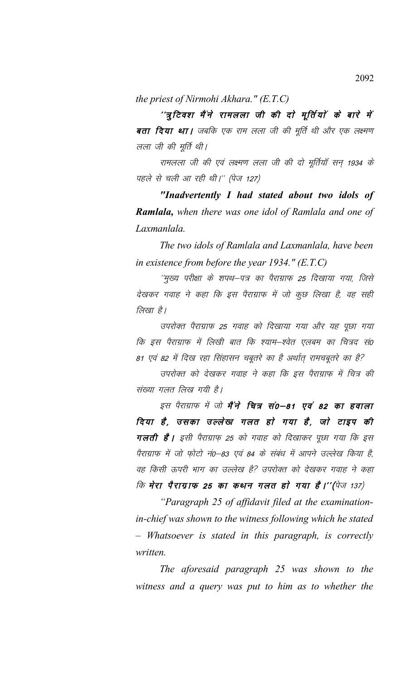*the priest of Nirmohi Akhara." (E.T.C)*

''त्रुटिवश मैंने रामलला जी की दो मूर्तियों के बारे में बता दिया था। जबकि एक राम लला जी की मूर्ति थी और एक लक्ष्मण लला जी की मूर्ति थी।

रामलला जी की एवं लक्ष्मण लला जी की दो मूर्तियाँ सन् 1934 के पहले से चली आ रही थी।'' (पेज 127)

*"Inadvertently I had stated about two idols of Ramlala, when there was one idol of Ramlala and one of Laxmanlala.*

*The two idols of Ramlala and Laxmanlala, have been in existence from before the year 1934." (E.T.C)*

^'मुख्य परीक्षा के शपथ–पत्र का पैराग्राफ 25 दिखाया गया, जिसे देखकर गवाह ने कहा कि इस पैराग्राफ में जो कुछ लिखा है, वह सही लिखा है।

उपरोक्त पैराग्राफ 25 गवाह को दिखाया गया और यह पूछा गया कि इस पैराग्राफ में लिखी बात कि श्याम–श्वेत एलबम का चित्रद सं0 81 एवं 82 में दिख रहा सिंहासन चबूतरे का है अर्थात रामचबूतरे का है?

उपरोक्त को देखकर गवाह ने कहा कि इस पैराग्राफ में चित्र की संख्या गलत लिख गयी है।

इस पैराग्राफ में जो **मैंने चित्र सं0–81 एवं 82 का हवाला** दिया है, उसका उल्लेख गलत हो गया है, जो टाइप की  $\eta$ लती है। इसी पैराग्राफ 25 को गवाह को दिखाकर पूछा गया कि इस पैराग्राफ में जो फोटो नं0–83 एवं 84 के संबंध में आपने उल्लेख किया है, वह किसी ऊपरी भाग का उल्लेख है? उपरोक्त को देखकर गवाह ने कहा कि मेरा पैराग्राफ 25 का कथन गलत हो गया है।''(पेज 137)

*"Paragraph 25 of affidavit filed at the examinationin-chief was shown to the witness following which he stated – Whatsoever is stated in this paragraph, is correctly written.* 

*The aforesaid paragraph 25 was shown to the witness and a query was put to him as to whether the*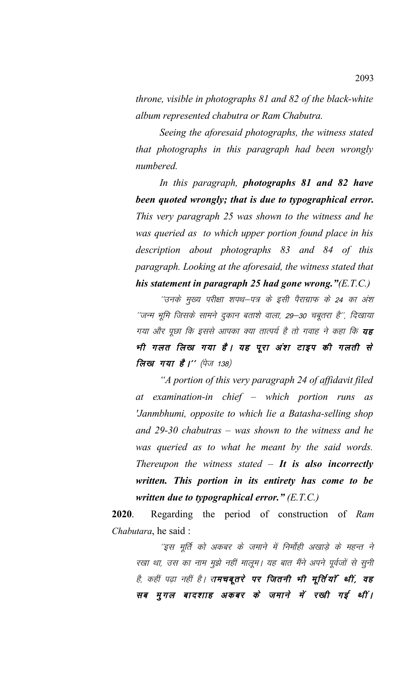*throne, visible in photographs 81 and 82 of the black-white album represented chabutra or Ram Chabutra.*

*Seeing the aforesaid photographs, the witness stated that photographs in this paragraph had been wrongly numbered.*

*In this paragraph, photographs 81 and 82 have been quoted wrongly; that is due to typographical error. This very paragraph 25 was shown to the witness and he was queried as to which upper portion found place in his description about photographs 83 and 84 of this paragraph. Looking at the aforesaid, the witness stated that his statement in paragraph 25 had gone wrong."(E.T.C.)*

''उनके मुख्य परीक्षा शपथ–पत्र के इसी पैराग्राफ के 24 का अंश ''जन्म भूमि जिसके सामने दुकान बताशे वाला, 29–30 चबूतरा है'', दिखाया गया और पूछा कि इससे आपका क्या तात्पर्य है तो गवाह ने कहा कि **यह** भी गलत लिख गया है। यह पूरा अंश टाइप की गलती से **लिख गया है।''** (पेज 138)

*"A portion of this very paragraph 24 of affidavit filed at examination-in chief – which portion runs as 'Janmbhumi, opposite to which lie a Batasha-selling shop and 29-30 chabutras – was shown to the witness and he was queried as to what he meant by the said words. Thereupon the witness stated – It is also incorrectly written. This portion in its entirety has come to be written due to typographical error." (E.T.C.)*

**2020**. Regarding the period of construction of *Ram Chabutara*, he said :

'इस मूर्ति को अकबर के जमाने में निर्मोही अखाड़े के महन्त ने रखा था, उस का नाम मुझे नहीं मालूम। यह बात मैंने अपने पूर्वजों से सूनी है, कहीं पढ़ा नहीं है। रा**मचबूतरे पर जितनी भी मूर्तियाँ थीं, वह** सब मुगल बादशाह अकबर के जमाने में रखी गई थीं।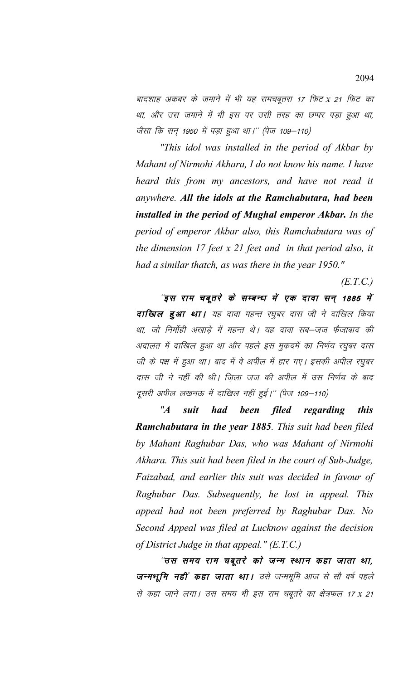बादशाह अकबर के जमाने में भी यह रामचबूतरा 17 फिट x 21 फिट का था, और उस जमाने में भी इस पर उसी तरह का छप्पर पड़ा हुआ था, जैसा कि सन् 1950 में पड़ा हुआ था।'' (पेज 109–110)

*"This idol was installed in the period of Akbar by Mahant of Nirmohi Akhara, I do not know his name. I have heard this from my ancestors, and have not read it anywhere. All the idols at the Ramchabutara, had been installed in the period of Mughal emperor Akbar. In the period of emperor Akbar also, this Ramchabutara was of the dimension 17 feet x 21 feet and in that period also, it had a similar thatch, as was there in the year 1950."* 

*(E.T.C.)*

"इस राम चबूतरे के सम्बन्ध में एक दावा सन् 1885 में दाखिल हुआ था। यह दावा महन्त रघुबर दास जी ने दाखिल किया था, जो निर्मोही अखाडे में महन्त थे। यह दावा सब–जज फैजाबाद की अदालत में दाखिल हुआ था और पहले इस मुकदमें का निर्णय रघुबर दास जी के पक्ष में हुआ था। बाद में वे अपील में हार गए। इसकी अपील रघुबर दास जी ने नहीं की थी। जिला जज की अपील में उस निर्णय के बाद दूसरी अपील लखनऊ में दाखिल नहीं हुई।" (पेज 109-110)

*"A suit had been filed regarding this Ramchabutara in the year 1885. This suit had been filed by Mahant Raghubar Das, who was Mahant of Nirmohi Akhara. This suit had been filed in the court of Sub-Judge, Faizabad, and earlier this suit was decided in favour of Raghubar Das. Subsequently, he lost in appeal. This appeal had not been preferred by Raghubar Das. No Second Appeal was filed at Lucknow against the decision of District Judge in that appeal." (E.T.C.)*

"उस समय राम चबूतरे को जन्म स्थान कहा जाता था, जन्मभूमि नहीं कहा जाता था। उसे जन्मभूमि आज से सौ वर्ष पहले से कहा जाने लगा। उस समय भी इस राम चबूतरे का क्षेत्रफल 17*x 2*1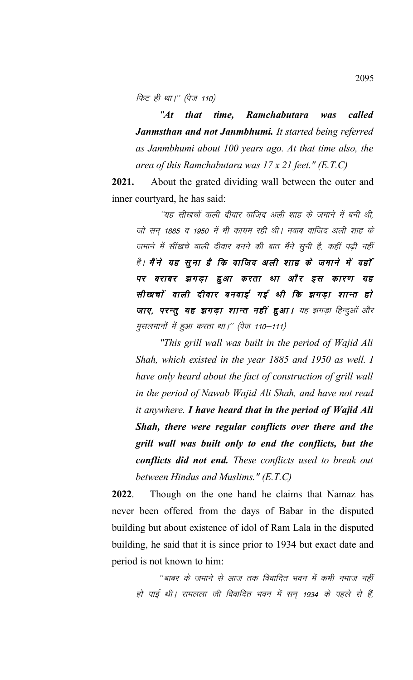फिट ही था।" (पेज 110)

*"At that time, Ramchabutara was called Janmsthan and not Janmbhumi. It started being referred as Janmbhumi about 100 years ago. At that time also, the area of this Ramchabutara was 17 x 21 feet." (E.T.C)*

**2021.** About the grated dividing wall between the outer and inner courtyard, he has said:

''यह सीखचों वाली दीवार वाजिद अली शाह के जमाने में बनी थी, जो सन 1885 व 1950 में भी कायम रही थी। नवाब वाजिद अली शाह के जमाने में सींखचे वाली दीवार बनने की बात मैंने सूनी है, कहीं पढ़ी नहीं है। मैंने यह सूना है कि वाजिद अली शाह के जमाने में वहाँ पर बराबर झगड़ा हुआ करता था और इस कारण यह सीखचों वाली दीवार बनवाई गई थी कि झगड़ा शान्त हो जाए, परन्तु यह झगड़ा शान्त नहीं हुआ। यह झगड़ा हिन्दुओं और मुसलमानों में हुआ करता था।'' (पेज 110–111)

*"This grill wall was built in the period of Wajid Ali Shah, which existed in the year 1885 and 1950 as well. I have only heard about the fact of construction of grill wall in the period of Nawab Wajid Ali Shah, and have not read it anywhere. I have heard that in the period of Wajid Ali Shah, there were regular conflicts over there and the grill wall was built only to end the conflicts, but the conflicts did not end. These conflicts used to break out between Hindus and Muslims." (E.T.C)*

**2022**. Though on the one hand he claims that Namaz has never been offered from the days of Babar in the disputed building but about existence of idol of Ram Lala in the disputed building, he said that it is since prior to 1934 but exact date and period is not known to him:

''बाबर के जमाने से आज तक विवादित भवन में कभी नमाज नहीं हो पाई थी। रामलला जी विवादित भवन में सन 1934 के पहले से हैं,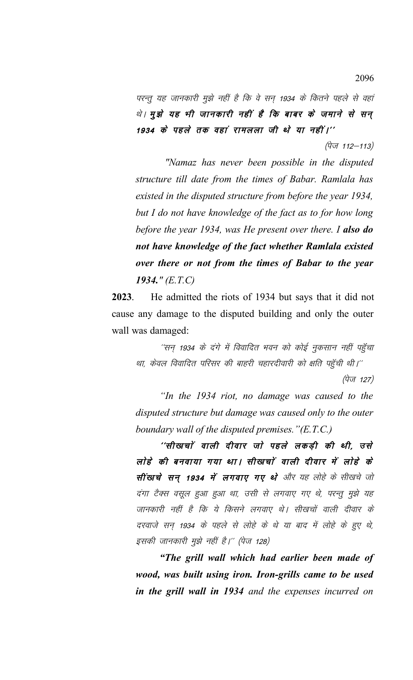परन्तु यह जानकारी मुझे नहीं है कि वे सन् 1934 के कितने पहले से वहां थे। मुझे यह भी जानकारी नहीं है कि बाबर के जमाने से सन् 1934 के पहले तक वहां रामलला जी थे या नहीं।''

 $(\dot{q}_{\nabla}$  112–113)

 *"Namaz has never been possible in the disputed structure till date from the times of Babar. Ramlala has existed in the disputed structure from before the year 1934, but I do not have knowledge of the fact as to for how long before the year 1934, was He present over there. I also do not have knowledge of the fact whether Ramlala existed over there or not from the times of Babar to the year 1934." (E.T.C)*

**2023**. He admitted the riots of 1934 but says that it did not cause any damage to the disputed building and only the outer wall was damaged:

''सन् 1934 के दंगे में विवादित भवन को कोई नुकसान नहीं पहुँचा था, केवल विवादित परिसर की बाहरी चहारदीवारी को क्षति पहुँची थी।''

(पेज 127)

*"In the 1934 riot, no damage was caused to the disputed structure but damage was caused only to the outer boundary wall of the disputed premises."(E.T.C.)*

''सीखचों वाली दीवार जो पहले लकड़ी की थी, उसे लोहे की बनवाया गया था। सीखचों वाली दीवार में लोहे के सींखाचे सन् 1934 में लगवाए गए थे और यह लोहे के सीखचे जो दंगा टैक्स वसूल हुआ हुआ था, उसी से लगवाए गए थे, परन्तु मुझे यह जानकारी नहीं है कि ये किसने लगवाए थे। सीखचों वाली दीवार के दरवाजे सन् 1934 के पहले से लोहे के थे या बाद में लोहे के हुए थे, इसकी जानकारी मुझे नहीं है।'' (पेज 128)

*"The grill wall which had earlier been made of wood, was built using iron. Iron-grills came to be used in the grill wall in 1934 and the expenses incurred on*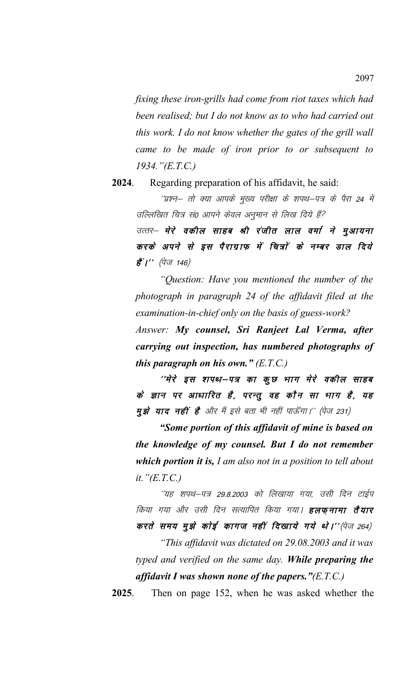*fixing these iron-grills had come from riot taxes which had been realised; but I do not know as to who had carried out this work. I do not know whether the gates of the grill wall came to be made of iron prior to or subsequent to 1934."(E.T.C.)*

**2024**. Regarding preparation of his affidavit, he said:

''प्रश्न– तो क्या आपके मुख्य परीक्षा के शपथ–पत्र के पैरा 24 में उल्लिखित चित्र सं0 आपने केवल अनुमान से लिख दिये हैं?

उत्तर– मे**रे वकील साहब श्री रंजीत लाल वर्मा ने मुआयना** करके अपने से इस पैराग्राफ में चित्रों के नम्बर डाल दिये  $\overrightarrow{\mathcal{B}}'$ /'' (ਧੇਯ 146)

*"Question: Have you mentioned the number of the photograph in paragraph 24 of the affidavit filed at the examination-in-chief only on the basis of guess-work?*

*Answer: My counsel, Sri Ranjeet Lal Verma, after carrying out inspection, has numbered photographs of this paragraph on his own." (E.T.C.)*

''मेरे इस शपथ–पत्र का कुछ भाग मेरे वकील साहब के ज्ञान पर आधारित है, परन्तू वह कौन सा भाग है, यह मुझे याद नहीं है और मैं इसे बता भी नहीं पाऊँगा।'' (पेज 231)

*"Some portion of this affidavit of mine is based on the knowledge of my counsel. But I do not remember which portion it is, I am also not in a position to tell about it."(E.T.C.)*

''यह शपथ–पत्र 29.8.2003 को लिखाया गया, उसी दिन टाईप किया गया और उसी दिन सत्यापित किया गया। **हलफनामा तैयार** करते समय मुझे कोई कागज नहीं दिखाये गये थे।''(पेज 264)

*"This affidavit was dictated on 29.08.2003 and it was typed and verified on the same day. While preparing the affidavit I was shown none of the papers."(E.T.C.)*

**2025**. Then on page 152, when he was asked whether the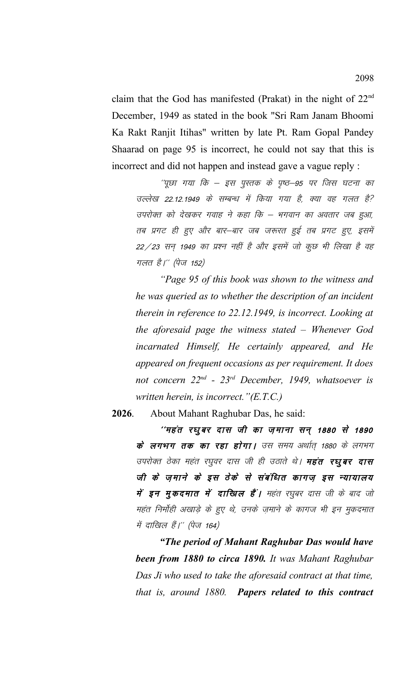claim that the God has manifested (Prakat) in the night of  $22<sup>nd</sup>$ December, 1949 as stated in the book "Sri Ram Janam Bhoomi Ka Rakt Ranjit Itihas" written by late Pt. Ram Gopal Pandey Shaarad on page 95 is incorrect, he could not say that this is incorrect and did not happen and instead gave a vague reply :

''पूछा गया कि – इस पुस्तक के पृष्ठ–95 पर जिस घटना का उल्लेख 22.12.1949 के सम्बन्ध में किया गया है, क्या वह गलत है? उपरोक्त को देखकर गवाह ने कहा कि – भगवान का अवतार जब हुआ, तब प्रगट ही हुए और बार-बार जब जरूरत हुई तब प्रगट हुए, इसमें 22/23 सन् 1949 का प्रश्न नहीं है और इसमें जो कुछ भी लिखा है वह गलत है।" (पेज 152)

*"Page 95 of this book was shown to the witness and he was queried as to whether the description of an incident therein in reference to 22.12.1949, is incorrect. Looking at the aforesaid page the witness stated – Whenever God incarnated Himself, He certainly appeared, and He appeared on frequent occasions as per requirement. It does not concern 22nd - 23rd December, 1949, whatsoever is written herein, is incorrect."(E.T.C.)*

**2026**. About Mahant Raghubar Das, he said:

''महंत रघूबर दास जी का ज़माना सन् 1880 से 1890 के लगभग तक का रहा होगा। उस समय अर्थात् 1880 के लगभग उपरोक्त ठेका महंत रघुवर दास जी ही उठाते थे। **महंत रघूबर दास** जी के ज़माने के इस ठेके से संबंधित कागज़ इस न्यायालय में इन मुकदमात में दाखिल हैं। महंत रघुबर दास जी के बाद जो महंत निर्मोही अखाड़े के हुए थे, उनके ज़माने के कागज भी इन मुकदमात में दाखिल हैं।'' (पेज 164)

*"The period of Mahant Raghubar Das would have been from 1880 to circa 1890. It was Mahant Raghubar Das Ji who used to take the aforesaid contract at that time, that is, around 1880. Papers related to this contract*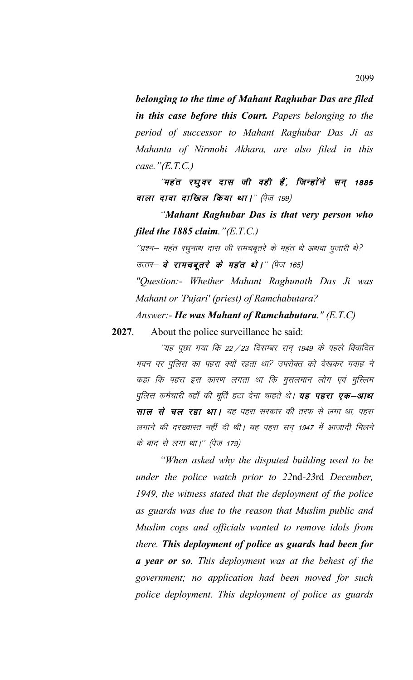*belonging to the time of Mahant Raghubar Das are filed in this case before this Court. Papers belonging to the period of successor to Mahant Raghubar Das Ji as Mahanta of Nirmohi Akhara, are also filed in this case."(E.T.C.)*

"महंत रघुवर दास जी वही हैं, जिन्होंने सन् 1885 वाला दावा दाखिल किया था।" (पेज 199)

*"Mahant Raghubar Das is that very person who filed the 1885 claim."(E.T.C.)*

''प्रश्न– महंत रघुनाथ दास जी रामचबूतरे के महंत थे अथवा पुजारी थे? उत्तर– **वे रामचबूतरे के महंत थे।**'' (पेज 165)

*"Question:- Whether Mahant Raghunath Das Ji was Mahant or 'Pujari' (priest) of Ramchabutara?*

*Answer:- He was Mahant of Ramchabutara." (E.T.C)*

**2027**. About the police surveillance he said:

''यह पूछा गया कि 22/23 दिसम्बर सन् 1949 के पहले विवादित *भवन पर पुलिस का पहरा क्यों रहता था? उपरोक्त को देखकर गवाह ने* कहा कि पहरा इस कारण लगता था कि मुसलमान लोग एवं मुस्लिम पुलिस कर्मचारी वहाँ की मूर्ति हटा देना चाहते थे। **यह पहरा एक–आध** साल से चल रहा था। यह पहरा सरकार की तरफ से लगा था, पहरा लगाने की दरख्वास्त नहीं दी थी। यह पहरा सन् 1947 में आजादी मिलने के बाद से लगा था।'' (पेज 179)

*"When asked why the disputed building used to be under the police watch prior to 22*nd*-23*rd *December, 1949, the witness stated that the deployment of the police as guards was due to the reason that Muslim public and Muslim cops and officials wanted to remove idols from there. This deployment of police as guards had been for a year or so. This deployment was at the behest of the government; no application had been moved for such police deployment. This deployment of police as guards*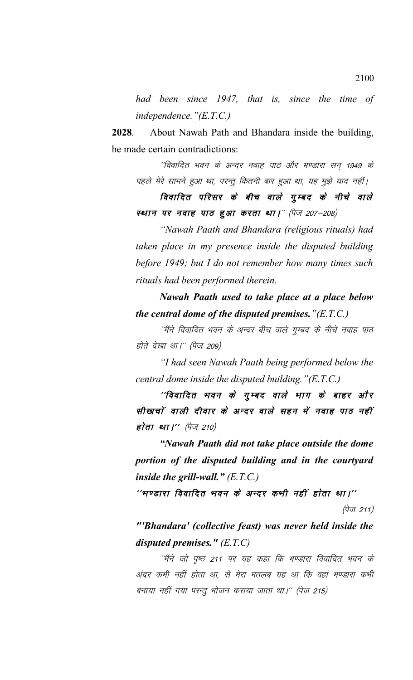*had been since 1947, that is, since the time of independence."(E.T.C.)*

**2028**. About Nawah Path and Bhandara inside the building, he made certain contradictions:

''विवादित भवन के अन्दर नवाह पाठ और भण्डारा सन् 1949 के पहले मेरे सामने हुआ था, परन्तु कितनी बार हुआ था, यह मुझे याद नहीं।

विवादित परिसर के बीच वाले गुम्बद के नीचे वाले स्थान पर नवाह पाठ हुआ करता था।" (पेज 207-208)

*"Nawah Paath and Bhandara (religious rituals) had taken place in my presence inside the disputed building before 1949; but I do not remember how many times such rituals had been performed therein.*

*Nawah Paath used to take place at a place below the central dome of the disputed premises."(E.T.C.)*

''मैंने विवादित भवन के अन्दर बीच वाले गुम्बद के नीचे नवाह पाठ होते देखा था।'' (पेज 209)

*"I had seen Nawah Paath being performed below the central dome inside the disputed building."(E.T.C.)*

''विवादित भवन के गुम्बद वाले भाग के बाहर और सीखचों वाली दीवार के अन्दर वाले सहन में नवाह पाठ नहीं होता था।"  $(\vec{q} \vec{q} 210)$ 

*"Nawah Paath did not take place outside the dome portion of the disputed building and in the courtyard inside the grill-wall." (E.T.C.)*

''भण्डारा विवादित भवन के अन्दर कभी नहीं होता था।''

(पेज 211)

*"'Bhandara' (collective feast) was never held inside the disputed premises." (E.T.C)*

''मैंने जो पृष्ठ 211 पर यह कहा कि भण्डारा विवादित भवन के अंदर कभी नहीं होता था, से मेरा मतलब यह था कि वहां भण्डारा कभी बनाया नहीं गया परन्तु भोजन कराया जाता था।'' (पेज 215)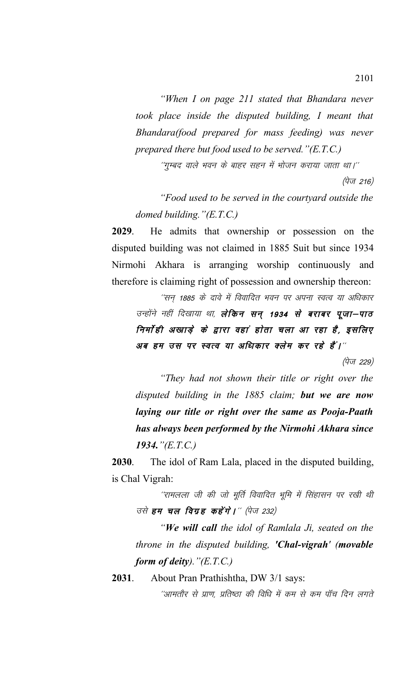*"When I on page 211 stated that Bhandara never took place inside the disputed building, I meant that Bhandara(food prepared for mass feeding) was never prepared there but food used to be served."(E.T.C.)*

''गुम्बद वाले भवन के बाहर सहन में भोजन कराया जाता था।''

(पेज 216)

*"Food used to be served in the courtyard outside the domed building."(E.T.C.)*

**2029**. He admits that ownership or possession on the disputed building was not claimed in 1885 Suit but since 1934 Nirmohi Akhara is arranging worship continuously and therefore is claiming right of possession and ownership thereon:

"सन 1885 के दावे में विवादित भवन पर अपना स्वत्व या अधिकार उन्होंने नहीं दिखाया था, लेकिन सन् 1934 से बराबर पूजा-पाठ निर्मां ही अखाड़े के द्वारा वहां होता चला आ रहा है, इसलिए अब हम उस पर स्वत्व या अधिकार क्लेम कर रहे हैं।"

 $(\dot{q}\bar{w}$  229)

*"They had not shown their title or right over the disputed building in the 1885 claim; but we are now laying our title or right over the same as Pooja-Paath has always been performed by the Nirmohi Akhara since 1934."(E.T.C.)*

**2030**. The idol of Ram Lala, placed in the disputed building, is Chal Vigrah:

''रामलला जी की जो मूर्ति विवादित भूमि में सिंहासन पर रखी थी उसे **हम चल विग्रह कहेंगे।** " (पेज 232)

*"We will call the idol of Ramlala Ji, seated on the throne in the disputed building, 'Chal-vigrah' (movable form of deity)."(E.T.C.)*

**2031**. About Pran Prathishtha, DW 3/1 says:

''आमतौर से प्राण, प्रतिष्ठा की विधि में कम से कम पॉच दिन लगते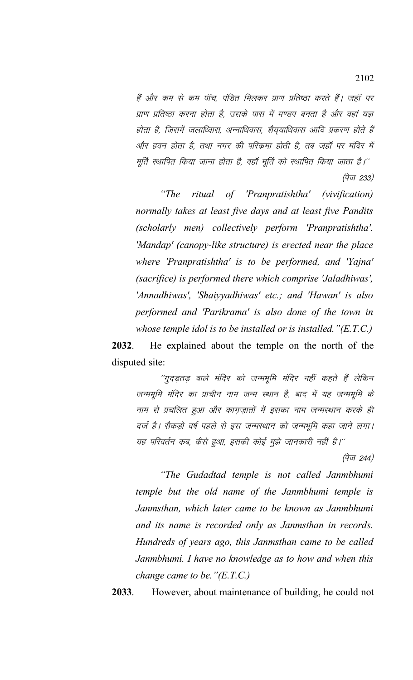हैं और कम से कम पॉच, पंडित मिलकर प्राण प्रतिष्ठा करते हैं। जहाँ पर प्राण प्रतिष्ठा करना होता है. उसके पास में मण्डप बनता है और वहां यज्ञ होता है, जिसमें जलाध्विास, अन्नाधिवास, शैययाधिवास आदि प्रकरण होते हैं ओर हवन होता है, तथा नगर की परिक्रमा होती है, तब जहाँ पर मंदिर में मूर्ति स्थापित किया जाना होता है, वहाँ मूर्ति को स्थापित किया जाता है।''  $(\dot{q}_{\nabla}$  233)

*"The ritual of 'Pranpratishtha' (vivification) normally takes at least five days and at least five Pandits (scholarly men) collectively perform 'Pranpratishtha'. 'Mandap' (canopy-like structure) is erected near the place where 'Pranpratishtha' is to be performed, and 'Yajna' (sacrifice) is performed there which comprise 'Jaladhiwas', 'Annadhiwas', 'Shaiyyadhiwas' etc.; and 'Hawan' is also performed and 'Parikrama' is also done of the town in whose temple idol is to be installed or is installed."(E.T.C.)*

**2032**. He explained about the temple on the north of the disputed site:

''गुदड़तड़ वाले मंदिर को जन्मभूमि मंदिर नहीं कहते हैं लेकिन जन्मभूमि मंदिर का प्राचीन नाम जन्म स्थान है, बाद में यह जन्मभूमि के नाम से प्रचलित हुआ और कागजातों में इसका नाम जन्मस्थान करके ही दर्ज है। सैकड़ो वर्ष पहले से इस जन्मस्थान को जन्मभूमि कहा जाने लगा। यह परिवर्तन कब, कैसे हुआ, इसकी कोई मुझे जानकारी नहीं है।''

(पेज 244)

*"The Gudadtad temple is not called Janmbhumi temple but the old name of the Janmbhumi temple is Janmsthan, which later came to be known as Janmbhumi and its name is recorded only as Janmsthan in records. Hundreds of years ago, this Janmsthan came to be called Janmbhumi. I have no knowledge as to how and when this change came to be."(E.T.C.)*

**2033**. However, about maintenance of building, he could not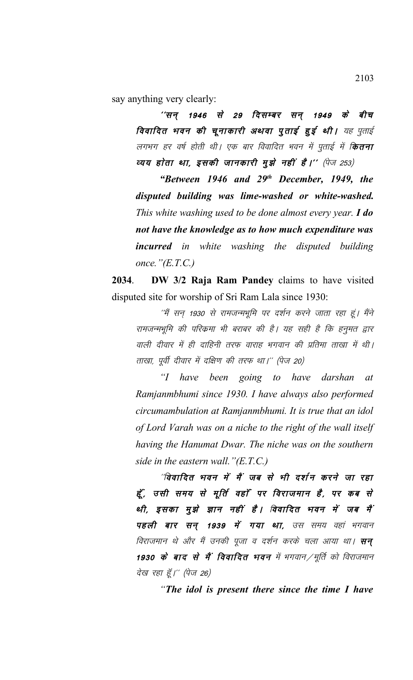say anything very clearly:

 $^{\prime\prime}$ सन् 1946 से 29 दिसम्बर सन् 1949 के बीच विवादित भवन की चुनाकारी अथवा पूताई हुई थी। यह पुताई लगभग हर वर्ष होती थी। एक बार विवादित भवन में पुताई में **कितना** व्यय होता था, इसकी जानकारी मुझे नहीं है।'' (पेज 253)

*"Between 1946 and 29th December, 1949, the disputed building was lime-washed or white-washed. This white washing used to be done almost every year. I do not have the knowledge as to how much expenditure was incurred in white washing the disputed building once."(E.T.C.)*

**2034**. **DW 3/2 Raja Ram Pandey** claims to have visited disputed site for worship of Sri Ram Lala since 1930:

''मैं सन् 1930 से रामजन्मभूमि पर दर्शन करने जाता रहा हूं। मैंने रामजन्मभूमि की परिक्रमा भी बराबर की है। यह सही है कि हनुमत द्वार वाली दीवार में ही दाहिनी तरफ वाराह भगवान की प्रतिमा ताखा में थी। ताखा, पूर्वी दीवार में दक्षिण की तरफ था।'' (पेज 20)

*"I have been going to have darshan at Ramjanmbhumi since 1930. I have always also performed circumambulation at Ramjanmbhumi. It is true that an idol of Lord Varah was on a niche to the right of the wall itself having the Hanumat Dwar. The niche was on the southern side in the eastern wall."(E.T.C.)*

"विवादित भवन में मैं जब से भी दर्शन करने जा रहा हूँ, उसी समय से मूर्ति वहाँ पर विराजमान है, पर कब से थी, इसका मुझे ज्ञान नहीं है। विवादित भवन में जब मैं पहली बार सन् 1939 में गया था, उस समय वहां भगवान विराजमान थे और मैं उनकी पूजा व दर्शन करके चला आया था। **सन्** 1930 के बाद से मैं विवादित भवन में भगवान ⁄ मूर्ति को विराजमान देख रहा हूँ।'' (पेज 26)

*"The idol is present there since the time I have*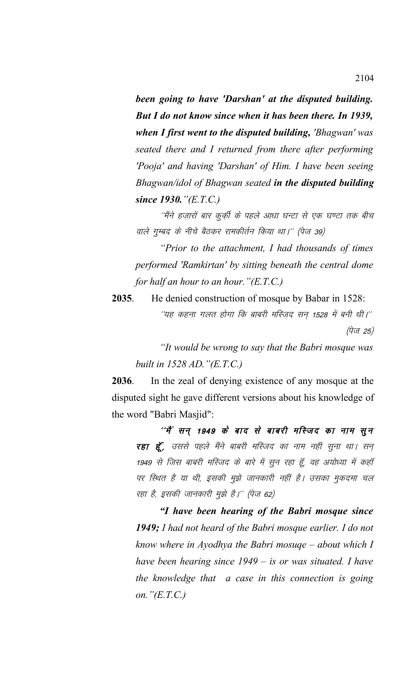*been going to have 'Darshan' at the disputed building. But I do not know since when it has been there. In 1939, when I first went to the disputed building, 'Bhagwan' was seated there and I returned from there after performing 'Pooja' and having 'Darshan' of Him. I have been seeing Bhagwan/idol of Bhagwan seated in the disputed building since 1930."(E.T.C.)*

''मैंने हज़ारों बार कुर्क़ी के पहले आधा घन्टा से एक घण्टा तक बीच वाले गुम्बद के नीचे बैठकर रामकीर्तन किया था।'' (पेज 39)

*"Prior to the attachment, I had thousands of times performed 'Ramkirtan' by sitting beneath the central dome for half an hour to an hour."(E.T.C.)*

**2035**. He denied construction of mosque by Babar in 1528: ^'यह कहना गलत होगा कि बाबरी मरिज़द सन् 1528 में बनी थी।'' (पेज $25)$ 

*"It would be wrong to say that the Babri mosque was built in 1528 AD."(E.T.C.)*

**2036**. In the zeal of denying existence of any mosque at the disputed sight he gave different versions about his knowledge of the word "Babri Masjid":

''मैं सन् 1949 के बाद से बाबरी मस्जिद का नाम सुन रहा हूँ, उससे पहले मैंने बाबरी मस्जिद का नाम नहीं सुना था। सन् 1949 से जिस बाबरी मस्जिद के बारे में सून रहा हूँ, वह अयोध्या में कहाँ पर स्थित है या थी, इसकी मुझे जानकारी नहीं है। उसका मुकदमा चल रहा है, इसकी जानकारी मुझे है।'' (पेज 62)

*"I have been hearing of the Babri mosque since 1949; I had not heard of the Babri mosque earlier. I do not know where in Ayodhya the Babri mosuqe – about which I have been hearing since 1949 – is or was situated. I have the knowledge that a case in this connection is going on."(E.T.C.)*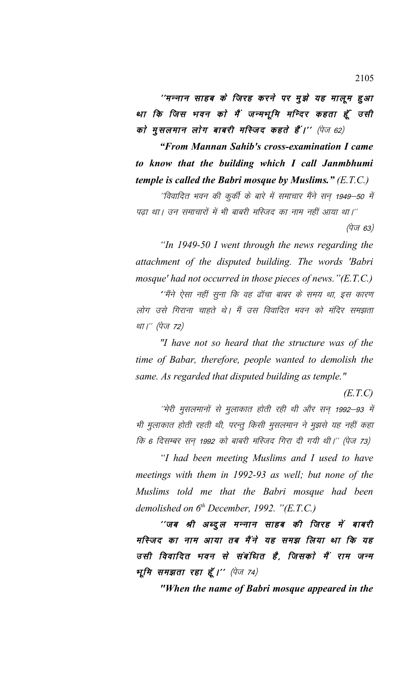''मन्नान साहब के जिरह करने पर मुझे यह मालूम हुआ था कि जिस भवन को मैं जन्मभूमि मन्दिर कहता हूँ उसी को मुसलमान लोग बाबरी मस्जिद कहते हैं।'' (पेज 62)

*"From Mannan Sahib's cross-examination I came to know that the building which I call Janmbhumi temple is called the Babri mosque by Muslims." (E.T.C.)*

^'विवादित भवन की कुर्की के बारे में समाचार मैंने सन् 1949–50 में पढा था। उन समाचारों में भी बाबरी मस्जिद का नाम नहीं आया था।''

 $(\dot{q}\bar{w}$  63)

*"In 1949-50 I went through the news regarding the attachment of the disputed building. The words 'Babri mosque' had not occurred in those pieces of news."(E.T.C.)*

''मैंने ऐसा नहीं सुना कि वह ढॉचा बाबर के समय था, इस कारण लोग उसे गिराना चाहते थे। मैं उस विवादित भवन को मंदिर समझता था।'' (पेज 72)

*"I have not so heard that the structure was of the time of Babar, therefore, people wanted to demolish the same. As regarded that disputed building as temple."* 

*(E.T.C)*

 $^{\prime\prime}$ मेरी मुसलमानों से मुलाकात होती रही थी और सन् 1992—93 में भी मुलाकात होती रहती थी, परन्तु किसी मुसलमान ने मुझसे यह नहीं कहा कि 6 दिसम्बर सन् 1992 को बाबरी मस्जिद गिरा दी गयी थी।'' (पेज 73)

*"I had been meeting Muslims and I used to have meetings with them in 1992-93 as well; but none of the Muslims told me that the Babri mosque had been demolished on 6th December, 1992. "(E.T.C.)*

''जब श्री अब्दुल मन्नान साहब की जिरह में बाबरी मस्जिद का नाम आया तब मैंने यह समझ लिया था कि यह उसी विवादित भवन से संबंधित है, जिसको मैं राम जन्म  $H$ मूमि समझता रहा हूँ।'' (पेज 74)

*"When the name of Babri mosque appeared in the*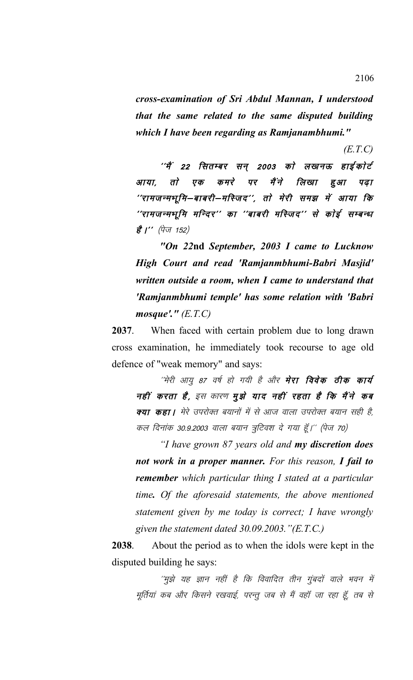*cross-examination of Sri Abdul Mannan, I understood that the same related to the same disputed building which I have been regarding as Ramjanambhumi."*

*(E.T.C)*

''मैं' 22 सितम्बर सन् 2003 को लखनऊ हाईकोर्ट आया, तो एक कमरे पर मैंने लिखा हुआ पढ़ा ''रामजन्मभूमि—बाबरी—मस्जिद'', तो मेरी समझ में आया कि ''रामजन्मभूमि मन्दिर'' का ''बाबरी मस्जिद'' से कोई सम्बन्ध **है |''** (पेज 152)

*"On 22***nd** *September, 2003 I came to Lucknow High Court and read 'Ramjanmbhumi-Babri Masjid' written outside a room, when I came to understand that 'Ramjanmbhumi temple' has some relation with 'Babri mosque'." (E.T.C)*

**2037**. When faced with certain problem due to long drawn cross examination, he immediately took recourse to age old defence of "weak memory" and says:

''मेरी आयू 87 वर्ष हो गयी है और **मेरा विवेक ठीक कार्य** नहीं करता है, इस कारण मूझे याद नहीं रहता है कि मैंने कब क्या कहा। मेरे उपरोक्त बयानों में से आज वाला उपरोक्त बयान सही है, कल दिनांक 30.9.2003 वाला बयान त्रूटिवश दे गया हूँ।'' (पेज 70)

*"I have grown 87 years old and my discretion does not work in a proper manner. For this reason, I fail to remember which particular thing I stated at a particular time. Of the aforesaid statements, the above mentioned statement given by me today is correct; I have wrongly given the statement dated 30.09.2003."(E.T.C.)*

**2038**. About the period as to when the idols were kept in the disputed building he says:

''मुझे यह ज्ञान नहीं है कि विवादित तीन गुंबदों वाले भवन में मूर्तियां कब और किसने रखवाई, परन्तु जब से मैं वहाँ जा रहा हूँ, तब से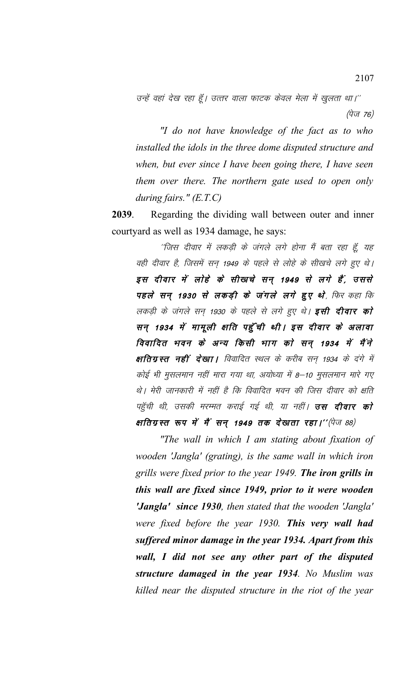उन्हें वहां देख रहा हूँ। उत्तर वाला फाटक केवल मेला में खुलता था।'' (पेज 76)

*"I do not have knowledge of the fact as to who installed the idols in the three dome disputed structure and when, but ever since I have been going there, I have seen them over there. The northern gate used to open only during fairs." (E.T.C)*

**2039**. Regarding the dividing wall between outer and inner courtyard as well as 1934 damage, he says:

 $^{\prime\prime}$ जिस दीवार में लकड़ी के जंगले लगे होना मैं बता रहा हूँ, यह वही दीवार है, जिसमें सन् 1949 के पहले से लोहे के सीखचे लगे हुए थे। इस दीवार में लोहे के सीखचे सन् 1949 से लगे हैं, उससे पहले सन् 1930 से लकड़ी के जंगले लगे हुए थे, फिर कहा कि लकड़ी के जंगले सन् 1930 के पहले से लगे हुए थे। **इसी दीवार को** सन् 1934 में मामूली क्षति पहुँची थी। इस दीवार के अलावा विवादित भवन के अन्य किसी भाग को सन् 1934 में मैंने क्षतिग्रस्त नहीं देखा। विवादित स्थल के करीब सन 1934 के दंगे में कोई भी मुसलमान नहीं मारा गया था, अयोध्या में 8–10 मुसलमान मारे गए थे। मेरी जानकारी में नहीं है कि विवादित भवन की जिस दीवार को क्षति पहुँची थी, उसकी मरम्मत कराई गई थी, या नहीं। **उस दीवार को** क्षतिग्रस्त रूप में मैं सन् 1949 तक देखाता रहा।''(पेज 88)

*"The wall in which I am stating about fixation of wooden 'Jangla' (grating), is the same wall in which iron grills were fixed prior to the year 1949. The iron grills in this wall are fixed since 1949, prior to it were wooden 'Jangla' since 1930, then stated that the wooden 'Jangla' were fixed before the year 1930. This very wall had suffered minor damage in the year 1934. Apart from this wall, I did not see any other part of the disputed structure damaged in the year 1934. No Muslim was killed near the disputed structure in the riot of the year*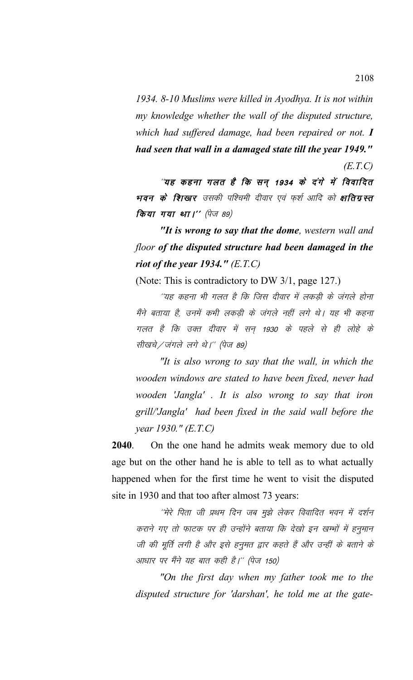*1934. 8-10 Muslims were killed in Ayodhya. It is not within my knowledge whether the wall of the disputed structure, which had suffered damage, had been repaired or not. I had seen that wall in a damaged state till the year 1949."*

*(E.T.C)*

"यह कहना गलत है कि सन् 1934 के दंगे में विवादित भवन के शिखार उसकी पश्चिमी दीवार एवं फर्श आदि को **क्षतिग्रस्त किया गया था।'' (पेज 89)** 

*"It is wrong to say that the dome, western wall and floor of the disputed structure had been damaged in the riot of the year 1934." (E.T.C)*

(Note: This is contradictory to DW 3/1, page 127.)

''यह कहना भी गलत है कि जिस दीवार में लकडी के जंगले होना मैंने बताया है, उनमें कभी लकड़ी के जंगले नहीं लगे थे। यह भी कहना गलत है कि उक्त दीवार में सन् 1930 के पहले से ही लोहे के सीखचे / जंगले लगे थे।'' (पेज 89)

*"It is also wrong to say that the wall, in which the wooden windows are stated to have been fixed, never had wooden 'Jangla' . It is also wrong to say that iron grill/'Jangla' had been fixed in the said wall before the year 1930." (E.T.C)*

**2040**. On the one hand he admits weak memory due to old age but on the other hand he is able to tell as to what actually happened when for the first time he went to visit the disputed site in 1930 and that too after almost 73 years:

''मेरे पिता जी प्रथम दिन जब मुझे लेकर विवादित भवन में दर्शन कराने गए तो फाटक पर ही उन्होंने बताया कि देखो इन खम्भों में हनुमान जी की मूर्ति लगी है और इसे हनुमत द्वार कहते हैं और उन्हीं के बताने के आधार पर मैंने यह बात कही है।'' (पेज 150)

*"On the first day when my father took me to the disputed structure for 'darshan', he told me at the gate-*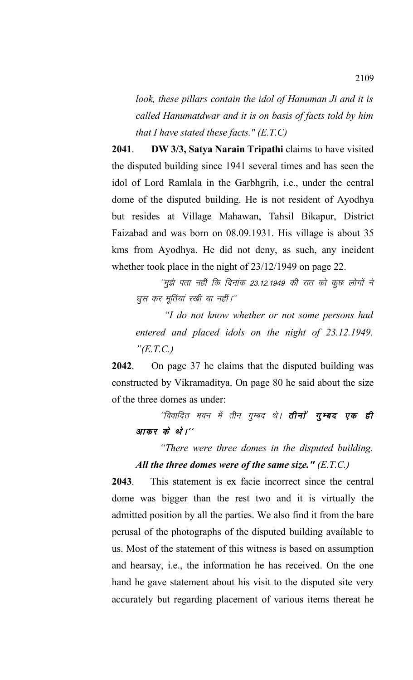*look, these pillars contain the idol of Hanuman Ji and it is called Hanumatdwar and it is on basis of facts told by him that I have stated these facts." (E.T.C)*

**2041**. **DW 3/3, Satya Narain Tripathi** claims to have visited the disputed building since 1941 several times and has seen the idol of Lord Ramlala in the Garbhgrih, i.e., under the central dome of the disputed building. He is not resident of Ayodhya but resides at Village Mahawan, Tahsil Bikapur, District Faizabad and was born on 08.09.1931. His village is about 35 kms from Ayodhya. He did not deny, as such, any incident whether took place in the night of 23/12/1949 on page 22.

 $^{\prime\prime}$ मुझे पता नहीं कि दिनांक 23.12.1949 की रात को कुछ लोगों ने घुस कर मूर्तियां रखी या नहीं।''

*"I do not know whether or not some persons had entered and placed idols on the night of 23.12.1949. "(E.T.C.)*

**2042**. On page 37 he claims that the disputed building was constructed by Vikramaditya. On page 80 he said about the size of the three domes as under:

''विवादित भवन में तीन गुम्बद थे। **तीनों गृम्बद एक ही** आकर के थे।''

*"There were three domes in the disputed building. All the three domes were of the same size." (E.T.C.)*

**2043**. This statement is ex facie incorrect since the central dome was bigger than the rest two and it is virtually the admitted position by all the parties. We also find it from the bare perusal of the photographs of the disputed building available to us. Most of the statement of this witness is based on assumption and hearsay, i.e., the information he has received. On the one hand he gave statement about his visit to the disputed site very accurately but regarding placement of various items thereat he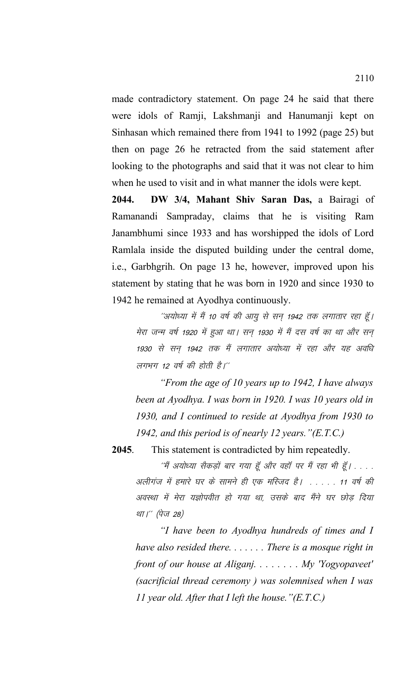made contradictory statement. On page 24 he said that there were idols of Ramji, Lakshmanji and Hanumanji kept on Sinhasan which remained there from 1941 to 1992 (page 25) but then on page 26 he retracted from the said statement after looking to the photographs and said that it was not clear to him when he used to visit and in what manner the idols were kept.

**2044. DW 3/4, Mahant Shiv Saran Das,** a Bairagi of Ramanandi Sampraday, claims that he is visiting Ram Janambhumi since 1933 and has worshipped the idols of Lord Ramlala inside the disputed building under the central dome, i.e., Garbhgrih. On page 13 he, however, improved upon his statement by stating that he was born in 1920 and since 1930 to 1942 he remained at Ayodhya continuously.

''अयोध्या में मैं 10 वर्ष की आयू से सन् 1942 तक लगातार रहा हूँ। मेरा जन्म वर्ष 1920 में हुआ था। सन् 1930 में मैं दस वर्ष का था और सन् 1930 से सन 1942 तक मैं लगातार अयोध्या में रहा और यह अवधि लगभग 12 वर्ष की होती है।''

*"From the age of 10 years up to 1942, I have always been at Ayodhya. I was born in 1920. I was 10 years old in 1930, and I continued to reside at Ayodhya from 1930 to 1942, and this period is of nearly 12 years."(E.T.C.)*

**2045**. This statement is contradicted by him repeatedly.

 $^{\prime\prime}\!\dot{\vec{\tau}}$  अयोध्या सैकड़ों बार गया हूँ और वहाँ पर मैं रहा भी हूँ। . . . . अलीगंज में हमारे घर के सामने ही एक मस्जिद है। . . . . . 11 वर्ष की अवस्था में मेरा यज्ञोपवीत हो गया था, उसके बाद मैंने घर छोड दिया था।'' (पेज 28)

*"I have been to Ayodhya hundreds of times and I have also resided there. . . . . . . There is a mosque right in front of our house at Aliganj. . . . . . . . My 'Yogyopaveet' (sacrificial thread ceremony ) was solemnised when I was 11 year old. After that I left the house."(E.T.C.)*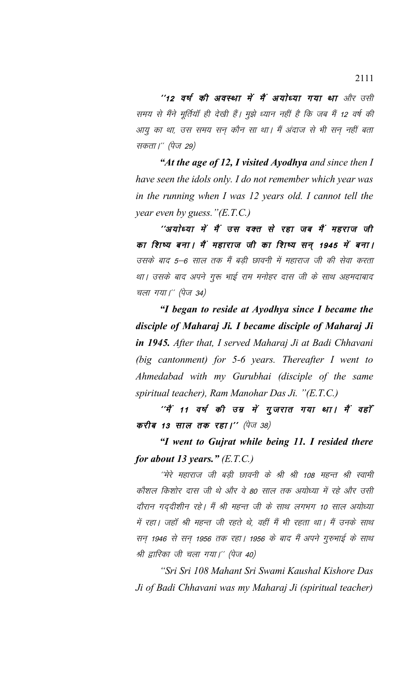''12 वर्ष की अवस्था में मैं अयोध्या गया था और उसी समय से मैंने मूर्तियॉ ही देखी हैं। मुझे ध्यान नहीं है कि जब मैं 12 वर्ष की आयु का था, उस समय सन् कौन सा था। मैं अंदाज से भी सन् नहीं बता सकता।'' (पेज 29)

*"At the age of 12, I visited Ayodhya and since then I have seen the idols only. I do not remember which year was in the running when I was 12 years old. I cannot tell the year even by guess."(E.T.C.)*

''अयोध्या में मैं उस वक्त से रहा जब मैं महराज जी का शिष्य बना। मैं महाराज जी का शिष्य सन् 1945 में बना। उसके बाद 5–6 साल तक मैं बड़ी छावनी में महाराज जी की सेवा करता था। उसके बाद अपने गुरू भाई राम मनोहर दास जी के साथ अहमदाबाद चला गया।'' (पेज 34)

*"I began to reside at Ayodhya since I became the disciple of Maharaj Ji. I became disciple of Maharaj Ji in 1945. After that, I served Maharaj Ji at Badi Chhavani (big cantonment) for 5-6 years. Thereafter I went to Ahmedabad with my Gurubhai (disciple of the same spiritual teacher), Ram Manohar Das Ji. "(E.T.C.)*

''मैं 11 वर्ष की उम्र में गुजरात गया था। मैं वहाँ करीब 13 साल तक रहा।'' (पेज 38)

*"I went to Gujrat while being 11. I resided there for about 13 years." (E.T.C.)*

''मेरे महाराज जी बड़ी छावनी के श्री श्री 108 महन्त श्री स्वामी कौशल किशोर दास जी थे और वे 80 साल तक अयोध्या में रहे और उसी दौरान गददीशीन रहे। मैं श्री महन्त जी के साथ लगभग 10 साल अयोध्या में रहा। जहाँ श्री महन्त जी रहते थे, वहीं मैं भी रहता था। मैं उनके साथ सन् 1946 से सन् 1956 तक रहा। 1956 के बाद मैं अपने गुरुभाई के साथ श्री द्वारिका जी चला गया।'' (पेज 40)

*"Sri Sri 108 Mahant Sri Swami Kaushal Kishore Das Ji of Badi Chhavani was my Maharaj Ji (spiritual teacher)*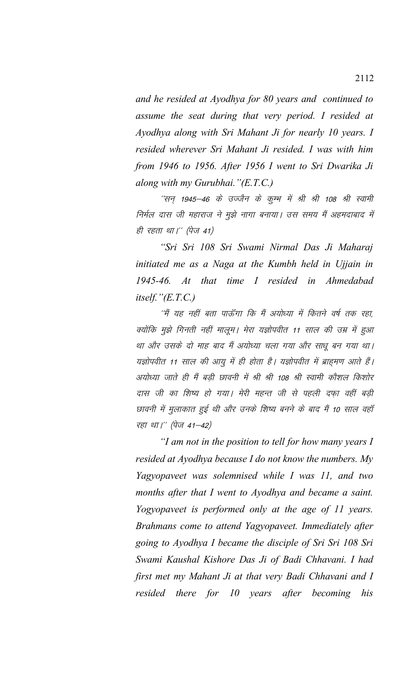*and he resided at Ayodhya for 80 years and continued to assume the seat during that very period. I resided at Ayodhya along with Sri Mahant Ji for nearly 10 years. I resided wherever Sri Mahant Ji resided. I was with him from 1946 to 1956. After 1956 I went to Sri Dwarika Ji along with my Gurubhai."(E.T.C.)*

''सन 1945–46 के उज्जैन के कूम्भ में श्री श्री 108 श्री स्वामी निर्मल दास जी महाराज ने मुझे नागा बनाया। उस समय मैं अहमदाबाद में ही रहता था।" (पेज 41)

*"Sri Sri 108 Sri Swami Nirmal Das Ji Maharaj initiated me as a Naga at the Kumbh held in Ujjain in 1945-46. At that time I resided in Ahmedabad itself."(E.T.C.)*

''मैं यह नहीं बता पाऊँगा कि मैं अयोध्या में कितने वर्ष तक रहा, क्योंकि मुझे गिनती नहीं मालूम। मेरा यज्ञोपवीत 11 साल की उम्र में हुआ था और उसके दो माह बाद मैं अयोध्या चला गया और साधू बन गया था। यज्ञोपवीत 11 साल की आयु में ही होता है। यज्ञोपवीत में ब्राहमण आते हैं। अयोध्या जाते ही मैं बड़ी छावनी में श्री श्री 108 श्री स्वामी कौशल किशोर दास जी का शिष्य हो गया। मेरी महन्त जी से पहली दफ़ा वहीं बड़ी छावनी में मुलाकात हुई थी और उनके शिष्य बनने के बाद मैं 10 साल वहाँ रहा था।" (पेज 41-42)

*"I am not in the position to tell for how many years I resided at Ayodhya because I do not know the numbers. My Yagyopaveet was solemnised while I was 11, and two months after that I went to Ayodhya and became a saint. Yogyopaveet is performed only at the age of 11 years. Brahmans come to attend Yagyopaveet. Immediately after going to Ayodhya I became the disciple of Sri Sri 108 Sri Swami Kaushal Kishore Das Ji of Badi Chhavani. I had first met my Mahant Ji at that very Badi Chhavani and I resided there for 10 years after becoming his*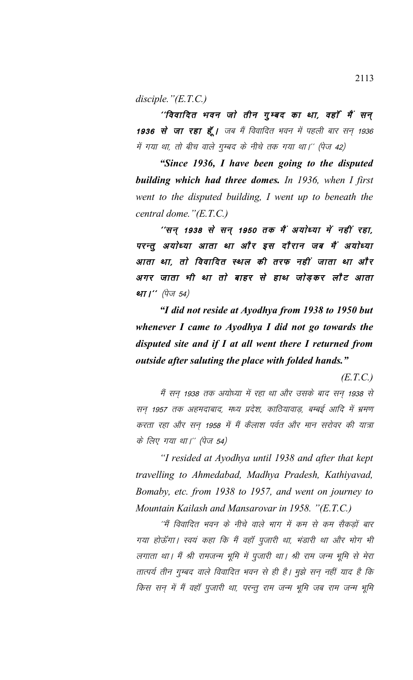*disciple."(E.T.C.)*

''विवादित भवन जो तीन गुम्बद का था, वहाँ मैं सन् 1936 से जा रहा हूँ। जब मैं विवादित भवन में पहली बार सन् 1936 में गया था, तो बीच वाले गुम्बद के नीचे तक गया था।'' (पेज 42)

*"Since 1936, I have been going to the disputed building which had three domes. In 1936, when I first went to the disputed building, I went up to beneath the central dome."(E.T.C.)*

''सन् 1938 से सन् 1950 तक मैं अयोध्या में नहीं रहा, परन्तू अयोध्या आता था और इस दौरान जब मैं अयोध्या आता था, तो विवादित स्थल की तरफ नहीं जाता था और अगर जाता भी था तो बाहर से हाथ जोड़कर लौट आता था।"  $(\dot{\vec{q}}\vec{q}$  54)

*"I did not reside at Ayodhya from 1938 to 1950 but whenever I came to Ayodhya I did not go towards the disputed site and if I at all went there I returned from outside after saluting the place with folded hands."*

## *(E.T.C.)*

मैं सन् 1938 तक अयोध्या में रहा था और उसके बाद सन् 1938 से सन् 1957 तक अहमदाबाद, मध्य प्रदेश, काठियावाड़, बम्बई आदि में भ्रमण करता रहा और सन 1958 में मैं कैलाश पर्वत और मान सरोवर की यात्रा के लिए गया था।'' (पेज 54)

*"I resided at Ayodhya until 1938 and after that kept travelling to Ahmedabad, Madhya Pradesh, Kathiyavad, Bomaby, etc. from 1938 to 1957, and went on journey to Mountain Kailash and Mansarovar in 1958. "(E.T.C.)*

''मैं विवादित भवन के नीचे वाले भाग में कम से कम सैकडों बार गया होऊँगा। स्वयं कहा कि मैं वहाँ पुजारी था, भंडारी था और भोग भी लगाता था। मैं श्री रामजन्म भूमि में पूजारी था। श्री राम जन्म भूमि से मेरा तात्पर्य तीन गुम्बद वाले विवादित भवन से ही है। मुझे सन् नहीं याद है कि किस सन में मैं वहाँ पुजारी था, परन्तु राम जन्म भूमि जब राम जन्म भूमि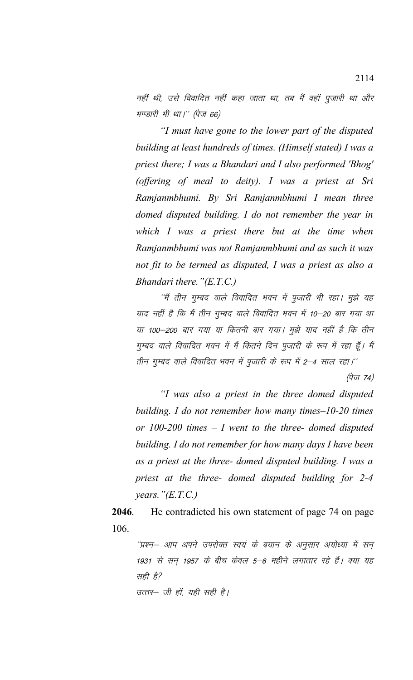नहीं थी, उसे विवादित नहीं कहा जाता था, तब मैं वहाँ पुजारी था और भण्डारी भी था।'' (पेज 66)

*"I must have gone to the lower part of the disputed building at least hundreds of times. (Himself stated) I was a priest there; I was a Bhandari and I also performed 'Bhog' (offering of meal to deity). I was a priest at Sri Ramjanmbhumi. By Sri Ramjanmbhumi I mean three domed disputed building. I do not remember the year in which I was a priest there but at the time when Ramjanmbhumi was not Ramjanmbhumi and as such it was not fit to be termed as disputed, I was a priest as also a Bhandari there."(E.T.C.)*

 $^{\prime\prime}$ में तीन गुम्बद वाले विवादित भवन में पुजारी भी रहा। मुझे यह याद नहीं है कि मैं तीन गुम्बद वाले विवादित भवन में 10–20 बार गया था या 100—200 बार गया या कितनी बार गया। मुझे याद नहीं है कि तीन गुम्बद वाले विवादित भवन में मैं कितने दिन पुजारी के रूप में रहा हूँ। मैं तीन गुम्बद वाले विवादित भवन में पुजारी के रूप में 2—4 साल रहा।''

(पेज 74)

*"I was also a priest in the three domed disputed building. I do not remember how many times–10-20 times or 100-200 times – I went to the three- domed disputed building. I do not remember for how many days I have been as a priest at the three- domed disputed building. I was a priest at the three- domed disputed building for 2-4 years."(E.T.C.)*

**2046**. He contradicted his own statement of page 74 on page 106.

''प्रश्न– आप अपने उपरोक्त स्वयं के बयान के अनुसार अयोध्या में सन् 1931 से सन् 1957 के बीच केवल 5–6 महीने लगातार रहे हैं। क्या यह सही है?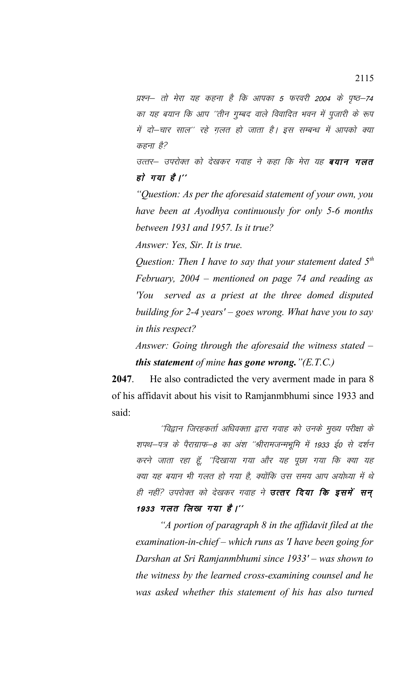प्रश्न– तो मेरा यह कहना है कि आपका 5 फरवरी 2004 के पृष्ठ–74 का यह बयान कि आप ''तीन गुम्बद वाले विवादित भवन में पुजारी के रूप में दो–चार साल'' रहे गलत हो जाता है। इस सम्बन्ध में आपको क्या कहना है?

उत्तर– उपरोक्त को देखकर गवाह ने कहा कि मेरा यह **बयान गलत** हो गया है।''

*"Question: As per the aforesaid statement of your own, you have been at Ayodhya continuously for only 5-6 months between 1931 and 1957. Is it true?*

*Answer: Yes, Sir. It is true.*

*Question: Then I have to say that your statement dated 5th February, 2004 – mentioned on page 74 and reading as 'You served as a priest at the three domed disputed building for 2-4 years' – goes wrong. What have you to say in this respect?*

*Answer: Going through the aforesaid the witness stated – this statement of mine has gone wrong."(E.T.C.)*

**2047**. He also contradicted the very averment made in para 8 of his affidavit about his visit to Ramjanmbhumi since 1933 and said:

^'विद्वान जिरहकर्ता अधिवक्ता द्वारा गवाह को उनके मुख्य परीक्षा के शपथ–पत्र के पैराग्राफ–8 का अंश ''श्रीरामजन्मभूमि में 1933 ई0 से दर्शन करने जाता रहा हूँ, ''दिखाया गया और यह पूछा गया कि क्या यह क्या यह बयान भी गलत हो गया है, क्योंकि उस समय आप अयोध्या में थे ही नहीं? उपरोक्त को देखकर गवाह ने **उत्तर दिया कि इसमें सन्** 1933 गलत लिख गया है।''

*"A portion of paragraph 8 in the affidavit filed at the examination-in-chief – which runs as 'I have been going for Darshan at Sri Ramjanmbhumi since 1933' – was shown to the witness by the learned cross-examining counsel and he was asked whether this statement of his has also turned*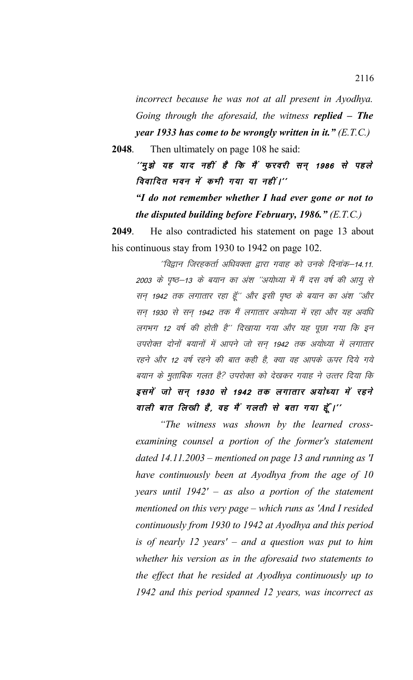incorrect because he was not at all present in Ayodhya. Going through the aforesaid, the witness replied  $-$  The year 1933 has come to be wrongly written in it."  $(E.T.C.)$ 

2048. Then ultimately on page 108 he said:

> ''मुझे यह याद नहीं है कि मैं फरवरी सन् 1986 से पहले विवादित भवन में कभी गया या नहीं।''

> "I do not remember whether I had ever gone or not to the disputed building before February, 1986."  $(E.T.C.)$

He also contradicted his statement on page 13 about 2049 his continuous stay from 1930 to 1942 on page 102.

''विद्वान जिरहकर्ता अधिवक्ता द्वारा गवाह को उनके दिनांक–14.11. 2003 के पृष्ठ–13 के बयान का अंश ''अयोध्या में मैं दस वर्ष की आयु से सन् 1942 तक लगातार रहा हूँ'' और इसी पृष्ठ के बयान का अंश ''और सन 1930 से सन 1942 तक मैं लगातार अयोध्या में रहा और यह अवधि लगभग 12 वर्ष की होती है'' दिखाया गया और यह पूछा गया कि इन उपरोक्त दोनों बयानों में आपने जो सन 1942 तक अयोध्या में लगातार रहने और 12 वर्ष रहने की बात कही है, क्या वह आपके ऊपर दिये गये बयान के मुताबिक गलत है? उपरोक्त को देखकर गवाह ने उत्तर दिया कि इसमें जो सन् 1930 से 1942 तक लगातार अयोध्या में रहने वाली बात लिखी है, वह मैं गलती से बता गया हूँ।''

"The witness was shown by the learned crossexamining counsel a portion of the former's statement dated  $14.11.2003$  – mentioned on page 13 and running as T have continuously been at Ayodhya from the age of 10 years until  $1942'$  – as also a portion of the statement mentioned on this very page – which runs as 'And I resided continuously from 1930 to 1942 at Ayodhya and this period is of nearly 12 years' – and a question was put to him whether his version as in the aforesaid two statements to the effect that he resided at Ayodhya continuously up to 1942 and this period spanned 12 years, was incorrect as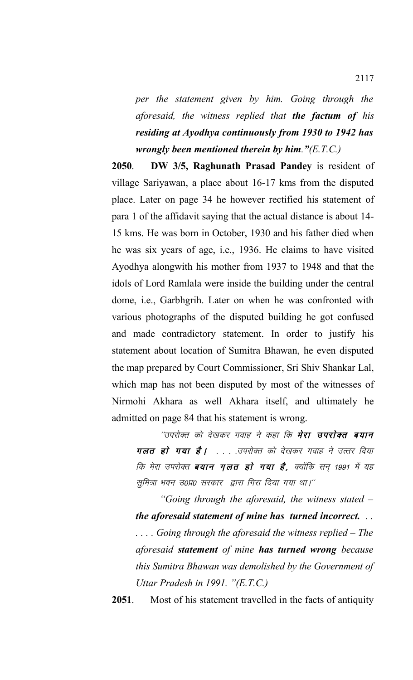*per the statement given by him. Going through the aforesaid, the witness replied that the factum of his residing at Ayodhya continuously from 1930 to 1942 has wrongly been mentioned therein by him."(E.T.C.)*

**2050**. **DW 3/5, Raghunath Prasad Pandey** is resident of village Sariyawan, a place about 16-17 kms from the disputed place. Later on page 34 he however rectified his statement of para 1 of the affidavit saying that the actual distance is about 14- 15 kms. He was born in October, 1930 and his father died when he was six years of age, i.e., 1936. He claims to have visited Ayodhya alongwith his mother from 1937 to 1948 and that the idols of Lord Ramlala were inside the building under the central dome, i.e., Garbhgrih. Later on when he was confronted with various photographs of the disputed building he got confused and made contradictory statement. In order to justify his statement about location of Sumitra Bhawan, he even disputed the map prepared by Court Commissioner, Sri Shiv Shankar Lal, which map has not been disputed by most of the witnesses of Nirmohi Akhara as well Akhara itself, and ultimately he admitted on page 84 that his statement is wrong.

''उपरोक्त को देखकर गवाह ने कहा कि **मेरा उपरोक्त बयान गलत हो गया है।** . . . उपरोक्त को देखकर गवाह ने उत्तर दिया कि मेरा उपरोक्त **बयान ग़लत हो गया है,** क्योंकि सन् 1991 में यह सुमित्रा भवन उ०प्र० सरकार द्वारा गिरा दिया गया था।''

*"Going through the aforesaid, the witness stated – the aforesaid statement of mine has turned incorrect. . . . . . . Going through the aforesaid the witness replied – The aforesaid statement of mine has turned wrong because this Sumitra Bhawan was demolished by the Government of Uttar Pradesh in 1991. "(E.T.C.)*

**2051**. Most of his statement travelled in the facts of antiquity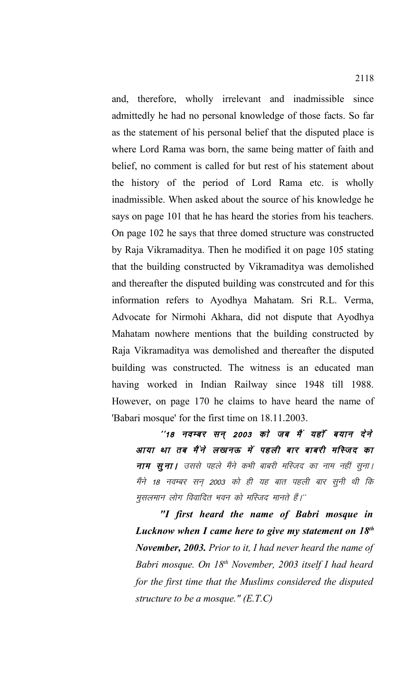and, therefore, wholly irrelevant and inadmissible since admittedly he had no personal knowledge of those facts. So far as the statement of his personal belief that the disputed place is where Lord Rama was born, the same being matter of faith and belief, no comment is called for but rest of his statement about the history of the period of Lord Rama etc. is wholly inadmissible. When asked about the source of his knowledge he says on page 101 that he has heard the stories from his teachers. On page 102 he says that three domed structure was constructed by Raja Vikramaditya. Then he modified it on page 105 stating that the building constructed by Vikramaditya was demolished and thereafter the disputed building was constrcuted and for this information refers to Ayodhya Mahatam. Sri R.L. Verma, Advocate for Nirmohi Akhara, did not dispute that Ayodhya Mahatam nowhere mentions that the building constructed by Raja Vikramaditya was demolished and thereafter the disputed building was constructed. The witness is an educated man having worked in Indian Railway since 1948 till 1988. However, on page 170 he claims to have heard the name of 'Babari mosque' for the first time on 18.11.2003.

''18 नवम्बर सन् 2003 को जब मैं यहाँ बयान देने आया था तब मैंने लखनऊ में पहली बार बाबरी मस्जिद का नाम सूना। उससे पहले मैंने कभी बाबरी मस्जिद का नाम नहीं सूना। मैंने 18 नवम्बर सन 2003 को ही यह बात पहली बार सुनी थी कि मुसलमान लोग विवादित भवन को मस्जिद मानते हैं।''

*"I first heard the name of Babri mosque in Lucknow when I came here to give my statement on 18th November, 2003. Prior to it, I had never heard the name of Babri mosque. On 18th November, 2003 itself I had heard for the first time that the Muslims considered the disputed structure to be a mosque." (E.T.C)*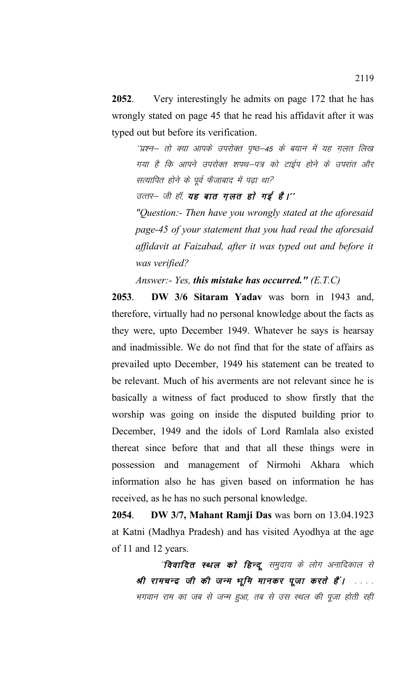**2052**. Very interestingly he admits on page 172 that he has wrongly stated on page 45 that he read his affidavit after it was typed out but before its verification.

''प्रश्न– तो क्या आपके उपरोक्त पृष्ठ–45 के बयान में यह ग़लत लिख गया है कि आपने उपरोक्त शपथ–पत्र को टाईप होने के उपरांत और सत्यापित होने के पूर्व फैजाबाद में पढ़ा था?

उत्तर— जी हॉ, **यह बात ग़लत हो गई है।''** 

*"Question:- Then have you wrongly stated at the aforesaid page-45 of your statement that you had read the aforesaid affidavit at Faizabad, after it was typed out and before it was verified?*

*Answer:- Yes, this mistake has occurred." (E.T.C)*

**2053**. **DW 3/6 Sitaram Yadav** was born in 1943 and, therefore, virtually had no personal knowledge about the facts as they were, upto December 1949. Whatever he says is hearsay and inadmissible. We do not find that for the state of affairs as prevailed upto December, 1949 his statement can be treated to be relevant. Much of his averments are not relevant since he is basically a witness of fact produced to show firstly that the worship was going on inside the disputed building prior to December, 1949 and the idols of Lord Ramlala also existed thereat since before that and that all these things were in possession and management of Nirmohi Akhara which information also he has given based on information he has received, as he has no such personal knowledge.

**2054**. **DW 3/7, Mahant Ramji Das** was born on 13.04.1923 at Katni (Madhya Pradesh) and has visited Ayodhya at the age of 11 and 12 years.

''**विवादित स्थल को हिन्दू** समुदाय के लोग अनादिकाल से श्री रामचन्द्र जी की जन्म भूमि मानकर पूजा करते हैं। .... भगवान राम का जब से जन्म हुआ, तब से उस स्थल की पूजा होती रही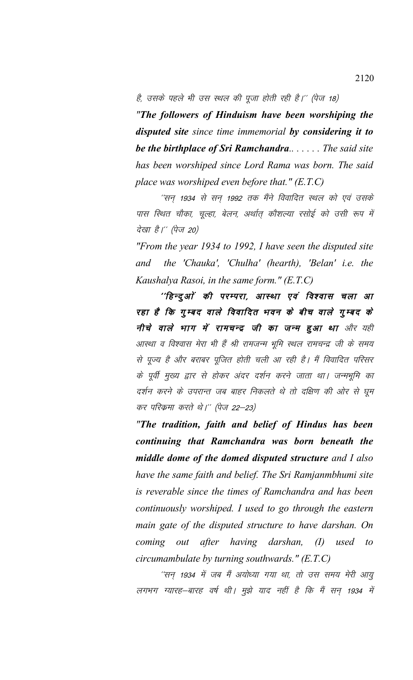है, उसके पहले भी उस स्थल की पूजा होती रही है।'' (पेज 18)

"The followers of Hinduism have been worshiping the disputed site since time immemorial by considering it to be the birthplace of Sri Ramchandra....... The said site has been worshiped since Lord Rama was born. The said place was worshiped even before that."  $(E.T.C)$ 

''सन् 1934 से सन् 1992 तक मैंने विवादित स्थल को एवं उसके पास स्थित चौका, चूल्हा, बेलन, अर्थात् कौशल्या रसोई को उसी रूप में देखा है।'' (पेज 20)

"From the year 1934 to 1992, I have seen the disputed site the 'Chauka', 'Chulha' (hearth), 'Belan' i.e. the and Kaushalya Rasoi, in the same form."  $(E.T.C)$ 

''हिन्दुओं की परम्परा, आस्था एवं विश्वास चला आ रहा है कि गुम्बद वाले विवादित भवन के बीच वाले गुम्बद के नीचे वाले भाग में रामचन्द्र जी का जन्म हुआ था और यही आस्था व विश्वास मेरा भी हैं श्री रामजन्म भूमि स्थल रामचन्द्र जी के समय से पूज्य है और बराबर पूजित होती चली आ रही है। मैं विवादित परिसर के पूर्वी मुख्य द्वार से होकर अंदर दर्शन करने जाता था। जन्मभूमि का दर्शन करने के उपरान्त जब बाहर निकलते थे तो दक्षिण की ओर से घुम कर परिकमा करते थे।'' (पेज 22–23)

"The tradition, faith and belief of Hindus has been continuing that Ramchandra was born beneath the middle dome of the domed disputed structure and I also have the same faith and belief. The Sri Ramjanmbhumi site is reverable since the times of Ramchandra and has been continuously worshiped. I used to go through the eastern main gate of the disputed structure to have darshan. On coming out after having darshan,  $\langle I \rangle$ used  $to$ circumambulate by turning southwards."  $(E.T.C)$ 

''सन् 1934 में जब मैं अयोध्या गया था, तो उस समय मेरी आयू लगभग ग्यारह–बारह वर्ष थी। मुझे याद नहीं है कि मैं सन् 1934 में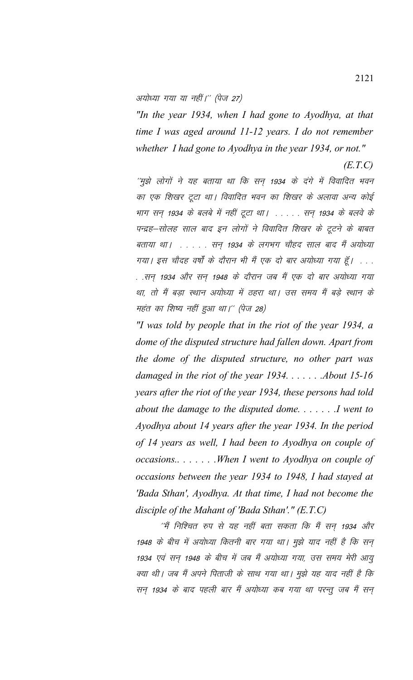अयोध्या गया या नहीं।" (पेज 27)

*"In the year 1934, when I had gone to Ayodhya, at that time I was aged around 11-12 years. I do not remember whether I had gone to Ayodhya in the year 1934, or not."* 

''मुझे लोगों ने यह बताया था कि सन् 1934 के दंगे में विवादित भवन का एक शिखर टूटा था। विवादित भवन का शिखर के अलावा अन्य कोई भाग सन् 1934 के बलबे में नहीं टूटा था। ..... सन् 1934 के बलवे के पन्द्रह—सोलह साल बाद इन लोगों ने विवादित शिखर के टूटने के बाबत बताया था। . . . . . सन् 1934 के लगभग चौहद साल बाद मैं अयोध्या गया। इस चौदह वर्षों के दौरान भी मैं एक दो बार अयोध्या गया हूँ। . . . . .सन 1934 और सन 1948 के दौरान जब मैं एक दो बार अयोध्या गया था, तो मैं बड़ा स्थान अयोध्या में ठहरा था। उस समय मैं बड़े स्थान के महंत का शिष्य नहीं हुआ था।'' (पेज 28)

*"I was told by people that in the riot of the year 1934, a dome of the disputed structure had fallen down. Apart from the dome of the disputed structure, no other part was damaged in the riot of the year 1934. . . . . . .About 15-16 years after the riot of the year 1934, these persons had told about the damage to the disputed dome. . . . . . .I went to Ayodhya about 14 years after the year 1934. In the period of 14 years as well, I had been to Ayodhya on couple of occasions.. . . . . . .When I went to Ayodhya on couple of occasions between the year 1934 to 1948, I had stayed at 'Bada Sthan', Ayodhya. At that time, I had not become the disciple of the Mahant of 'Bada Sthan'." (E.T.C)*

´´मैं निश्चित रुप से यह नहीं बता सकता कि मैं सन् 1934 और 1948 के बीच में अयोध्या कितनी बार गया था। मुझे याद नहीं है कि सन् 1934 एवं सन् 1948 के बीच में जब मैं अयोध्या गया, उस समय मेरी आयु क्या थी। जब मैं अपने पिताजी के साथ गया था। मुझे यह याद नहीं है कि सन् 1934 के बाद पहली बार मैं अयोध्या कब गया था परन्तु जब मैं सन्

*(E.T.C)*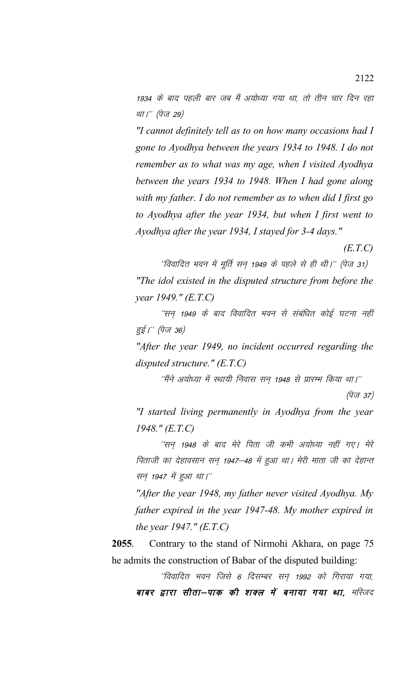1934 के बाद पहली बार जब मैं अयोध्या गया था, तो तीन चार दिन रहा था।'' (पेज 29)

*"I cannot definitely tell as to on how many occasions had I gone to Ayodhya between the years 1934 to 1948. I do not remember as to what was my age, when I visited Ayodhya between the years 1934 to 1948. When I had gone along with my father. I do not remember as to when did I first go to Ayodhya after the year 1934, but when I first went to Ayodhya after the year 1934, I stayed for 3-4 days."* 

*(E.T.C)*

^'विवादित भवन में मूर्ति सन् 1949 के पहले से ही थी।'' (पेज 31) *"The idol existed in the disputed structure from before the year 1949." (E.T.C)*

''सन् 1949 के बाद विवादित भवन से संबंधित कोई घटना नहीं हुई।'' (पेज 36)

*"After the year 1949, no incident occurred regarding the disputed structure." (E.T.C)*

''मैंने अयोध्या में स्थायी निवास सन् 1948 से प्रारम्भ किया था।''

(पेज  $37)$ 

*"I started living permanently in Ayodhya from the year 1948." (E.T.C)*

 $\H$ सन् 1948 के बाद मेरे पिता जी कभी अयोध्या नहीं गए। मेरे पिताजी का देहावसान सन् 1947–48 में हुआ था। मेरी माता जी का देहान्त सन् 1947 में हुआ था।"

*"After the year 1948, my father never visited Ayodhya. My father expired in the year 1947-48. My mother expired in the year 1947." (E.T.C)*

**2055**. Contrary to the stand of Nirmohi Akhara, on page 75 he admits the construction of Babar of the disputed building:

 $^{\prime\prime}$ विवादित भवन जिसे 6 दिसम्बर सन् 1992 को गिराया गया, बाबर द्वारा सीता–पाक की शक्ल में बनाया गया था, मस्जिद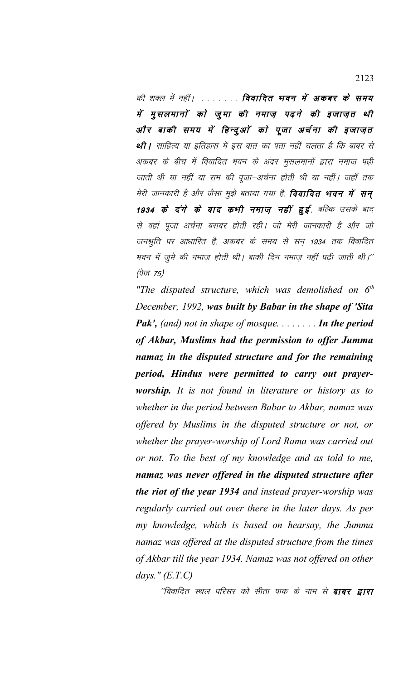की शक्ल में नहीं। . . . . . . . विवादित भवन में अकबर के समय में मुसलमानों को जुमा की नमाज़ पढ़ने की इजाज़त थी ओं र बाकी समय में हिन्दुओं को पूजा अर्चना की इजाज़त थी। साहित्य या इतिहास में इस बात का पता नहीं चलता है कि बाबर से अकबर के बीच में विवादित भवन के अंदर मुसलमानों द्वारा नमाज पढ़ी जाती थी या नहीं या राम की पूजा–अर्चना होती थी या नहीं। जहाँ तक मेरी जानकारी है और जैसा मुझे बताया गया है, **विवादित भवन में सन्** 1934 के दंगे के बाद कभी नमाज़ नहीं हुई, बल्कि उसके बाद से वहां पूजा अर्चना बराबर होती रही। जो मेरी जानकारी है और जो जनश्रुति पर आधारित है, अकबर के समय से सन् 1934 तक विवादित भवन में जुमे की नमाज़ होती थी। बाकी दिन नमाज़ नहीं पढ़ी जाती थी।'' (पेज 75)

*"The disputed structure, which was demolished on 6th December, 1992, was built by Babar in the shape of 'Sita Pak', (and) not in shape of mosque. . . . . . . . In the period of Akbar, Muslims had the permission to offer Jumma namaz in the disputed structure and for the remaining period, Hindus were permitted to carry out prayerworship. It is not found in literature or history as to whether in the period between Babar to Akbar, namaz was offered by Muslims in the disputed structure or not, or whether the prayer-worship of Lord Rama was carried out or not. To the best of my knowledge and as told to me, namaz was never offered in the disputed structure after the riot of the year 1934 and instead prayer-worship was regularly carried out over there in the later days. As per my knowledge, which is based on hearsay, the Jumma namaz was offered at the disputed structure from the times of Akbar till the year 1934. Namaz was not offered on other days." (E.T.C)*

''विवादित स्थल परिसर को सीता पाक के नाम से **बाबर द्वारा**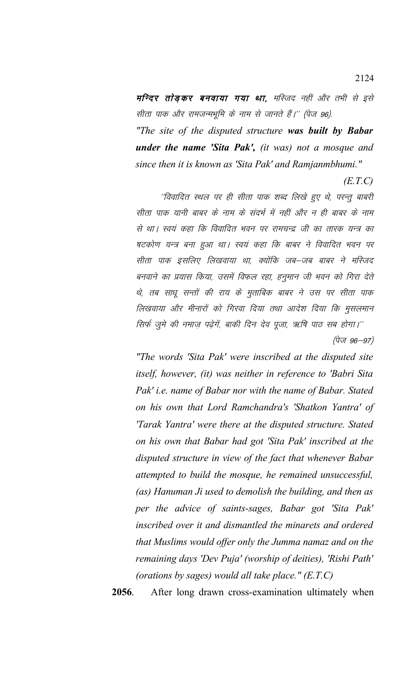मन्दिर तो उकर बनवाया गया था, मस्जिद नहीं और तभी से इसे सीता पाक और रामजन्मभूमि के नाम से जानते हैं।'' (पेज 96).

*"The site of the disputed structure was built by Babar under the name 'Sita Pak', (it was) not a mosque and since then it is known as 'Sita Pak' and Ramjanmbhumi."*

*(E.T.C)*

''विवादित स्थल पर ही सीता पाक शब्द लिखे हुए थे, परन्तू बाबरी सीता पाक यानी बाबर के नाम के संदर्भ में नहीं और न ही बाबर के नाम से था। स्वयं कहा कि विवादित भवन पर रामचन्द्र जी का तारक यन्त्र का षटकोण यन्त्र बना हुआ था। स्वयं कहा कि बाबर ने विवादित भवन पर सीता पाक इसलिए लिखवाया था, क्योंकि जब—जब बाबर ने मस्जिद बनवाने का प्रयास किया, उसमें विफल रहा, हनुमान जी भवन को गिरा देते थे, तब साधू सन्तों की राय के मुताबिक बाबर ने उस पर सीता पाक लिखवाया और मीनारों को गिरवा दिया तथा आदेश दिया कि मुसलमान सिर्फ जुमे की नमाज़ पढ़ेगें, बाकी दिन देव पूजा, ऋषि पाठ सब होगा।'' (पेज  $96 - 97$ )

*"The words 'Sita Pak' were inscribed at the disputed site itself, however, (it) was neither in reference to 'Babri Sita Pak' i.e. name of Babar nor with the name of Babar. Stated on his own that Lord Ramchandra's 'Shatkon Yantra' of 'Tarak Yantra' were there at the disputed structure. Stated on his own that Babar had got 'Sita Pak' inscribed at the disputed structure in view of the fact that whenever Babar attempted to build the mosque, he remained unsuccessful, (as) Hanuman Ji used to demolish the building, and then as per the advice of saints-sages, Babar got 'Sita Pak' inscribed over it and dismantled the minarets and ordered that Muslims would offer only the Jumma namaz and on the remaining days 'Dev Puja' (worship of deities), 'Rishi Path' (orations by sages) would all take place." (E.T.C)*

**2056**. After long drawn cross-examination ultimately when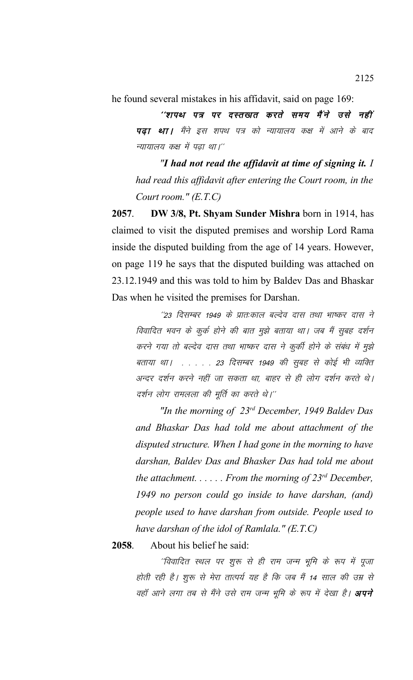he found several mistakes in his affidavit, said on page 169:

''शपथ पत्र पर दस्तखत करते समय मैंने उसे नहीं **पढ़ा था।** मैंने इस शपथ पत्र को न्यायालय कक्ष में आने के बाद न्यायालय कक्ष में पढा था।''

*"I had not read the affidavit at time of signing it. I had read this affidavit after entering the Court room, in the Court room." (E.T.C)*

**2057**. **DW 3/8, Pt. Shyam Sunder Mishra** born in 1914, has claimed to visit the disputed premises and worship Lord Rama inside the disputed building from the age of 14 years. However, on page 119 he says that the disputed building was attached on 23.12.1949 and this was told to him by Baldev Das and Bhaskar Das when he visited the premises for Darshan.

''23 दिसम्बर 1949 के प्रातःकाल बल्देव दास तथा भाष्कर दास ने विवादित भवन के कुर्क होने की बात मुझे बताया था। जब मैं सुबह दर्शन करने गया तो बल्देव दास तथा भाष्कर दास ने कुर्की होने के संबंध में मुझे बताया था। . . . . . 23 दिसम्बर 1949 की सुबह से कोई भी व्यक्ति अन्दर दर्शन करने नहीं जा सकता था, बाहर से ही लोग दर्शन करते थे। दर्शन लोग रामलला की मूर्ति का करते थे।''

*"In the morning of 23rd December, 1949 Baldev Das and Bhaskar Das had told me about attachment of the disputed structure. When I had gone in the morning to have darshan, Baldev Das and Bhasker Das had told me about the attachment. . . . . . From the morning of 23rd December, 1949 no person could go inside to have darshan, (and) people used to have darshan from outside. People used to have darshan of the idol of Ramlala." (E.T.C)*

**2058**. About his belief he said:

''विवादित स्थल पर शुरू से ही राम जन्म भूमि के रूप में पूजा होती रही है। शुरू से मेरा तात्पर्य यह है कि जब मैं 14 साल की उम्र से वहॉ आने लगा तब से मैंने उसे राम जन्म भूमि के रूप में देखा है। **अपने**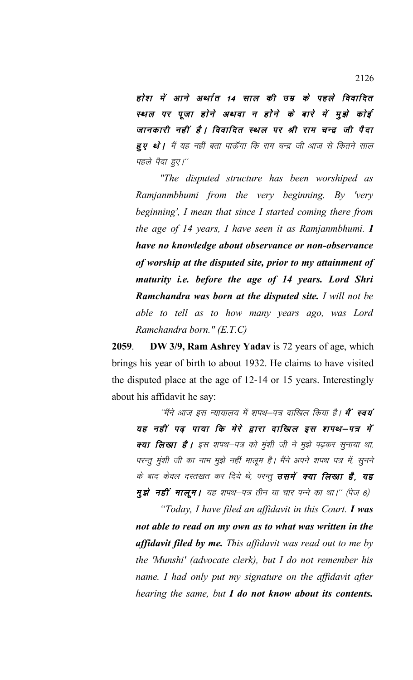होश में आने अर्थात 14 साल की उम्र के पहले विवादित स्थल पर पूजा होने अथवा न होने के बारे में मुझे कोई जानकारी नहीं है। विवादित स्थल पर श्री राम चन्द्र जी पैदा **हुए थो ।** मैं यह नहीं बता पाऊँगा कि राम चन्द्र जी आज से कितने साल पहले पैदा हुए।''

"The disputed structure has been worshiped as Ramjanmbhumi from the very beginning. By 'very beginning', I mean that since I started coming there from the age of 14 years, I have seen it as Ramjanmbhumi. I have no knowledge about observance or non-observance of worship at the disputed site, prior to my attainment of maturity i.e. before the age of 14 years. Lord Shri **Ramchandra was born at the disputed site.** I will not be able to tell as to how many years ago, was Lord Ramchandra born." (E.T.C)

2059. DW 3/9, Ram Ashrey Yadav is 72 years of age, which brings his year of birth to about 1932. He claims to have visited the disputed place at the age of 12-14 or 15 years. Interestingly about his affidavit he say:

''मैंने आज इस न्यायालय में शपथ—पत्र दाखिल किया है। **मैं स्वयं** यह नहीं पढ़ पाया कि मेरे द्वारा दाखिल इस शपथ–पत्र में क्या लिखा है। इस शपथ–पत्र को मुंशी जी ने मुझे पढ़कर सुनाया था, परन्तु मुंशी जी का नाम मुझे नहीं मालूम है। मैंने अपने शपथ पत्र में, सूनने के बाद केवल दस्तखत कर दिये थे, परन्तु **उसमें क्या लिखा है, यह** मुझे नहीं मालूम। यह शपथ-पत्र तीन या चार पन्ने का था।'' (पेज 6)

"Today, I have filed an affidavit in this Court. I was not able to read on my own as to what was written in the **affidavit filed by me.** This affidavit was read out to me by the 'Munshi' (advocate clerk), but I do not remember his name. I had only put my signature on the affidavit after hearing the same, but I do not know about its contents.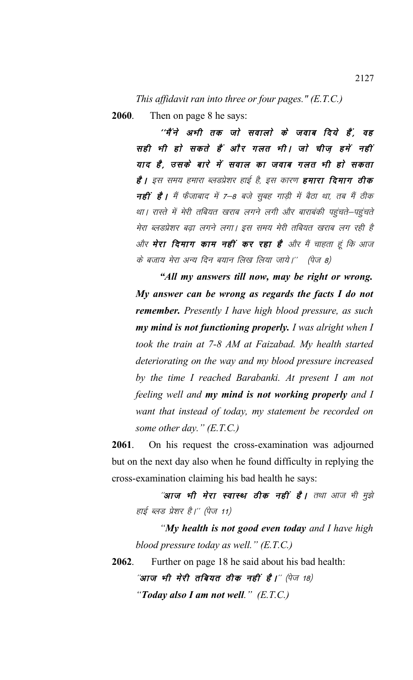*This affidavit ran into three or four pages." (E.T.C.)*

**2060**. Then on page 8 he says:

''मैं'ने अभी तक जो सवालो के जवाब दिये हैं, वह सही भी हो सकते हैं और गलत भी। जो चीज़ हमें नहीं याद है, उसके बारे में सवाल का जवाब गलत भी हो सकता **है ।** इस समय हमारा ब्लडप्रेशर हाई है, इस कारण **हमारा दिमाग ठीक** नहीं है। मैं फैजाबाद में 7–8 बजे सुबह गाड़ी में बैठा था, तब मैं ठीक था। रास्ते में मेरी तबियत खराब लगने लगी और बाराबंकी पहुंचते-पहुंचते मेरा ब्लडप्रेशर बढा लगने लगा। इस समय मेरी तबियत खराब लग रही है और **मेरा दिमाग काम नहीं कर रहा है** और मैं चाहता हूं कि आज के बजाय मेरा अन्य दिन बयान लिख लिया जाये।'' (पेज 8)

*"All my answers till now, may be right or wrong. My answer can be wrong as regards the facts I do not remember. Presently I have high blood pressure, as such my mind is not functioning properly. I was alright when I took the train at 7-8 AM at Faizabad. My health started deteriorating on the way and my blood pressure increased by the time I reached Barabanki. At present I am not feeling well and my mind is not working properly and I want that instead of today, my statement be recorded on some other day." (E.T.C.)*

**2061**. On his request the cross-examination was adjourned but on the next day also when he found difficulty in replying the cross-examination claiming his bad health he says:

''**आज भी मेरा स्वास्थ ठीक नहीं है |** तथा आज भी मुझे हाई ब्लड प्रेशर है।'' (पेज 11)

*"My health is not good even today and I have high blood pressure today as well." (E.T.C.)*

**2062**. Further on page 18 he said about his bad health:  $\hat{v}$ आज भी मेरी तबियत ठीक नहीं है।'' (पेज 18) *"Today also I am not well." (E.T.C.)*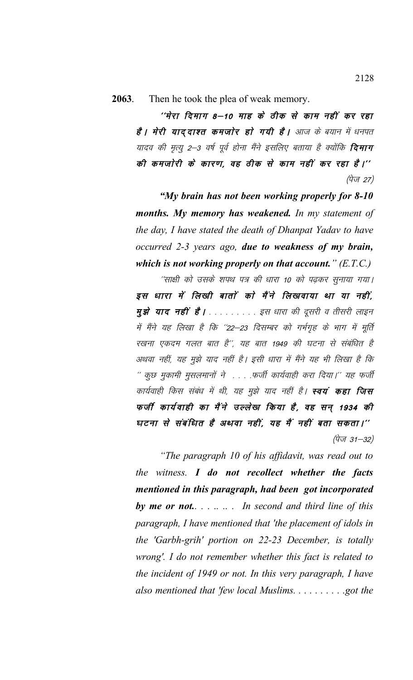2063. Then he took the plea of weak memory.

> ''मेरा दिमाग 8–10 माह के ठीक से काम नहीं कर रहा हैं । मेरी याददाश्त कमजोर हो गयी है । आज के बयान में धनपत यादव की मृत्यू 2–3 वर्ष पूर्व होना मैंने इसलिए बताया है क्योंकि **दिमाग** की कमजोरी के कारण, वह ठीक से काम नहीं कर रहा है।'' (पेज 27)

> "My brain has not been working properly for 8-10 months. My memory has weakened. In my statement of the day, I have stated the death of Dhanpat Yadav to have occurred 2-3 years ago, due to weakness of my brain, which is not working properly on that account."  $(E.T.C.)$

> ''साक्षी को उसके शपथ पत्र की धारा 10 को पढ़कर सुनाया गया। इस धारा में लिखी बातों को मैंने लिखवाया था या नहीं, **मुझे याद नहीं है।** . . . . . . . . . इस धारा की दूसरी व तीसरी लाइन में मैंने यह लिखा है कि ''22–23 दिसम्बर को गर्भगृह के भाग में मूर्ति रखना एकदम गलत बात है'', यह बात 1949 की घटना से संबंधित है अथवा नहीं, यह मुझे याद नहीं है। इसी धारा में मैंने यह भी लिखा है कि " कुछ मुकामी मुसलमानों ने . . . .फर्जी कार्यवाही करा दिया।" यह फर्जी कार्यवाही किस संबंध में थी, यह मुझे याद नहीं है। **स्वयं कहा जिस** फर्जी कार्यवाही का मैंने उल्लेख किया है, वह सन् 1934 की घटना से संबंधित है अथवा नहीं, यह मैं नहीं बता सकता।'' (पेज 31–32)

> "The paragraph 10 of his affidavit, was read out to the witness. I do not recollect whether the facts mentioned in this paragraph, had been got incorporated by me or not.  $\dots$   $\dots$  . In second and third line of this paragraph, I have mentioned that 'the placement of idols in the 'Garbh-grih' portion on 22-23 December, is totally wrong'. I do not remember whether this fact is related to the incident of 1949 or not. In this very paragraph, I have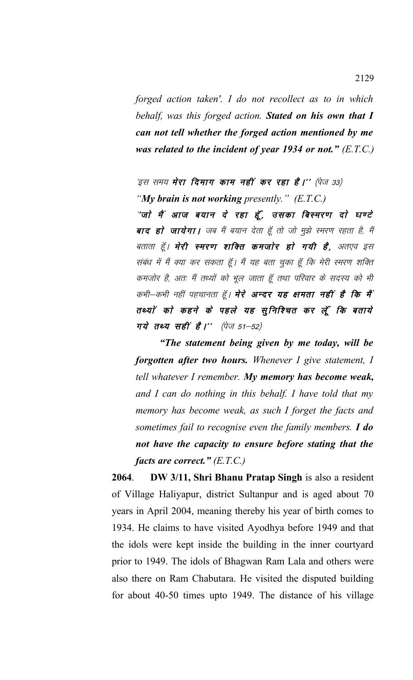*forged action taken'. I do not recollect as to in which behalf, was this forged action. Stated on his own that I can not tell whether the forged action mentioned by me was related to the incident of year 1934 or not." (E.T.C.)*

'इस समय **मेरा दिमाग काम नहीं कर रहा है।''** (पेज 33) *"My brain is not working presently." (E.T.C.)*

"जो मैं आज बयान दे रहा हूँ, उसका बिस्मरण दो घण्टे बाद हो जायेगा। जब मैं बयान देता हूँ तो जो मुझे स्मरण रहता है, मैं बताता हूँ। **मेरी स्मरण शक्ति कमजोर हो गयी है**, अतएव इस संबंध में मैं क्या कर सकता हूँ। मैं यह बता चुका हूँ कि मेरी स्मरण शक्ति कमजोर है, अतः मैं तथ्यों को भूल जाता हूँ तथा परिवार के सदस्य को भी कभी—कभी नहीं पहचानता हूँ। **मेरे अन्दर यह क्षमता नहीं है कि मैं** तथ्यों को कहने के पहले यह सुनिश्चित कर लूँ कि बताये  $\pi$ ये तथ्य सहीं है।'' (पेज 51-52)

*"The statement being given by me today, will be forgotten after two hours. Whenever I give statement, I tell whatever I remember. My memory has become weak, and I can do nothing in this behalf. I have told that my memory has become weak, as such I forget the facts and sometimes fail to recognise even the family members. I do not have the capacity to ensure before stating that the facts are correct." (E.T.C.)*

**2064**. **DW 3/11, Shri Bhanu Pratap Singh** is also a resident of Village Haliyapur, district Sultanpur and is aged about 70 years in April 2004, meaning thereby his year of birth comes to 1934. He claims to have visited Ayodhya before 1949 and that the idols were kept inside the building in the inner courtyard prior to 1949. The idols of Bhagwan Ram Lala and others were also there on Ram Chabutara. He visited the disputed building for about 40-50 times upto 1949. The distance of his village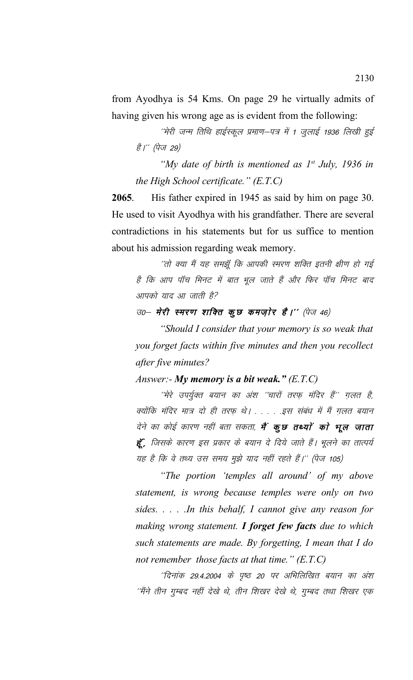from Ayodhya is 54 Kms. On page 29 he virtually admits of having given his wrong age as is evident from the following:

 $^{\prime\prime}$ मेरी जन्म तिथि हाईस्कूल प्रमाण–पत्र में 1 जूलाई 1936 लिखी हुई *है।'' (पेज 29)* 

*"My date of birth is mentioned as 1st July, 1936 in the High School certificate." (E.T.C)*

**2065**. His father expired in 1945 as said by him on page 30. He used to visit Ayodhya with his grandfather. There are several contradictions in his statements but for us suffice to mention about his admission regarding weak memory.

''तो क्या मैं यह समझूँ कि आपकी स्मरण शक्ति इतनी क्षीण हो गई है कि आप पॉच मिनट में बात भूल जाते हैं और फिर पॉच मिनट बाद आपको याद आ जाती है?

 $\vec{\sigma}$ o मेरी स्मरण शक्ति कुछ कमज़ोर है।'' (पेज 46)

*"Should I consider that your memory is so weak that you forget facts within five minutes and then you recollect after five minutes?*

*Answer:- My memory is a bit weak." (E.T.C)*

<sup>"</sup>मेरे उपर्युक्त बयान का अंश "चारों तरफ मंदिर हैं" ग़लत है, क्योंकि मंदिर मात्र दो ही तरफ थे। . . . . इस संबंध में मैं गुलत बयान देने का कोई कारण नहीं बता सकता, **मैं कूछ तथ्यों को भूल जाता हूँ**, जिसके कारण इस प्रकार के बयान दे दिये जाते हैं। भूलने का तात्पर्य यह है कि वे तथ्य उस समय मुझे याद नहीं रहते हैं।'' (पेज 105)

*"The portion 'temples all around' of my above statement, is wrong because temples were only on two sides. . . . .In this behalf, I cannot give any reason for making wrong statement. I forget few facts due to which such statements are made. By forgetting, I mean that I do not remember those facts at that time." (E.T.C)*

 $^{\prime\prime}$ दिनांक 29.4.2004 के पृष्ठ 20 पर अभिलिखित बयान का अंश ''मैंने तीन गुम्बद नहीं देखे थे, तीन शिखर देखे थे, गुम्बद तथा शिखर एक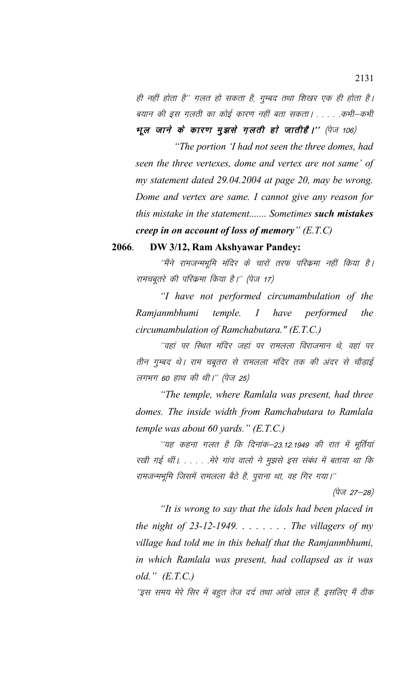ही नहीं होता है'' गलत हो सकता है, गुम्बद तथा शिखर एक ही होता है। बयान की इस गलती का कोई कारण नहीं बता सकता। . . . . .कभी–कभी भूल जाने के कारण मुझसे ग़लती हो जातीहै।'' (पेज 106)

*"The portion 'I had not seen the three domes, had seen the three vertexes, dome and vertex are not same' of my statement dated 29.04.2004 at page 20, may be wrong. Dome and vertex are same. I cannot give any reason for this mistake in the statement....... Sometimes such mistakes creep in on account of loss of memory" (E.T.C)*

## **2066**. **DW 3/12, Ram Akshyawar Pandey:**

 $^{\prime\prime}$ मैंने रामजन्मभूमि मंदिर के चारों तरफ परिकमा नहीं किया है। रामचबूतरे की परिक्रमा किया है।'' (पेज 17)

*"I have not performed circumambulation of the Ramjanmbhumi temple. I have performed the circumambulation of Ramchabutara." (E.T.C.)*

''वहां पर स्थित मंदिर जहां पर रामलला विराजमान थे, वहां पर तीन गुम्बद थे। राम चबूतरा से रामलला मंदिर तक की अंदर से चौड़ाई लगभग 60 हाथ की थी।" (पेज 25)

*"The temple, where Ramlala was present, had three domes. The inside width from Ramchabutara to Ramlala temple was about 60 yards." (E.T.C.)*

''यह कहना गलत है कि दिनांक–23.12.1949 की रात में मूर्तियां रखी गई थीं। . . . . . मेरे गांव वालो ने मुझसे इस संबंध में बताया था कि रामजन्मभूमि जिसमें रामलला बैठे है, पुराना था, वह गिर गया।''

 $(\vec{q}$ ज 27–28)

*"It is wrong to say that the idols had been placed in the night of 23-12-1949. . . . . . . . The villagers of my village had told me in this behalf that the Ramjanmbhumi, in which Ramlala was present, had collapsed as it was old." (E.T.C.)*

''इस समय मेरे सिर में बहुत तेज दर्द तथा आंखे लाल हैं, इसलिए मैं ठीक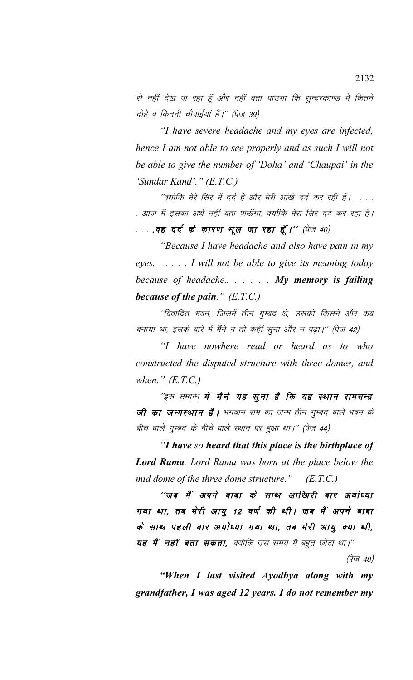से नहीं देख पा रहा हूँ और नहीं बता पाउगा कि सुन्दरकाण्ड मे कितने दोहे व कितनी चौपाईयां हैं।'' (पेज 39)

"I have severe headache and my eyes are infected, hence I am not able to see properly and as such I will not be able to give the number of 'Doha' and 'Chaupai' in the 'Sundar Kand'."  $(E.T.C.)$ 

''क्योकि मेरे सिर में दर्द है और मेरी आंखे दर्द कर रही हैं। . . . . . आज मैं इसका अर्थ नहीं बता पाऊँगा, क्योंकि मेरा सिर दर्द कर रहा है। ....वह दर्द के कारण भूल जा रहा हूँ।'' (पेज 40)

"Because I have headache and also have pain in my eyes.  $\ldots$  I will not be able to give its meaning today because of headache.  $\ldots$   $\ldots$   $My$  memory is failing because of the pain."  $(E.T.C.)$ 

''विवादित भवन, जिसमें तीन गुम्बद थे, उसको किसने और कब बनाया था, इसके बारे में मैंने न तो कहीं सूना और न पढ़ा।'' (पेज 42)

"I have nowhere read or heard as to who constructed the disputed structure with three domes, and when."  $(E.T.C.)$ 

'इस सम्बन्ध **में मैंने यह सुना है कि यह स्थान रामचन्द्र** जी का जन्मस्थान है। भगवान राम का जन्म तीन गुम्बद वाले भवन के बीच वाले गुम्बद के नीचे वाले स्थान पर हुआ था।'' (पेज 44)

"I have so heard that this place is the birthplace of **Lord Rama.** Lord Rama was born at the place below the mid dome of the three dome structure."  $(E.T.C.)$ 

''जब मैं' अपने बाबा के साथ आखिरी बार अयोध्या गया था, तब मेरी आयु 12 वर्ष की थी। जब मैं अपने बाबा के साथ पहली बार अयोध्या गया था, तब मेरी आयु क्या थी, **यह मैं नहीं बता सकता,** क्योंकि उस समय मैं बहुत छोटा था।'' (पेज 48)

"When I last visited Ayodhya along with my grandfather, I was aged 12 years. I do not remember my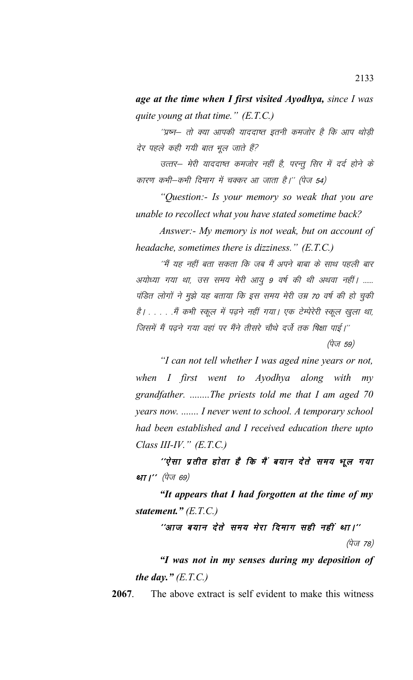*age at the time when I first visited Ayodhya, since I was quite young at that time." (E.T.C.)*

''प्रष्न– तो क्या आपकी याददाष्त इतनी कमजोर है कि आप थोड़ी देर पहले कही गयी बात भूल जाते हैं?

उत्तर– मेरी याददाष्त कमजोर नहीं है, परन्तु सिर में दर्द होने के कारण कभी–कभी दिमाग में चक्कर आ जाता है।'' (पेज 54)

*"Question:- Is your memory so weak that you are unable to recollect what you have stated sometime back?*

*Answer:- My memory is not weak, but on account of headache, sometimes there is dizziness." (E.T.C.)*

''मैं यह नहीं बता सकता कि जब मैं अपने बाबा के साथ पहली बार अयोध्या गया था, उस समय मेरी आयु 9 वर्ष की थी अथवा नहीं। ...... पंडित लोगों ने मुझे यह बताया कि इस समय मेरी उम्र 70 वर्ष की हो चुकी है। . . . . .मैं कभी स्कूल में पढ़ने नहीं गया। एक टेम्पेरेरी स्कूल खुला था, जिसमें मैं पढने गया वहां पर मैंने तीसरे चौथे दर्जे तक षिक्षा पाई।''  $(\stackrel{\rightarrow}{\tau} \overline{\sigma}$  59)

*"I can not tell whether I was aged nine years or not, when I first went to Ayodhya along with my grandfather. ........The priests told me that I am aged 70 years now. ....... I never went to school. A temporary school had been established and I received education there upto Class III-IV." (E.T.C.)*

''ऐसा प्रतीत होता है कि मैं बयान देते समय भूल गया था।'' (पेज 69)

*"It appears that I had forgotten at the time of my statement." (E.T.C.)*

 $^{\prime\prime}$ आज बयान देते समय मेरा दिमाग सही नहीं था। $^{\prime\prime}$ (पेज 78)

*"I was not in my senses during my deposition of the day." (E.T.C.)*

**2067**. The above extract is self evident to make this witness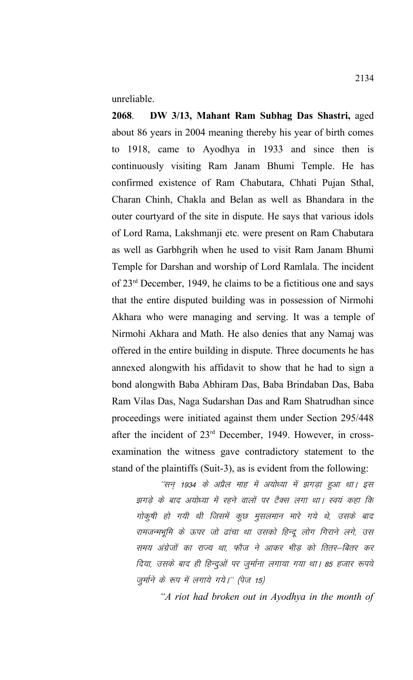unreliable.

**2068**. **DW 3/13, Mahant Ram Subhag Das Shastri,** aged about 86 years in 2004 meaning thereby his year of birth comes to 1918, came to Ayodhya in 1933 and since then is continuously visiting Ram Janam Bhumi Temple. He has confirmed existence of Ram Chabutara, Chhati Pujan Sthal, Charan Chinh, Chakla and Belan as well as Bhandara in the outer courtyard of the site in dispute. He says that various idols of Lord Rama, Lakshmanji etc. were present on Ram Chabutara as well as Garbhgrih when he used to visit Ram Janam Bhumi Temple for Darshan and worship of Lord Ramlala. The incident of 23rd December, 1949, he claims to be a fictitious one and says that the entire disputed building was in possession of Nirmohi Akhara who were managing and serving. It was a temple of Nirmohi Akhara and Math. He also denies that any Namaj was offered in the entire building in dispute. Three documents he has annexed alongwith his affidavit to show that he had to sign a bond alongwith Baba Abhiram Das, Baba Brindaban Das, Baba Ram Vilas Das, Naga Sudarshan Das and Ram Shatrudhan since proceedings were initiated against them under Section 295/448 after the incident of 23rd December, 1949. However, in crossexamination the witness gave contradictory statement to the stand of the plaintiffs (Suit-3), as is evident from the following:

 $^{\prime\prime}$ सन 1934 के अप्रैल माह में अयोध्या में झगड़ा हुआ था। इस झगड़े के बाद अयोध्या में रहने वालों पर टैक्स लगा था। स्वयं कहा कि गोकुषी हो गयी थी जिसमें कूछ मुसलमान मारे गये थे, उसके बाद रामजन्मभूमि के ऊपर जो ढांचा था उसको हिन्दू लोग गिराने लगे, उस समय अंग्रेजों का राज्य था, फौज ने आकर भीड को तितर–बितर कर दिया, उसके बाद ही हिन्दुओं पर जूर्माना लगाया गया था। 85 हजार रूपये जुर्माने के रूप में लगाये गये।'' (पेज 15)

*"A riot had broken out in Ayodhya in the month of*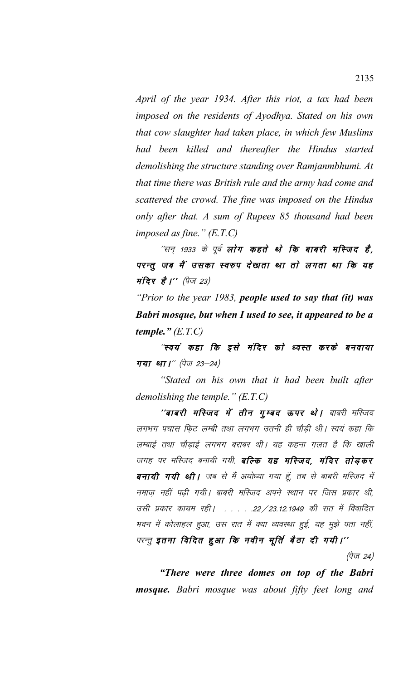*April of the year 1934. After this riot, a tax had been imposed on the residents of Ayodhya. Stated on his own that cow slaughter had taken place, in which few Muslims had been killed and thereafter the Hindus started demolishing the structure standing over Ramjanmbhumi. At that time there was British rule and the army had come and scattered the crowd. The fine was imposed on the Hindus only after that. A sum of Rupees 85 thousand had been imposed as fine." (E.T.C)*

''सन् 1933 के पूर्व **लोग कहते थे कि बाबरी मस्जिद है,** परन्तु जब मैं उसका स्वरुप देखता था तो लगता था कि यह **मंदिर है।''** (पेज 23)

*"Prior to the year 1983, people used to say that (it) was Babri mosque, but when I used to see, it appeared to be a temple." (E.T.C)*

"स्वयं कहा कि इसे मंदिर को ध्वस्त करके बनवाया **गया था।**'' (पेज 23–24)

*"Stated on his own that it had been built after demolishing the temple." (E.T.C)*

''**बाबरी मस्जिद में तीन गुम्बद ऊपर थे।** बाबरी मस्जिद लगभग पचास फिट लम्बी तथा लगभग उतनी ही चौडी थी। स्वयं कहा कि लम्बाई तथा चौड़ाई लगभग बराबर थी। यह कहना ग़लत है कि खाली जगह पर मस्जिद बनायी गयी, **बल्कि यह मस्जिद, मंदिर तो उकर** बनायी गयी थी। जब से मैं अयोध्या गया हूँ, तब से बाबरी मस्जिद में नमाज़ नहीं पढ़ी गयी। बाबरी मस्जिद अपने स्थान पर जिस प्रकार थी, उसी प्रकार कायम रही। . . . . . 22/23.12.1949 की रात में विवादित भवन में कोलाहल हुआ, उस रात में क्या व्यवस्था हुई, यह मुझे पता नहीं,

परन्तु इतना विदित हुआ कि नवीन मूर्ति बैठा दी गयी।'' (पेज 24)

*"There were three domes on top of the Babri mosque. Babri mosque was about fifty feet long and*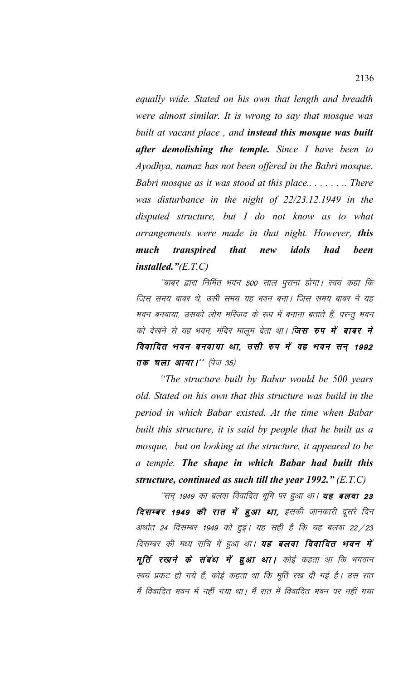*equally wide. Stated on his own that length and breadth were almost similar. It is wrong to say that mosque was built at vacant place , and instead this mosque was built after demolishing the temple. Since I have been to Ayodhya, namaz has not been offered in the Babri mosque. Babri mosque as it was stood at this place.. . . . . . .. There was disturbance in the night of 22/23.12.1949 in the disputed structure, but I do not know as to what arrangements were made in that night. However, this much transpired that new idols had been installed."(E.T.C)*

''बाबर द्वारा निर्मित भवन 500 साल पुराना होगा। स्वयं कहा कि जिस समय बाबर थे, उसी समय यह भवन बना। जिस समय बाबर ने यह भवन बनवाया, उसको लोग मस्जिद के रूप में बनाना बताते हैं, परन्तु भवन को देखने से यह भवन, मंदिर मालूम देता था। **जिस रुप में बाबर ने** विवादित भवन बनवाया था, उसी रुप में वह भवन सन् 1992 तक चला आया।'' (पेज 35)

*"The structure built by Babar would be 500 years old. Stated on his own that this structure was build in the period in which Babar existed. At the time when Babar built this structure, it is said by people that he built as a mosque, but on looking at the structure, it appeared to be a temple. The shape in which Babar had built this structure, continued as such till the year 1992." (E.T.C)*

''सन् 1949 का बलवा विवादित भूमि पर हुआ था। **यह बलवा 23 दिसम्बर 1949 की रात में हुआ था,** इसकी जानकारी दूसरे दिन अर्थात 24 दिसम्बर 1949 को हुई। यह सही है कि यह बलवा 22/23 दिसम्बर की मध्य रात्रि में हुआ था। **यह बलवा विवादित भवन में** मूर्ति रखने के संबंध में हुआ था। कोई कहता था कि भगवान स्वयं प्रकट हो गये हैं, कोई कहता था कि मूर्ति रख दी गई है। उस रात मैं विवादित भवन में नहीं गया था। मैं रात में विवादित भवन पर नहीं गया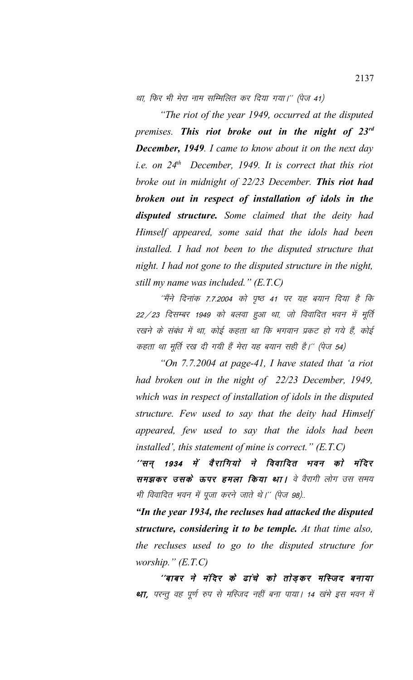था, फिर भी मेरा नाम सम्मिलित कर दिया गया।'' (पेज 41)

"The riot of the year 1949, occurred at the disputed premises. This riot broke out in the night of 23rd **December, 1949**. I came to know about it on the next day i.e. on  $24<sup>th</sup>$  December, 1949. It is correct that this riot broke out in midnight of 22/23 December. This riot had broken out in respect of installation of idols in the disputed structure. Some claimed that the deity had Himself appeared, some said that the idols had been installed. I had not been to the disputed structure that night. I had not gone to the disputed structure in the night, still my name was included."  $(E.T.C)$ 

"मैंने दिनांक 7.7.2004 को पृष्ठ 41 पर यह बयान दिया है कि 22/23 दिसम्बर 1949 को बलवा हुआ था, जो विवादित भवन में मूर्ति रखने के संबंध में था, कोई कहता था कि भगवान प्रकट हो गये हैं, कोई कहता था मूर्ति रख दी गयी हैं मेरा यह बयान सही है।'' (पेज 54)

"On 7.7.2004 at page-41, I have stated that 'a riot" had broken out in the night of 22/23 December, 1949, which was in respect of installation of idols in the disputed structure. Few used to say that the deity had Himself appeared, few used to say that the idols had been installed', this statement of mine is correct."  $(E.T.C)$ 

''सन 1934 में वैरागियो ने विवादित भवन को मंदिर समझकर उसके ऊपर हमला किया था। वे वैरागी लोग उस समय भी विवादित भवन में पूजा करने जाते थे।'' (पेज 98)..

"In the year 1934, the recluses had attacked the disputed structure, considering it to be temple. At that time also, the recluses used to go to the disputed structure for *worship.*"  $(E.T.C)$ 

''बाबर ने मंदिर के ढांचे को तोडकर मस्जिद बनाया था, परन्तु वह पूर्ण रुप से मस्जिद नहीं बना पाया। 14 खंभे इस भवन में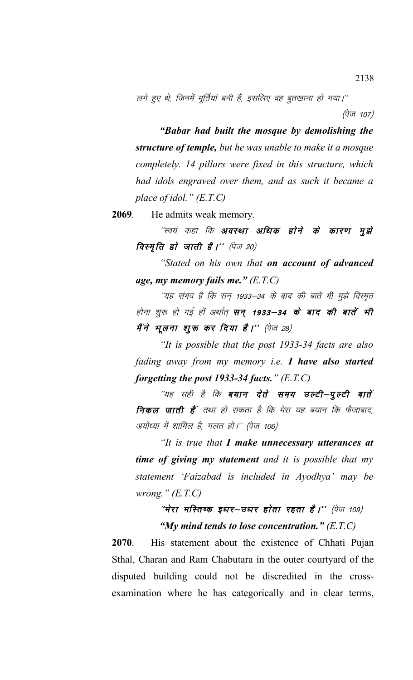लगे हुए थे, जिनमें मूर्तियां बनी हैं, इसलिए वह बुतखाना हो गया।''

(पेज 107)

*"Babar had built the mosque by demolishing the structure of temple, but he was unable to make it a mosque completely. 14 pillars were fixed in this structure, which had idols engraved over them, and as such it became a place of idol." (E.T.C)*

**2069**. He admits weak memory.

"स्वयं कहा कि **अवस्था अधिक होने के कारण मुझे विस्मृति हो जाती है।''** (पेज 20)

*"Stated on his own that on account of advanced age, my memory fails me." (E.T.C)*

^'यह संभव है कि सन् 1933–34 के बाद की बातें भी मुझे विस्मृत होना शुरू हो गई हों अर्थात **सन् 1933–34 के बाद की बातें भी** मैंने भूलना शुरू कर दिया है।'' (पेज 28)

*"It is possible that the post 1933-34 facts are also fading away from my memory i.e. I have also started forgetting the post 1933-34 facts." (E.T.C)*

''यह सही है कि **बयान देते समय उल्टी–पुल्टी बातें निकल जाती है** तथा हो सकता है कि मेरा यह बयान कि फैजाबाद, अयोध्या में शामिल है, गलत हो।'' (पेज 106)

*"It is true that I make unnecessary utterances at time of giving my statement and it is possible that my statement 'Faizabad is included in Ayodhya' may be wrong." (E.T.C)*

> $^{\prime\prime}$ मेरा मस्तिष्क इधर–उधर होता रहता है।'' (पेज 109) *"My mind tends to lose concentration." (E.T.C)*

**2070**. His statement about the existence of Chhati Pujan Sthal, Charan and Ram Chabutara in the outer courtyard of the disputed building could not be discredited in the crossexamination where he has categorically and in clear terms,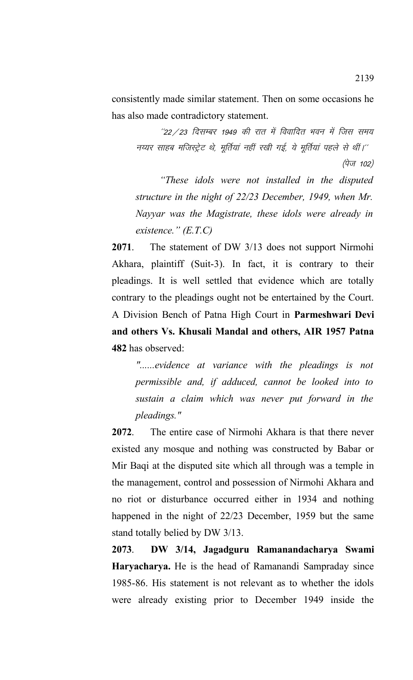consistently made similar statement. Then on some occasions he has also made contradictory statement.

"22 / 23 दिसम्बर 1949 की रात में विवादित भवन में जिस समय नय्यर साहब मजिस्ट्रेट थे, मूर्तियां नहीं रखी गई, ये मूर्तियां पहले से थीं।''  $(\vec{q}_{\nabla}$  102)

*"These idols were not installed in the disputed structure in the night of 22/23 December, 1949, when Mr. Nayyar was the Magistrate, these idols were already in existence." (E.T.C)*

**2071**. The statement of DW 3/13 does not support Nirmohi Akhara, plaintiff (Suit-3). In fact, it is contrary to their pleadings. It is well settled that evidence which are totally contrary to the pleadings ought not be entertained by the Court. A Division Bench of Patna High Court in **Parmeshwari Devi and others Vs. Khusali Mandal and others, AIR 1957 Patna 482** has observed:

*"......evidence at variance with the pleadings is not permissible and, if adduced, cannot be looked into to sustain a claim which was never put forward in the pleadings."*

**2072**. The entire case of Nirmohi Akhara is that there never existed any mosque and nothing was constructed by Babar or Mir Baqi at the disputed site which all through was a temple in the management, control and possession of Nirmohi Akhara and no riot or disturbance occurred either in 1934 and nothing happened in the night of 22/23 December, 1959 but the same stand totally belied by DW 3/13.

**2073**. **DW 3/14, Jagadguru Ramanandacharya Swami Haryacharya.** He is the head of Ramanandi Sampraday since 1985-86. His statement is not relevant as to whether the idols were already existing prior to December 1949 inside the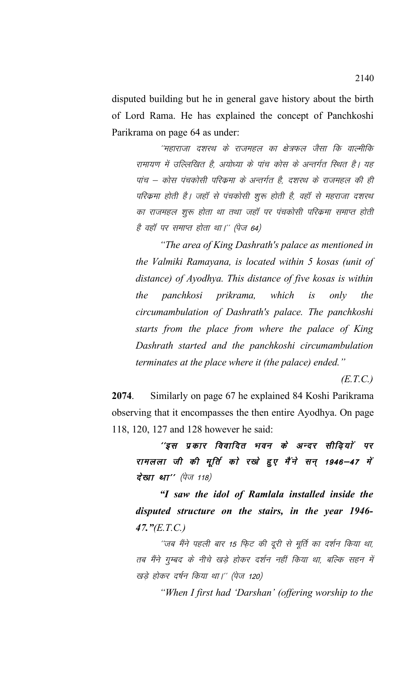disputed building but he in general gave history about the birth of Lord Rama. He has explained the concept of Panchkoshi Parikrama on page 64 as under:

''महाराजा दशरथ के राजमहल का क्षेत्रफल जैसा कि वाल्मीकि रामायण में उल्लिखित है, अयोध्या के पांच कोस के अन्तर्गत स्थित है। यह पांच – कोस पंचकोसी परिक्रमा के अन्तर्गत है. दशरथ के राजमहल की ही परिकमा होती है। जहाँ से पंचकोसी शुरू होती है, वहाँ से महराजा दशरथ का राजमहल शुरू होता था तथा जहाँ पर पंचकोसी परिक्रमा समाप्त होती है वहाँ पर समाप्त होता था।'' (पेज 64)

*"The area of King Dashrath's palace as mentioned in the Valmiki Ramayana, is located within 5 kosas (unit of distance) of Ayodhya. This distance of five kosas is within the panchkosi prikrama, which is only the circumambulation of Dashrath's palace. The panchkoshi starts from the place from where the palace of King Dashrath started and the panchkoshi circumambulation terminates at the place where it (the palace) ended."* 

*(E.T.C.)*

**2074**. Similarly on page 67 he explained 84 Koshi Parikrama observing that it encompasses the then entire Ayodhya. On page 118, 120, 127 and 128 however he said:

''इस प्रकार विवादित भवन के अन्दर सीढ़ियों पर रामलला जी की मूर्ति को रखे हुए मैंने सन् 1946–47 में देखा था'' (पेज 118)

*"I saw the idol of Ramlala installed inside the disputed structure on the stairs, in the year 1946- 47."(E.T.C.)*

''जब मैंने पहली बार 15 फ़िट की दूरी से मूर्ति का दर्शन किया था, तब मैंने गुम्बद के नीचे खड़े होकर दर्शन नहीं किया था, बल्कि सहन में खड़े होकर दर्षन किया था।" (पेज 120)

*"When I first had 'Darshan' (offering worship to the*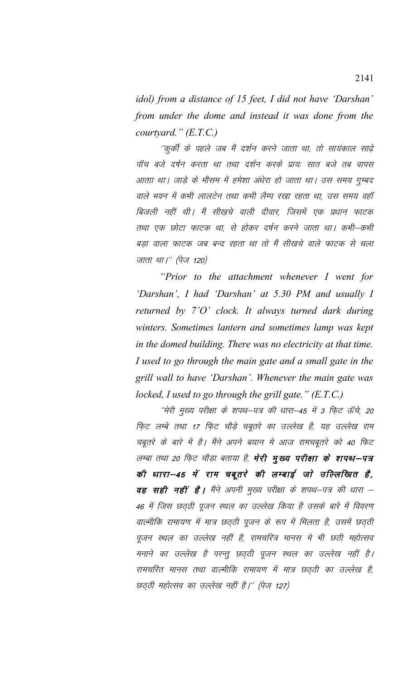idol) from a distance of 15 feet, I did not have 'Darshan' from under the dome and instead it was done from the courtyard."  $(E.T.C.)$ 

''कुर्की के पहले जब मैं दर्शन करने जाता था, तो सायंकाल साढ़े पॉच बजे दर्षन करता था तथा दर्शन करके प्रायः सात बजे तब वापस आताा था। जाड़े के मौसम में हमेशा अंधेरा हो जाता था। उस समय गुम्बद वाले भवन में कभी लालटेन तथा कभी लैम्प रखा रहता था, उस समय वहाँ बिजली नहीं थी। मैं सीखचे वाली दीवार, जिसमें एक प्रधान फाटक तथा एक छोटा फाटक था, से होकर दर्षन करने जाता था। कभी–कभी बड़ा वाला फाटक जब बन्द रहता था तो मैं सीखचे वाले फाटक से चला जाता था।'' (पेज 120)

"Prior to the attachment whenever  $I$  went for 'Darshan', I had 'Darshan' at 5.30 PM and usually I returned by 7'O' clock. It always turned dark during winters. Sometimes lantern and sometimes lamp was kept in the domed building. There was no electricity at that time. I used to go through the main gate and a small gate in the grill wall to have 'Darshan'. Whenever the main gate was locked, I used to go through the grill gate."  $(E.T.C.)$ 

''मेरी मुख्य परीक्षा के शपथ–पत्र की धारा–45 में 3 फिट ऊँचे, 20 फ़िट लम्बे तथा 17 फ़िट चौड़े चबूतरे का उल्लेख है, यह उल्लेख राम चबूतरे के बारे में है। मैंने अपने बयान मे आज रामचबूतरे को 40 फिट लम्बा तथा 20 फ़िट चौड़ा बताया है, **मेरी मुख्य परीक्षा के शपथ–पत्र** की धारा-45 में राम चबूतरे की लम्बाई जो उल्लिखित है, **वह सही नहीं है।** मैंने अपनी मुख्य परीक्षा के शपथ–पत्र की धारा – 46 में जिस छठ्ठी पूजन स्थल का उल्लेख किया है उसके बारे में विवरण वाल्मीकि रामायण में मात्र छठ्ठी पूजन के रूप में मिलता है, उसमें छठ्ठी पूजन स्थल का उल्लेख नहीं है, रामचरित्र मानस मे भी छठी महोत्सव मनाने का उल्लेख है परन्तु छठ्ठी पूजन स्थल का उल्लेख नहीं है। रामचरित मानस तथा वाल्मीकि रामायण में मात्र छठ्ठी का उल्लेख है, छठ्ठी महोत्सव का उल्लेख नहीं है।'' (पेज 127)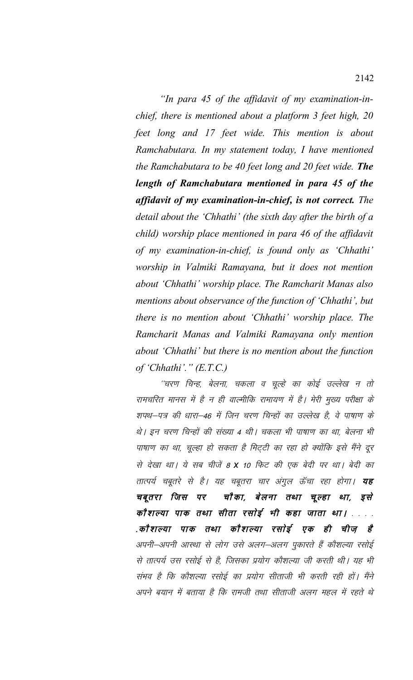*"In para 45 of the affidavit of my examination-inchief, there is mentioned about a platform 3 feet high, 20 feet long and 17 feet wide. This mention is about Ramchabutara. In my statement today, I have mentioned the Ramchabutara to be 40 feet long and 20 feet wide. The length of Ramchabutara mentioned in para 45 of the affidavit of my examination-in-chief, is not correct. The detail about the 'Chhathi' (the sixth day after the birth of a child) worship place mentioned in para 46 of the affidavit of my examination-in-chief, is found only as 'Chhathi' worship in Valmiki Ramayana, but it does not mention about 'Chhathi' worship place. The Ramcharit Manas also mentions about observance of the function of 'Chhathi', but there is no mention about 'Chhathi' worship place. The Ramcharit Manas and Valmiki Ramayana only mention about 'Chhathi' but there is no mention about the function of 'Chhathi'." (E.T.C.)*

"चरण चिन्ह, बेलना, चकला व चूल्हे का कोई उल्लेख न तो रामचरित मानस में है न ही वाल्मीकि रामायण में है। मेरी मुख्य परीक्षा के शपथ–पत्र की धारा–46 में जिन चरण चिन्हों का उल्लेख है, वे पाषाण के थे। इन चरण चिन्हों की संख्या 4 थी। चकला भी पाषाण का था, बेलना भी पाषाण का था, चूल्हा हो सकता है मिट्टी का रहा हो क्योंकि इसे मैंने दूर से देखा था। ये सब चीजें 8 **X** 10 फिट की एक बेदी पर था। बेदी का तात्पर्य चबूतरे से है। यह चबूतरा चार अंगुल ऊँचा रहा होगा। **यह** चबूतरा जिस पर चौका, बेलना तथा चूल्हा था, इसे कौशल्या पाक तथा सीता रसोई भी कहा जाता था। . . . . .कौशल्या पाक तथा कौशल्या रसोई एक ही चीज है अपनी–अपनी आस्था से लोग उसे अलग–अलग पुकारते हैं कौशल्या रसोई से तात्पर्य उस रसोई से है, जिसका प्रयोग कौशल्या जी करती थी। यह भी संभव है कि कौशल्या रसोई का प्रयोग सीताजी भी करती रही हों। मैंने अपने बयान में बताया है कि रामजी तथा सीताजी अलग महल में रहते थे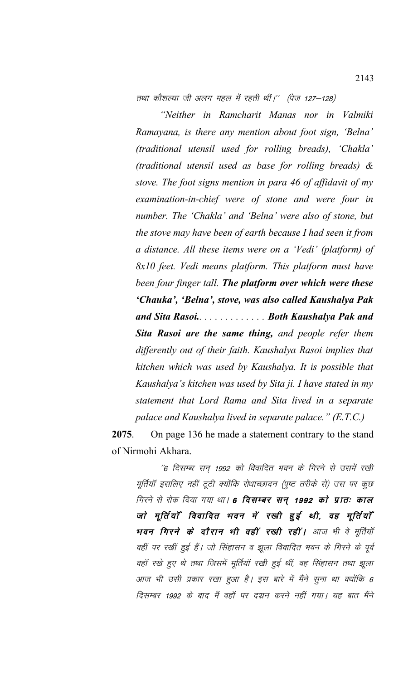तथा कौशल्या जी अलग महल में रहती थीं।'' (पेज 127–128)

"Neither in Ramcharit Manas nor in Valmiki Ramayana, is there any mention about foot sign, 'Belna' (traditional utensil used for rolling breads), 'Chakla' (traditional utensil used as base for rolling breads)  $\&$ stove. The foot signs mention in para 46 of affidavit of my examination-in-chief were of stone and were four in number. The 'Chakla' and 'Belna' were also of stone, but the stove may have been of earth because I had seen it from a distance. All these items were on a 'Vedi' (platform) of 8x10 feet. Vedi means platform. This platform must have been four finger tall. The platform over which were these 'Chauka', 'Belna', stove, was also called Kaushalya Pak and Sita Rasoi.............. Both Kaushalya Pak and Sita Rasoi are the same thing, and people refer them differently out of their faith. Kaushalya Rasoi implies that kitchen which was used by Kaushalya. It is possible that Kaushalya's kitchen was used by Sita ji. I have stated in my statement that Lord Rama and Sita lived in a separate palace and Kaushalya lived in separate palace." (E.T.C.)

2075. On page 136 he made a statement contrary to the stand of Nirmohi Akhara.

''6 दिसम्ब्र सन 1992 को विवादित भवन के गिरने से उसमें रखी मूर्तियाँ इसलिए नहीं टूटी क्योंकि रोधाच्छादन (पुष्ट तरीके से) उस पर कुछ गिरने से रोक दिया गया था। 6 **दिसम्बर सन् 1992 को प्रातः काल** जो मूर्तियाँ विवादित भवन में रखी हुई थी, वह मूर्तियाँ भवन गिरने के दौरान भी वहीं रखी रहीं। आज भी वे मूर्तियाँ वहीं पर रखीं हुई हैं। जो सिंहासन व झूला विवादित भवन के गिरने के पूर्व वहॉ रखे हुए थे तथा जिसमें मूर्तियॉ रखी हुई थीं, वह सिंहासन तथा झूला आज भी उसी प्रकार रखा हुआ है। इस बारे में मैंने सूना था क्योंकि 6 दिसम्बर 1992 के बाद मैं वहाँ पर दथ्रन करने नहीं गया। यह बात मैंने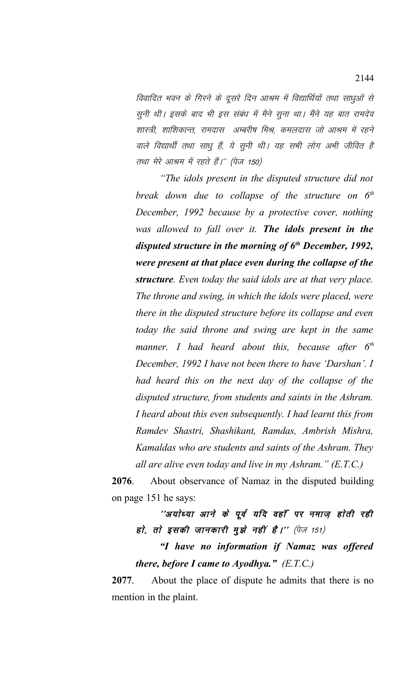विवादित भवन के गिरने के दुसरे दिन आश्रम में विद्यार्थियों तथा साधुओं से सुनी थी। इसके बाद भी इस संबंध में मैने सुना था। मैंने यह बात रामदेव शास्त्री, शाशिकान्त, रामदास अम्बरीष मिश्र, कमलदास जो आश्रम में रहने वाले विद्यार्थी तथा साधू हैं, ये सूनी थी। यह सभी लोग अभी जीवित है तथा मेरे आश्रम में रहते हैं।'' (पेज 150)

*"The idols present in the disputed structure did not break down due to collapse of the structure on 6th December, 1992 because by a protective cover, nothing was allowed to fall over it. The idols present in the disputed structure in the morning of 6th December, 1992, were present at that place even during the collapse of the structure. Even today the said idols are at that very place. The throne and swing, in which the idols were placed, were there in the disputed structure before its collapse and even today the said throne and swing are kept in the same manner. I had heard about this, because after 6th December, 1992 I have not been there to have 'Darshan'. I had heard this on the next day of the collapse of the disputed structure, from students and saints in the Ashram. I heard about this even subsequently. I had learnt this from Ramdev Shastri, Shashikant, Ramdas, Ambrish Mishra, Kamaldas who are students and saints of the Ashram. They all are alive even today and live in my Ashram." (E.T.C.)*

**2076**. About observance of Namaz in the disputed building on page 151 he says:

''अयोध्या आने के पूर्व यदि वहाँ पर नमाज़ होती रही हो, तो इसकी जानकारी मुझे नहीं है।'' (पेज 151)

*"I have no information if Namaz was offered there, before I came to Ayodhya." (E.T.C.)*

**2077**. About the place of dispute he admits that there is no mention in the plaint.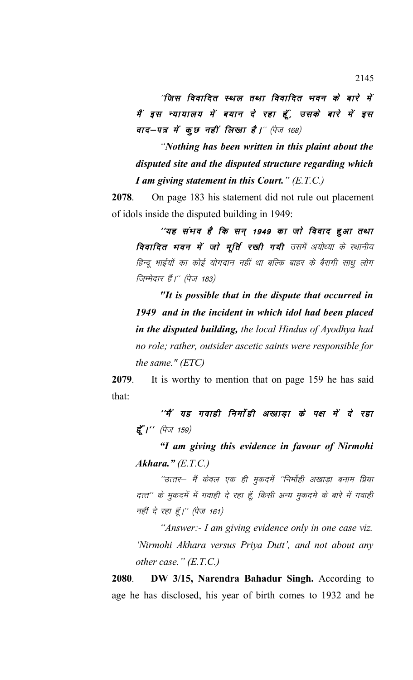$^{\prime\prime}$ जिस विवादित स्थल तथा विवादित भवन के बारे में मैं इस न्यायालय में बयान दे रहा हूँ, उसके बारे में इस वाद-पत्र में कुछ नहीं लिखा है।" (पेज 168)

*"Nothing has been written in this plaint about the disputed site and the disputed structure regarding which I am giving statement in this Court." (E.T.C.)*

**2078**. On page 183 his statement did not rule out placement of idols inside the disputed building in 1949:

''यह संभव है कि सन् 1949 का जो विवाद हुआ तथा **विवादित भवन में जो मूर्ति रखी गयी** उसमें अयोध्या के स्थानीय हिन्दू भाईयों का कोई योगदान नहीं था बल्कि बाहर के बैरागी साधु लोग जिम्मेदार हैं।'' (पेज 183)

*"It is possible that in the dispute that occurred in 1949 and in the incident in which idol had been placed in the disputed building, the local Hindus of Ayodhya had no role; rather, outsider ascetic saints were responsible for the same." (ETC)*

**2079**. It is worthy to mention that on page 159 he has said that:

''मैं यह गवाही निर्मोही अखाड़ा के पक्ष में दे रहा  $\vec{\xi}'$ ।'' (पेज 159)

*"I am giving this evidence in favour of Nirmohi Akhara." (E.T.C.)*

"उत्तर— मैं केवल एक ही मुकदमें "निर्मोही अखाड़ा बनाम प्रिया दत्त'' के मुकदमें में गवाही दे रहा हूँ, किसी अन्य मुकदमे के बारे में गवाही नहीं दे रहा हूँ।" (पेज 161)

*"Answer:- I am giving evidence only in one case viz. 'Nirmohi Akhara versus Priya Dutt', and not about any other case." (E.T.C.)*

**2080**. **DW 3/15, Narendra Bahadur Singh.** According to age he has disclosed, his year of birth comes to 1932 and he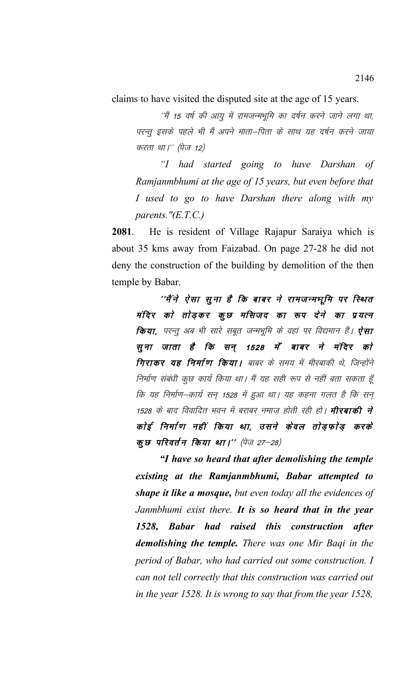claims to have visited the disputed site at the age of 15 years.

''मैं 15 वर्ष की आयु में रामजन्मभूमि का दर्षन करने जाने लगा था, परन्तू इसके पहले भी मैं अपने माता–पिता के साथ यह दर्षन करने जाया करता था।'' (पेज 12)

*"I had started going to have Darshan of Ramjanmbhumi at the age of 15 years, but even before that I used to go to have Darshan there along with my parents."(E.T.C.)*

**2081**. He is resident of Village Rajapur Saraiya which is about 35 kms away from Faizabad. On page 27-28 he did not deny the construction of the building by demolition of the then temple by Babar.

''मैंने ऐसा सुना है कि बाबर ने रामजन्मभूमि पर स्थित मंदिर को तोड़कर कूछ मसिजद का रूप देने का प्रयत्न **किया,** परन्तु अब भी सारे सबूत जन्मभूमि के वहां पर विद्यमान हैं। **ऐसा** सूना जाता है कि सन् 1528 में बाबर ने मंदिर को **गिराकर यह निर्माण किया।** बाबर के समय में मीरबाकी थे, जिन्होंने निर्माण संबंधी कुछ कार्य किया था। मैं यह सही रूप से नहीं बता सकता हूँ कि यह निर्माण—कार्य सन् 1528 में हुआ था। यह कहना गलत है कि सन् 1528 के बाद विवादित भवन में बराबर नमाज होती रही हो। **मीरबाकी ने** कोई निर्माण नहीं किया था, उसने केवल तोड़फोड़ करके क़ूछ परिवर्तन किया था।'' (पेज 27–28)

*"I have so heard that after demolishing the temple existing at the Ramjanmbhumi, Babar attempted to shape it like a mosque, but even today all the evidences of Janmbhumi exist there. It is so heard that in the year 1528, Babar had raised this construction after demolishing the temple. There was one Mir Baqi in the period of Babar, who had carried out some construction. I can not tell correctly that this construction was carried out in the year 1528. It is wrong to say that from the year 1528,*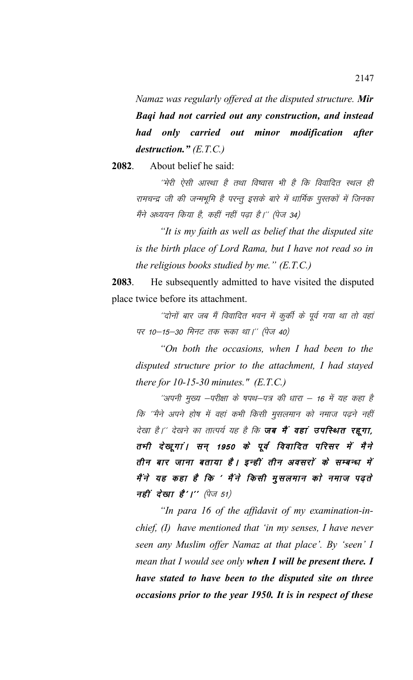*Namaz was regularly offered at the disputed structure. Mir Baqi had not carried out any construction, and instead had only carried out minor modification after destruction." (E.T.C.)*

**2082**. About belief he said:

''मेरी ऐसी आस्था है तथा विष्वास भी है कि विवादित स्थल ही रामचन्द्र जी की जन्मभूमि है परन्तू इसके बारे में धार्मिक पुस्तकों में जिनका मैंने अध्ययन किया है, कहीं नहीं पढ़ा है।'' (पेज 34)

*"It is my faith as well as belief that the disputed site is the birth place of Lord Rama, but I have not read so in the religious books studied by me." (E.T.C.)* 

**2083**. He subsequently admitted to have visited the disputed place twice before its attachment.

''दोनों बार जब मैं विवादित भवन में कुर्की के पूर्व गया था तो वहां पर 10-15-30 मिनट तक रूका था।" (पेज 40)

*"On both the occasions, when I had been to the disputed structure prior to the attachment, I had stayed there for 10-15-30 minutes." (E.T.C.)*

''अपनी मुख्य –परीक्षा के षपथ–पत्र की धारा – 16 में यह कहा है कि ''मैने अपने होष में वहां कभी किसी मुसलमान को नमाज पढ़ने नहीं देखा है।'' देखने का तात्पर्य यह है कि **जब मैं वहां उपस्थित रद्दगा,** तभी देखूगां। सन् 1950 के पूर्व विवादित परिसर में मैने तीन बार जाना बताया है। इन्हीं तीन अवसरों के सम्बन्ध में मैं ने यह कहा है कि ' मैं ने किसी मुसलमान को नमाज पढ़ते नहीं देखा है'।'' (पेज 51)

*"In para 16 of the affidavit of my examination-inchief, (I) have mentioned that 'in my senses, I have never seen any Muslim offer Namaz at that place'. By 'seen' I mean that I would see only when I will be present there. I have stated to have been to the disputed site on three occasions prior to the year 1950. It is in respect of these*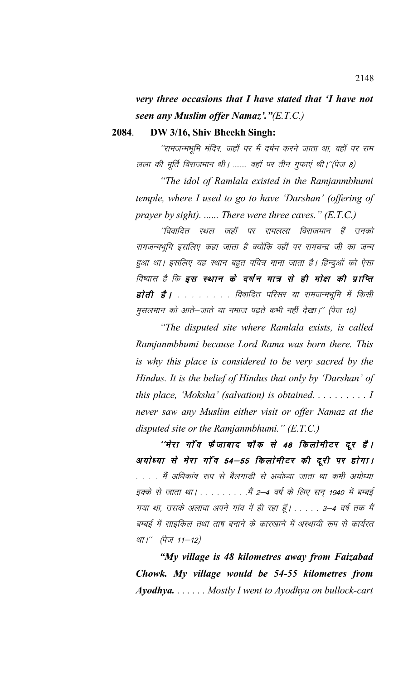*very three occasions that I have stated that 'I have not seen any Muslim offer Namaz'."(E.T.C.)*

## **2084**. **DW 3/16, Shiv Bheekh Singh:**

''रामजन्मभूमि मंदिर, जहाँ पर मैं दर्षन करने जाता था, वहाँ पर राम लला की मूर्ति विराजमान थी। ........ वहाँ पर तीन गुफाएं थी।''(पेज 8)

*"The idol of Ramlala existed in the Ramjanmbhumi temple, where I used to go to have 'Darshan' (offering of prayer by sight). ...... There were three caves." (E.T.C.)*

''विवादित स्थल जहाँ पर रामलला विराजमान हैं उनको रामजन्मभूमि इसलिए कहा जाता है क्योंकि वहीं पर रामचन्द्र जी का जन्म हुआ था। इसलिए यह स्थान बहुत पवित्र माना जाता है। हिन्दुओं को ऐसा विष्वास है कि इस स्थान के दर्षन मात्र से ही मोक्ष की प्राप्ति होती है। . . . . . . . विवादित परिसर या रामजन्मभूमि में किसी मुसलमान को आते-जाते या नमाज पढ़ते कभी नहीं देखा।'' (पेज 10)

*"The disputed site where Ramlala exists, is called Ramjanmbhumi because Lord Rama was born there. This is why this place is considered to be very sacred by the Hindus. It is the belief of Hindus that only by 'Darshan' of this place, 'Moksha' (salvation) is obtained. . . . . . . . . . I never saw any Muslim either visit or offer Namaz at the disputed site or the Ramjanmbhumi." (E.T.C.)*

''मेरा गाँव फैजाबाद चौक से 48 किलोमीटर दूर है। अयोध्या से मेरा गाँव 54–55 किलोमीटर की दूरी पर होगा। . . . . मैं अधिकांष रूप से बैलगाडी से अयोध्या जाता था कभी अयोध्या इक्के से जाता था। . . . . . . . . . मैं 2–4 वर्ष के लिए सन् 1940 में बम्बई गया था, उसके अलावा अपने गांव में ही रहा हूँ। . . . . 3–4 वर्ष तक मैं बम्बई में साइकिल तथा ताष बनाने के कारखाने में अस्थायी रूप से कार्यरत था।" (पेज 11–12)

*"My village is 48 kilometres away from Faizabad Chowk. My village would be 54-55 kilometres from Ayodhya. . . . . . . Mostly I went to Ayodhya on bullock-cart*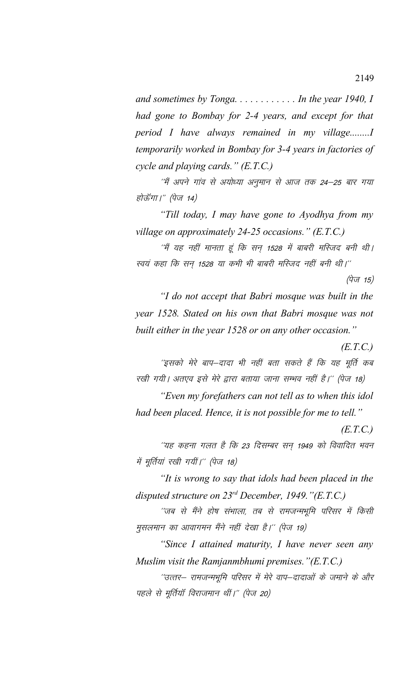*and sometimes by Tonga. . . . . . . . . . . . In the year 1940, I had gone to Bombay for 2-4 years, and except for that period I have always remained in my village........I temporarily worked in Bombay for 3-4 years in factories of cycle and playing cards." (E.T.C.)*

''मैं अपने गांव से अयोध्या अनुमान से आज तक 24–25 बार गया होऊँगा।" (पेज 14)

*"Till today, I may have gone to Ayodhya from my village on approximately 24-25 occasions." (E.T.C.)*

''मैं यह नहीं मानता हूं कि सन् 1528 में बाबरी मस्जिद बनी थी। स्वयं कहा कि सन 1528 या कभी भी बाबरी मस्जिद नहीं बनी थी।''

(पेज 15)

*"I do not accept that Babri mosque was built in the year 1528. Stated on his own that Babri mosque was not built either in the year 1528 or on any other occasion."* 

*(E.T.C.)*

'इसको मेरे बाप–दादा भी नहीं बता सकते हैं कि यह मूर्ति कब रखी गयी। अतएव इसे मेरे द्वारा बताया जाना सम्भव नहीं है।'' (पेज 18)

*"Even my forefathers can not tell as to when this idol*

*had been placed. Hence, it is not possible for me to tell."* 

*(E.T.C.)*

"यह कहना गलत है कि 23 दिसम्बर सन् 1949 को विवादित भवन में मूर्तियां रखी गयीं।" (पेज 18)

*"It is wrong to say that idols had been placed in the disputed structure on 23rd December, 1949."(E.T.C.)*

´´जब से मैंने होष संभाला, तब से रामजन्मभूमि परिसर में किसी मुसलमान का आवागमन मैंने नहीं देखा है।'' (पेज 19)

*"Since I attained maturity, I have never seen any Muslim visit the Ramjanmbhumi premises."(E.T.C.)*

''उत्तर– रामजन्मभूमि परिसर में मेरे वाप–दादाओं के जमाने के और पहले से मूर्तियाँ विराजमान थीं।" (पेज 20)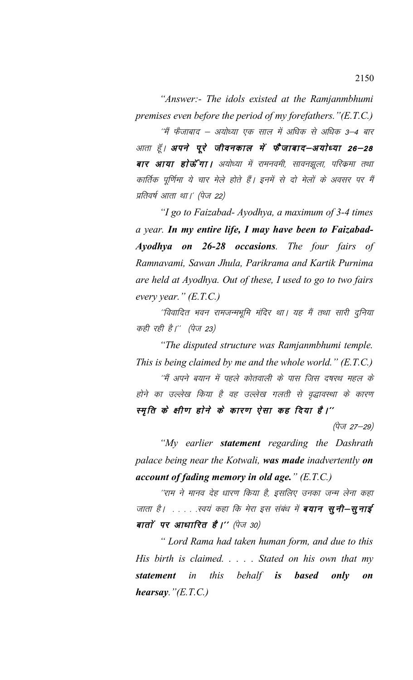*"Answer:- The idols existed at the Ramjanmbhumi premises even before the period of my forefathers."(E.T.C.)*

 $^{\prime\prime}$ में फैजाबाद – अयोध्या एक साल में अधिक से अधिक 3–4 बार आता हूँ। **अपने पूरे जीवनकाल में फैंजाबाद–अयोध्या 26–28** बार आया होऊँगा। अयोध्या में रामनवमी, सावनझूला, परिकमा तथा कार्तिक पुर्णिमा ये चार मेले होते हैं। इनमें से दो मेलों के अवसर पर मैं प्रतिवर्ष आता था।' (पेज 22)

*"I go to Faizabad- Ayodhya, a maximum of 3-4 times a year. In my entire life, I may have been to Faizabad-Ayodhya on 26-28 occasions. The four fairs of Ramnavami, Sawan Jhula, Parikrama and Kartik Purnima are held at Ayodhya. Out of these, I used to go to two fairs every year." (E.T.C.)*

 $^{\prime\prime}$ विवादित भवन रामजन्मभूमि मंदिर था ।यह मैं तथा सारी दुनिया कही रही है।'' (पेज 23)

*"The disputed structure was Ramjanmbhumi temple. This is being claimed by me and the whole world." (E.T.C.)*

''मैं अपने बयान में पहले कोतवाली के पास जिस दषरथ महल के होने का उल्लेख किया है वह उल्लेख गलती से वृद्धावस्था के कारण स्मृति के क्षीण होने के कारण ऐसा कह दिया है।''

(पेज 27–29)

*"My earlier statement regarding the Dashrath palace being near the Kotwali, was made inadvertently on account of fading memory in old age." (E.T.C.)*

''राम ने मानव देह धारण किया है, इसलिए उनका जन्म लेना कहा जाता है। . . . . . स्वयं कहा कि मेरा इस संबंध में **बयान सूनी–सूनाई** बातों पर आधारित है।'' (पेज 30)

*" Lord Rama had taken human form, and due to this His birth is claimed. . . . . Stated on his own that my statement in this behalf is based only on hearsay."(E.T.C.)*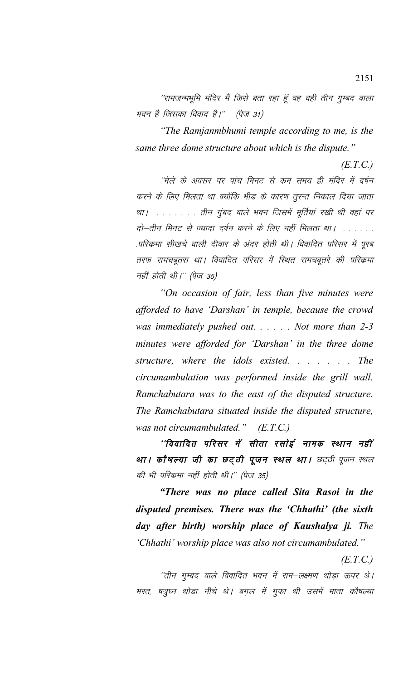''रामजन्मभूमि मंदिर मैं जिसे बता रहा हूँ वह वही तीन गुम्बद वाला भवन है जिसका विवाद है।'' (पेज 31)

*"The Ramjanmbhumi temple according to me, is the same three dome structure about which is the dispute."* 

''मेले के अवसर पर पांच मिनट से कम समय ही मंदिर में दर्षन करने के लिए मिलता था क्योंकि भीड के कारण तुरन्त निकाल दिया जाता था। . . . . . . . तीन गुंबद वाले भवन जिसमें मूर्तियां रखी थी वहां पर दो–तीन मिनट से ज्यादा दर्षन करने के लिए नहीं मिलता था। . . . . . . .परिकमा सीखचे वाली दीवार के अंदर होती थी। विवादित परिसर में पुरब तरफ रामचबूतरा था। विवादित परिसर में स्थित रामचबूतरे की परिक्रमा नहीं होती थी।'' (पेज 35)

*"On occasion of fair, less than five minutes were afforded to have 'Darshan' in temple, because the crowd was immediately pushed out. . . . . . Not more than 2-3 minutes were afforded for 'Darshan' in the three dome structure, where the idols existed. . . . . . . The circumambulation was performed inside the grill wall. Ramchabutara was to the east of the disputed structure. The Ramchabutara situated inside the disputed structure, was not circumambulated." (E.T.C.)*

''विवादित परिसर में सीता रसोई' नामक स्थान नहीं था। कौषल्या जी का छट्ठी पूजन स्थल था। छट्ठी पूजन स्थल की भी परिकमा नहीं होती थी।'' (पेज 35)

*"There was no place called Sita Rasoi in the disputed premises. There was the 'Chhathi' (the sixth day after birth) worship place of Kaushalya ji. The 'Chhathi' worship place was also not circumambulated."* 

*(E.T.C.)*

 $^{\prime\prime}$ तीन गुम्बद वाले विवादित भवन में राम $-$ लक्ष्मण थोडा ऊपर थे। भरत, षत्रुघ्न थोडा नीचे थे। बगल में गुफा थी उसमें माता कौषल्या

*(E.T.C.)*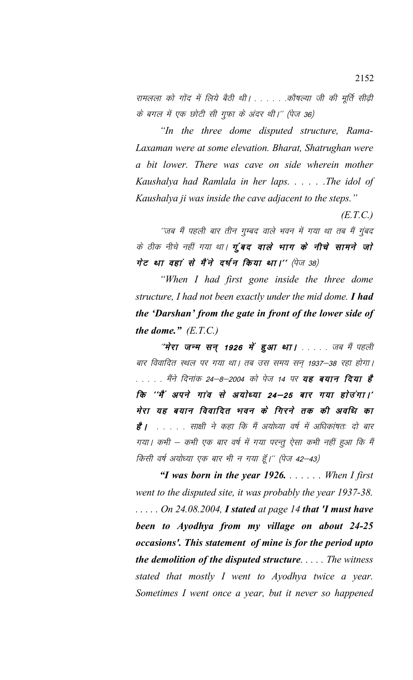रामलला को गोंद में लिये बैठी थी। . . . . . कौषल्या जी की मूर्ति सीढ़ी के बगल में एक छोटी सी गुफा के अंदर थी।'' (पेज 36)

*"In the three dome disputed structure, Rama-Laxaman were at some elevation. Bharat, Shatrughan were a bit lower. There was cave on side wherein mother Kaushalya had Ramlala in her laps. . . . . .The idol of Kaushalya ji was inside the cave adjacent to the steps."* 

*(E.T.C.)*

''जब मैं पहली बार तीन गुम्बद वाले भवन में गया था तब मैं गुंबद के ठीक नीचे नहीं गया था। **गुंबद वाले भाग के नीचे सामने जो** गेट था वहां से मैंने दर्षन किया था।'' (पेज 38)

*"When I had first gone inside the three dome structure, I had not been exactly under the mid dome. I had the 'Darshan' from the gate in front of the lower side of the dome." (E.T.C.)*

 $^{\prime\prime}$ मेरा जन्म सन् 1926 में हुआ था। . . . . जब मैं पहली बार विवादित स्थल पर गया था। तब उस समय सन 1937–38 रहा होगा। . . . . . मैंने दिनांक 24—8—2004 को पेज 14 पर **यह बयान दिया है** कि ''मैं अपने गांव से अयोध्या 24–25 बार गया होउंगा।' मेरा यह बयान विवादित भवन के गिरने तक की अवधि का **है |** . . . . साक्षी ने कहा कि मैं अयोध्या वर्ष में अधिकांषतः दो बार गया। कभी – कभी एक बार वर्ष में गया परन्तु ऐसा कभी नहीं हुआ कि मैं किसी वर्ष अयोध्या एक बार भी न गया हूँ।'' (पेज 42–43)

*"I was born in the year 1926. . . . . . . When I first went to the disputed site, it was probably the year 1937-38. . . . . . On 24.08.2004, I stated at page 14 that 'I must have been to Ayodhya from my village on about 24-25 occasions'. This statement of mine is for the period upto the demolition of the disputed structure. . . . . The witness stated that mostly I went to Ayodhya twice a year. Sometimes I went once a year, but it never so happened*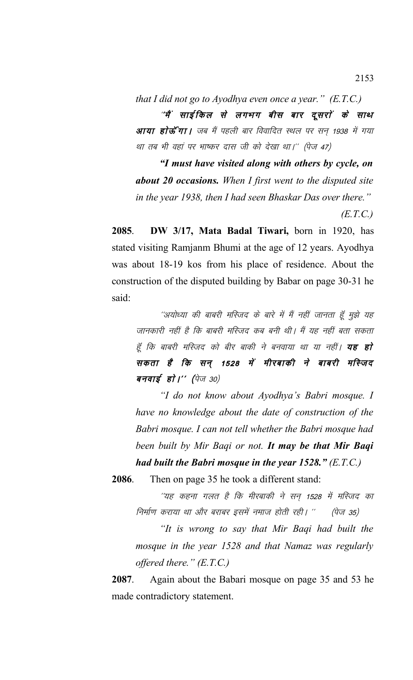*that I did not go to Ayodhya even once a year." (E.T.C.)*

"मैं साईकिल से लगभग बीस बार दूसरों के साथ आया होऊँ गा। जब मैं पहली बार विवादित स्थल पर सन् 1938 में गया था तब भी वहां पर भाष्कर दास जी को देखा था।'' (पेज 47)

*"I must have visited along with others by cycle, on about 20 occasions. When I first went to the disputed site in the year 1938, then I had seen Bhaskar Das over there."*

*(E.T.C.)*

**2085**. **DW 3/17, Mata Badal Tiwari,** born in 1920, has stated visiting Ramjanm Bhumi at the age of 12 years. Ayodhya was about 18-19 kos from his place of residence. About the construction of the disputed building by Babar on page 30-31 he said:

''अयोध्या की बाबरी मस्जिद के बारे में मैं नहीं जानता हूँ मुझे यह जानकारी नहीं है कि बाबरी मस्जिद कब बनी थी। मैं यह नहीं बता सकता हूँ कि बाबरी मस्जिद को बीर बाकी ने बनवाया था या नहीं। **यह हो** सकता है कि सन् 1528 में मीरबाकी ने बाबरी मस्जिद बनवाई हो।'' (पेज 30)

*"I do not know about Ayodhya's Babri mosque. I have no knowledge about the date of construction of the Babri mosque. I can not tell whether the Babri mosque had been built by Mir Baqi or not. It may be that Mir Baqi had built the Babri mosque in the year 1528." (E.T.C.)*

**2086**. Then on page 35 he took a different stand:

''यह कहना गलत है कि मीरबाकी ने सन 1528 में मस्जिद का निर्माण कराया था और बराबर इसमें नमाज होती रही। '' (पेज 35)

*"It is wrong to say that Mir Baqi had built the mosque in the year 1528 and that Namaz was regularly offered there." (E.T.C.)*

**2087**. Again about the Babari mosque on page 35 and 53 he made contradictory statement.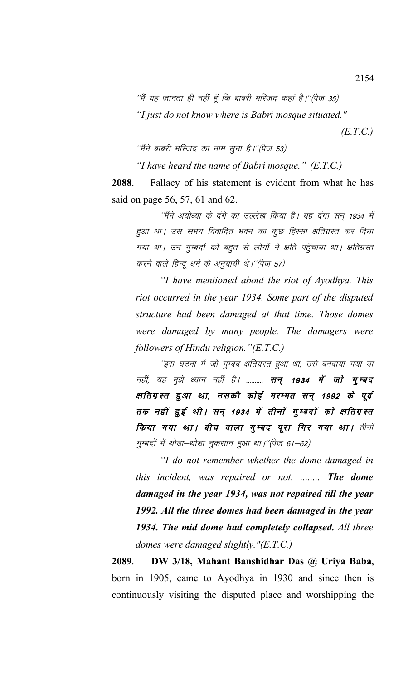$^{\prime\prime}\!\dot{\vec{\tau}}$  यह जानता ही नहीं हूँ कि बाबरी मस्जिद कहां है।''(पेज 35)

*"I just do not know where is Babri mosque situated."* 

*(E.T.C.)*

## $\hat{a}^{\prime\prime}$ मेंने बाबरी मस्जिद का नाम सुना है।''(पेज 53)

*"I have heard the name of Babri mosque." (E.T.C.)*

**2088**. Fallacy of his statement is evident from what he has said on page 56, 57, 61 and 62.

^'मैंने अयोध्या के दंगे का उल्लेख किया है। यह दंगा सन 1934 में हुआ था। उस समय विवादित भवन का कूछ हिस्सा क्षतिग्रस्त कर दिया गया था। उन गुम्बदों को बहुत से लोगों ने क्षति पहुँचाया था। क्षतिग्रस्त करने वाले हिन्दु धर्म के अनुयायी थे।''(पेज 57)

*"I have mentioned about the riot of Ayodhya. This riot occurred in the year 1934. Some part of the disputed structure had been damaged at that time. Those domes were damaged by many people. The damagers were followers of Hindu religion."(E.T.C.)*

''इस घटना में जो गुम्बद क्षतिग्रस्त हुआ था, उसे बनवाया गया या नहीं, यह मुझे ध्यान नहीं है। .......... **सन् 1934 में जो गुम्बद** क्षतिग्रस्त हुआ था, उसकी कोई मरम्मत सन् 1992 के पूर्व तक नहीं हुई थी। सन् 1934 में तीनों गुम्बदों को क्षतिग्रस्त किया गया था। बीच वाला गुम्बद पूरा गिर गया था। तीनों गुम्बदों में थोड़ा-थोड़ा नुकसान हुआ था।''(पेज 61–62)

*"I do not remember whether the dome damaged in this incident, was repaired or not. ........ The dome damaged in the year 1934, was not repaired till the year 1992. All the three domes had been damaged in the year 1934. The mid dome had completely collapsed. All three domes were damaged slightly."(E.T.C.)*

**2089**. **DW 3/18, Mahant Banshidhar Das @ Uriya Baba**, born in 1905, came to Ayodhya in 1930 and since then is continuously visiting the disputed place and worshipping the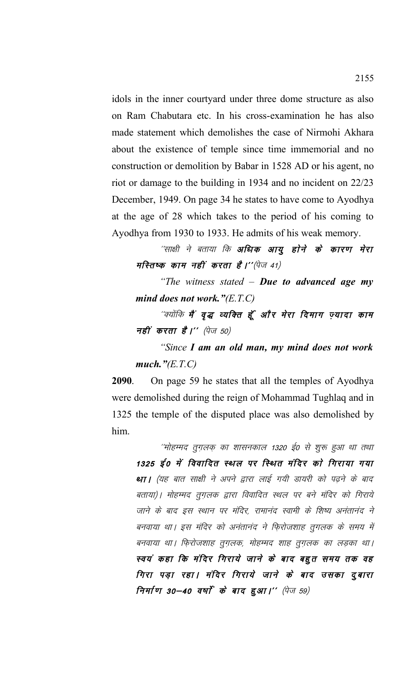idols in the inner courtyard under three dome structure as also on Ram Chabutara etc. In his cross-examination he has also made statement which demolishes the case of Nirmohi Akhara about the existence of temple since time immemorial and no construction or demolition by Babar in 1528 AD or his agent, no riot or damage to the building in 1934 and no incident on 22/23 December, 1949. On page 34 he states to have come to Ayodhya at the age of 28 which takes to the period of his coming to Ayodhya from 1930 to 1933. He admits of his weak memory.

''साक्षी ने बताया कि **अधिक आयु होने के कारण मेरा** मस्तिष्क काम नहीं करता है।''(पेज 41)

*"The witness stated – Due to advanced age my mind does not work."(E.T.C)*

"क्योंकि मैं वृद्ध व्यक्ति हूँ और मेरा दिमाग ज़्यादा काम नहीं करता है।'' (पेज 50)

*"Since I am an old man, my mind does not work much."(E.T.C)*

**2090**. On page 59 he states that all the temples of Ayodhya were demolished during the reign of Mohammad Tughlaq and in 1325 the temple of the disputed place was also demolished by him.

''मोहम्मद तुग़लक़ का शासनकाल 1320 ई्0 से शुरू हुआ था तथा 1325 ई० में विवादित स्थल पर स्थित मंदिर को गिराया गया था। (यह बात साक्षी ने अपने द्वारा लाई गयी डायरी को पढ़ने के बाद बताया)। मोहम्मद तूगलक द्वारा विवादित स्थल पर बने मंदिर को गिराये जाने के बाद इस स्थान पर मंदिर, रामानंद स्वामी के शिष्य अनंतानंद ने बनवाया था। इस मंदिर को अनंतानंद ने फिरोजशाह तुगलक के समय में बनवाया था। फिरोजशाह तुगलक, मोहम्मद शाह तुगलक का लड़का था। स्वयं कहा कि मंदिर गिराये जाने के बाद बहुत समय तक वह गिरा पड़ा रहा। मंदिर गिराये जाने के बाद उसका दुबारा  $f$ निर्माण 30–40 वर्षा के बाद हुआ।'' (पेज 59)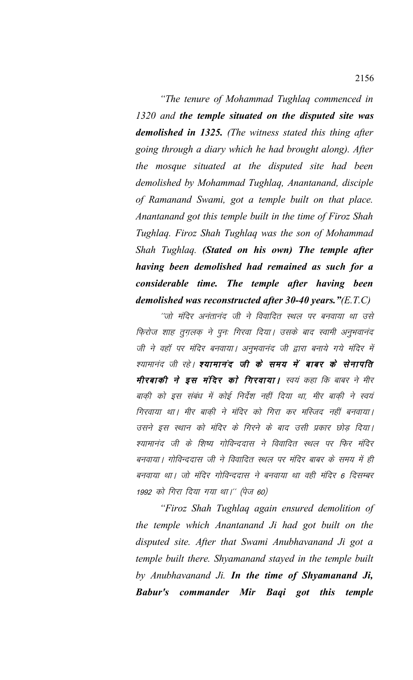*"The tenure of Mohammad Tughlaq commenced in 1320 and the temple situated on the disputed site was demolished in 1325. (The witness stated this thing after going through a diary which he had brought along). After the mosque situated at the disputed site had been demolished by Mohammad Tughlaq, Anantanand, disciple of Ramanand Swami, got a temple built on that place. Anantanand got this temple built in the time of Firoz Shah Tughlaq. Firoz Shah Tughlaq was the son of Mohammad Shah Tughlaq. (Stated on his own) The temple after having been demolished had remained as such for a considerable time. The temple after having been demolished was reconstructed after 30-40 years."(E.T.C)*

´´जो मंदिर अनंतानंद जी ने विवादित स्थल पर बनवाया था उसे फ़िरोज शाह तुग़लक़ ने पुनः गिरवा दिया। उसके बाद स्वामी अनुभवानंद जी ने वहाँ पर मंदिर बनवाया। अनुभवानंद जी द्वारा बनाये गये मंदिर में श्यामानंद जी रहे। **श्यामानंद जी के समय में बाबर के सेनापति मीरबाकी ने इस मंदिर को गिरवाया।** स्वयं कहा कि बाबर ने मीर बाकी को इस संबंध में कोई निर्देश नहीं दिया था, मीर बाकी ने स्वयं गिरवाया था। मीर बाकी ने मंदिर को गिरा कर मस्जिद नहीं बनवाया। उसने इस स्थान को मंदिर के गिरने के बाद उसी प्रकार छोड़ दिया। श्यामानंद जी के शिष्य गोविन्ददास ने विवादित स्थल पर फिर मंदिर बनवाया। गोविन्ददास जी ने विवादित स्थल पर मंदिर बाबर के समय में ही बनवाया था। जो मंदिर गोविन्ददास ने बनवाया था वही मंदिर 6 दिसम्बर 1992 को गिरा दिया गया था।'' (पेज 60)

*"Firoz Shah Tughlaq again ensured demolition of the temple which Anantanand Ji had got built on the disputed site. After that Swami Anubhavanand Ji got a temple built there. Shyamanand stayed in the temple built by Anubhavanand Ji. In the time of Shyamanand Ji, Babur's commander Mir Baqi got this temple*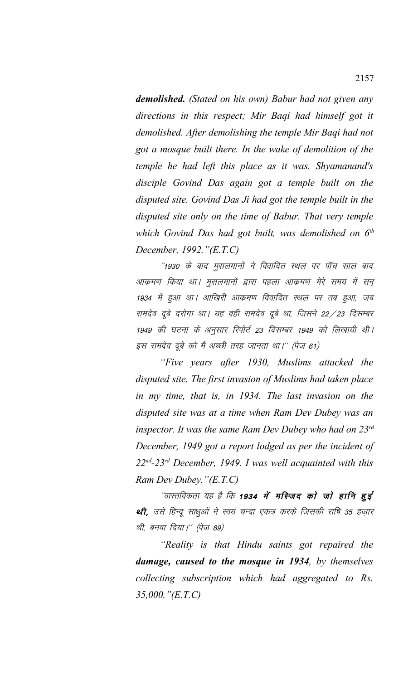*demolished. (Stated on his own) Babur had not given any directions in this respect; Mir Baqi had himself got it demolished. After demolishing the temple Mir Baqi had not got a mosque built there. In the wake of demolition of the temple he had left this place as it was. Shyamanand's disciple Govind Das again got a temple built on the disputed site. Govind Das Ji had got the temple built in the disputed site only on the time of Babur. That very temple which Govind Das had got built, was demolished on 6th December, 1992."(E.T.C)*

''1930 के बाद मुसलमानों ने विवादित स्थल पर पॉंच साल बाद आक्रमण किया था। मुसलमानों द्वारा पहला आक्रमण मेरे समय में सन् 1934 में हुआ था। आखिरी आक्रमण विवादित स्थल पर तब हुआ, जब रामदेव दुबे दरोगा था। यह वही रामदेव दुबे था, जिसने 22 / 23 दिसम्बर 1949 की घटना के अनुसार रिपोर्ट 23 दिसम्बर 1949 को लिखायी थी। इस रामदेव दूबे को मैं अच्छी तरह जानता था।'' (पेज 61)

*"Five years after 1930, Muslims attacked the disputed site. The first invasion of Muslims had taken place in my time, that is, in 1934. The last invasion on the disputed site was at a time when Ram Dev Dubey was an inspector. It was the same Ram Dev Dubey who had on 23rd December, 1949 got a report lodged as per the incident of 22nd-23rd December, 1949. I was well acquainted with this Ram Dev Dubey."(E.T.C)*

''वास्तविकता यह है कि 1934 में मस्जिद को जो हानि दूई थी, उसे हिन्दू साधुओं ने स्वयं चन्दा एकत्र करके जिसकी राषि 35 हज़ार थी, बनवा दिया।'' (पेज 89)

*"Reality is that Hindu saints got repaired the damage, caused to the mosque in 1934, by themselves collecting subscription which had aggregated to Rs. 35,000."(E.T.C)*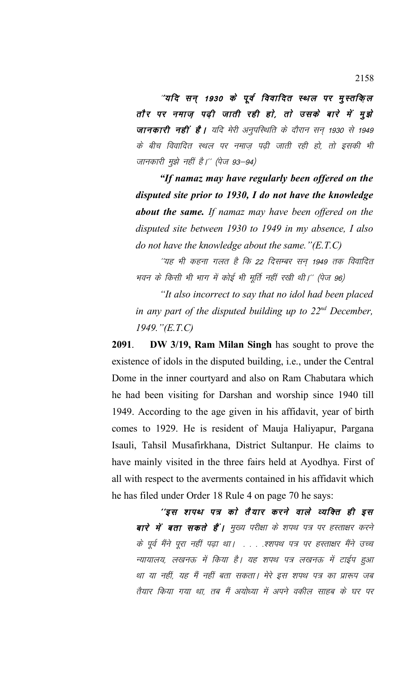"यदि सन् 1930 के पूर्व विवादित स्थल पर मुस्तकिल तौर पर नमाज़ पढ़ी जाती रही हो, तो उसके बारे में मुझे जानकारी नहीं है। यदि मेरी अनुपस्थिति के दौरान सन् 1930 से 1949 के बीच विवादित स्थल पर नमाज़ पढ़ी जाती रही हो, तो इसकी भी जानकारी मुझे नहीं है।'' (पेज 93–94)

*"If namaz may have regularly been offered on the disputed site prior to 1930, I do not have the knowledge about the same. If namaz may have been offered on the disputed site between 1930 to 1949 in my absence, I also do not have the knowledge about the same."(E.T.C)*

"यह भी कहना गलत है कि 22 दिसम्बर सन् 1949 तक विवादित भवन के किसी भी भाग में कोई भी मूर्ति नहीं रखी थी।'' (पेज 96)

*"It also incorrect to say that no idol had been placed in any part of the disputed building up to 22nd December, 1949."(E.T.C)*

**2091**. **DW 3/19, Ram Milan Singh** has sought to prove the existence of idols in the disputed building, i.e., under the Central Dome in the inner courtyard and also on Ram Chabutara which he had been visiting for Darshan and worship since 1940 till 1949. According to the age given in his affidavit, year of birth comes to 1929. He is resident of Mauja Haliyapur, Pargana Isauli, Tahsil Musafirkhana, District Sultanpur. He claims to have mainly visited in the three fairs held at Ayodhya. First of all with respect to the averments contained in his affidavit which he has filed under Order 18 Rule 4 on page 70 he says:

''इस शपथ पत्र को तैयार करने वाले व्यक्ति ही इस बा**रे में बता सकते हैं।** मुख्य परीक्षा के शपथ पत्र पर हस्ताक्षर करने के पूर्व मैंने पूरा नहीं पढ़ा था। . . . . .श्शपथ पत्र पर हस्ताक्षर मैंने उच्च न्यायालय, लखनऊ में किया है। यह शपथ पत्र लखनऊ में टाईप हुआ था या नहीं, यह मैं नहीं बता सकता। मेरे इस शपथ पत्र का प्रारूप जब तैयार किया गया था, तब मैं अयोध्या में अपने वकील साहब के घर पर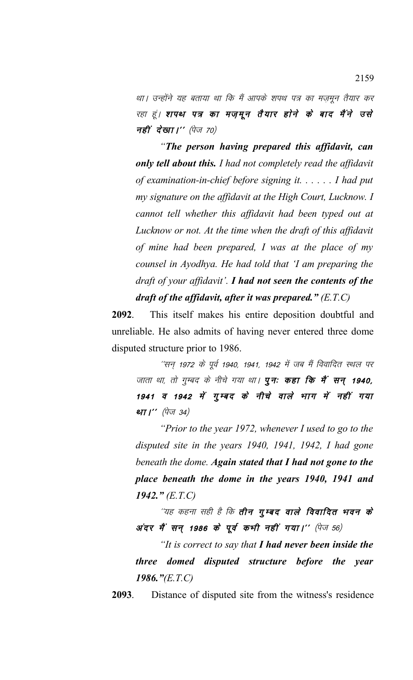था। उन्होंने यह बताया था कि मैं आपके शपथ पत्र का मजमुन तैयार कर रहा हूं। **शपथ पत्र का मज़मून तैयार होने के बाद मैंने उसे** नहीं देखा।"  $(\dot{q} \sigma$  70)

*"The person having prepared this affidavit, can only tell about this. I had not completely read the affidavit of examination-in-chief before signing it. . . . . . I had put my signature on the affidavit at the High Court, Lucknow. I cannot tell whether this affidavit had been typed out at Lucknow or not. At the time when the draft of this affidavit of mine had been prepared, I was at the place of my counsel in Ayodhya. He had told that 'I am preparing the draft of your affidavit'. I had not seen the contents of the draft of the affidavit, after it was prepared." (E.T.C)* 

**2092**. This itself makes his entire deposition doubtful and unreliable. He also admits of having never entered three dome disputed structure prior to 1986.

''सन 1972 के पूर्व 1940, 1941, 1942 में जब मैं विवादित स्थल पर जाता था, तो गुम्बद के नीचे गया था। **पूनः कहा कि मैं सन् 1940,** 1941 व 1942 में गुम्बद के नीचे वाले भाग में नहीं गया था।"  $(\dot{\mathcal{V}} \pi 34)$ 

*"Prior to the year 1972, whenever I used to go to the disputed site in the years 1940, 1941, 1942, I had gone beneath the dome. Again stated that I had not gone to the place beneath the dome in the years 1940, 1941 and 1942." (E.T.C)*

''यह कहना सही है कि **तीन गुम्बद वाले विवादित भवन के** अंदर मैं सन् 1986 के पूर्व कभी नहीं गया।'' (पेज 56)

*"It is correct to say that I had never been inside the three domed disputed structure before the year 1986."(E.T.C)*

**2093**. Distance of disputed site from the witness's residence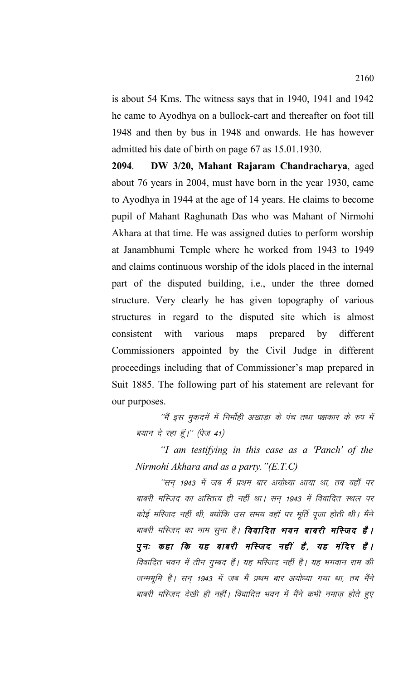is about 54 Kms. The witness says that in 1940, 1941 and 1942 he came to Ayodhya on a bullock-cart and thereafter on foot till 1948 and then by bus in 1948 and onwards. He has however admitted his date of birth on page 67 as 15.01.1930.

**2094**. **DW 3/20, Mahant Rajaram Chandracharya**, aged about 76 years in 2004, must have born in the year 1930, came to Ayodhya in 1944 at the age of 14 years. He claims to become pupil of Mahant Raghunath Das who was Mahant of Nirmohi Akhara at that time. He was assigned duties to perform worship at Janambhumi Temple where he worked from 1943 to 1949 and claims continuous worship of the idols placed in the internal part of the disputed building, i.e., under the three domed structure. Very clearly he has given topography of various structures in regard to the disputed site which is almost consistent with various maps prepared by different Commissioners appointed by the Civil Judge in different proceedings including that of Commissioner's map prepared in Suit 1885. The following part of his statement are relevant for our purposes.

''मैं इस मुक़दमें में निर्मोही अखाड़ा के पंच तथा पक्षकार के रुप में बयान दे रहा हूँ।" (पेज 41)

*"I am testifying in this case as a 'Panch' of the Nirmohi Akhara and as a party."(E.T.C)*

´'सन 1943 में जब मैं प्रथम बार अयोध्या आया था, तब वहाँ पर बाबरी मस्जिद का अस्तित्व ही नहीं था। सन 1943 में विवादित स्थल पर कोई मस्जिद नहीं थी, क्योंकि उस समय वहाँ पर मूर्ति पूजा होती थी। मैंने बाबरी मस्जिद का नाम सूना है। **विवादित भवन बाबरी मस्जिद है।** पून: कहा कि यह बाबरी मस्जिद नहीं है, यह मंदिर है। विवादित भवन में तीन गुम्बद हैं। यह मस्जिद नहीं है। यह भगवान राम की जन्मभूमि है। सन् 1943 में जब मैं प्रथम बार अयोध्या गया था, तब मैंने बाबरी मस्जिद देखी ही नहीं। विवादित भवन में मैंने कभी नमाज होते हुए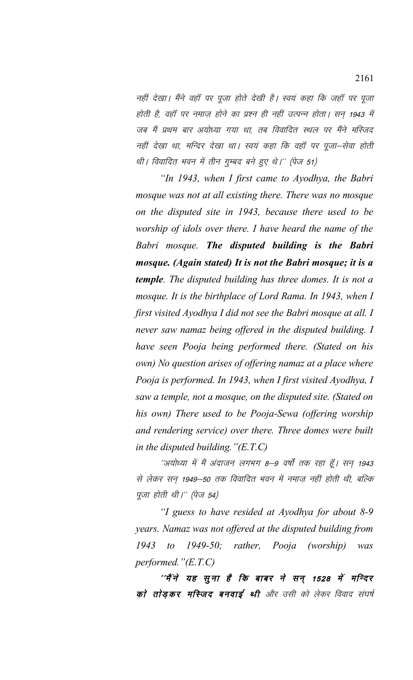नहीं देखा। मैंने वहाँ पर पूजा होते देखी है। स्वयं कहा कि जहाँ पर पूजा होती है, वहाँ पर नमाज होने का प्रश्न ही नहीं उत्पन्न होता। सन 1943 में जब मैं प्रथम बार अयोध्या गया था, तब विवादित स्थल पर मैंने मस्जिद नहीं देखा था, मन्दिर देखा था। स्वयं कहा कि वहाँ पर पूजा-सेवा होती थी। विवादित भवन में तीन गुम्बद बने हुए थे।'' (पेज 51)

*"In 1943, when I first came to Ayodhya, the Babri mosque was not at all existing there. There was no mosque on the disputed site in 1943, because there used to be worship of idols over there. I have heard the name of the Babri mosque. The disputed building is the Babri mosque. (Again stated) It is not the Babri mosque; it is a temple. The disputed building has three domes. It is not a mosque. It is the birthplace of Lord Rama. In 1943, when I first visited Ayodhya I did not see the Babri mosque at all. I never saw namaz being offered in the disputed building. I have seen Pooja being performed there. (Stated on his own) No question arises of offering namaz at a place where Pooja is performed. In 1943, when I first visited Ayodhya, I saw a temple, not a mosque, on the disputed site. (Stated on his own) There used to be Pooja-Sewa (offering worship and rendering service) over there. Three domes were built in the disputed building."(E.T.C)*

^'अयोध्या में मैं अंदाजन लगभग 8–9 वर्षों तक रहा हूँ। सन् 1943 से लेकर सन् 1949–50 तक विवादित भवन में नमाज़ नहीं होती थी, बल्कि पूजा होती थी।'' (पेज 54)

*"I guess to have resided at Ayodhya for about 8-9 years. Namaz was not offered at the disputed building from 1943 to 1949-50; rather, Pooja (worship) was performed."(E.T.C)*

 $^{\prime\prime}$ मैं ने यह सुना है कि बाबर ने सन् 1528 में मन्दिर को तो इकर मस्जिद बनवाई थी और उसी को लेकर विवाद संघर्ष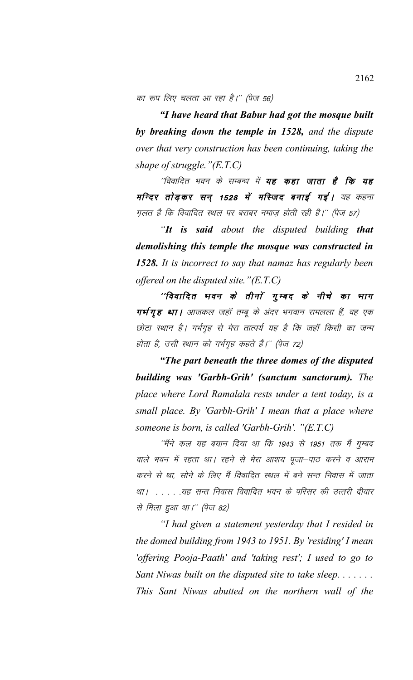का रूप लिए चलता आ रहा है।'' (पेज 56)

*"I have heard that Babur had got the mosque built by breaking down the temple in 1528, and the dispute over that very construction has been continuing, taking the shape of struggle."(E.T.C)*

''विवादित भवन के सम्बन्ध में **यह कहा जाता है कि यह** मन्दिर तोड़कर सन् 1528 में मस्जिद बनाई गई। यह कहना ग़लत है कि विवादित स्थल पर बराबर नमाज़ होती रही है।'' (पेज 57)

*"It is said about the disputed building that demolishing this temple the mosque was constructed in 1528. It is incorrect to say that namaz has regularly been offered on the disputed site."(E.T.C)*

''विवादित भवन के तीनों गूम्बद के नीचे का भाग  $\eta$ र्भ $\eta$ ह था | आजकल जहाँ तम्बु के अंदर भगवान रामलला हैं, वह एक छोटा स्थान है। गर्भगृह से मेरा तात्पर्य यह है कि जहाँ किसी का जन्म होता है, उसी स्थान को गर्भगृह कहते हैं।'' (पेज 72)

*"The part beneath the three domes of the disputed building was 'Garbh-Grih' (sanctum sanctorum). The place where Lord Ramalala rests under a tent today, is a small place. By 'Garbh-Grih' I mean that a place where someone is born, is called 'Garbh-Grih'. "(E.T.C)*

''मैंने कल यह बयान दिया था कि 1943 से 1951 तक मैं गुम्बद वाले भवन में रहता था। रहने से मेरा आशय पूजा–पाठ करने व आराम करने से था, सोने के लिए मैं विवादित स्थल में बने सन्त निवास में जाता था। . . . . .यह सन्त निवास विवादित भवन के परिसर की उत्तरी दीवार से मिला हुआ था।'' (पेज 82)

*"I had given a statement yesterday that I resided in the domed building from 1943 to 1951. By 'residing' I mean 'offering Pooja-Paath' and 'taking rest'; I used to go to Sant Niwas built on the disputed site to take sleep. . . . . . . This Sant Niwas abutted on the northern wall of the*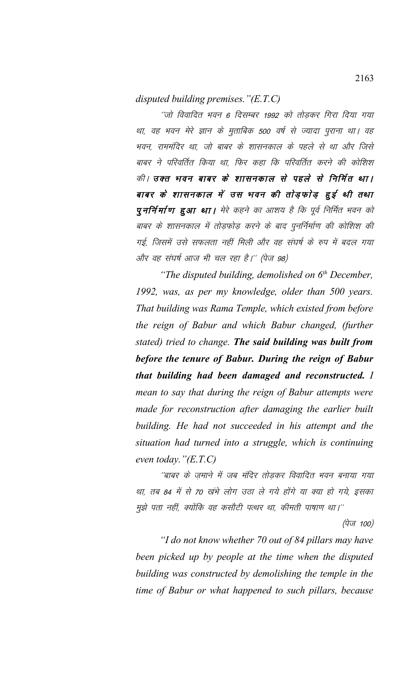## *disputed building premises."(E.T.C)*

''जो विवादित भवन 6 दिसम्बर 1992 को तोडकर गिरा दिया गया था, वह भवन मेरे ज्ञान के मुताबिक 500 वर्ष से ज्यादा पुराना था। वह भवन, राममंदिर था, जो बाबर के शासनकाल के पहले से था और जिसे बाबर ने परिवर्तित किया था, फिर कहा कि परिवर्तित करने की कोशिश की। उक्त भवन बाबर के शासनकाल से पहले से निर्मित था। बाबर के शासनकाल में उस भवन की तोड़फोड़ हुई थी तथा **पुनर्निर्माण हुआ था।** मेरे कहने का आशय है कि पूर्व निर्मित भवन को बाबर के शासनकाल में तोडफोड करने के बाद पुनर्निर्माण की कोशिश की गई, जिसमें उसे सफलता नहीं मिली और वह संघर्ष के रुप में बदल गया और वह संघर्ष आज भी चल रहा है।'' (पेज 98)

*"The disputed building, demolished on 6th December, 1992, was, as per my knowledge, older than 500 years. That building was Rama Temple, which existed from before the reign of Babur and which Babur changed, (further stated) tried to change. The said building was built from before the tenure of Babur. During the reign of Babur that building had been damaged and reconstructed. I mean to say that during the reign of Babur attempts were made for reconstruction after damaging the earlier built building. He had not succeeded in his attempt and the situation had turned into a struggle, which is continuing even today."(E.T.C)*

''बाबर के जमाने में जब मंदिर तोडकर विवादित भवन बनाया गया था, तब 84 में से 70 खंभे लोग उठा ले गये होंगे या क्या हो गये, इसका मुझे पता नहीं, क्योंकि वह कसौटी पत्थर था, कीमती पाषाण था।''

(पेज 100)

*"I do not know whether 70 out of 84 pillars may have been picked up by people at the time when the disputed building was constructed by demolishing the temple in the time of Babur or what happened to such pillars, because*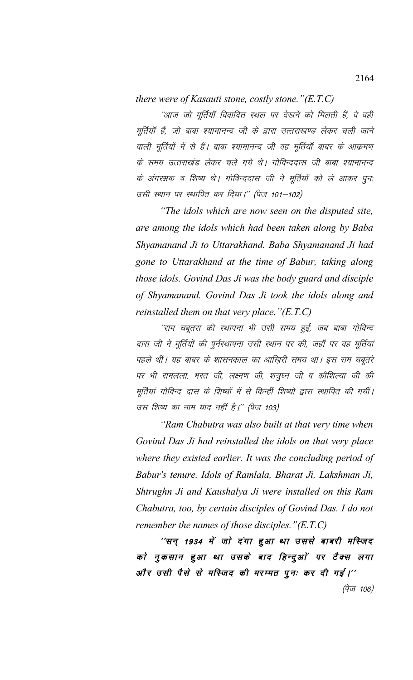*there were of Kasauti stone, costly stone."(E.T.C)*

''आज जो मूर्तियाँ विवादित स्थल पर देखने को मिलती हैं, वे वही मूर्तियाँ हैं, जो बाबा श्यामानन्द जी के द्वारा उत्तराखण्ड लेकर चली जाने वाली मूर्तियों में से हैं। बाबा श्यामानन्द जी वह मूर्तियाँ बाबर के आक्रमण के समय उत्तराखंड लेकर चले गये थे। गोविन्ददास जी बाबा श्यामानन्द के अंगरक्षक व शिष्य थे। गोविन्ददास जी ने मूर्तियों को ले आकर पुनः उसी स्थान पर स्थापित कर दिया।'' (पेज 101–102)

*"The idols which are now seen on the disputed site, are among the idols which had been taken along by Baba Shyamanand Ji to Uttarakhand. Baba Shyamanand Ji had gone to Uttarakhand at the time of Babur, taking along those idols. Govind Das Ji was the body guard and disciple of Shyamanand. Govind Das Ji took the idols along and reinstalled them on that very place."(E.T.C)*

´'राम चबूतरा की स्थापना भी उसी समय हुई, जब बाबा गोविन्द दास जी ने मूर्तियों की पुर्नस्थापना उसी स्थान पर की, जहाँ पर वह मूर्तियां पहले थीं। यह बाबर के शासनकाल का आख़िरी समय था। इस राम चबूतरे पर भी रामलला, भरत जी, लक्ष्मण जी, शत्रुघ्न जी व कौशिल्या जी की मूर्तियां गोविन्द दास के शिष्यों में से किन्हीं शिष्यो द्वारा स्थापित की गयीं। उस शिष्य का नाम याद नहीं है।'' (पेज 103)

*"Ram Chabutra was also built at that very time when Govind Das Ji had reinstalled the idols on that very place where they existed earlier. It was the concluding period of Babur's tenure. Idols of Ramlala, Bharat Ji, Lakshman Ji, Shtrughn Ji and Kaushalya Ji were installed on this Ram Chabutra, too, by certain disciples of Govind Das. I do not remember the names of those disciples."(E.T.C)*

 $^{\prime\prime}$ सन् 1934 में जो दंगा हुआ था उससे बाबरी मस्जिद को नुकसान हुआ था उसके बाद हिन्दुओं पर टैक्स लगा ओं र उसी पैसे से मस्जिद की मरम्मत पुनः कर दी गई।''  $(\vec{q}_{\,\overline{\smash{y}}}$  106)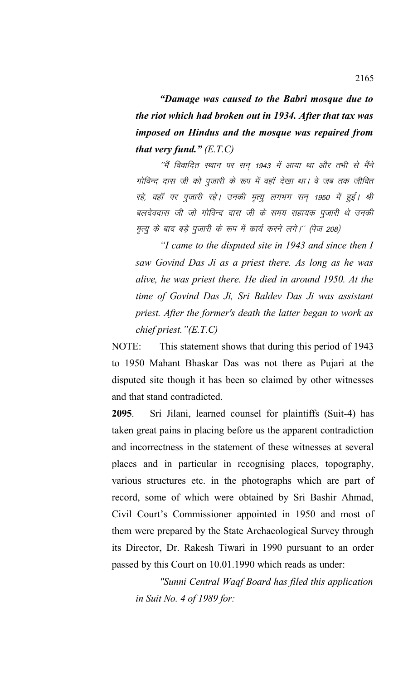*"Damage was caused to the Babri mosque due to the riot which had broken out in 1934. After that tax was imposed on Hindus and the mosque was repaired from that very fund." (E.T.C)*

''मैं विवादित स्थान पर सन 1943 में आया था और तभी से मैंने गोविन्द दास जी को पुजारी के रूप में वहॉ देखा था। वे जब तक जीवित रहे*, वहॉ पर पुजारी रहे। उनकी मृत्यु लगभग सन् 1950 में हुई। श्री* बलदेवदास जी जो गोविन्द दास जी के समय सहायक पूजारी थे उनकी मृत्यु के बाद बड़े पुजारी के रूप में कार्य करने लगे।'' (पेज 208)

*"I came to the disputed site in 1943 and since then I saw Govind Das Ji as a priest there. As long as he was alive, he was priest there. He died in around 1950. At the time of Govind Das Ji, Sri Baldev Das Ji was assistant priest. After the former's death the latter began to work as chief priest."(E.T.C)*

NOTE: This statement shows that during this period of 1943 to 1950 Mahant Bhaskar Das was not there as Pujari at the disputed site though it has been so claimed by other witnesses and that stand contradicted.

**2095**. Sri Jilani, learned counsel for plaintiffs (Suit-4) has taken great pains in placing before us the apparent contradiction and incorrectness in the statement of these witnesses at several places and in particular in recognising places, topography, various structures etc. in the photographs which are part of record, some of which were obtained by Sri Bashir Ahmad, Civil Court's Commissioner appointed in 1950 and most of them were prepared by the State Archaeological Survey through its Director, Dr. Rakesh Tiwari in 1990 pursuant to an order passed by this Court on 10.01.1990 which reads as under:

*"Sunni Central Waqf Board has filed this application in Suit No. 4 of 1989 for:*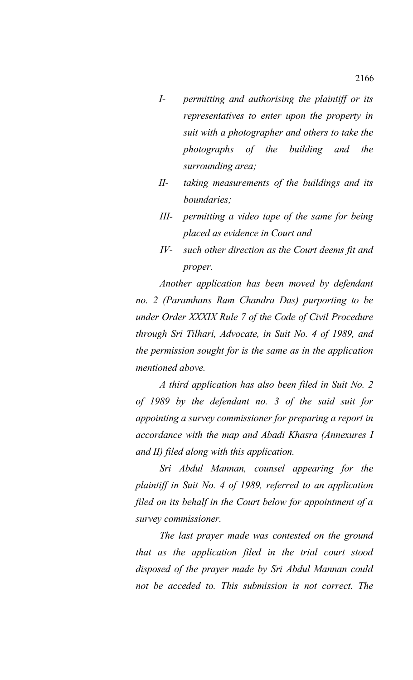- *I- permitting and authorising the plaintiff or its representatives to enter upon the property in suit with a photographer and others to take the photographs of the building and the surrounding area;*
- *II- taking measurements of the buildings and its boundaries;*
- *III- permitting a video tape of the same for being placed as evidence in Court and*
- *IV- such other direction as the Court deems fit and proper.*

*Another application has been moved by defendant no. 2 (Paramhans Ram Chandra Das) purporting to be under Order XXXIX Rule 7 of the Code of Civil Procedure through Sri Tilhari, Advocate, in Suit No. 4 of 1989, and the permission sought for is the same as in the application mentioned above.*

*A third application has also been filed in Suit No. 2 of 1989 by the defendant no. 3 of the said suit for appointing a survey commissioner for preparing a report in accordance with the map and Abadi Khasra (Annexures I and II) filed along with this application.* 

*Sri Abdul Mannan, counsel appearing for the plaintiff in Suit No. 4 of 1989, referred to an application filed on its behalf in the Court below for appointment of a survey commissioner.* 

*The last prayer made was contested on the ground that as the application filed in the trial court stood disposed of the prayer made by Sri Abdul Mannan could not be acceded to. This submission is not correct. The*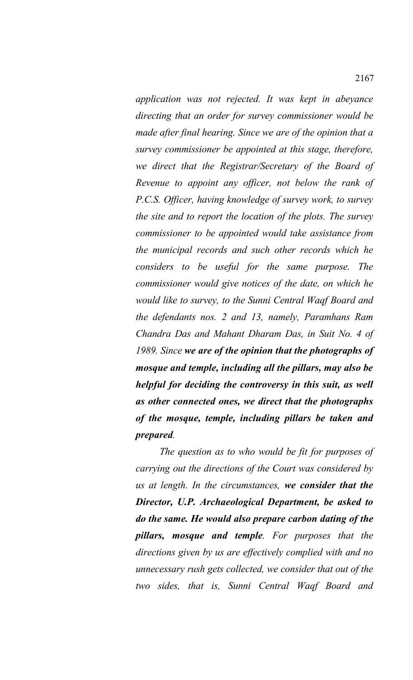*application was not rejected. It was kept in abeyance directing that an order for survey commissioner would be made after final hearing. Since we are of the opinion that a survey commissioner be appointed at this stage, therefore, we direct that the Registrar/Secretary of the Board of Revenue to appoint any officer, not below the rank of P.C.S. Officer, having knowledge of survey work, to survey the site and to report the location of the plots. The survey commissioner to be appointed would take assistance from the municipal records and such other records which he considers to be useful for the same purpose. The commissioner would give notices of the date, on which he would like to survey, to the Sunni Central Waqf Board and the defendants nos. 2 and 13, namely, Paramhans Ram Chandra Das and Mahant Dharam Das, in Suit No. 4 of 1989. Since we are of the opinion that the photographs of mosque and temple, including all the pillars, may also be helpful for deciding the controversy in this suit, as well as other connected ones, we direct that the photographs of the mosque, temple, including pillars be taken and prepared.* 

*The question as to who would be fit for purposes of carrying out the directions of the Court was considered by us at length. In the circumstances, we consider that the Director, U.P. Archaeological Department, be asked to do the same. He would also prepare carbon dating of the pillars, mosque and temple. For purposes that the directions given by us are effectively complied with and no unnecessary rush gets collected, we consider that out of the two sides, that is, Sunni Central Waqf Board and*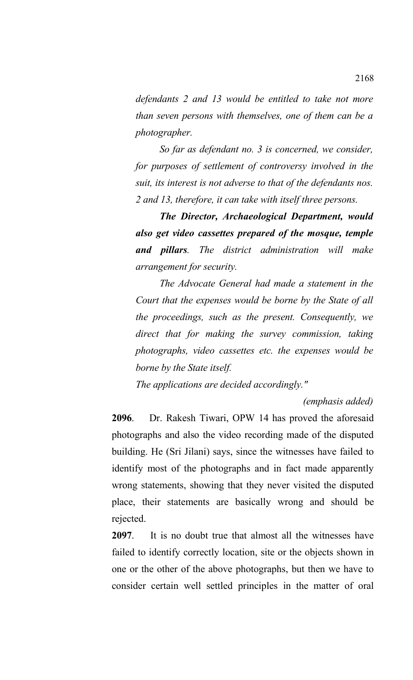*defendants 2 and 13 would be entitled to take not more than seven persons with themselves, one of them can be a photographer.*

*So far as defendant no. 3 is concerned, we consider, for purposes of settlement of controversy involved in the suit, its interest is not adverse to that of the defendants nos. 2 and 13, therefore, it can take with itself three persons.* 

*The Director, Archaeological Department, would also get video cassettes prepared of the mosque, temple and pillars. The district administration will make arrangement for security.* 

*The Advocate General had made a statement in the Court that the expenses would be borne by the State of all the proceedings, such as the present. Consequently, we direct that for making the survey commission, taking photographs, video cassettes etc. the expenses would be borne by the State itself.*

*The applications are decided accordingly."*

## *(emphasis added)*

**2096**. Dr. Rakesh Tiwari, OPW 14 has proved the aforesaid photographs and also the video recording made of the disputed building. He (Sri Jilani) says, since the witnesses have failed to identify most of the photographs and in fact made apparently wrong statements, showing that they never visited the disputed place, their statements are basically wrong and should be rejected.

**2097**. It is no doubt true that almost all the witnesses have failed to identify correctly location, site or the objects shown in one or the other of the above photographs, but then we have to consider certain well settled principles in the matter of oral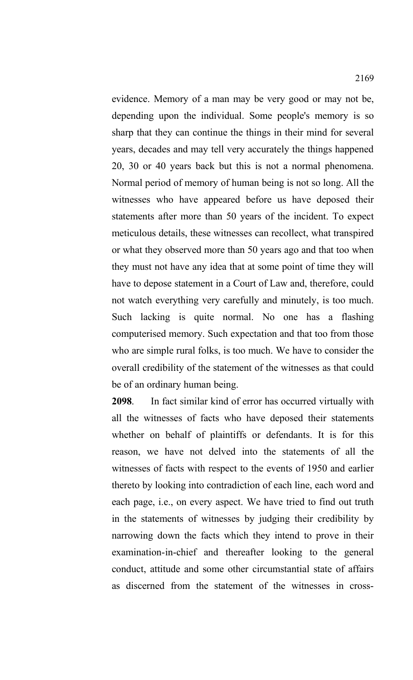evidence. Memory of a man may be very good or may not be, depending upon the individual. Some people's memory is so sharp that they can continue the things in their mind for several years, decades and may tell very accurately the things happened 20, 30 or 40 years back but this is not a normal phenomena. Normal period of memory of human being is not so long. All the witnesses who have appeared before us have deposed their statements after more than 50 years of the incident. To expect meticulous details, these witnesses can recollect, what transpired or what they observed more than 50 years ago and that too when they must not have any idea that at some point of time they will have to depose statement in a Court of Law and, therefore, could not watch everything very carefully and minutely, is too much. Such lacking is quite normal. No one has a flashing computerised memory. Such expectation and that too from those who are simple rural folks, is too much. We have to consider the overall credibility of the statement of the witnesses as that could be of an ordinary human being.

**2098**. In fact similar kind of error has occurred virtually with all the witnesses of facts who have deposed their statements whether on behalf of plaintiffs or defendants. It is for this reason, we have not delved into the statements of all the witnesses of facts with respect to the events of 1950 and earlier thereto by looking into contradiction of each line, each word and each page, i.e., on every aspect. We have tried to find out truth in the statements of witnesses by judging their credibility by narrowing down the facts which they intend to prove in their examination-in-chief and thereafter looking to the general conduct, attitude and some other circumstantial state of affairs as discerned from the statement of the witnesses in cross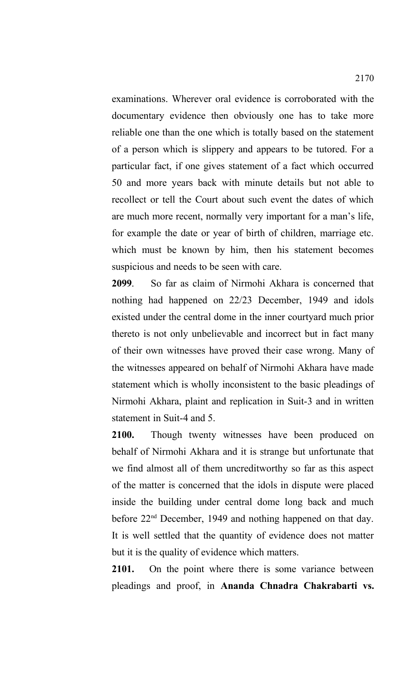examinations. Wherever oral evidence is corroborated with the documentary evidence then obviously one has to take more reliable one than the one which is totally based on the statement of a person which is slippery and appears to be tutored. For a particular fact, if one gives statement of a fact which occurred 50 and more years back with minute details but not able to recollect or tell the Court about such event the dates of which are much more recent, normally very important for a man's life, for example the date or year of birth of children, marriage etc. which must be known by him, then his statement becomes suspicious and needs to be seen with care.

**2099**. So far as claim of Nirmohi Akhara is concerned that nothing had happened on 22/23 December, 1949 and idols existed under the central dome in the inner courtyard much prior thereto is not only unbelievable and incorrect but in fact many of their own witnesses have proved their case wrong. Many of the witnesses appeared on behalf of Nirmohi Akhara have made statement which is wholly inconsistent to the basic pleadings of Nirmohi Akhara, plaint and replication in Suit-3 and in written statement in Suit-4 and 5.

**2100.** Though twenty witnesses have been produced on behalf of Nirmohi Akhara and it is strange but unfortunate that we find almost all of them uncreditworthy so far as this aspect of the matter is concerned that the idols in dispute were placed inside the building under central dome long back and much before 22nd December, 1949 and nothing happened on that day. It is well settled that the quantity of evidence does not matter but it is the quality of evidence which matters.

**2101.** On the point where there is some variance between pleadings and proof, in **Ananda Chnadra Chakrabarti vs.**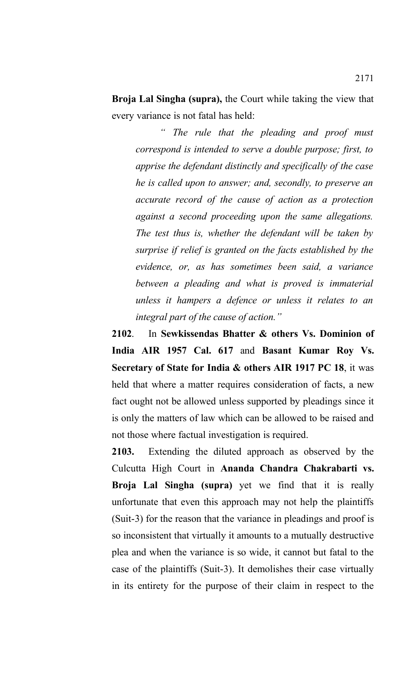**Broja Lal Singha (supra),** the Court while taking the view that every variance is not fatal has held:

*" The rule that the pleading and proof must correspond is intended to serve a double purpose; first, to apprise the defendant distinctly and specifically of the case he is called upon to answer; and, secondly, to preserve an accurate record of the cause of action as a protection against a second proceeding upon the same allegations. The test thus is, whether the defendant will be taken by surprise if relief is granted on the facts established by the evidence, or, as has sometimes been said, a variance between a pleading and what is proved is immaterial unless it hampers a defence or unless it relates to an integral part of the cause of action."*

**2102**. In **Sewkissendas Bhatter & others Vs. Dominion of India AIR 1957 Cal. 617** and **Basant Kumar Roy Vs. Secretary of State for India & others AIR 1917 PC 18**, it was held that where a matter requires consideration of facts, a new fact ought not be allowed unless supported by pleadings since it is only the matters of law which can be allowed to be raised and not those where factual investigation is required.

**2103.** Extending the diluted approach as observed by the Culcutta High Court in **Ananda Chandra Chakrabarti vs. Broja Lal Singha (supra)** yet we find that it is really unfortunate that even this approach may not help the plaintiffs (Suit-3) for the reason that the variance in pleadings and proof is so inconsistent that virtually it amounts to a mutually destructive plea and when the variance is so wide, it cannot but fatal to the case of the plaintiffs (Suit-3). It demolishes their case virtually in its entirety for the purpose of their claim in respect to the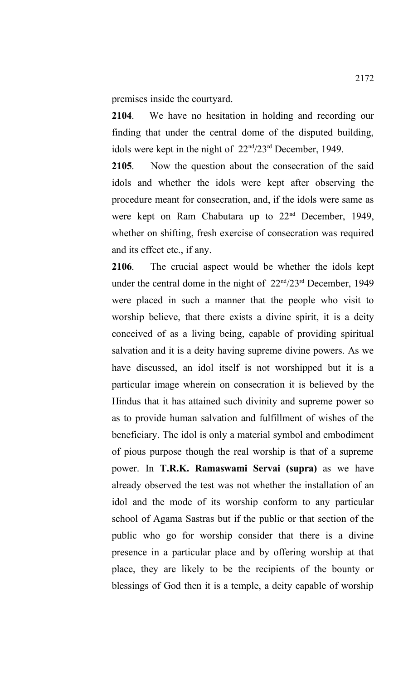premises inside the courtyard.

**2104**. We have no hesitation in holding and recording our finding that under the central dome of the disputed building, idols were kept in the night of 22nd/23rd December, 1949.

**2105**. Now the question about the consecration of the said idols and whether the idols were kept after observing the procedure meant for consecration, and, if the idols were same as were kept on Ram Chabutara up to 22nd December, 1949, whether on shifting, fresh exercise of consecration was required and its effect etc., if any.

**2106**. The crucial aspect would be whether the idols kept under the central dome in the night of  $22<sup>nd</sup>/23<sup>rd</sup>$  December, 1949 were placed in such a manner that the people who visit to worship believe, that there exists a divine spirit, it is a deity conceived of as a living being, capable of providing spiritual salvation and it is a deity having supreme divine powers. As we have discussed, an idol itself is not worshipped but it is a particular image wherein on consecration it is believed by the Hindus that it has attained such divinity and supreme power so as to provide human salvation and fulfillment of wishes of the beneficiary. The idol is only a material symbol and embodiment of pious purpose though the real worship is that of a supreme power. In **T.R.K. Ramaswami Servai (supra)** as we have already observed the test was not whether the installation of an idol and the mode of its worship conform to any particular school of Agama Sastras but if the public or that section of the public who go for worship consider that there is a divine presence in a particular place and by offering worship at that place, they are likely to be the recipients of the bounty or blessings of God then it is a temple, a deity capable of worship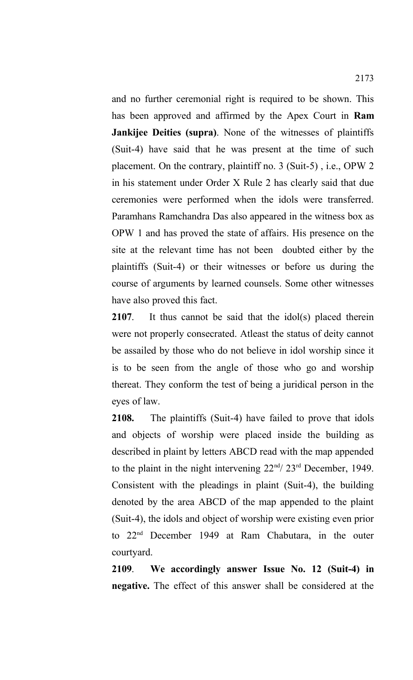and no further ceremonial right is required to be shown. This has been approved and affirmed by the Apex Court in **Ram Jankijee Deities (supra)**. None of the witnesses of plaintiffs (Suit-4) have said that he was present at the time of such placement. On the contrary, plaintiff no. 3 (Suit-5) , i.e., OPW 2 in his statement under Order X Rule 2 has clearly said that due ceremonies were performed when the idols were transferred. Paramhans Ramchandra Das also appeared in the witness box as OPW 1 and has proved the state of affairs. His presence on the site at the relevant time has not been doubted either by the plaintiffs (Suit-4) or their witnesses or before us during the course of arguments by learned counsels. Some other witnesses have also proved this fact.

**2107**. It thus cannot be said that the idol(s) placed therein were not properly consecrated. Atleast the status of deity cannot be assailed by those who do not believe in idol worship since it is to be seen from the angle of those who go and worship thereat. They conform the test of being a juridical person in the eyes of law.

**2108.** The plaintiffs (Suit-4) have failed to prove that idols and objects of worship were placed inside the building as described in plaint by letters ABCD read with the map appended to the plaint in the night intervening  $22^{\text{nd}}/23^{\text{rd}}$  December, 1949. Consistent with the pleadings in plaint (Suit-4), the building denoted by the area ABCD of the map appended to the plaint (Suit-4), the idols and object of worship were existing even prior to 22nd December 1949 at Ram Chabutara, in the outer courtyard.

**2109**. **We accordingly answer Issue No. 12 (Suit-4) in negative.** The effect of this answer shall be considered at the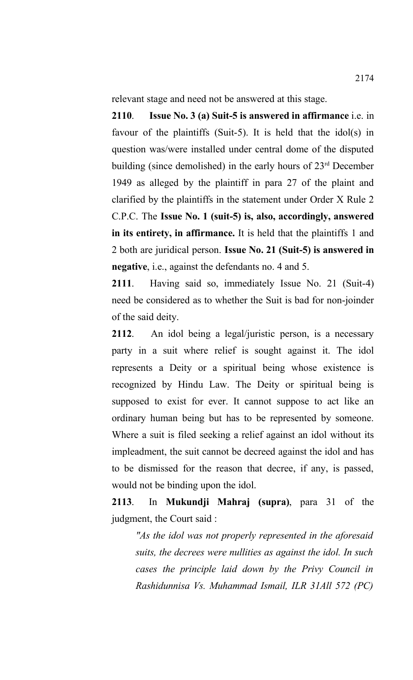relevant stage and need not be answered at this stage.

**2110**. **Issue No. 3 (a) Suit-5 is answered in affirmance** i.e. in favour of the plaintiffs (Suit-5). It is held that the idol(s) in question was/were installed under central dome of the disputed building (since demolished) in the early hours of  $23<sup>rd</sup>$  December 1949 as alleged by the plaintiff in para 27 of the plaint and clarified by the plaintiffs in the statement under Order X Rule 2 C.P.C. The **Issue No. 1 (suit-5) is, also, accordingly, answered in its entirety, in affirmance.** It is held that the plaintiffs 1 and 2 both are juridical person. **Issue No. 21 (Suit-5) is answered in negative**, i.e., against the defendants no. 4 and 5.

**2111**. Having said so, immediately Issue No. 21 (Suit-4) need be considered as to whether the Suit is bad for non-joinder of the said deity.

**2112**. An idol being a legal/juristic person, is a necessary party in a suit where relief is sought against it. The idol represents a Deity or a spiritual being whose existence is recognized by Hindu Law. The Deity or spiritual being is supposed to exist for ever. It cannot suppose to act like an ordinary human being but has to be represented by someone. Where a suit is filed seeking a relief against an idol without its impleadment, the suit cannot be decreed against the idol and has to be dismissed for the reason that decree, if any, is passed, would not be binding upon the idol.

**2113**. In **Mukundji Mahraj (supra)**, para 31 of the judgment, the Court said :

*"As the idol was not properly represented in the aforesaid suits, the decrees were nullities as against the idol. In such cases the principle laid down by the Privy Council in Rashidunnisa Vs. Muhammad Ismail, ILR 31All 572 (PC)*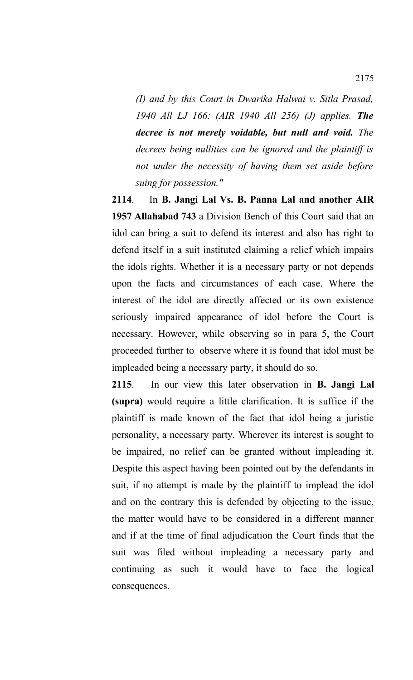*(I) and by this Court in Dwarika Halwai v. Sitla Prasad, 1940 All LJ 166: (AIR 1940 All 256) (J) applies. The decree is not merely voidable, but null and void. The decrees being nullities can be ignored and the plaintiff is not under the necessity of having them set aside before suing for possession."*

**2114**. In **B. Jangi Lal Vs. B. Panna Lal and another AIR 1957 Allahabad 743** a Division Bench of this Court said that an idol can bring a suit to defend its interest and also has right to defend itself in a suit instituted claiming a relief which impairs the idols rights. Whether it is a necessary party or not depends upon the facts and circumstances of each case. Where the interest of the idol are directly affected or its own existence seriously impaired appearance of idol before the Court is necessary. However, while observing so in para 5, the Court proceeded further to observe where it is found that idol must be impleaded being a necessary party, it should do so.

**2115**. In our view this later observation in **B. Jangi Lal (supra)** would require a little clarification. It is suffice if the plaintiff is made known of the fact that idol being a juristic personality, a necessary party. Wherever its interest is sought to be impaired, no relief can be granted without impleading it. Despite this aspect having been pointed out by the defendants in suit, if no attempt is made by the plaintiff to implead the idol and on the contrary this is defended by objecting to the issue, the matter would have to be considered in a different manner and if at the time of final adjudication the Court finds that the suit was filed without impleading a necessary party and continuing as such it would have to face the logical consequences.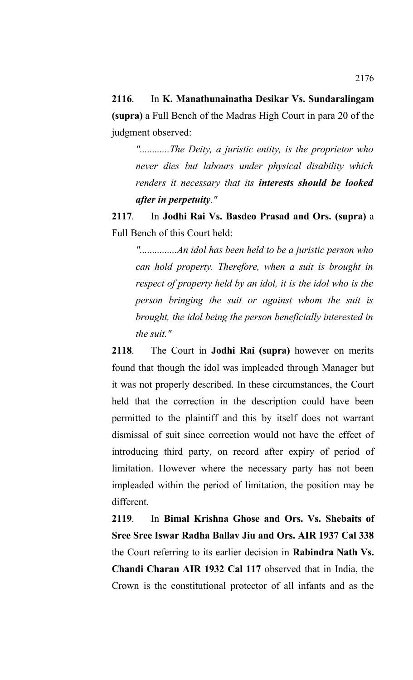**2116**. In **K. Manathunainatha Desikar Vs. Sundaralingam (supra)** a Full Bench of the Madras High Court in para 20 of the judgment observed:

*"............The Deity, a juristic entity, is the proprietor who never dies but labours under physical disability which renders it necessary that its interests should be looked after in perpetuity."*

**2117**. In **Jodhi Rai Vs. Basdeo Prasad and Ors. (supra)** a Full Bench of this Court held:

*"...............An idol has been held to be a juristic person who can hold property. Therefore, when a suit is brought in respect of property held by an idol, it is the idol who is the person bringing the suit or against whom the suit is brought, the idol being the person beneficially interested in the suit."*

**2118**. The Court in **Jodhi Rai (supra)** however on merits found that though the idol was impleaded through Manager but it was not properly described. In these circumstances, the Court held that the correction in the description could have been permitted to the plaintiff and this by itself does not warrant dismissal of suit since correction would not have the effect of introducing third party, on record after expiry of period of limitation. However where the necessary party has not been impleaded within the period of limitation, the position may be different.

**2119**. In **Bimal Krishna Ghose and Ors. Vs. Shebaits of Sree Sree Iswar Radha Ballav Jiu and Ors. AIR 1937 Cal 338** the Court referring to its earlier decision in **Rabindra Nath Vs. Chandi Charan AIR 1932 Cal 117** observed that in India, the Crown is the constitutional protector of all infants and as the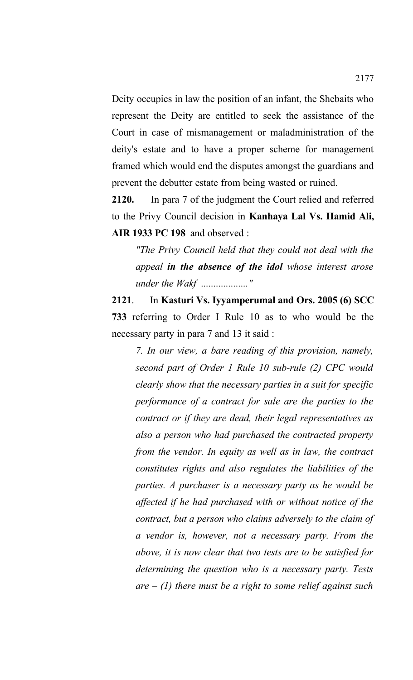Deity occupies in law the position of an infant, the Shebaits who represent the Deity are entitled to seek the assistance of the Court in case of mismanagement or maladministration of the deity's estate and to have a proper scheme for management framed which would end the disputes amongst the guardians and prevent the debutter estate from being wasted or ruined.

**2120.** In para 7 of the judgment the Court relied and referred to the Privy Council decision in **Kanhaya Lal Vs. Hamid Ali, AIR 1933 PC 198** and observed :

*"The Privy Council held that they could not deal with the appeal in the absence of the idol whose interest arose under the Wakf ..................."*

**2121**. In **Kasturi Vs. Iyyamperumal and Ors. 2005 (6) SCC 733** referring to Order I Rule 10 as to who would be the necessary party in para 7 and 13 it said :

*7. In our view, a bare reading of this provision, namely, second part of Order 1 Rule 10 sub-rule (2) CPC would clearly show that the necessary parties in a suit for specific performance of a contract for sale are the parties to the contract or if they are dead, their legal representatives as also a person who had purchased the contracted property from the vendor. In equity as well as in law, the contract constitutes rights and also regulates the liabilities of the parties. A purchaser is a necessary party as he would be affected if he had purchased with or without notice of the contract, but a person who claims adversely to the claim of a vendor is, however, not a necessary party. From the above, it is now clear that two tests are to be satisfied for determining the question who is a necessary party. Tests are – (1) there must be a right to some relief against such*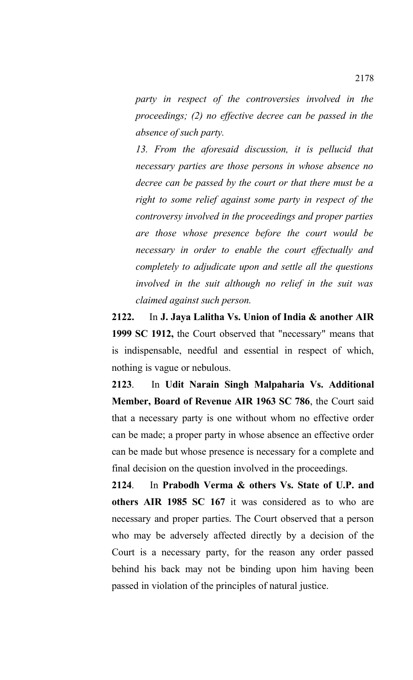*party in respect of the controversies involved in the proceedings; (2) no effective decree can be passed in the absence of such party.*

*13. From the aforesaid discussion, it is pellucid that necessary parties are those persons in whose absence no decree can be passed by the court or that there must be a right to some relief against some party in respect of the controversy involved in the proceedings and proper parties are those whose presence before the court would be necessary in order to enable the court effectually and completely to adjudicate upon and settle all the questions involved in the suit although no relief in the suit was claimed against such person.*

**2122.** In **J. Jaya Lalitha Vs. Union of India & another AIR 1999 SC 1912,** the Court observed that "necessary" means that is indispensable, needful and essential in respect of which, nothing is vague or nebulous.

**2123**. In **Udit Narain Singh Malpaharia Vs. Additional Member, Board of Revenue AIR 1963 SC 786**, the Court said that a necessary party is one without whom no effective order can be made; a proper party in whose absence an effective order can be made but whose presence is necessary for a complete and final decision on the question involved in the proceedings.

**2124**. In **Prabodh Verma & others Vs. State of U.P. and others AIR 1985 SC 167** it was considered as to who are necessary and proper parties. The Court observed that a person who may be adversely affected directly by a decision of the Court is a necessary party, for the reason any order passed behind his back may not be binding upon him having been passed in violation of the principles of natural justice.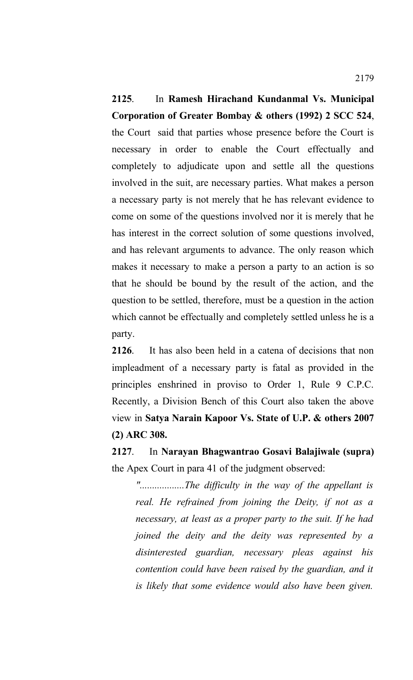**Corporation of Greater Bombay & others (1992) 2 SCC 524**, the Court said that parties whose presence before the Court is necessary in order to enable the Court effectually and completely to adjudicate upon and settle all the questions involved in the suit, are necessary parties. What makes a person a necessary party is not merely that he has relevant evidence to come on some of the questions involved nor it is merely that he has interest in the correct solution of some questions involved, and has relevant arguments to advance. The only reason which makes it necessary to make a person a party to an action is so that he should be bound by the result of the action, and the question to be settled, therefore, must be a question in the action which cannot be effectually and completely settled unless he is a party.

**2126**. It has also been held in a catena of decisions that non impleadment of a necessary party is fatal as provided in the principles enshrined in proviso to Order 1, Rule 9 C.P.C. Recently, a Division Bench of this Court also taken the above view in **Satya Narain Kapoor Vs. State of U.P. & others 2007 (2) ARC 308.**

**2127**. In **Narayan Bhagwantrao Gosavi Balajiwale (supra)** the Apex Court in para 41 of the judgment observed:

*"..................The difficulty in the way of the appellant is real. He refrained from joining the Deity, if not as a necessary, at least as a proper party to the suit. If he had joined the deity and the deity was represented by a disinterested guardian, necessary pleas against his contention could have been raised by the guardian, and it is likely that some evidence would also have been given.*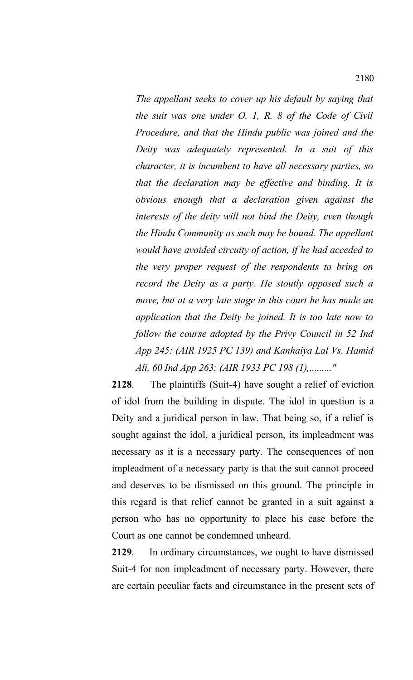*The appellant seeks to cover up his default by saying that the suit was one under O. 1, R. 8 of the Code of Civil Procedure, and that the Hindu public was joined and the Deity was adequately represented. In a suit of this character, it is incumbent to have all necessary parties, so that the declaration may be effective and binding. It is obvious enough that a declaration given against the interests of the deity will not bind the Deity, even though the Hindu Community as such may be bound. The appellant would have avoided circuity of action, if he had acceded to the very proper request of the respondents to bring on record the Deity as a party. He stoutly opposed such a move, but at a very late stage in this court he has made an application that the Deity be joined. It is too late now to follow the course adopted by the Privy Council in 52 Ind App 245: (AIR 1925 PC 139) and Kanhaiya Lal Vs. Hamid Ali, 60 Ind App 263: (AIR 1933 PC 198 (1),........."*

**2128**. The plaintiffs (Suit-4) have sought a relief of eviction of idol from the building in dispute. The idol in question is a Deity and a juridical person in law. That being so, if a relief is sought against the idol, a juridical person, its impleadment was necessary as it is a necessary party. The consequences of non impleadment of a necessary party is that the suit cannot proceed and deserves to be dismissed on this ground. The principle in this regard is that relief cannot be granted in a suit against a person who has no opportunity to place his case before the Court as one cannot be condemned unheard.

**2129**. In ordinary circumstances, we ought to have dismissed Suit-4 for non impleadment of necessary party. However, there are certain peculiar facts and circumstance in the present sets of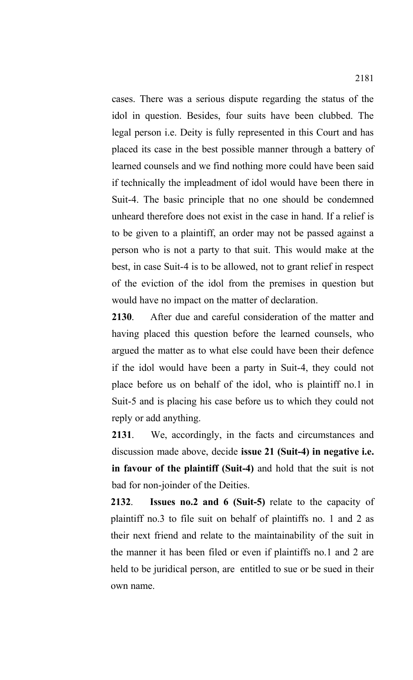cases. There was a serious dispute regarding the status of the idol in question. Besides, four suits have been clubbed. The legal person i.e. Deity is fully represented in this Court and has placed its case in the best possible manner through a battery of learned counsels and we find nothing more could have been said if technically the impleadment of idol would have been there in Suit-4. The basic principle that no one should be condemned unheard therefore does not exist in the case in hand. If a relief is to be given to a plaintiff, an order may not be passed against a person who is not a party to that suit. This would make at the best, in case Suit-4 is to be allowed, not to grant relief in respect of the eviction of the idol from the premises in question but would have no impact on the matter of declaration.

**2130**. After due and careful consideration of the matter and having placed this question before the learned counsels, who argued the matter as to what else could have been their defence if the idol would have been a party in Suit-4, they could not place before us on behalf of the idol, who is plaintiff no.1 in Suit-5 and is placing his case before us to which they could not reply or add anything.

**2131**. We, accordingly, in the facts and circumstances and discussion made above, decide **issue 21 (Suit-4) in negative i.e. in favour of the plaintiff (Suit-4)** and hold that the suit is not bad for non-joinder of the Deities.

**2132**. **Issues no.2 and 6 (Suit-5)** relate to the capacity of plaintiff no.3 to file suit on behalf of plaintiffs no. 1 and 2 as their next friend and relate to the maintainability of the suit in the manner it has been filed or even if plaintiffs no.1 and 2 are held to be juridical person, are entitled to sue or be sued in their own name.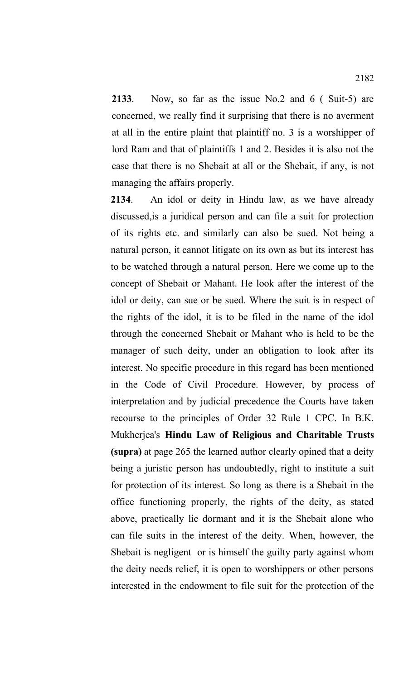**2133**. Now, so far as the issue No.2 and 6 ( Suit-5) are concerned, we really find it surprising that there is no averment at all in the entire plaint that plaintiff no. 3 is a worshipper of lord Ram and that of plaintiffs 1 and 2. Besides it is also not the case that there is no Shebait at all or the Shebait, if any, is not managing the affairs properly.

**2134**. An idol or deity in Hindu law, as we have already discussed,is a juridical person and can file a suit for protection of its rights etc. and similarly can also be sued. Not being a natural person, it cannot litigate on its own as but its interest has to be watched through a natural person. Here we come up to the concept of Shebait or Mahant. He look after the interest of the idol or deity, can sue or be sued. Where the suit is in respect of the rights of the idol, it is to be filed in the name of the idol through the concerned Shebait or Mahant who is held to be the manager of such deity, under an obligation to look after its interest. No specific procedure in this regard has been mentioned in the Code of Civil Procedure. However, by process of interpretation and by judicial precedence the Courts have taken recourse to the principles of Order 32 Rule 1 CPC. In B.K. Mukherjea's **Hindu Law of Religious and Charitable Trusts (supra)** at page 265 the learned author clearly opined that a deity being a juristic person has undoubtedly, right to institute a suit for protection of its interest. So long as there is a Shebait in the office functioning properly, the rights of the deity, as stated above, practically lie dormant and it is the Shebait alone who can file suits in the interest of the deity. When, however, the Shebait is negligent or is himself the guilty party against whom the deity needs relief, it is open to worshippers or other persons interested in the endowment to file suit for the protection of the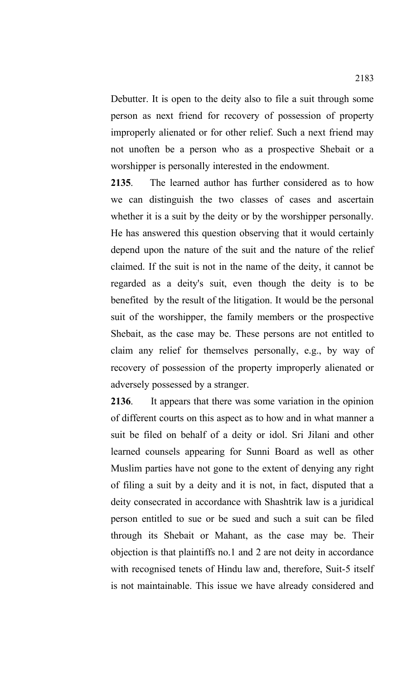Debutter. It is open to the deity also to file a suit through some person as next friend for recovery of possession of property improperly alienated or for other relief. Such a next friend may not unoften be a person who as a prospective Shebait or a worshipper is personally interested in the endowment.

**2135**. The learned author has further considered as to how we can distinguish the two classes of cases and ascertain whether it is a suit by the deity or by the worshipper personally. He has answered this question observing that it would certainly depend upon the nature of the suit and the nature of the relief claimed. If the suit is not in the name of the deity, it cannot be regarded as a deity's suit, even though the deity is to be benefited by the result of the litigation. It would be the personal suit of the worshipper, the family members or the prospective Shebait, as the case may be. These persons are not entitled to claim any relief for themselves personally, e.g., by way of recovery of possession of the property improperly alienated or adversely possessed by a stranger.

**2136**. It appears that there was some variation in the opinion of different courts on this aspect as to how and in what manner a suit be filed on behalf of a deity or idol. Sri Jilani and other learned counsels appearing for Sunni Board as well as other Muslim parties have not gone to the extent of denying any right of filing a suit by a deity and it is not, in fact, disputed that a deity consecrated in accordance with Shashtrik law is a juridical person entitled to sue or be sued and such a suit can be filed through its Shebait or Mahant, as the case may be. Their objection is that plaintiffs no.1 and 2 are not deity in accordance with recognised tenets of Hindu law and, therefore, Suit-5 itself is not maintainable. This issue we have already considered and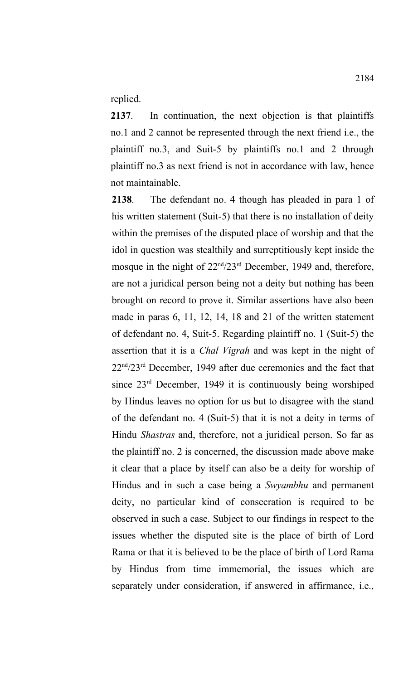replied.

**2137**. In continuation, the next objection is that plaintiffs no.1 and 2 cannot be represented through the next friend i.e., the plaintiff no.3, and Suit-5 by plaintiffs no.1 and 2 through plaintiff no.3 as next friend is not in accordance with law, hence not maintainable.

**2138**. The defendant no. 4 though has pleaded in para 1 of his written statement (Suit-5) that there is no installation of deity within the premises of the disputed place of worship and that the idol in question was stealthily and surreptitiously kept inside the mosque in the night of 22nd/23rd December, 1949 and, therefore, are not a juridical person being not a deity but nothing has been brought on record to prove it. Similar assertions have also been made in paras 6, 11, 12, 14, 18 and 21 of the written statement of defendant no. 4, Suit-5. Regarding plaintiff no. 1 (Suit-5) the assertion that it is a *Chal Vigrah* and was kept in the night of  $22<sup>nd</sup>/23<sup>rd</sup>$  December, 1949 after due ceremonies and the fact that since 23rd December, 1949 it is continuously being worshiped by Hindus leaves no option for us but to disagree with the stand of the defendant no. 4 (Suit-5) that it is not a deity in terms of Hindu *Shastras* and, therefore, not a juridical person. So far as the plaintiff no. 2 is concerned, the discussion made above make it clear that a place by itself can also be a deity for worship of Hindus and in such a case being a *Swyambhu* and permanent deity, no particular kind of consecration is required to be observed in such a case. Subject to our findings in respect to the issues whether the disputed site is the place of birth of Lord Rama or that it is believed to be the place of birth of Lord Rama by Hindus from time immemorial, the issues which are separately under consideration, if answered in affirmance, i.e.,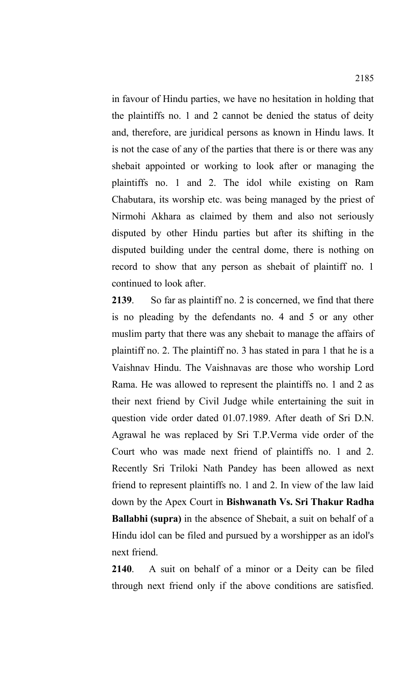in favour of Hindu parties, we have no hesitation in holding that the plaintiffs no. 1 and 2 cannot be denied the status of deity and, therefore, are juridical persons as known in Hindu laws. It is not the case of any of the parties that there is or there was any shebait appointed or working to look after or managing the plaintiffs no. 1 and 2. The idol while existing on Ram Chabutara, its worship etc. was being managed by the priest of Nirmohi Akhara as claimed by them and also not seriously disputed by other Hindu parties but after its shifting in the disputed building under the central dome, there is nothing on record to show that any person as shebait of plaintiff no. 1 continued to look after.

**2139**. So far as plaintiff no. 2 is concerned, we find that there is no pleading by the defendants no. 4 and 5 or any other muslim party that there was any shebait to manage the affairs of plaintiff no. 2. The plaintiff no. 3 has stated in para 1 that he is a Vaishnav Hindu. The Vaishnavas are those who worship Lord Rama. He was allowed to represent the plaintiffs no. 1 and 2 as their next friend by Civil Judge while entertaining the suit in question vide order dated 01.07.1989. After death of Sri D.N. Agrawal he was replaced by Sri T.P.Verma vide order of the Court who was made next friend of plaintiffs no. 1 and 2. Recently Sri Triloki Nath Pandey has been allowed as next friend to represent plaintiffs no. 1 and 2. In view of the law laid down by the Apex Court in **Bishwanath Vs. Sri Thakur Radha Ballabhi (supra)** in the absence of Shebait, a suit on behalf of a Hindu idol can be filed and pursued by a worshipper as an idol's next friend.

**2140**. A suit on behalf of a minor or a Deity can be filed through next friend only if the above conditions are satisfied.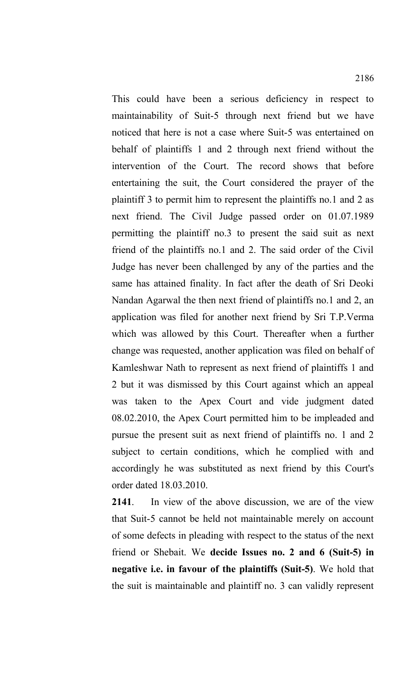This could have been a serious deficiency in respect to maintainability of Suit-5 through next friend but we have noticed that here is not a case where Suit-5 was entertained on behalf of plaintiffs 1 and 2 through next friend without the intervention of the Court. The record shows that before entertaining the suit, the Court considered the prayer of the plaintiff 3 to permit him to represent the plaintiffs no.1 and 2 as next friend. The Civil Judge passed order on 01.07.1989 permitting the plaintiff no.3 to present the said suit as next friend of the plaintiffs no.1 and 2. The said order of the Civil Judge has never been challenged by any of the parties and the same has attained finality. In fact after the death of Sri Deoki Nandan Agarwal the then next friend of plaintiffs no.1 and 2, an application was filed for another next friend by Sri T.P.Verma which was allowed by this Court. Thereafter when a further change was requested, another application was filed on behalf of Kamleshwar Nath to represent as next friend of plaintiffs 1 and 2 but it was dismissed by this Court against which an appeal was taken to the Apex Court and vide judgment dated 08.02.2010, the Apex Court permitted him to be impleaded and pursue the present suit as next friend of plaintiffs no. 1 and 2 subject to certain conditions, which he complied with and accordingly he was substituted as next friend by this Court's order dated 18.03.2010.

**2141**. In view of the above discussion, we are of the view that Suit-5 cannot be held not maintainable merely on account of some defects in pleading with respect to the status of the next friend or Shebait. We **decide Issues no. 2 and 6 (Suit-5) in negative i.e. in favour of the plaintiffs (Suit-5)**. We hold that the suit is maintainable and plaintiff no. 3 can validly represent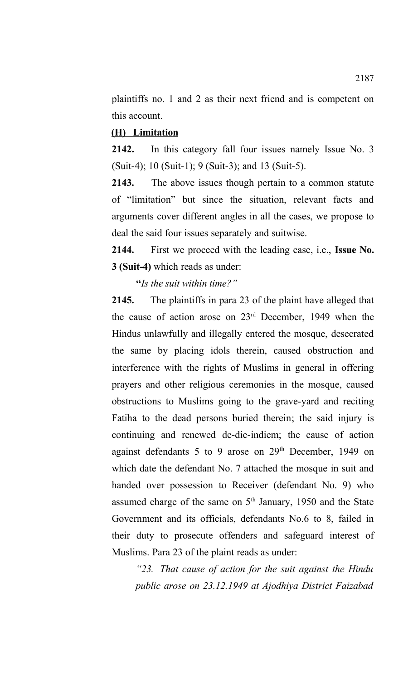plaintiffs no. 1 and 2 as their next friend and is competent on this account.

## **(H) Limitation**

**2142.** In this category fall four issues namely Issue No. 3 (Suit-4); 10 (Suit-1); 9 (Suit-3); and 13 (Suit-5).

**2143.** The above issues though pertain to a common statute of "limitation" but since the situation, relevant facts and arguments cover different angles in all the cases, we propose to deal the said four issues separately and suitwise.

**2144.** First we proceed with the leading case, i.e., **Issue No. 3 (Suit-4)** which reads as under:

**"***Is the suit within time?"*

**2145.** The plaintiffs in para 23 of the plaint have alleged that the cause of action arose on 23rd December, 1949 when the Hindus unlawfully and illegally entered the mosque, desecrated the same by placing idols therein, caused obstruction and interference with the rights of Muslims in general in offering prayers and other religious ceremonies in the mosque, caused obstructions to Muslims going to the grave-yard and reciting Fatiha to the dead persons buried therein; the said injury is continuing and renewed de-die-indiem; the cause of action against defendants  $5$  to 9 arose on  $29<sup>th</sup>$  December, 1949 on which date the defendant No. 7 attached the mosque in suit and handed over possession to Receiver (defendant No. 9) who assumed charge of the same on  $5<sup>th</sup>$  January, 1950 and the State Government and its officials, defendants No.6 to 8, failed in their duty to prosecute offenders and safeguard interest of Muslims. Para 23 of the plaint reads as under:

*"23. That cause of action for the suit against the Hindu public arose on 23.12.1949 at Ajodhiya District Faizabad*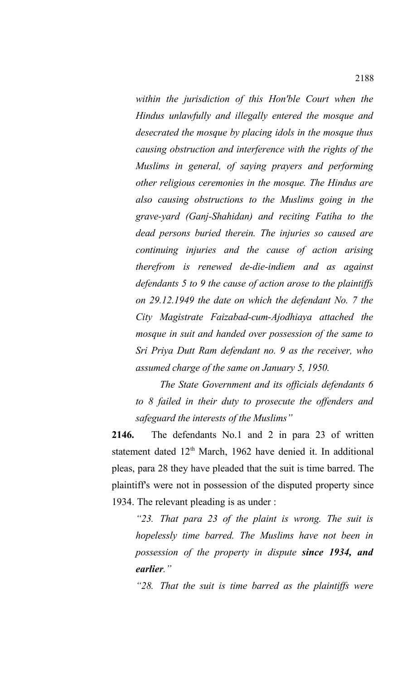*within the jurisdiction of this Hon'ble Court when the Hindus unlawfully and illegally entered the mosque and desecrated the mosque by placing idols in the mosque thus causing obstruction and interference with the rights of the Muslims in general, of saying prayers and performing other religious ceremonies in the mosque. The Hindus are also causing obstructions to the Muslims going in the grave-yard (Ganj-Shahidan) and reciting Fatiha to the dead persons buried therein. The injuries so caused are continuing injuries and the cause of action arising therefrom is renewed de-die-indiem and as against defendants 5 to 9 the cause of action arose to the plaintiffs on 29.12.1949 the date on which the defendant No. 7 the City Magistrate Faizabad-cum-Ajodhiaya attached the mosque in suit and handed over possession of the same to Sri Priya Dutt Ram defendant no. 9 as the receiver, who assumed charge of the same on January 5, 1950.*

*The State Government and its officials defendants 6 to 8 failed in their duty to prosecute the offenders and safeguard the interests of the Muslims"*

**2146.** The defendants No.1 and 2 in para 23 of written statement dated 12<sup>th</sup> March, 1962 have denied it. In additional pleas, para 28 they have pleaded that the suit is time barred. The plaintiff's were not in possession of the disputed property since 1934. The relevant pleading is as under :

*"23. That para 23 of the plaint is wrong. The suit is hopelessly time barred. The Muslims have not been in possession of the property in dispute since 1934, and earlier."*

*"28. That the suit is time barred as the plaintiffs were*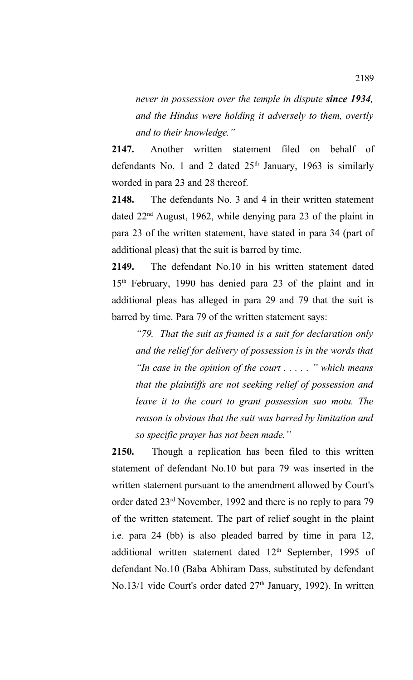*never in possession over the temple in dispute since 1934, and the Hindus were holding it adversely to them, overtly and to their knowledge."*

**2147.** Another written statement filed on behalf of defendants No. 1 and 2 dated  $25<sup>th</sup>$  January, 1963 is similarly worded in para 23 and 28 thereof.

**2148.** The defendants No. 3 and 4 in their written statement dated 22nd August, 1962, while denying para 23 of the plaint in para 23 of the written statement, have stated in para 34 (part of additional pleas) that the suit is barred by time.

**2149.** The defendant No.10 in his written statement dated 15th February, 1990 has denied para 23 of the plaint and in additional pleas has alleged in para 29 and 79 that the suit is barred by time. Para 79 of the written statement says:

*"79. That the suit as framed is a suit for declaration only and the relief for delivery of possession is in the words that "In case in the opinion of the court . . . . . " which means that the plaintiffs are not seeking relief of possession and leave it to the court to grant possession suo motu. The reason is obvious that the suit was barred by limitation and so specific prayer has not been made."*

**2150.** Though a replication has been filed to this written statement of defendant No.10 but para 79 was inserted in the written statement pursuant to the amendment allowed by Court's order dated 23rd November, 1992 and there is no reply to para 79 of the written statement. The part of relief sought in the plaint i.e. para 24 (bb) is also pleaded barred by time in para 12, additional written statement dated  $12<sup>th</sup>$  September, 1995 of defendant No.10 (Baba Abhiram Dass, substituted by defendant No.13/1 vide Court's order dated  $27<sup>th</sup>$  January, 1992). In written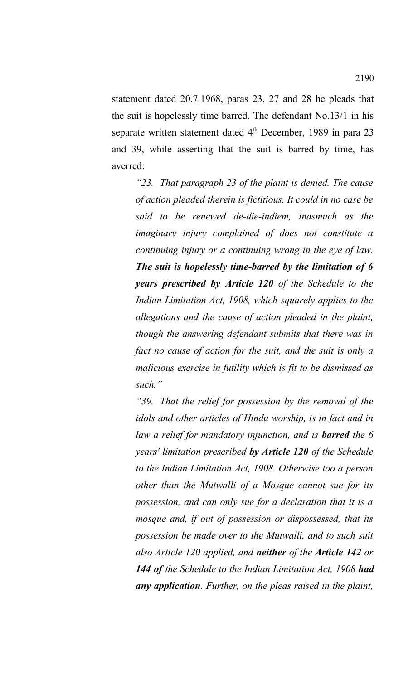statement dated 20.7.1968, paras 23, 27 and 28 he pleads that the suit is hopelessly time barred. The defendant No.13/1 in his separate written statement dated  $4<sup>th</sup>$  December, 1989 in para 23 and 39, while asserting that the suit is barred by time, has averred:

*"23. That paragraph 23 of the plaint is denied. The cause of action pleaded therein is fictitious. It could in no case be said to be renewed de-die-indiem, inasmuch as the imaginary injury complained of does not constitute a continuing injury or a continuing wrong in the eye of law. The suit is hopelessly time-barred by the limitation of 6 years prescribed by Article 120 of the Schedule to the Indian Limitation Act, 1908, which squarely applies to the allegations and the cause of action pleaded in the plaint, though the answering defendant submits that there was in fact no cause of action for the suit, and the suit is only a malicious exercise in futility which is fit to be dismissed as such."*

*"39. That the relief for possession by the removal of the idols and other articles of Hindu worship, is in fact and in law a relief for mandatory injunction, and is barred the 6 years' limitation prescribed by Article 120 of the Schedule to the Indian Limitation Act, 1908. Otherwise too a person other than the Mutwalli of a Mosque cannot sue for its possession, and can only sue for a declaration that it is a mosque and, if out of possession or dispossessed, that its possession be made over to the Mutwalli, and to such suit also Article 120 applied, and neither of the Article 142 or 144 of the Schedule to the Indian Limitation Act, 1908 had any application. Further, on the pleas raised in the plaint,*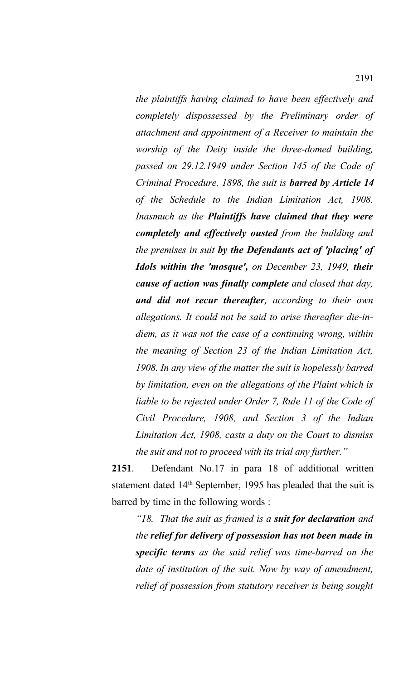*the plaintiffs having claimed to have been effectively and completely dispossessed by the Preliminary order of attachment and appointment of a Receiver to maintain the worship of the Deity inside the three-domed building, passed on 29.12.1949 under Section 145 of the Code of Criminal Procedure, 1898, the suit is barred by Article 14 of the Schedule to the Indian Limitation Act, 1908. Inasmuch as the Plaintiffs have claimed that they were completely and effectively ousted from the building and the premises in suit by the Defendants act of 'placing' of Idols within the 'mosque', on December 23, 1949, their cause of action was finally complete and closed that day, and did not recur thereafter, according to their own allegations. It could not be said to arise thereafter die-indiem, as it was not the case of a continuing wrong, within the meaning of Section 23 of the Indian Limitation Act, 1908. In any view of the matter the suit is hopelessly barred by limitation, even on the allegations of the Plaint which is liable to be rejected under Order 7, Rule 11 of the Code of Civil Procedure, 1908, and Section 3 of the Indian Limitation Act, 1908, casts a duty on the Court to dismiss the suit and not to proceed with its trial any further."*

**2151**. Defendant No.17 in para 18 of additional written statement dated 14<sup>th</sup> September, 1995 has pleaded that the suit is barred by time in the following words :

*"18. That the suit as framed is a suit for declaration and the relief for delivery of possession has not been made in specific terms as the said relief was time-barred on the date of institution of the suit. Now by way of amendment, relief of possession from statutory receiver is being sought*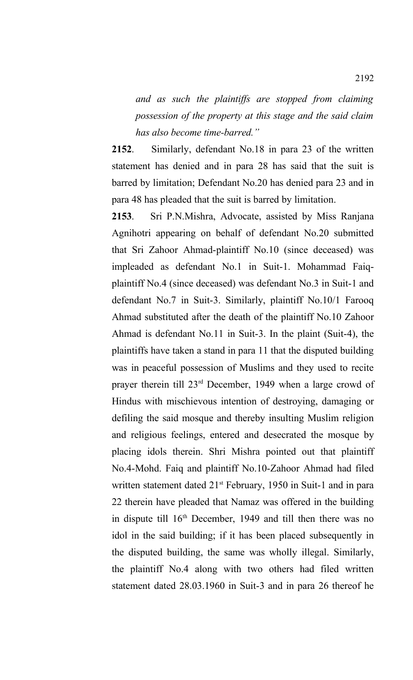*and as such the plaintiffs are stopped from claiming possession of the property at this stage and the said claim has also become time-barred."*

**2152**. Similarly, defendant No.18 in para 23 of the written statement has denied and in para 28 has said that the suit is barred by limitation; Defendant No.20 has denied para 23 and in para 48 has pleaded that the suit is barred by limitation.

**2153**. Sri P.N.Mishra, Advocate, assisted by Miss Ranjana Agnihotri appearing on behalf of defendant No.20 submitted that Sri Zahoor Ahmad-plaintiff No.10 (since deceased) was impleaded as defendant No.1 in Suit-1. Mohammad Faiqplaintiff No.4 (since deceased) was defendant No.3 in Suit-1 and defendant No.7 in Suit-3. Similarly, plaintiff No.10/1 Farooq Ahmad substituted after the death of the plaintiff No.10 Zahoor Ahmad is defendant No.11 in Suit-3. In the plaint (Suit-4), the plaintiffs have taken a stand in para 11 that the disputed building was in peaceful possession of Muslims and they used to recite prayer therein till 23rd December, 1949 when a large crowd of Hindus with mischievous intention of destroying, damaging or defiling the said mosque and thereby insulting Muslim religion and religious feelings, entered and desecrated the mosque by placing idols therein. Shri Mishra pointed out that plaintiff No.4-Mohd. Faiq and plaintiff No.10-Zahoor Ahmad had filed written statement dated 21<sup>st</sup> February, 1950 in Suit-1 and in para 22 therein have pleaded that Namaz was offered in the building in dispute till  $16<sup>th</sup>$  December, 1949 and till then there was no idol in the said building; if it has been placed subsequently in the disputed building, the same was wholly illegal. Similarly, the plaintiff No.4 along with two others had filed written statement dated 28.03.1960 in Suit-3 and in para 26 thereof he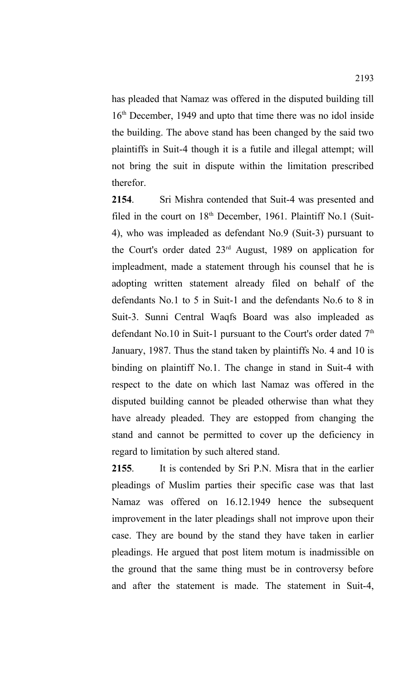has pleaded that Namaz was offered in the disputed building till 16th December, 1949 and upto that time there was no idol inside the building. The above stand has been changed by the said two plaintiffs in Suit-4 though it is a futile and illegal attempt; will not bring the suit in dispute within the limitation prescribed therefor.

**2154**. Sri Mishra contended that Suit-4 was presented and filed in the court on  $18<sup>th</sup>$  December, 1961. Plaintiff No.1 (Suit-4), who was impleaded as defendant No.9 (Suit-3) pursuant to the Court's order dated 23rd August, 1989 on application for impleadment, made a statement through his counsel that he is adopting written statement already filed on behalf of the defendants No.1 to 5 in Suit-1 and the defendants No.6 to 8 in Suit-3. Sunni Central Waqfs Board was also impleaded as defendant No.10 in Suit-1 pursuant to the Court's order dated 7<sup>th</sup> January, 1987. Thus the stand taken by plaintiffs No. 4 and 10 is binding on plaintiff No.1. The change in stand in Suit-4 with respect to the date on which last Namaz was offered in the disputed building cannot be pleaded otherwise than what they have already pleaded. They are estopped from changing the stand and cannot be permitted to cover up the deficiency in regard to limitation by such altered stand.

**2155**. It is contended by Sri P.N. Misra that in the earlier pleadings of Muslim parties their specific case was that last Namaz was offered on 16.12.1949 hence the subsequent improvement in the later pleadings shall not improve upon their case. They are bound by the stand they have taken in earlier pleadings. He argued that post litem motum is inadmissible on the ground that the same thing must be in controversy before and after the statement is made. The statement in Suit-4,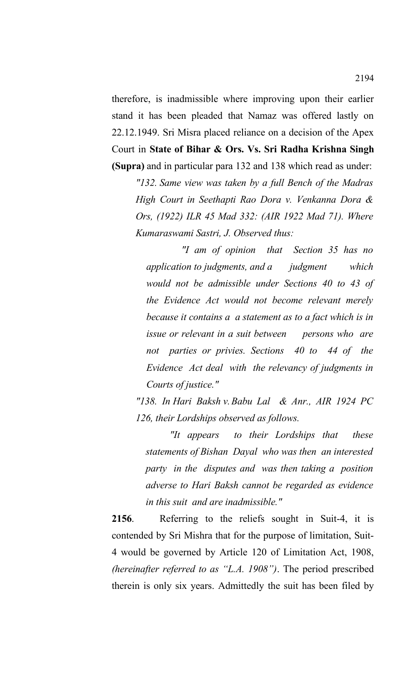therefore, is inadmissible where improving upon their earlier stand it has been pleaded that Namaz was offered lastly on 22.12.1949. Sri Misra placed reliance on a decision of the Apex Court in **State of Bihar & Ors. Vs. Sri Radha Krishna Singh (Supra)** and in particular para 132 and 138 which read as under:

*"132. Same view was taken by a full Bench of the Madras High Court in Seethapti Rao Dora v. Venkanna Dora & Ors, (1922) ILR 45 Mad 332: (AIR 1922 Mad 71). Where Kumaraswami Sastri, J. Observed thus:*

 *"I am of opinion that Section 35 has no application to judgments, and a judgment which would not be admissible under Sections 40 to 43 of the Evidence Act would not become relevant merely because it contains a a statement as to a fact which is in issue or relevant in a suit between persons who are not parties or privies. Sections 40 to 44 of the Evidence Act deal with the relevancy of judgments in Courts of justice."*

*"138. In Hari Baksh v.Babu Lal & Anr., AIR 1924 PC 126, their Lordships observed as follows.*

*"It appears to their Lordships that these statements of Bishan Dayal who was then an interested party in the disputes and was then taking a position adverse to Hari Baksh cannot be regarded as evidence in this suit and are inadmissible."*

**2156**. Referring to the reliefs sought in Suit-4, it is contended by Sri Mishra that for the purpose of limitation, Suit-4 would be governed by Article 120 of Limitation Act, 1908, *(hereinafter referred to as "L.A. 1908")*. The period prescribed therein is only six years. Admittedly the suit has been filed by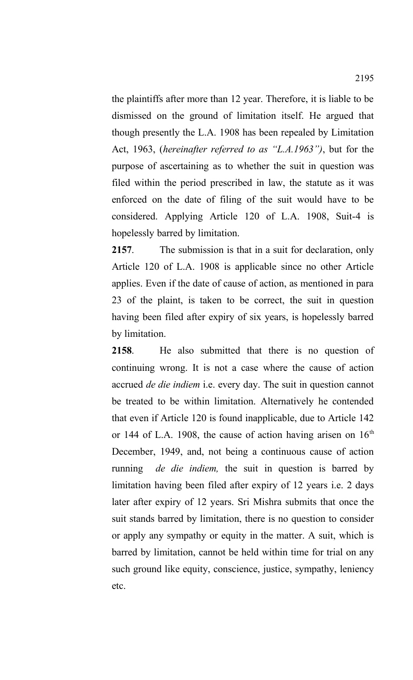the plaintiffs after more than 12 year. Therefore, it is liable to be dismissed on the ground of limitation itself. He argued that though presently the L.A. 1908 has been repealed by Limitation Act, 1963, (*hereinafter referred to as "L.A.1963")*, but for the purpose of ascertaining as to whether the suit in question was filed within the period prescribed in law, the statute as it was enforced on the date of filing of the suit would have to be considered. Applying Article 120 of L.A. 1908, Suit-4 is hopelessly barred by limitation.

**2157**. The submission is that in a suit for declaration, only Article 120 of L.A. 1908 is applicable since no other Article applies. Even if the date of cause of action, as mentioned in para 23 of the plaint, is taken to be correct, the suit in question having been filed after expiry of six years, is hopelessly barred by limitation.

**2158**. He also submitted that there is no question of continuing wrong. It is not a case where the cause of action accrued *de die indiem* i.e. every day. The suit in question cannot be treated to be within limitation. Alternatively he contended that even if Article 120 is found inapplicable, due to Article 142 or 144 of L.A. 1908, the cause of action having arisen on  $16<sup>th</sup>$ December, 1949, and, not being a continuous cause of action running *de die indiem,* the suit in question is barred by limitation having been filed after expiry of 12 years i.e. 2 days later after expiry of 12 years. Sri Mishra submits that once the suit stands barred by limitation, there is no question to consider or apply any sympathy or equity in the matter. A suit, which is barred by limitation, cannot be held within time for trial on any such ground like equity, conscience, justice, sympathy, leniency etc.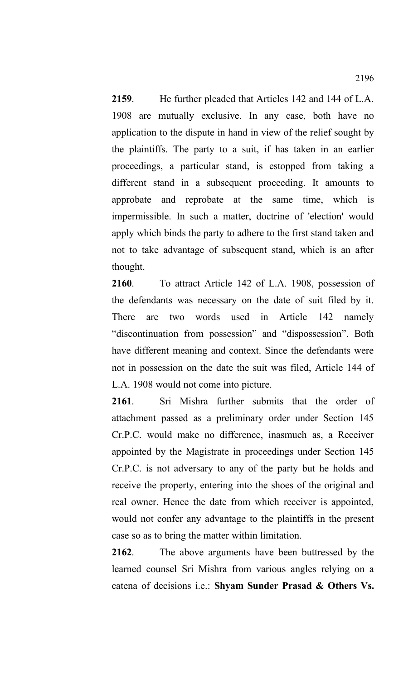**2159**. He further pleaded that Articles 142 and 144 of L.A. 1908 are mutually exclusive. In any case, both have no application to the dispute in hand in view of the relief sought by the plaintiffs. The party to a suit, if has taken in an earlier proceedings, a particular stand, is estopped from taking a different stand in a subsequent proceeding. It amounts to approbate and reprobate at the same time, which is impermissible. In such a matter, doctrine of 'election' would apply which binds the party to adhere to the first stand taken and not to take advantage of subsequent stand, which is an after thought.

**2160**. To attract Article 142 of L.A. 1908, possession of the defendants was necessary on the date of suit filed by it. There are two words used in Article 142 namely "discontinuation from possession" and "dispossession". Both have different meaning and context. Since the defendants were not in possession on the date the suit was filed, Article 144 of L.A. 1908 would not come into picture.

**2161**. Sri Mishra further submits that the order of attachment passed as a preliminary order under Section 145 Cr.P.C. would make no difference, inasmuch as, a Receiver appointed by the Magistrate in proceedings under Section 145 Cr.P.C. is not adversary to any of the party but he holds and receive the property, entering into the shoes of the original and real owner. Hence the date from which receiver is appointed, would not confer any advantage to the plaintiffs in the present case so as to bring the matter within limitation.

**2162**. The above arguments have been buttressed by the learned counsel Sri Mishra from various angles relying on a catena of decisions i.e.: **Shyam Sunder Prasad & Others Vs.**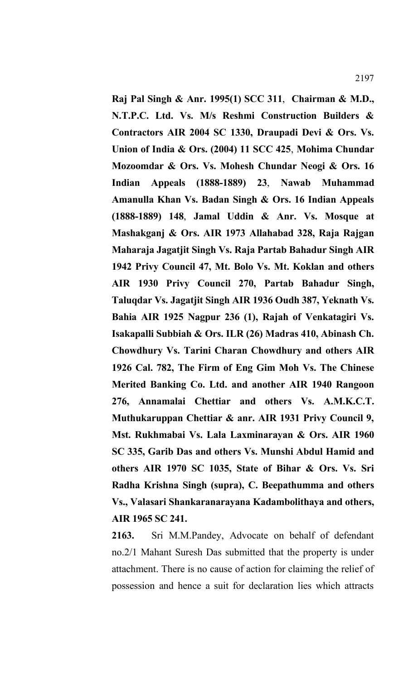**Raj Pal Singh & Anr. 1995(1) SCC 311**, **Chairman & M.D., N.T.P.C. Ltd. Vs. M/s Reshmi Construction Builders & Contractors AIR 2004 SC 1330, Draupadi Devi & Ors. Vs. Union of India & Ors. (2004) 11 SCC 425**, **Mohima Chundar Mozoomdar & Ors. Vs. Mohesh Chundar Neogi & Ors. 16 Indian Appeals (1888-1889) 23**, **Nawab Muhammad Amanulla Khan Vs. Badan Singh & Ors. 16 Indian Appeals (1888-1889) 148**, **Jamal Uddin & Anr. Vs. Mosque at Mashakganj & Ors. AIR 1973 Allahabad 328, Raja Rajgan Maharaja Jagatjit Singh Vs. Raja Partab Bahadur Singh AIR 1942 Privy Council 47, Mt. Bolo Vs. Mt. Koklan and others AIR 1930 Privy Council 270, Partab Bahadur Singh, Taluqdar Vs. Jagatjit Singh AIR 1936 Oudh 387, Yeknath Vs. Bahia AIR 1925 Nagpur 236 (1), Rajah of Venkatagiri Vs. Isakapalli Subbiah & Ors. ILR (26) Madras 410, Abinash Ch. Chowdhury Vs. Tarini Charan Chowdhury and others AIR 1926 Cal. 782, The Firm of Eng Gim Moh Vs. The Chinese Merited Banking Co. Ltd. and another AIR 1940 Rangoon 276, Annamalai Chettiar and others Vs. A.M.K.C.T. Muthukaruppan Chettiar & anr. AIR 1931 Privy Council 9, Mst. Rukhmabai Vs. Lala Laxminarayan & Ors. AIR 1960 SC 335, Garib Das and others Vs. Munshi Abdul Hamid and others AIR 1970 SC 1035, State of Bihar & Ors. Vs. Sri Radha Krishna Singh (supra), C. Beepathumma and others Vs., Valasari Shankaranarayana Kadambolithaya and others, AIR 1965 SC 241.**

**2163.** Sri M.M.Pandey, Advocate on behalf of defendant no.2/1 Mahant Suresh Das submitted that the property is under attachment. There is no cause of action for claiming the relief of possession and hence a suit for declaration lies which attracts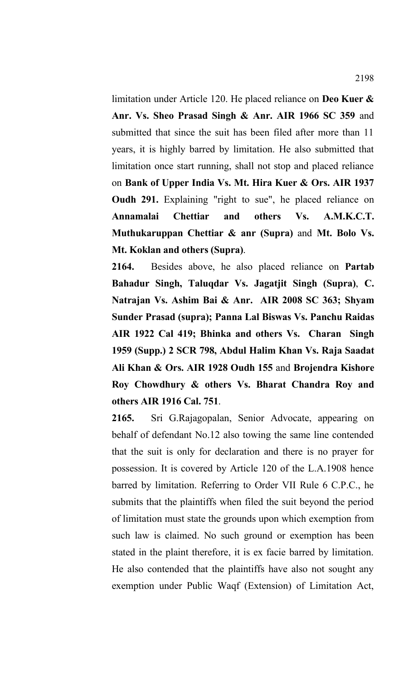limitation under Article 120. He placed reliance on **Deo Kuer & Anr. Vs. Sheo Prasad Singh & Anr. AIR 1966 SC 359** and submitted that since the suit has been filed after more than 11 years, it is highly barred by limitation. He also submitted that limitation once start running, shall not stop and placed reliance on **Bank of Upper India Vs. Mt. Hira Kuer & Ors. AIR 1937 Oudh 291.** Explaining "right to sue", he placed reliance on **Annamalai Chettiar and others Vs. A.M.K.C.T. Muthukaruppan Chettiar & anr (Supra)** and **Mt. Bolo Vs. Mt. Koklan and others (Supra)**.

**2164.** Besides above, he also placed reliance on **Partab Bahadur Singh, Taluqdar Vs. Jagatjit Singh (Supra)**, **C. Natrajan Vs. Ashim Bai & Anr. AIR 2008 SC 363; Shyam Sunder Prasad (supra); Panna Lal Biswas Vs. Panchu Raidas AIR 1922 Cal 419; Bhinka and others Vs. Charan Singh 1959 (Supp.) 2 SCR 798, Abdul Halim Khan Vs. Raja Saadat Ali Khan & Ors. AIR 1928 Oudh 155** and **Brojendra Kishore Roy Chowdhury & others Vs. Bharat Chandra Roy and others AIR 1916 Cal. 751**.

**2165.** Sri G.Rajagopalan, Senior Advocate, appearing on behalf of defendant No.12 also towing the same line contended that the suit is only for declaration and there is no prayer for possession. It is covered by Article 120 of the L.A.1908 hence barred by limitation. Referring to Order VII Rule 6 C.P.C., he submits that the plaintiffs when filed the suit beyond the period of limitation must state the grounds upon which exemption from such law is claimed. No such ground or exemption has been stated in the plaint therefore, it is ex facie barred by limitation. He also contended that the plaintiffs have also not sought any exemption under Public Waqf (Extension) of Limitation Act,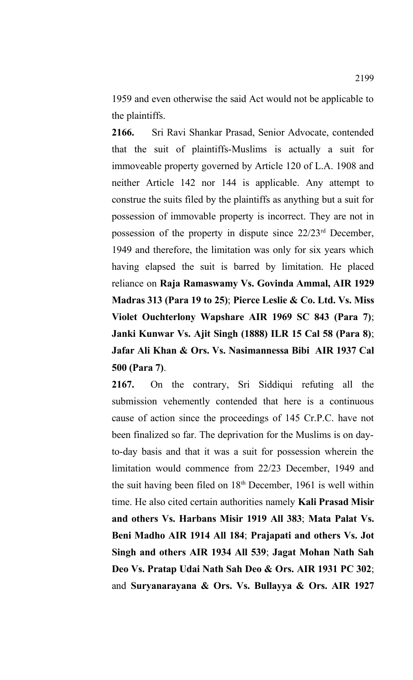1959 and even otherwise the said Act would not be applicable to the plaintiffs.

**2166.** Sri Ravi Shankar Prasad, Senior Advocate, contended that the suit of plaintiffs-Muslims is actually a suit for immoveable property governed by Article 120 of L.A. 1908 and neither Article 142 nor 144 is applicable. Any attempt to construe the suits filed by the plaintiffs as anything but a suit for possession of immovable property is incorrect. They are not in possession of the property in dispute since 22/23rd December, 1949 and therefore, the limitation was only for six years which having elapsed the suit is barred by limitation. He placed reliance on **Raja Ramaswamy Vs. Govinda Ammal, AIR 1929 Madras 313 (Para 19 to 25)**; **Pierce Leslie & Co. Ltd. Vs. Miss Violet Ouchterlony Wapshare AIR 1969 SC 843 (Para 7)**; **Janki Kunwar Vs. Ajit Singh (1888) ILR 15 Cal 58 (Para 8)**; **Jafar Ali Khan & Ors. Vs. Nasimannessa Bibi AIR 1937 Cal 500 (Para 7)**.

**2167.** On the contrary, Sri Siddiqui refuting all the submission vehemently contended that here is a continuous cause of action since the proceedings of 145 Cr.P.C. have not been finalized so far. The deprivation for the Muslims is on dayto-day basis and that it was a suit for possession wherein the limitation would commence from 22/23 December, 1949 and the suit having been filed on  $18<sup>th</sup>$  December, 1961 is well within time. He also cited certain authorities namely **Kali Prasad Misir and others Vs. Harbans Misir 1919 All 383**; **Mata Palat Vs. Beni Madho AIR 1914 All 184**; **Prajapati and others Vs. Jot Singh and others AIR 1934 All 539**; **Jagat Mohan Nath Sah Deo Vs. Pratap Udai Nath Sah Deo & Ors. AIR 1931 PC 302**; and **Suryanarayana & Ors. Vs. Bullayya & Ors. AIR 1927**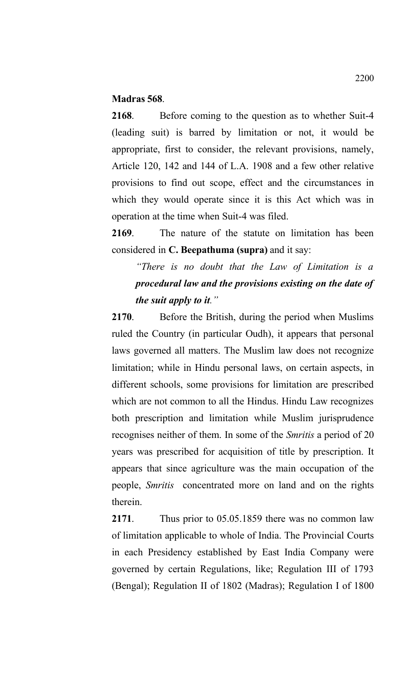## **Madras 568**.

**2168**. Before coming to the question as to whether Suit-4 (leading suit) is barred by limitation or not, it would be appropriate, first to consider, the relevant provisions, namely, Article 120, 142 and 144 of L.A. 1908 and a few other relative provisions to find out scope, effect and the circumstances in which they would operate since it is this Act which was in operation at the time when Suit-4 was filed.

**2169**. The nature of the statute on limitation has been considered in **C. Beepathuma (supra)** and it say:

## *"There is no doubt that the Law of Limitation is a procedural law and the provisions existing on the date of the suit apply to it."*

**2170**. Before the British, during the period when Muslims ruled the Country (in particular Oudh), it appears that personal laws governed all matters. The Muslim law does not recognize limitation; while in Hindu personal laws, on certain aspects, in different schools, some provisions for limitation are prescribed which are not common to all the Hindus. Hindu Law recognizes both prescription and limitation while Muslim jurisprudence recognises neither of them. In some of the *Smritis* a period of 20 years was prescribed for acquisition of title by prescription. It appears that since agriculture was the main occupation of the people, *Smritis* concentrated more on land and on the rights therein.

**2171**. Thus prior to 05.05.1859 there was no common law of limitation applicable to whole of India. The Provincial Courts in each Presidency established by East India Company were governed by certain Regulations, like; Regulation III of 1793 (Bengal); Regulation II of 1802 (Madras); Regulation I of 1800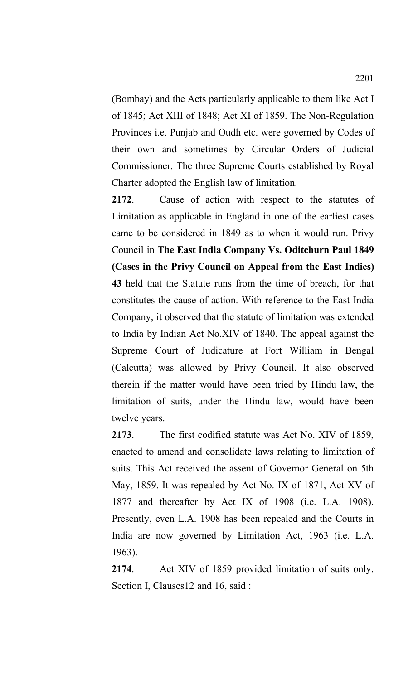(Bombay) and the Acts particularly applicable to them like Act I of 1845; Act XIII of 1848; Act XI of 1859. The Non-Regulation Provinces i.e. Punjab and Oudh etc. were governed by Codes of their own and sometimes by Circular Orders of Judicial Commissioner. The three Supreme Courts established by Royal Charter adopted the English law of limitation.

**2172**. Cause of action with respect to the statutes of Limitation as applicable in England in one of the earliest cases came to be considered in 1849 as to when it would run. Privy Council in **The East India Company Vs. Oditchurn Paul 1849 (Cases in the Privy Council on Appeal from the East Indies) 43** held that the Statute runs from the time of breach, for that constitutes the cause of action. With reference to the East India Company, it observed that the statute of limitation was extended to India by Indian Act No.XIV of 1840. The appeal against the Supreme Court of Judicature at Fort William in Bengal (Calcutta) was allowed by Privy Council. It also observed therein if the matter would have been tried by Hindu law, the limitation of suits, under the Hindu law, would have been twelve years.

**2173**. The first codified statute was Act No. XIV of 1859, enacted to amend and consolidate laws relating to limitation of suits. This Act received the assent of Governor General on 5th May, 1859. It was repealed by Act No. IX of 1871, Act XV of 1877 and thereafter by Act IX of 1908 (i.e. L.A. 1908). Presently, even L.A. 1908 has been repealed and the Courts in India are now governed by Limitation Act, 1963 (i.e. L.A. 1963).

**2174**. Act XIV of 1859 provided limitation of suits only. Section I, Clauses 12 and 16, said :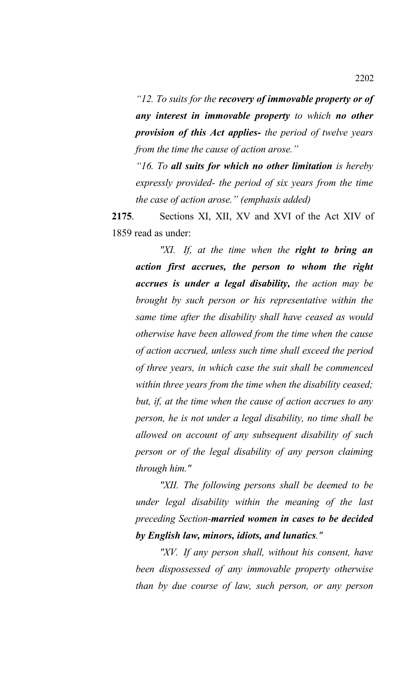*"12. To suits for the recovery of immovable property or of any interest in immovable property to which no other provision of this Act applies- the period of twelve years from the time the cause of action arose."*

*"16. To all suits for which no other limitation is hereby expressly provided- the period of six years from the time the case of action arose." (emphasis added)*

**2175**. Sections XI, XII, XV and XVI of the Act XIV of 1859 read as under:

*"XI. If, at the time when the right to bring an action first accrues, the person to whom the right accrues is under a legal disability, the action may be brought by such person or his representative within the same time after the disability shall have ceased as would otherwise have been allowed from the time when the cause of action accrued, unless such time shall exceed the period of three years, in which case the suit shall be commenced within three years from the time when the disability ceased; but, if, at the time when the cause of action accrues to any person, he is not under a legal disability, no time shall be allowed on account of any subsequent disability of such person or of the legal disability of any person claiming through him."*

*"XII. The following persons shall be deemed to be under legal disability within the meaning of the last preceding Section-married women in cases to be decided by English law, minors, idiots, and lunatics."*

*"XV. If any person shall, without his consent, have been dispossessed of any immovable property otherwise than by due course of law, such person, or any person*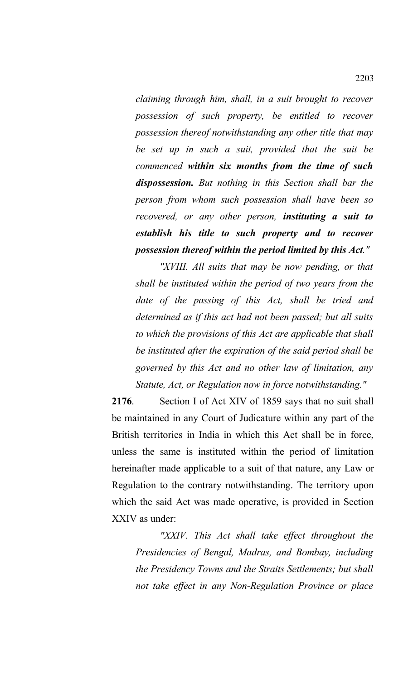*claiming through him, shall, in a suit brought to recover possession of such property, be entitled to recover possession thereof notwithstanding any other title that may be set up in such a suit, provided that the suit be commenced within six months from the time of such dispossession. But nothing in this Section shall bar the person from whom such possession shall have been so recovered, or any other person, instituting a suit to establish his title to such property and to recover possession thereof within the period limited by this Act."*

*"XVIII. All suits that may be now pending, or that shall be instituted within the period of two years from the date of the passing of this Act, shall be tried and determined as if this act had not been passed; but all suits to which the provisions of this Act are applicable that shall be instituted after the expiration of the said period shall be governed by this Act and no other law of limitation, any Statute, Act, or Regulation now in force notwithstanding."* 

**2176**. Section I of Act XIV of 1859 says that no suit shall be maintained in any Court of Judicature within any part of the British territories in India in which this Act shall be in force, unless the same is instituted within the period of limitation hereinafter made applicable to a suit of that nature, any Law or Regulation to the contrary notwithstanding. The territory upon which the said Act was made operative, is provided in Section XXIV as under:

*"XXIV. This Act shall take effect throughout the Presidencies of Bengal, Madras, and Bombay, including the Presidency Towns and the Straits Settlements; but shall not take effect in any Non-Regulation Province or place*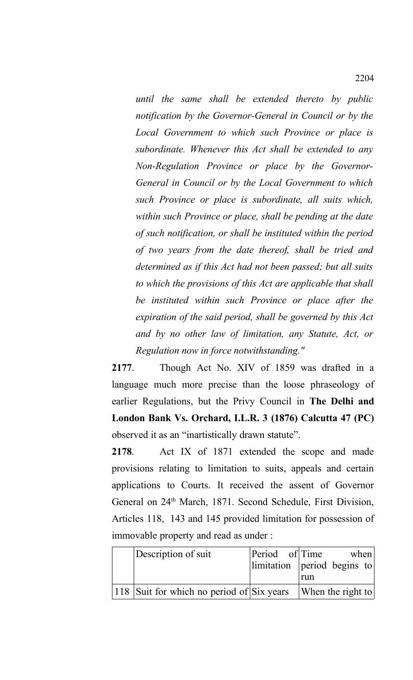*until the same shall be extended thereto by public notification by the Governor-General in Council or by the Local Government to which such Province or place is subordinate. Whenever this Act shall be extended to any Non-Regulation Province or place by the Governor-General in Council or by the Local Government to which such Province or place is subordinate, all suits which, within such Province or place, shall be pending at the date of such notification, or shall be instituted within the period of two years from the date thereof, shall be tried and determined as if this Act had not been passed; but all suits to which the provisions of this Act are applicable that shall be instituted within such Province or place after the expiration of the said period, shall be governed by this Act and by no other law of limitation, any Statute, Act, or Regulation now in force notwithstanding."*

**2177**. Though Act No. XIV of 1859 was drafted in a language much more precise than the loose phraseology of earlier Regulations, but the Privy Council in **The Delhi and London Bank Vs. Orchard, I.L.R. 3 (1876) Calcutta 47 (PC)** observed it as an "inartistically drawn statute".

**2178**. Act IX of 1871 extended the scope and made provisions relating to limitation to suits, appeals and certain applications to Courts. It received the assent of Governor General on 24<sup>th</sup> March, 1871. Second Schedule, First Division, Articles 118, 143 and 145 provided limitation for possession of immovable property and read as under :

| Description of suit                                  | Period of Time when         |
|------------------------------------------------------|-----------------------------|
|                                                      | limitation period begins to |
|                                                      | run                         |
| 118   Suit for which no period of $\text{Six years}$ | When the right to           |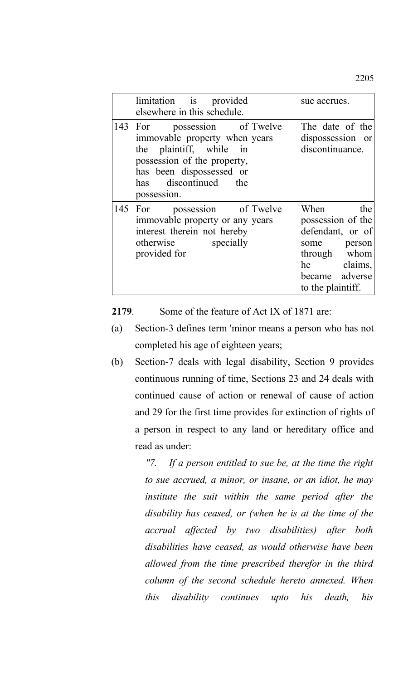|     | limitation is provided<br>elsewhere in this schedule.                                                                                                                                     | sue accrues.                                                                                                                             |
|-----|-------------------------------------------------------------------------------------------------------------------------------------------------------------------------------------------|------------------------------------------------------------------------------------------------------------------------------------------|
| 143 | possession of Twelve<br>For<br>immovable property when years<br>the plaintiff, while in<br>possession of the property,<br>has been dispossessed or<br>has discontinued the<br>possession. | The date of the<br>dispossession or<br>discontinuance.                                                                                   |
| 145 | possession of Twelve<br>For<br>immovable property or any years<br>interest therein not hereby<br>otherwise specially<br>provided for                                                      | the<br>When<br>possession of the<br>defendant, or of<br>some person<br>through whom<br>he claims,<br>became adverse<br>to the plaintiff. |

**2179**. Some of the feature of Act IX of 1871 are:

- (a) Section-3 defines term 'minor means a person who has not completed his age of eighteen years;
- (b) Section-7 deals with legal disability, Section 9 provides continuous running of time, Sections 23 and 24 deals with continued cause of action or renewal of cause of action and 29 for the first time provides for extinction of rights of a person in respect to any land or hereditary office and read as under:

*"7. If a person entitled to sue be, at the time the right to sue accrued, a minor, or insane, or an idiot, he may institute the suit within the same period after the disability has ceased, or (when he is at the time of the accrual affected by two disabilities) after both disabilities have ceased, as would otherwise have been allowed from the time prescribed therefor in the third column of the second schedule hereto annexed. When this disability continues upto his death, his*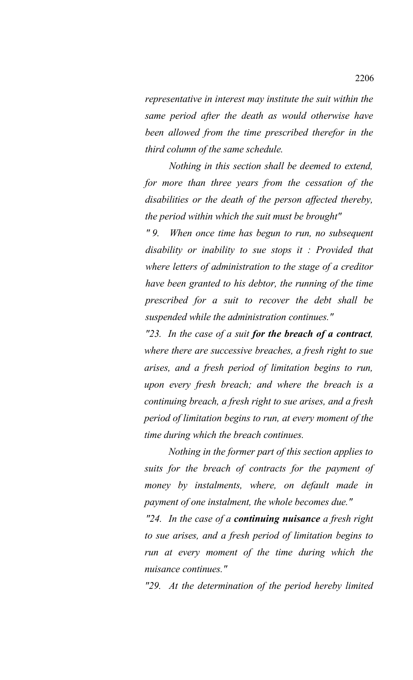*representative in interest may institute the suit within the same period after the death as would otherwise have been allowed from the time prescribed therefor in the third column of the same schedule.*

*Nothing in this section shall be deemed to extend, for more than three years from the cessation of the disabilities or the death of the person affected thereby, the period within which the suit must be brought"*

*" 9. When once time has begun to run, no subsequent disability or inability to sue stops it : Provided that where letters of administration to the stage of a creditor have been granted to his debtor, the running of the time prescribed for a suit to recover the debt shall be suspended while the administration continues."*

*"23. In the case of a suit for the breach of a contract, where there are successive breaches, a fresh right to sue arises, and a fresh period of limitation begins to run, upon every fresh breach; and where the breach is a continuing breach, a fresh right to sue arises, and a fresh period of limitation begins to run, at every moment of the time during which the breach continues.*

*Nothing in the former part of this section applies to suits for the breach of contracts for the payment of money by instalments, where, on default made in payment of one instalment, the whole becomes due."*

*"24. In the case of a continuing nuisance a fresh right to sue arises, and a fresh period of limitation begins to run at every moment of the time during which the nuisance continues."*

*"29. At the determination of the period hereby limited*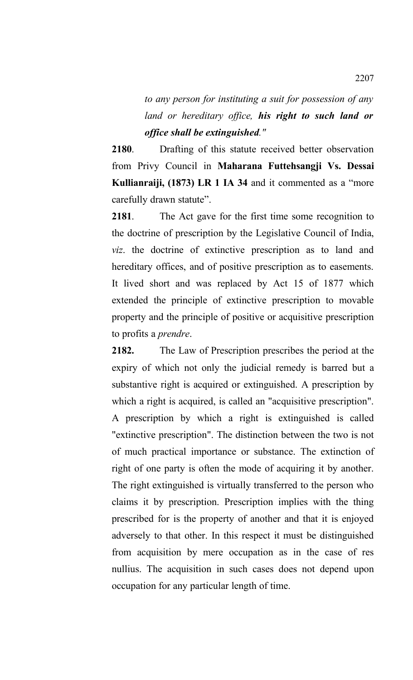*to any person for instituting a suit for possession of any land or hereditary office, his right to such land or office shall be extinguished."*

**2180**. Drafting of this statute received better observation from Privy Council in **Maharana Futtehsangji Vs. Dessai Kullianraiji, (1873) LR 1 IA 34** and it commented as a "more carefully drawn statute".

**2181**. The Act gave for the first time some recognition to the doctrine of prescription by the Legislative Council of India, *viz*. the doctrine of extinctive prescription as to land and hereditary offices, and of positive prescription as to easements. It lived short and was replaced by Act 15 of 1877 which extended the principle of extinctive prescription to movable property and the principle of positive or acquisitive prescription to profits a *prendre*.

**2182.** The Law of Prescription prescribes the period at the expiry of which not only the judicial remedy is barred but a substantive right is acquired or extinguished. A prescription by which a right is acquired, is called an "acquisitive prescription". A prescription by which a right is extinguished is called "extinctive prescription". The distinction between the two is not of much practical importance or substance. The extinction of right of one party is often the mode of acquiring it by another. The right extinguished is virtually transferred to the person who claims it by prescription. Prescription implies with the thing prescribed for is the property of another and that it is enjoyed adversely to that other. In this respect it must be distinguished from acquisition by mere occupation as in the case of res nullius. The acquisition in such cases does not depend upon occupation for any particular length of time.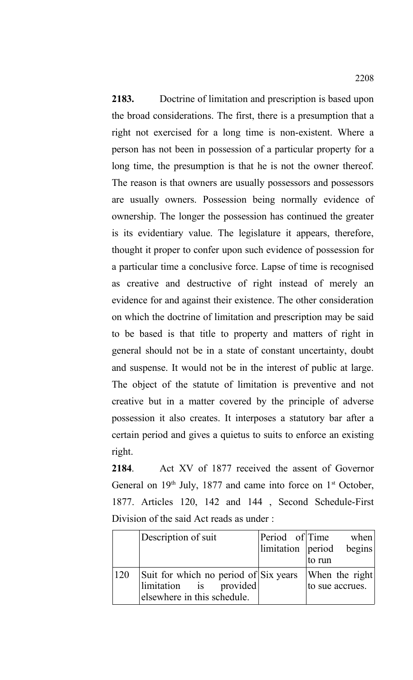**2183.** Doctrine of limitation and prescription is based upon the broad considerations. The first, there is a presumption that a right not exercised for a long time is non-existent. Where a person has not been in possession of a particular property for a long time, the presumption is that he is not the owner thereof. The reason is that owners are usually possessors and possessors are usually owners. Possession being normally evidence of ownership. The longer the possession has continued the greater is its evidentiary value. The legislature it appears, therefore, thought it proper to confer upon such evidence of possession for a particular time a conclusive force. Lapse of time is recognised as creative and destructive of right instead of merely an evidence for and against their existence. The other consideration on which the doctrine of limitation and prescription may be said to be based is that title to property and matters of right in general should not be in a state of constant uncertainty, doubt and suspense. It would not be in the interest of public at large. The object of the statute of limitation is preventive and not creative but in a matter covered by the principle of adverse possession it also creates. It interposes a statutory bar after a certain period and gives a quietus to suits to enforce an existing right.

**2184**. Act XV of 1877 received the assent of Governor General on  $19<sup>th</sup>$  July, 1877 and came into force on  $1<sup>st</sup>$  October, 1877. Articles 120, 142 and 144 , Second Schedule-First Division of the said Act reads as under :

|     | Description of suit                                                                            | Period of Time<br>limitation period | when<br>begins<br>to run          |
|-----|------------------------------------------------------------------------------------------------|-------------------------------------|-----------------------------------|
| 120 | Suit for which no period of Six years<br>limitation is provided<br>elsewhere in this schedule. |                                     | When the right<br>to sue accrues. |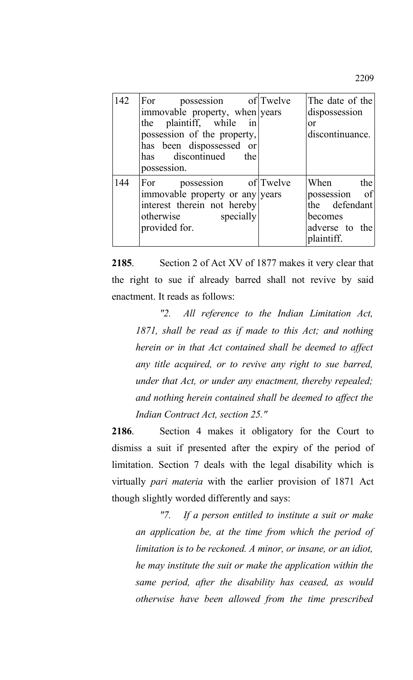| 142 | For possession of Twelve<br>immovable property, when years<br>the plaintiff, while in<br>possession of the property,<br>has been dispossessed or<br>has discontinued the<br>possession. | The date of the<br>dispossession<br>$\alpha$<br>discontinuance.                          |  |
|-----|-----------------------------------------------------------------------------------------------------------------------------------------------------------------------------------------|------------------------------------------------------------------------------------------|--|
| 144 | For possession of Twelve<br>immovable property or any years<br>interest therein not hereby<br>specially<br>otherwise<br>provided for.                                                   | When<br>the<br>possession of<br>the defendant<br>becomes<br>adverse to the<br>plaintiff. |  |

**2185**. Section 2 of Act XV of 1877 makes it very clear that the right to sue if already barred shall not revive by said enactment. It reads as follows:

*"2. All reference to the Indian Limitation Act, 1871, shall be read as if made to this Act; and nothing herein or in that Act contained shall be deemed to affect any title acquired, or to revive any right to sue barred, under that Act, or under any enactment, thereby repealed; and nothing herein contained shall be deemed to affect the Indian Contract Act, section 25."*

**2186**. Section 4 makes it obligatory for the Court to dismiss a suit if presented after the expiry of the period of limitation. Section 7 deals with the legal disability which is virtually *pari materia* with the earlier provision of 1871 Act though slightly worded differently and says:

*"7. If a person entitled to institute a suit or make an application be, at the time from which the period of limitation is to be reckoned. A minor, or insane, or an idiot, he may institute the suit or make the application within the same period, after the disability has ceased, as would otherwise have been allowed from the time prescribed*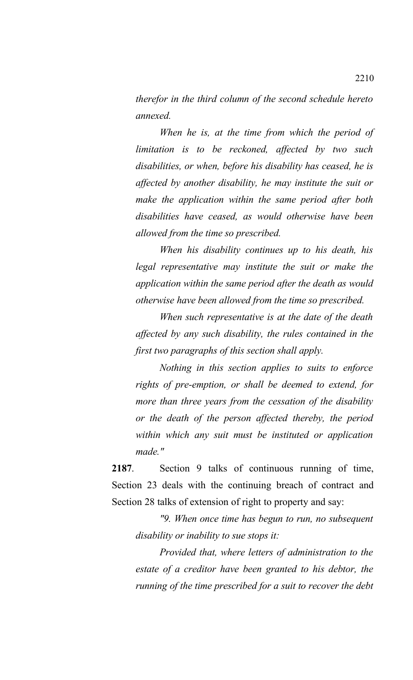*therefor in the third column of the second schedule hereto annexed.*

*When he is, at the time from which the period of limitation is to be reckoned, affected by two such disabilities, or when, before his disability has ceased, he is affected by another disability, he may institute the suit or make the application within the same period after both disabilities have ceased, as would otherwise have been allowed from the time so prescribed.*

*When his disability continues up to his death, his legal representative may institute the suit or make the application within the same period after the death as would otherwise have been allowed from the time so prescribed.*

*When such representative is at the date of the death affected by any such disability, the rules contained in the first two paragraphs of this section shall apply.* 

*Nothing in this section applies to suits to enforce rights of pre-emption, or shall be deemed to extend, for more than three years from the cessation of the disability or the death of the person affected thereby, the period within which any suit must be instituted or application made."*

**2187**. Section 9 talks of continuous running of time, Section 23 deals with the continuing breach of contract and Section 28 talks of extension of right to property and say:

*"9. When once time has begun to run, no subsequent disability or inability to sue stops it:*

*Provided that, where letters of administration to the estate of a creditor have been granted to his debtor, the running of the time prescribed for a suit to recover the debt*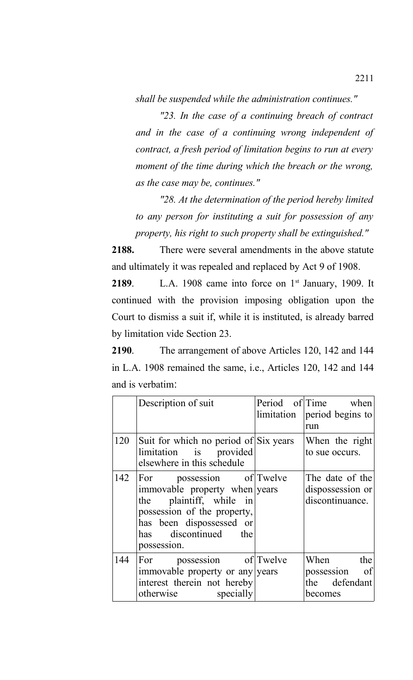*shall be suspended while the administration continues."*

*"23. In the case of a continuing breach of contract and in the case of a continuing wrong independent of contract, a fresh period of limitation begins to run at every moment of the time during which the breach or the wrong, as the case may be, continues."*

*"28. At the determination of the period hereby limited to any person for instituting a suit for possession of any property, his right to such property shall be extinguished."*

**2188.** There were several amendments in the above statute and ultimately it was repealed and replaced by Act 9 of 1908.

**2189**. L.A. 1908 came into force on 1<sup>st</sup> January, 1909. It continued with the provision imposing obligation upon the Court to dismiss a suit if, while it is instituted, is already barred by limitation vide Section 23.

**2190**. The arrangement of above Articles 120, 142 and 144 in L.A. 1908 remained the same, i.e., Articles 120, 142 and 144 and is verbatim:

|     | Description of suit                                                                                                                                                                       | Period of Time when<br>limitation   period begins to<br>run |
|-----|-------------------------------------------------------------------------------------------------------------------------------------------------------------------------------------------|-------------------------------------------------------------|
| 120 | Suit for which no period of Six years<br>limitation is provided<br>elsewhere in this schedule                                                                                             | When the right<br>to sue occurs.                            |
| 142 | For possession of Twelve<br>immovable property when years<br>plaintiff, while in<br>the<br>possession of the property,<br>has been dispossessed or<br>has discontinued the<br>possession. | The date of the<br>dispossession or<br>discontinuance.      |
| 144 | For possession of Twelve<br>immovable property or any years<br>interest therein not hereby<br>otherwise specially                                                                         | When<br>the<br>possession of<br>the defendant<br>becomes    |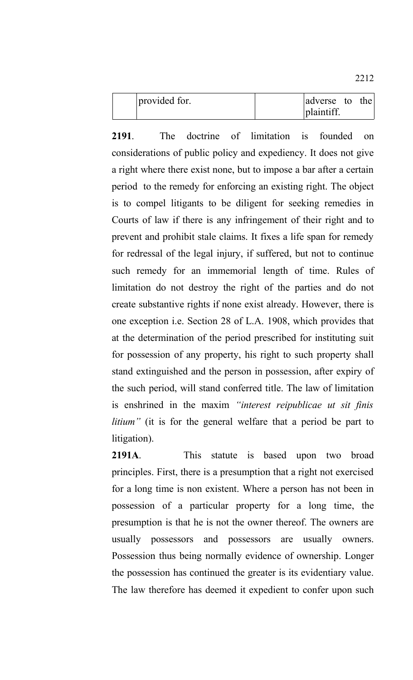| provided for. | adverse to the |  |
|---------------|----------------|--|
|               | plaintiff.     |  |

**2191**. The doctrine of limitation is founded on considerations of public policy and expediency. It does not give a right where there exist none, but to impose a bar after a certain period to the remedy for enforcing an existing right. The object is to compel litigants to be diligent for seeking remedies in Courts of law if there is any infringement of their right and to prevent and prohibit stale claims. It fixes a life span for remedy for redressal of the legal injury, if suffered, but not to continue such remedy for an immemorial length of time. Rules of limitation do not destroy the right of the parties and do not create substantive rights if none exist already. However, there is one exception i.e. Section 28 of L.A. 1908, which provides that at the determination of the period prescribed for instituting suit for possession of any property, his right to such property shall stand extinguished and the person in possession, after expiry of the such period, will stand conferred title. The law of limitation is enshrined in the maxim *"interest reipublicae ut sit finis litium"* (it is for the general welfare that a period be part to litigation).

**2191A**. This statute is based upon two broad principles. First, there is a presumption that a right not exercised for a long time is non existent. Where a person has not been in possession of a particular property for a long time, the presumption is that he is not the owner thereof. The owners are usually possessors and possessors are usually owners. Possession thus being normally evidence of ownership. Longer the possession has continued the greater is its evidentiary value. The law therefore has deemed it expedient to confer upon such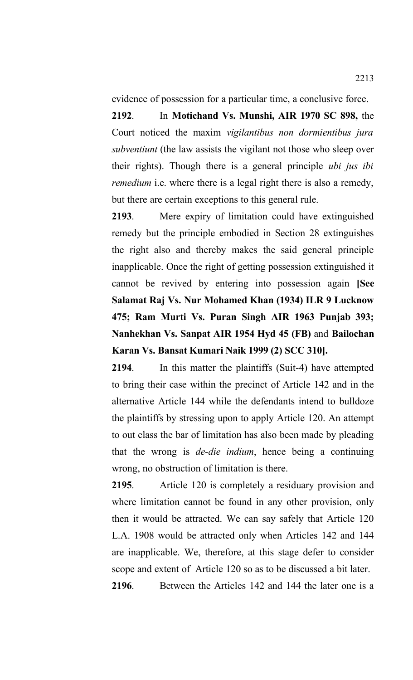evidence of possession for a particular time, a conclusive force.

**2192**. In **Motichand Vs. Munshi, AIR 1970 SC 898,** the Court noticed the maxim *vigilantibus non dormientibus jura subventiunt* (the law assists the vigilant not those who sleep over their rights). Though there is a general principle *ubi jus ibi remedium* i.e. where there is a legal right there is also a remedy, but there are certain exceptions to this general rule.

**2193**. Mere expiry of limitation could have extinguished remedy but the principle embodied in Section 28 extinguishes the right also and thereby makes the said general principle inapplicable. Once the right of getting possession extinguished it cannot be revived by entering into possession again **[See Salamat Raj Vs. Nur Mohamed Khan (1934) ILR 9 Lucknow 475; Ram Murti Vs. Puran Singh AIR 1963 Punjab 393; Nanhekhan Vs. Sanpat AIR 1954 Hyd 45 (FB)** and **Bailochan Karan Vs. Bansat Kumari Naik 1999 (2) SCC 310].**

**2194**. In this matter the plaintiffs (Suit-4) have attempted to bring their case within the precinct of Article 142 and in the alternative Article 144 while the defendants intend to bulldoze the plaintiffs by stressing upon to apply Article 120. An attempt to out class the bar of limitation has also been made by pleading that the wrong is *de-die indium*, hence being a continuing wrong, no obstruction of limitation is there.

**2195**. Article 120 is completely a residuary provision and where limitation cannot be found in any other provision, only then it would be attracted. We can say safely that Article 120 L.A. 1908 would be attracted only when Articles 142 and 144 are inapplicable. We, therefore, at this stage defer to consider scope and extent of Article 120 so as to be discussed a bit later.

**2196**. Between the Articles 142 and 144 the later one is a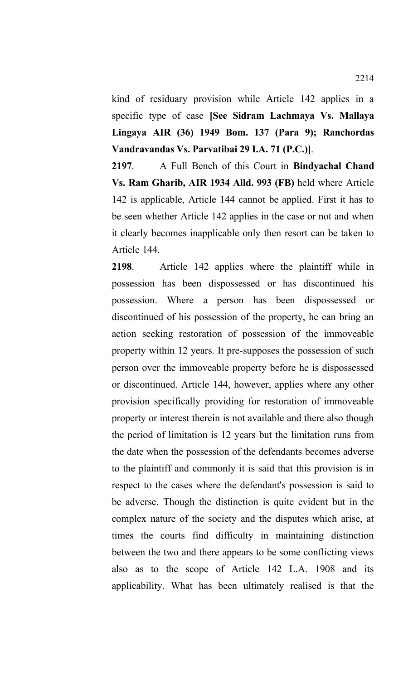kind of residuary provision while Article 142 applies in a specific type of case **[See Sidram Lachmaya Vs. Mallaya Lingaya AIR (36) 1949 Bom. 137 (Para 9); Ranchordas Vandravandas Vs. Parvatibai 29 I.A. 71 (P.C.)]**.

**2197**. A Full Bench of this Court in **Bindyachal Chand Vs. Ram Gharib, AIR 1934 Alld. 993 (FB)** held where Article 142 is applicable, Article 144 cannot be applied. First it has to be seen whether Article 142 applies in the case or not and when it clearly becomes inapplicable only then resort can be taken to Article 144.

**2198**. Article 142 applies where the plaintiff while in possession has been dispossessed or has discontinued his possession. Where a person has been dispossessed or discontinued of his possession of the property, he can bring an action seeking restoration of possession of the immoveable property within 12 years. It pre-supposes the possession of such person over the immoveable property before he is dispossessed or discontinued. Article 144, however, applies where any other provision specifically providing for restoration of immoveable property or interest therein is not available and there also though the period of limitation is 12 years but the limitation runs from the date when the possession of the defendants becomes adverse to the plaintiff and commonly it is said that this provision is in respect to the cases where the defendant's possession is said to be adverse. Though the distinction is quite evident but in the complex nature of the society and the disputes which arise, at times the courts find difficulty in maintaining distinction between the two and there appears to be some conflicting views also as to the scope of Article 142 L.A. 1908 and its applicability. What has been ultimately realised is that the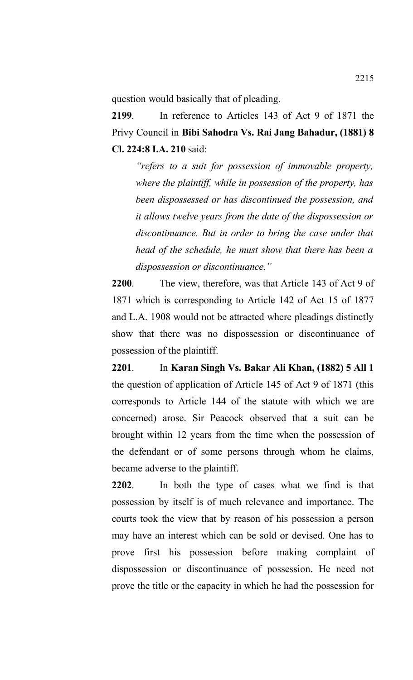question would basically that of pleading.

**2199**. In reference to Articles 143 of Act 9 of 1871 the Privy Council in **Bibi Sahodra Vs. Rai Jang Bahadur, (1881) 8 Cl. 224:8 I.A. 210** said:

*"refers to a suit for possession of immovable property, where the plaintiff, while in possession of the property, has been dispossessed or has discontinued the possession, and it allows twelve years from the date of the dispossession or discontinuance. But in order to bring the case under that head of the schedule, he must show that there has been a dispossession or discontinuance."*

**2200**. The view, therefore, was that Article 143 of Act 9 of 1871 which is corresponding to Article 142 of Act 15 of 1877 and L.A. 1908 would not be attracted where pleadings distinctly show that there was no dispossession or discontinuance of possession of the plaintiff.

**2201**. In **Karan Singh Vs. Bakar Ali Khan, (1882) 5 All 1** the question of application of Article 145 of Act 9 of 1871 (this corresponds to Article 144 of the statute with which we are concerned) arose. Sir Peacock observed that a suit can be brought within 12 years from the time when the possession of the defendant or of some persons through whom he claims, became adverse to the plaintiff.

**2202**. In both the type of cases what we find is that possession by itself is of much relevance and importance. The courts took the view that by reason of his possession a person may have an interest which can be sold or devised. One has to prove first his possession before making complaint of dispossession or discontinuance of possession. He need not prove the title or the capacity in which he had the possession for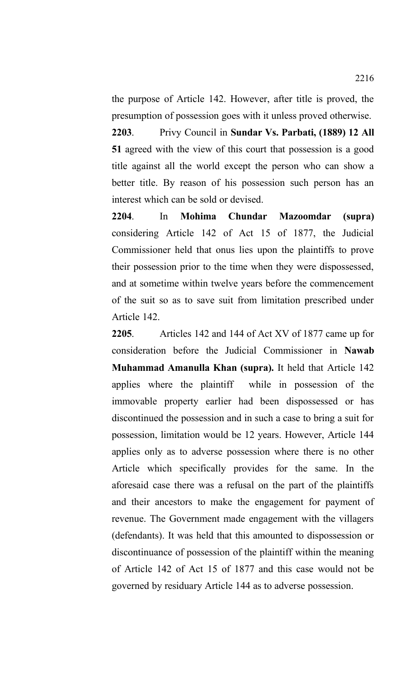the purpose of Article 142. However, after title is proved, the presumption of possession goes with it unless proved otherwise.

**2203**. Privy Council in **Sundar Vs. Parbati, (1889) 12 All 51** agreed with the view of this court that possession is a good title against all the world except the person who can show a better title. By reason of his possession such person has an interest which can be sold or devised.

**2204**. In **Mohima Chundar Mazoomdar (supra)** considering Article 142 of Act 15 of 1877, the Judicial Commissioner held that onus lies upon the plaintiffs to prove their possession prior to the time when they were dispossessed, and at sometime within twelve years before the commencement of the suit so as to save suit from limitation prescribed under Article 142.

**2205**. Articles 142 and 144 of Act XV of 1877 came up for consideration before the Judicial Commissioner in **Nawab Muhammad Amanulla Khan (supra).** It held that Article 142 applies where the plaintiff while in possession of the immovable property earlier had been dispossessed or has discontinued the possession and in such a case to bring a suit for possession, limitation would be 12 years. However, Article 144 applies only as to adverse possession where there is no other Article which specifically provides for the same. In the aforesaid case there was a refusal on the part of the plaintiffs and their ancestors to make the engagement for payment of revenue. The Government made engagement with the villagers (defendants). It was held that this amounted to dispossession or discontinuance of possession of the plaintiff within the meaning of Article 142 of Act 15 of 1877 and this case would not be governed by residuary Article 144 as to adverse possession.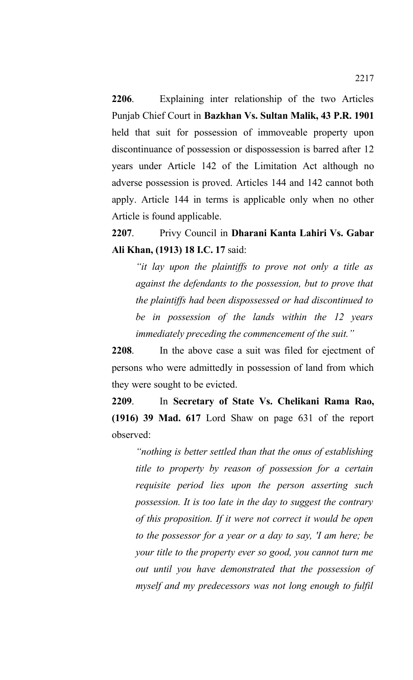**2206**. Explaining inter relationship of the two Articles Punjab Chief Court in **Bazkhan Vs. Sultan Malik, 43 P.R. 1901** held that suit for possession of immoveable property upon discontinuance of possession or dispossession is barred after 12 years under Article 142 of the Limitation Act although no adverse possession is proved. Articles 144 and 142 cannot both apply. Article 144 in terms is applicable only when no other Article is found applicable.

**2207**. Privy Council in **Dharani Kanta Lahiri Vs. Gabar Ali Khan, (1913) 18 I.C. 17** said:

*"it lay upon the plaintiffs to prove not only a title as against the defendants to the possession, but to prove that the plaintiffs had been dispossessed or had discontinued to be in possession of the lands within the 12 years immediately preceding the commencement of the suit."*

**2208**. In the above case a suit was filed for ejectment of persons who were admittedly in possession of land from which they were sought to be evicted.

**2209**. In **Secretary of State Vs. Chelikani Rama Rao, (1916) 39 Mad. 617** Lord Shaw on page 631 of the report observed:

*"nothing is better settled than that the onus of establishing title to property by reason of possession for a certain requisite period lies upon the person asserting such possession. It is too late in the day to suggest the contrary of this proposition. If it were not correct it would be open to the possessor for a year or a day to say, 'I am here; be your title to the property ever so good, you cannot turn me out until you have demonstrated that the possession of myself and my predecessors was not long enough to fulfil*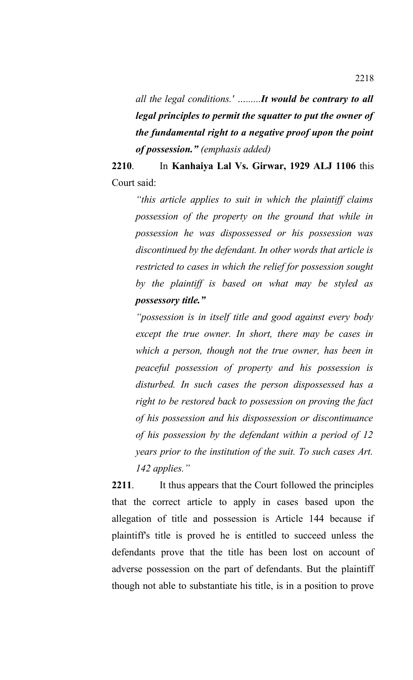*all the legal conditions.' …......It would be contrary to all legal principles to permit the squatter to put the owner of the fundamental right to a negative proof upon the point of possession." (emphasis added)*

**2210**. In **Kanhaiya Lal Vs. Girwar, 1929 ALJ 1106** this Court said:

*"this article applies to suit in which the plaintiff claims possession of the property on the ground that while in possession he was dispossessed or his possession was discontinued by the defendant. In other words that article is restricted to cases in which the relief for possession sought by the plaintiff is based on what may be styled as possessory title."*

*"possession is in itself title and good against every body except the true owner. In short, there may be cases in which a person, though not the true owner, has been in peaceful possession of property and his possession is disturbed. In such cases the person dispossessed has a right to be restored back to possession on proving the fact of his possession and his dispossession or discontinuance of his possession by the defendant within a period of 12 years prior to the institution of the suit. To such cases Art. 142 applies."*

**2211**. It thus appears that the Court followed the principles that the correct article to apply in cases based upon the allegation of title and possession is Article 144 because if plaintiff's title is proved he is entitled to succeed unless the defendants prove that the title has been lost on account of adverse possession on the part of defendants. But the plaintiff though not able to substantiate his title, is in a position to prove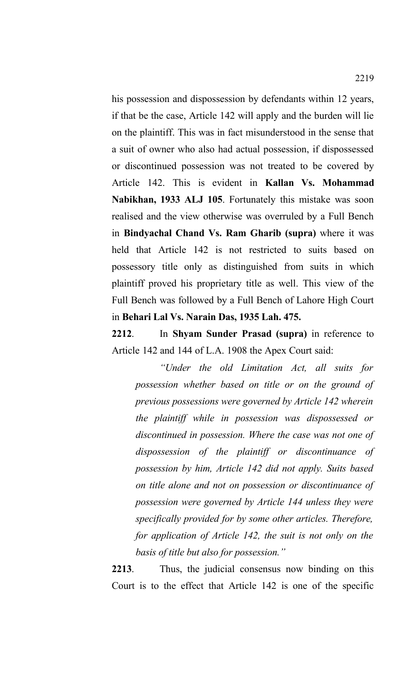his possession and dispossession by defendants within 12 years, if that be the case, Article 142 will apply and the burden will lie on the plaintiff. This was in fact misunderstood in the sense that a suit of owner who also had actual possession, if dispossessed or discontinued possession was not treated to be covered by Article 142. This is evident in **Kallan Vs. Mohammad Nabikhan, 1933 ALJ 105**. Fortunately this mistake was soon realised and the view otherwise was overruled by a Full Bench in **Bindyachal Chand Vs. Ram Gharib (supra)** where it was held that Article 142 is not restricted to suits based on possessory title only as distinguished from suits in which plaintiff proved his proprietary title as well. This view of the Full Bench was followed by a Full Bench of Lahore High Court in **Behari Lal Vs. Narain Das, 1935 Lah. 475.** 

**2212**. In **Shyam Sunder Prasad (supra)** in reference to Article 142 and 144 of L.A. 1908 the Apex Court said:

*"Under the old Limitation Act, all suits for possession whether based on title or on the ground of previous possessions were governed by Article 142 wherein the plaintiff while in possession was dispossessed or discontinued in possession. Where the case was not one of dispossession of the plaintiff or discontinuance of possession by him, Article 142 did not apply. Suits based on title alone and not on possession or discontinuance of possession were governed by Article 144 unless they were specifically provided for by some other articles. Therefore, for application of Article 142, the suit is not only on the basis of title but also for possession."*

**2213**. Thus, the judicial consensus now binding on this Court is to the effect that Article 142 is one of the specific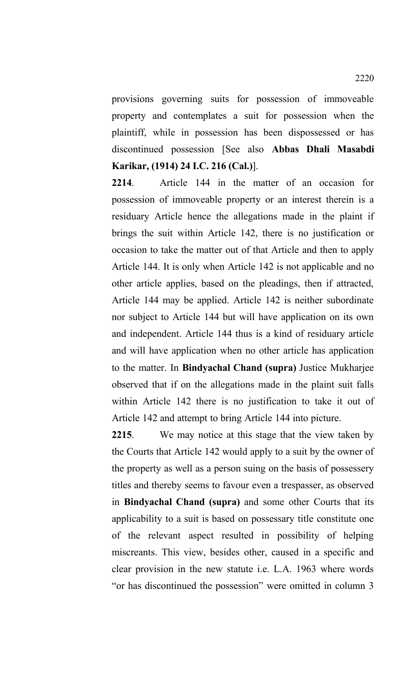provisions governing suits for possession of immoveable property and contemplates a suit for possession when the plaintiff, while in possession has been dispossessed or has discontinued possession [See also **Abbas Dhali Masabdi Karikar, (1914) 24 I.C. 216 (Cal.)**].

**2214**. Article 144 in the matter of an occasion for possession of immoveable property or an interest therein is a residuary Article hence the allegations made in the plaint if brings the suit within Article 142, there is no justification or occasion to take the matter out of that Article and then to apply Article 144. It is only when Article 142 is not applicable and no other article applies, based on the pleadings, then if attracted, Article 144 may be applied. Article 142 is neither subordinate nor subject to Article 144 but will have application on its own and independent. Article 144 thus is a kind of residuary article and will have application when no other article has application to the matter. In **Bindyachal Chand (supra)** Justice Mukharjee observed that if on the allegations made in the plaint suit falls within Article 142 there is no justification to take it out of Article 142 and attempt to bring Article 144 into picture.

**2215**. We may notice at this stage that the view taken by the Courts that Article 142 would apply to a suit by the owner of the property as well as a person suing on the basis of possessery titles and thereby seems to favour even a trespasser, as observed in **Bindyachal Chand (supra)** and some other Courts that its applicability to a suit is based on possessary title constitute one of the relevant aspect resulted in possibility of helping miscreants. This view, besides other, caused in a specific and clear provision in the new statute i.e. L.A. 1963 where words "or has discontinued the possession" were omitted in column 3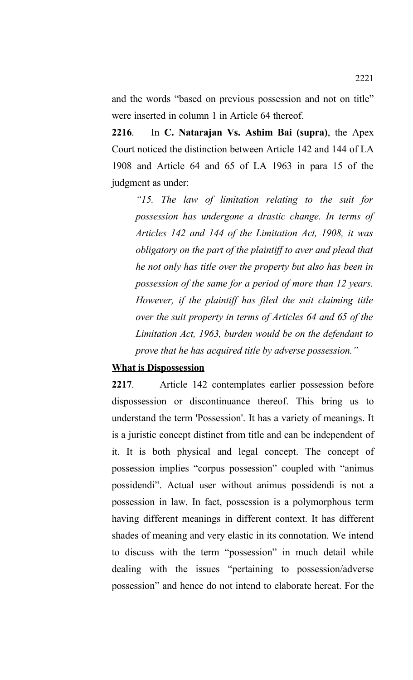and the words "based on previous possession and not on title" were inserted in column 1 in Article 64 thereof.

**2216**. In **C. Natarajan Vs. Ashim Bai (supra)**, the Apex Court noticed the distinction between Article 142 and 144 of LA 1908 and Article 64 and 65 of LA 1963 in para 15 of the judgment as under:

*"15. The law of limitation relating to the suit for possession has undergone a drastic change. In terms of Articles 142 and 144 of the Limitation Act, 1908, it was obligatory on the part of the plaintiff to aver and plead that he not only has title over the property but also has been in possession of the same for a period of more than 12 years. However, if the plaintiff has filed the suit claiming title over the suit property in terms of Articles 64 and 65 of the Limitation Act, 1963, burden would be on the defendant to prove that he has acquired title by adverse possession."*

## **What is Dispossession**

**2217**. Article 142 contemplates earlier possession before dispossession or discontinuance thereof. This bring us to understand the term 'Possession'. It has a variety of meanings. It is a juristic concept distinct from title and can be independent of it. It is both physical and legal concept. The concept of possession implies "corpus possession" coupled with "animus possidendi". Actual user without animus possidendi is not a possession in law. In fact, possession is a polymorphous term having different meanings in different context. It has different shades of meaning and very elastic in its connotation. We intend to discuss with the term "possession" in much detail while dealing with the issues "pertaining to possession/adverse possession" and hence do not intend to elaborate hereat. For the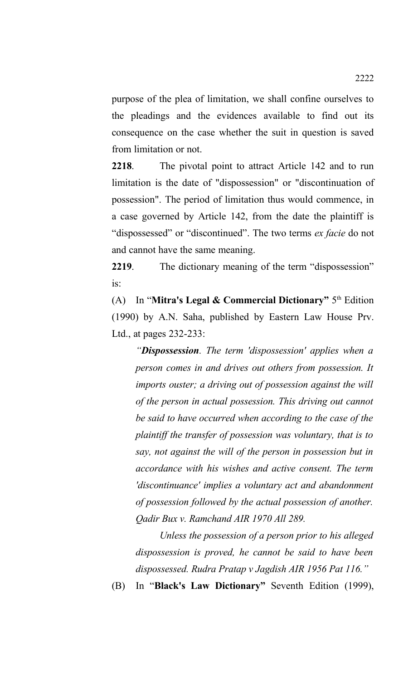purpose of the plea of limitation, we shall confine ourselves to the pleadings and the evidences available to find out its consequence on the case whether the suit in question is saved from limitation or not.

**2218**. The pivotal point to attract Article 142 and to run limitation is the date of "dispossession" or "discontinuation of possession". The period of limitation thus would commence, in a case governed by Article 142, from the date the plaintiff is "dispossessed" or "discontinued". The two terms *ex facie* do not and cannot have the same meaning.

**2219**. The dictionary meaning of the term "dispossession" is:

(A) In "Mitra's Legal & Commercial Dictionary" 5th Edition (1990) by A.N. Saha, published by Eastern Law House Prv. Ltd., at pages 232-233:

*"Dispossession. The term 'dispossession' applies when a person comes in and drives out others from possession. It imports ouster; a driving out of possession against the will of the person in actual possession. This driving out cannot be said to have occurred when according to the case of the plaintiff the transfer of possession was voluntary, that is to say, not against the will of the person in possession but in accordance with his wishes and active consent. The term 'discontinuance' implies a voluntary act and abandonment of possession followed by the actual possession of another. Qadir Bux v. Ramchand AIR 1970 All 289.* 

*Unless the possession of a person prior to his alleged dispossession is proved, he cannot be said to have been dispossessed. Rudra Pratap v Jagdish AIR 1956 Pat 116."*

(B) In "**Black's Law Dictionary"** Seventh Edition (1999),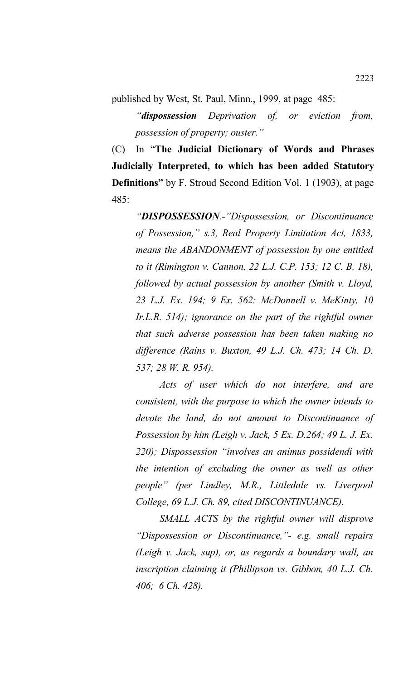published by West, St. Paul, Minn., 1999, at page 485:

*"dispossession Deprivation of, or eviction from, possession of property; ouster."*

(C) In "**The Judicial Dictionary of Words and Phrases Judicially Interpreted, to which has been added Statutory Definitions"** by F. Stroud Second Edition Vol. 1 (1903), at page 485:

*"DISPOSSESSION.-"Dispossession, or Discontinuance of Possession," s.3, Real Property Limitation Act, 1833, means the ABANDONMENT of possession by one entitled to it (Rimington v. Cannon, 22 L.J. C.P. 153; 12 C. B. 18), followed by actual possession by another (Smith v. Lloyd, 23 L.J. Ex. 194; 9 Ex. 562: McDonnell v. MeKinty, 10 Ir.L.R. 514); ignorance on the part of the rightful owner that such adverse possession has been taken making no difference (Rains v. Buxton, 49 L.J. Ch. 473; 14 Ch. D. 537; 28 W. R. 954).*

*Acts of user which do not interfere, and are consistent, with the purpose to which the owner intends to devote the land, do not amount to Discontinuance of Possession by him (Leigh v. Jack, 5 Ex. D.264; 49 L. J. Ex. 220); Dispossession "involves an animus possidendi with the intention of excluding the owner as well as other people" (per Lindley, M.R., Littledale vs. Liverpool College, 69 L.J. Ch. 89, cited DISCONTINUANCE).* 

*SMALL ACTS by the rightful owner will disprove "Dispossession or Discontinuance,"- e.g. small repairs (Leigh v. Jack, sup), or, as regards a boundary wall, an inscription claiming it (Phillipson vs. Gibbon, 40 L.J. Ch. 406; 6 Ch. 428).*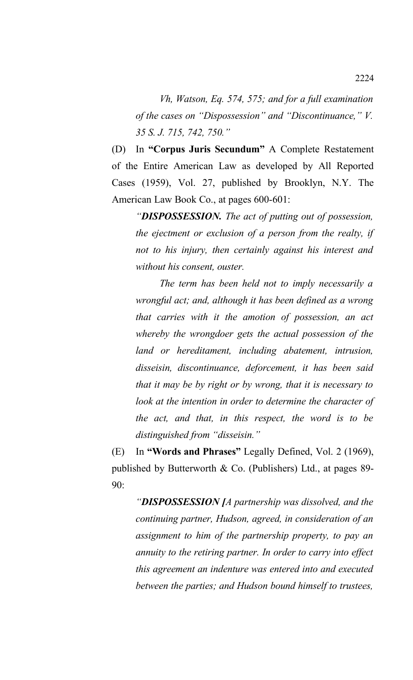*Vh, Watson, Eq. 574, 575; and for a full examination of the cases on "Dispossession" and "Discontinuance," V. 35 S. J. 715, 742, 750."*

(D) In **"Corpus Juris Secundum"** A Complete Restatement of the Entire American Law as developed by All Reported Cases (1959), Vol. 27, published by Brooklyn, N.Y. The American Law Book Co., at pages 600-601:

*"DISPOSSESSION. The act of putting out of possession, the ejectment or exclusion of a person from the realty, if not to his injury, then certainly against his interest and without his consent, ouster.* 

*The term has been held not to imply necessarily a wrongful act; and, although it has been defined as a wrong that carries with it the amotion of possession, an act whereby the wrongdoer gets the actual possession of the land or hereditament, including abatement, intrusion, disseisin, discontinuance, deforcement, it has been said that it may be by right or by wrong, that it is necessary to look at the intention in order to determine the character of the act, and that, in this respect, the word is to be distinguished from "disseisin."*

(E) In **"Words and Phrases"** Legally Defined, Vol. 2 (1969), published by Butterworth & Co. (Publishers) Ltd., at pages 89- 90:

*"DISPOSSESSION [A partnership was dissolved, and the continuing partner, Hudson, agreed, in consideration of an assignment to him of the partnership property, to pay an annuity to the retiring partner. In order to carry into effect this agreement an indenture was entered into and executed between the parties; and Hudson bound himself to trustees,*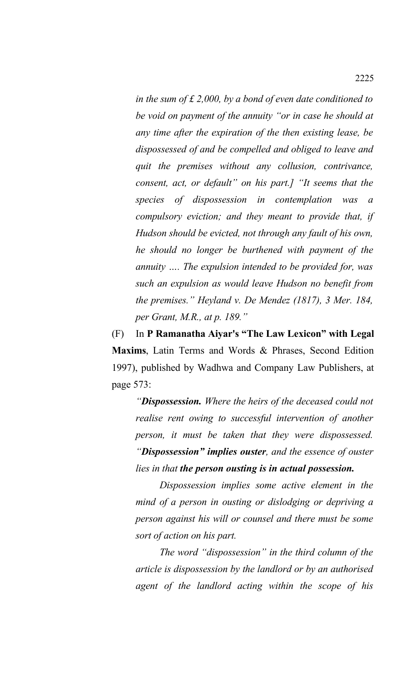*in the sum of £ 2,000, by a bond of even date conditioned to be void on payment of the annuity "or in case he should at any time after the expiration of the then existing lease, be dispossessed of and be compelled and obliged to leave and quit the premises without any collusion, contrivance, consent, act, or default" on his part.] "It seems that the species of dispossession in contemplation was a compulsory eviction; and they meant to provide that, if Hudson should be evicted, not through any fault of his own, he should no longer be burthened with payment of the annuity …. The expulsion intended to be provided for, was such an expulsion as would leave Hudson no benefit from the premises." Heyland v. De Mendez (1817), 3 Mer. 184, per Grant, M.R., at p. 189."*

(F) In **P Ramanatha Aiyar's "The Law Lexicon" with Legal Maxims**, Latin Terms and Words & Phrases, Second Edition 1997), published by Wadhwa and Company Law Publishers, at page 573:

*"Dispossession. Where the heirs of the deceased could not realise rent owing to successful intervention of another person, it must be taken that they were dispossessed. "Dispossession" implies ouster, and the essence of ouster lies in that the person ousting is in actual possession.*

*Dispossession implies some active element in the mind of a person in ousting or dislodging or depriving a person against his will or counsel and there must be some sort of action on his part.* 

*The word "dispossession" in the third column of the article is dispossession by the landlord or by an authorised agent of the landlord acting within the scope of his*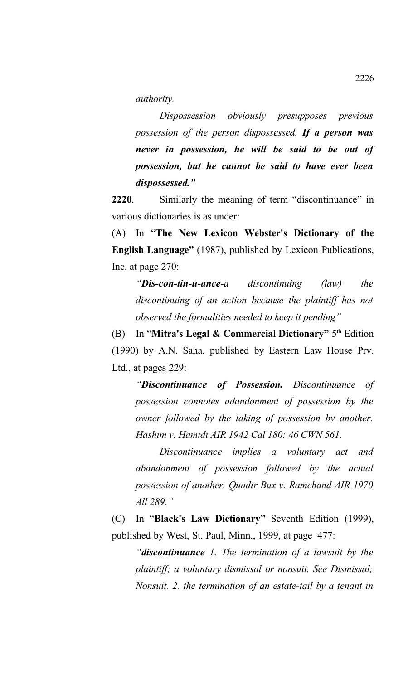*authority.* 

*Dispossession obviously presupposes previous possession of the person dispossessed. If a person was never in possession, he will be said to be out of possession, but he cannot be said to have ever been dispossessed."*

**2220**. Similarly the meaning of term "discontinuance" in various dictionaries is as under:

(A) In "**The New Lexicon Webster's Dictionary of the English Language"** (1987), published by Lexicon Publications, Inc. at page 270:

*"Dis-con-tin-u-ance-a discontinuing (law) the discontinuing of an action because the plaintiff has not observed the formalities needed to keep it pending"*

(B) In "Mitra's Legal & Commercial Dictionary" 5th Edition (1990) by A.N. Saha, published by Eastern Law House Prv. Ltd., at pages 229:

*"Discontinuance of Possession. Discontinuance of possession connotes adandonment of possession by the owner followed by the taking of possession by another. Hashim v. Hamidi AIR 1942 Cal 180: 46 CWN 561.* 

*Discontinuance implies a voluntary act and abandonment of possession followed by the actual possession of another. Quadir Bux v. Ramchand AIR 1970 All 289."*

(C) In "**Black's Law Dictionary"** Seventh Edition (1999), published by West, St. Paul, Minn., 1999, at page 477:

*"discontinuance 1. The termination of a lawsuit by the plaintiff; a voluntary dismissal or nonsuit. See Dismissal; Nonsuit. 2. the termination of an estate-tail by a tenant in*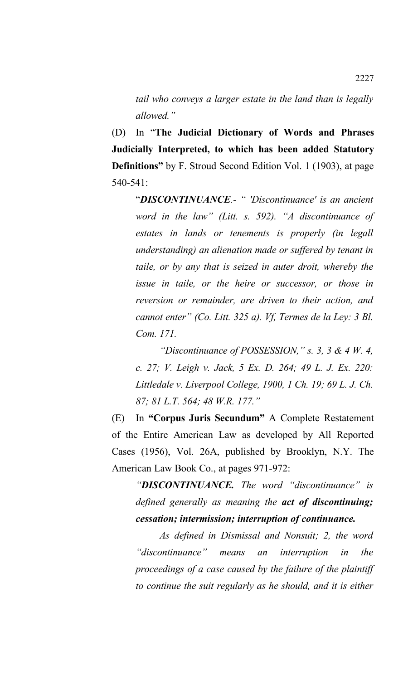*tail who conveys a larger estate in the land than is legally allowed."*

(D) In "**The Judicial Dictionary of Words and Phrases Judicially Interpreted, to which has been added Statutory Definitions"** by F. Stroud Second Edition Vol. 1 (1903), at page 540-541:

"*DISCONTINUANCE.- " 'Discontinuance' is an ancient word in the law" (Litt. s. 592). "A discontinuance of estates in lands or tenements is properly (in legall understanding) an alienation made or suffered by tenant in taile, or by any that is seized in auter droit, whereby the issue in taile, or the heire or successor, or those in reversion or remainder, are driven to their action, and cannot enter" (Co. Litt. 325 a). Vf, Termes de la Ley: 3 Bl. Com. 171.*

*"Discontinuance of POSSESSION," s. 3, 3 & 4 W. 4, c. 27; V. Leigh v. Jack, 5 Ex. D. 264; 49 L. J. Ex. 220: Littledale v. Liverpool College, 1900, 1 Ch. 19; 69 L. J. Ch. 87; 81 L.T. 564; 48 W.R. 177."*

(E) In **"Corpus Juris Secundum"** A Complete Restatement of the Entire American Law as developed by All Reported Cases (1956), Vol. 26A, published by Brooklyn, N.Y. The American Law Book Co., at pages 971-972:

*"DISCONTINUANCE. The word "discontinuance" is defined generally as meaning the act of discontinuing; cessation; intermission; interruption of continuance.* 

*As defined in Dismissal and Nonsuit; 2, the word "discontinuance" means an interruption in the proceedings of a case caused by the failure of the plaintiff to continue the suit regularly as he should, and it is either*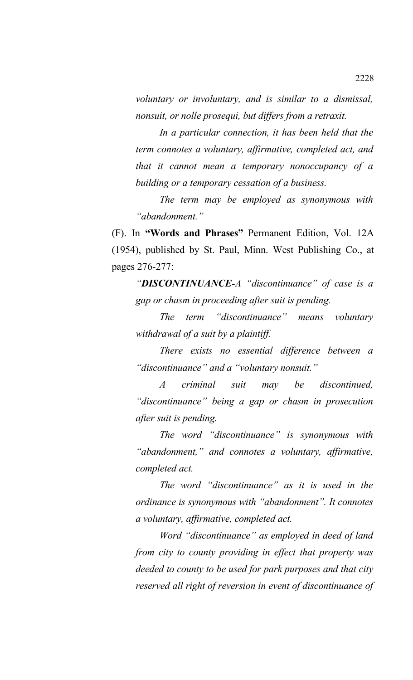*voluntary or involuntary, and is similar to a dismissal, nonsuit, or nolle prosequi, but differs from a retraxit.* 

*In a particular connection, it has been held that the term connotes a voluntary, affirmative, completed act, and that it cannot mean a temporary nonoccupancy of a building or a temporary cessation of a business.* 

*The term may be employed as synonymous with "abandonment."*

(F). In **"Words and Phrases"** Permanent Edition, Vol. 12A (1954), published by St. Paul, Minn. West Publishing Co., at pages 276-277:

*"DISCONTINUANCE-A "discontinuance" of case is a gap or chasm in proceeding after suit is pending.* 

*The term "discontinuance" means voluntary withdrawal of a suit by a plaintiff.* 

*There exists no essential difference between a "discontinuance" and a "voluntary nonsuit."*

*A criminal suit may be discontinued, "discontinuance" being a gap or chasm in prosecution after suit is pending.*

*The word "discontinuance" is synonymous with "abandonment," and connotes a voluntary, affirmative, completed act.* 

*The word "discontinuance" as it is used in the ordinance is synonymous with "abandonment". It connotes a voluntary, affirmative, completed act.* 

*Word "discontinuance" as employed in deed of land from city to county providing in effect that property was deeded to county to be used for park purposes and that city reserved all right of reversion in event of discontinuance of*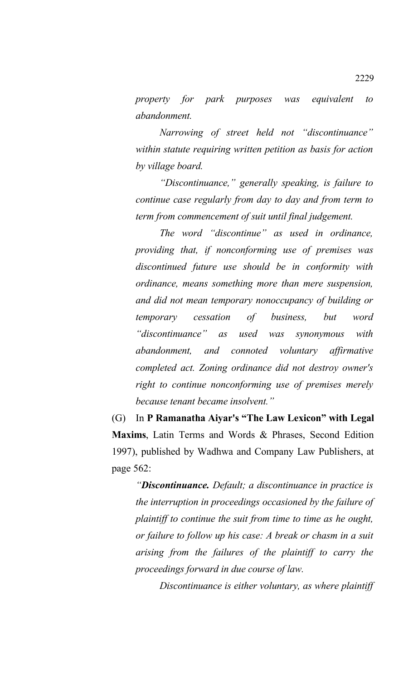*property for park purposes was equivalent to abandonment.* 

*Narrowing of street held not "discontinuance" within statute requiring written petition as basis for action by village board.* 

*"Discontinuance," generally speaking, is failure to continue case regularly from day to day and from term to term from commencement of suit until final judgement.* 

*The word "discontinue" as used in ordinance, providing that, if nonconforming use of premises was discontinued future use should be in conformity with ordinance, means something more than mere suspension, and did not mean temporary nonoccupancy of building or temporary cessation of business, but word "discontinuance" as used was synonymous with abandonment, and connoted voluntary affirmative completed act. Zoning ordinance did not destroy owner's right to continue nonconforming use of premises merely because tenant became insolvent."*

(G) In **P Ramanatha Aiyar's "The Law Lexicon" with Legal Maxims**, Latin Terms and Words & Phrases, Second Edition 1997), published by Wadhwa and Company Law Publishers, at page 562:

*"Discontinuance. Default; a discontinuance in practice is the interruption in proceedings occasioned by the failure of plaintiff to continue the suit from time to time as he ought, or failure to follow up his case: A break or chasm in a suit arising from the failures of the plaintiff to carry the proceedings forward in due course of law.* 

*Discontinuance is either voluntary, as where plaintiff*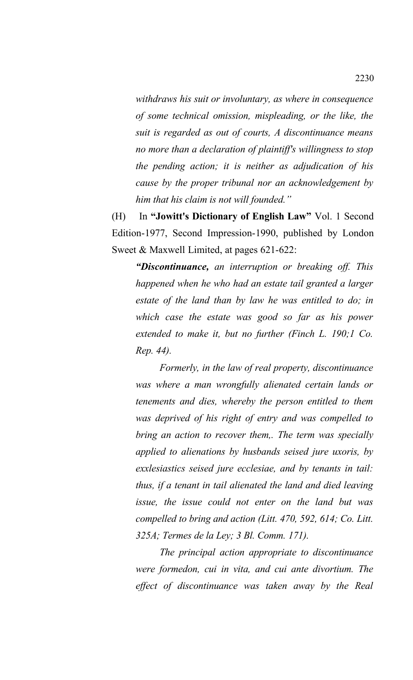*withdraws his suit or involuntary, as where in consequence of some technical omission, mispleading, or the like, the suit is regarded as out of courts, A discontinuance means no more than a declaration of plaintiff's willingness to stop the pending action; it is neither as adjudication of his cause by the proper tribunal nor an acknowledgement by him that his claim is not will founded."*

(H) In **"Jowitt's Dictionary of English Law"** Vol. 1 Second Edition-1977, Second Impression-1990, published by London Sweet & Maxwell Limited, at pages 621-622:

*"Discontinuance, an interruption or breaking off. This happened when he who had an estate tail granted a larger estate of the land than by law he was entitled to do; in which case the estate was good so far as his power extended to make it, but no further (Finch L. 190;1 Co. Rep. 44).*

*Formerly, in the law of real property, discontinuance was where a man wrongfully alienated certain lands or tenements and dies, whereby the person entitled to them was deprived of his right of entry and was compelled to bring an action to recover them,. The term was specially applied to alienations by husbands seised jure uxoris, by exxlesiastics seised jure ecclesiae, and by tenants in tail: thus, if a tenant in tail alienated the land and died leaving issue, the issue could not enter on the land but was compelled to bring and action (Litt. 470, 592, 614; Co. Litt. 325A; Termes de la Ley; 3 Bl. Comm. 171).*

*The principal action appropriate to discontinuance were formedon, cui in vita, and cui ante divortium. The effect of discontinuance was taken away by the Real*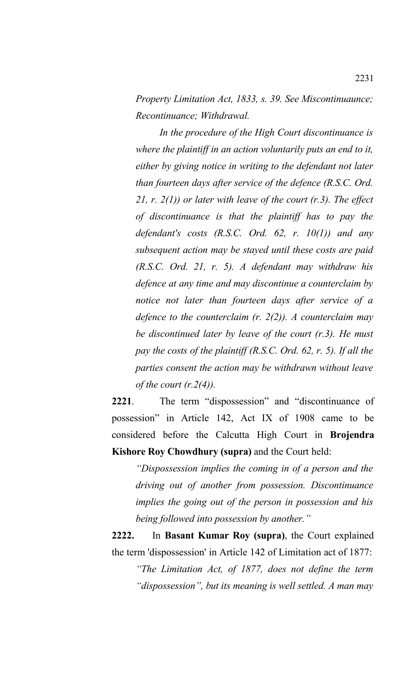*Property Limitation Act, 1833, s. 39. See Miscontinuaunce; Recontinuance; Withdrawal.*

*In the procedure of the High Court discontinuance is where the plaintiff in an action voluntarily puts an end to it, either by giving notice in writing to the defendant not later than fourteen days after service of the defence (R.S.C. Ord. 21, r. 2(1)) or later with leave of the court (r.3). The effect of discontinuance is that the plaintiff has to pay the defendant's costs (R.S.C. Ord. 62, r. 10(1)) and any subsequent action may be stayed until these costs are paid (R.S.C. Ord. 21, r. 5). A defendant may withdraw his defence at any time and may discontinue a counterclaim by notice not later than fourteen days after service of a defence to the counterclaim (r. 2(2)). A counterclaim may be discontinued later by leave of the court (r.3). He must pay the costs of the plaintiff (R.S.C. Ord. 62, r. 5). If all the parties consent the action may be withdrawn without leave of the court (r.2(4)).*

**2221**. The term "dispossession" and "discontinuance of possession" in Article 142, Act IX of 1908 came to be considered before the Calcutta High Court in **Brojendra Kishore Roy Chowdhury (supra)** and the Court held:

*"Dispossession implies the coming in of a person and the driving out of another from possession. Discontinuance implies the going out of the person in possession and his being followed into possession by another."*

**2222.** In **Basant Kumar Roy (supra)**, the Court explained the term 'dispossession' in Article 142 of Limitation act of 1877:

*"The Limitation Act, of 1877, does not define the term "dispossession", but its meaning is well settled. A man may*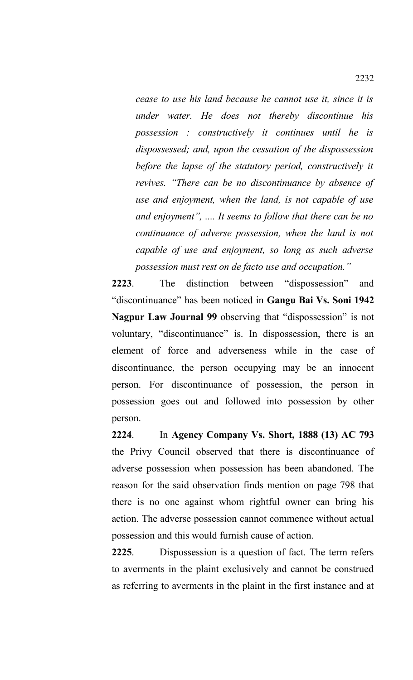*cease to use his land because he cannot use it, since it is under water. He does not thereby discontinue his possession : constructively it continues until he is dispossessed; and, upon the cessation of the dispossession before the lapse of the statutory period, constructively it revives. "There can be no discontinuance by absence of use and enjoyment, when the land, is not capable of use and enjoyment", .... It seems to follow that there can be no continuance of adverse possession, when the land is not capable of use and enjoyment, so long as such adverse possession must rest on de facto use and occupation."* 

**2223**. The distinction between "dispossession" and "discontinuance" has been noticed in **Gangu Bai Vs. Soni 1942 Nagpur Law Journal 99** observing that "dispossession" is not voluntary, "discontinuance" is. In dispossession, there is an element of force and adverseness while in the case of discontinuance, the person occupying may be an innocent person. For discontinuance of possession, the person in possession goes out and followed into possession by other person.

**2224**. In **Agency Company Vs. Short, 1888 (13) AC 793** the Privy Council observed that there is discontinuance of adverse possession when possession has been abandoned. The reason for the said observation finds mention on page 798 that there is no one against whom rightful owner can bring his action. The adverse possession cannot commence without actual possession and this would furnish cause of action.

**2225**. Dispossession is a question of fact. The term refers to averments in the plaint exclusively and cannot be construed as referring to averments in the plaint in the first instance and at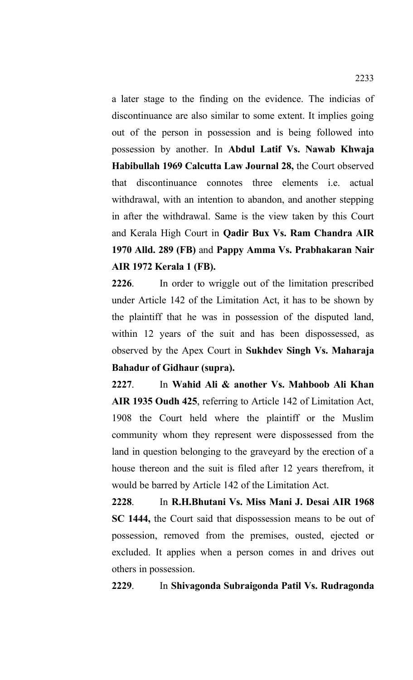a later stage to the finding on the evidence. The indicias of discontinuance are also similar to some extent. It implies going out of the person in possession and is being followed into possession by another. In **Abdul Latif Vs. Nawab Khwaja Habibullah 1969 Calcutta Law Journal 28,** the Court observed that discontinuance connotes three elements i.e. actual withdrawal, with an intention to abandon, and another stepping in after the withdrawal. Same is the view taken by this Court and Kerala High Court in **Qadir Bux Vs. Ram Chandra AIR 1970 Alld. 289 (FB)** and **Pappy Amma Vs. Prabhakaran Nair AIR 1972 Kerala 1 (FB).**

**2226**. In order to wriggle out of the limitation prescribed under Article 142 of the Limitation Act, it has to be shown by the plaintiff that he was in possession of the disputed land, within 12 years of the suit and has been dispossessed, as observed by the Apex Court in **Sukhdev Singh Vs. Maharaja Bahadur of Gidhaur (supra).**

**2227**. In **Wahid Ali & another Vs. Mahboob Ali Khan AIR 1935 Oudh 425**, referring to Article 142 of Limitation Act, 1908 the Court held where the plaintiff or the Muslim community whom they represent were dispossessed from the land in question belonging to the graveyard by the erection of a house thereon and the suit is filed after 12 years therefrom, it would be barred by Article 142 of the Limitation Act.

**2228**. In **R.H.Bhutani Vs. Miss Mani J. Desai AIR 1968 SC 1444,** the Court said that dispossession means to be out of possession, removed from the premises, ousted, ejected or excluded. It applies when a person comes in and drives out others in possession.

## **2229**. In **Shivagonda Subraigonda Patil Vs. Rudragonda**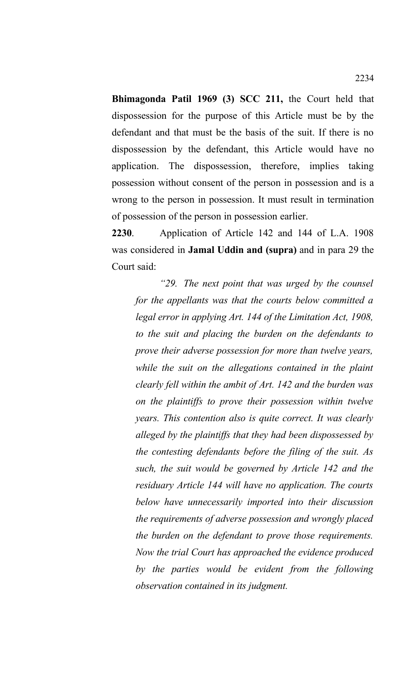**Bhimagonda Patil 1969 (3) SCC 211,** the Court held that dispossession for the purpose of this Article must be by the defendant and that must be the basis of the suit. If there is no dispossession by the defendant, this Article would have no application. The dispossession, therefore, implies taking possession without consent of the person in possession and is a wrong to the person in possession. It must result in termination of possession of the person in possession earlier.

**2230**. Application of Article 142 and 144 of L.A. 1908 was considered in **Jamal Uddin and (supra)** and in para 29 the Court said:

*"29. The next point that was urged by the counsel for the appellants was that the courts below committed a legal error in applying Art. 144 of the Limitation Act, 1908, to the suit and placing the burden on the defendants to prove their adverse possession for more than twelve years, while the suit on the allegations contained in the plaint clearly fell within the ambit of Art. 142 and the burden was on the plaintiffs to prove their possession within twelve years. This contention also is quite correct. It was clearly alleged by the plaintiffs that they had been dispossessed by the contesting defendants before the filing of the suit. As such, the suit would be governed by Article 142 and the residuary Article 144 will have no application. The courts below have unnecessarily imported into their discussion the requirements of adverse possession and wrongly placed the burden on the defendant to prove those requirements. Now the trial Court has approached the evidence produced by the parties would be evident from the following observation contained in its judgment.*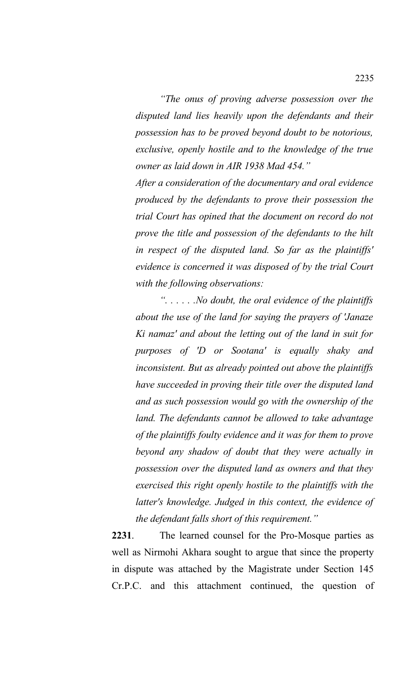*"The onus of proving adverse possession over the disputed land lies heavily upon the defendants and their possession has to be proved beyond doubt to be notorious, exclusive, openly hostile and to the knowledge of the true owner as laid down in AIR 1938 Mad 454."*

*After a consideration of the documentary and oral evidence produced by the defendants to prove their possession the trial Court has opined that the document on record do not prove the title and possession of the defendants to the hilt in respect of the disputed land. So far as the plaintiffs' evidence is concerned it was disposed of by the trial Court with the following observations:*

*". . . . . .No doubt, the oral evidence of the plaintiffs about the use of the land for saying the prayers of 'Janaze Ki namaz' and about the letting out of the land in suit for purposes of 'D or Sootana' is equally shaky and inconsistent. But as already pointed out above the plaintiffs have succeeded in proving their title over the disputed land and as such possession would go with the ownership of the land. The defendants cannot be allowed to take advantage of the plaintiffs foulty evidence and it was for them to prove beyond any shadow of doubt that they were actually in possession over the disputed land as owners and that they exercised this right openly hostile to the plaintiffs with the latter's knowledge. Judged in this context, the evidence of the defendant falls short of this requirement."*

**2231**. The learned counsel for the Pro-Mosque parties as well as Nirmohi Akhara sought to argue that since the property in dispute was attached by the Magistrate under Section 145 Cr.P.C. and this attachment continued, the question of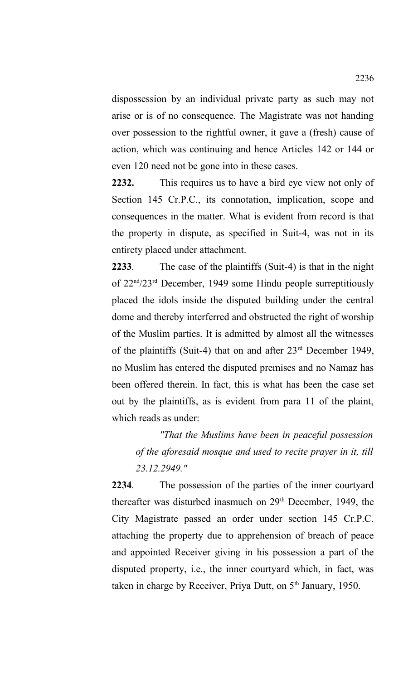dispossession by an individual private party as such may not arise or is of no consequence. The Magistrate was not handing over possession to the rightful owner, it gave a (fresh) cause of action, which was continuing and hence Articles 142 or 144 or even 120 need not be gone into in these cases.

**2232.** This requires us to have a bird eye view not only of Section 145 Cr.P.C., its connotation, implication, scope and consequences in the matter. What is evident from record is that the property in dispute, as specified in Suit-4, was not in its entirety placed under attachment.

**2233**. The case of the plaintiffs (Suit-4) is that in the night of 22nd/23rd December, 1949 some Hindu people surreptitiously placed the idols inside the disputed building under the central dome and thereby interferred and obstructed the right of worship of the Muslim parties. It is admitted by almost all the witnesses of the plaintiffs (Suit-4) that on and after  $23<sup>rd</sup>$  December 1949, no Muslim has entered the disputed premises and no Namaz has been offered therein. In fact, this is what has been the case set out by the plaintiffs, as is evident from para 11 of the plaint, which reads as under:

*"That the Muslims have been in peaceful possession of the aforesaid mosque and used to recite prayer in it, till 23.12.2949."* 

**2234**. The possession of the parties of the inner courtyard thereafter was disturbed inasmuch on  $29<sup>th</sup>$  December, 1949, the City Magistrate passed an order under section 145 Cr.P.C. attaching the property due to apprehension of breach of peace and appointed Receiver giving in his possession a part of the disputed property, i.e., the inner courtyard which, in fact, was taken in charge by Receiver, Priya Dutt, on 5<sup>th</sup> January, 1950.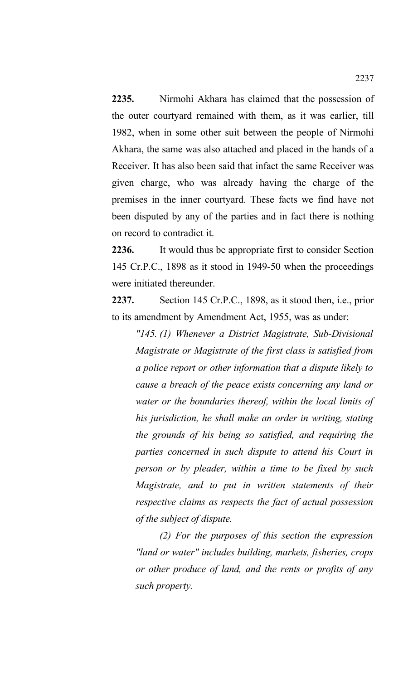**2235.** Nirmohi Akhara has claimed that the possession of the outer courtyard remained with them, as it was earlier, till 1982, when in some other suit between the people of Nirmohi Akhara, the same was also attached and placed in the hands of a Receiver. It has also been said that infact the same Receiver was given charge, who was already having the charge of the premises in the inner courtyard. These facts we find have not been disputed by any of the parties and in fact there is nothing on record to contradict it.

**2236.** It would thus be appropriate first to consider Section 145 Cr.P.C., 1898 as it stood in 1949-50 when the proceedings were initiated thereunder.

**2237.** Section 145 Cr.P.C., 1898, as it stood then, i.e., prior to its amendment by Amendment Act, 1955, was as under:

*"145. (1) Whenever a District Magistrate, Sub-Divisional Magistrate or Magistrate of the first class is satisfied from a police report or other information that a dispute likely to cause a breach of the peace exists concerning any land or water or the boundaries thereof, within the local limits of his jurisdiction, he shall make an order in writing, stating the grounds of his being so satisfied, and requiring the parties concerned in such dispute to attend his Court in person or by pleader, within a time to be fixed by such Magistrate, and to put in written statements of their respective claims as respects the fact of actual possession of the subject of dispute.* 

*(2) For the purposes of this section the expression "land or water" includes building, markets, fisheries, crops or other produce of land, and the rents or profits of any such property.*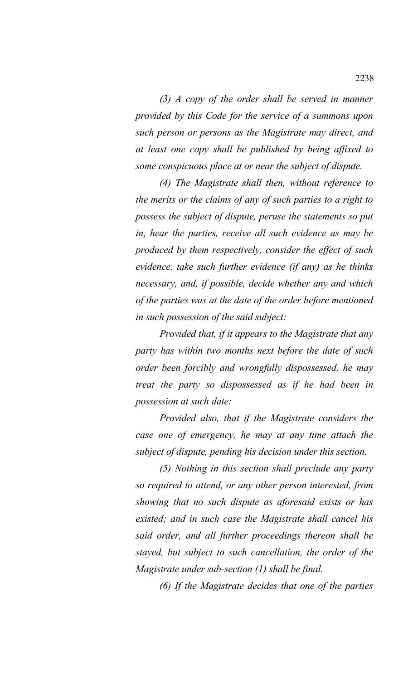*(3) A copy of the order shall be served in manner provided by this Code for the service of a summons upon such person or persons as the Magistrate may direct, and at least one copy shall be published by being affixed to some conspicuous place at or near the subject of dispute.*

*(4) The Magistrate shall then, without reference to the merits or the claims of any of such parties to a right to possess the subject of dispute, peruse the statements so put in, hear the parties, receive all such evidence as may be produced by them respectively, consider the effect of such evidence, take such further evidence (if any) as he thinks necessary, and, if possible, decide whether any and which of the parties was at the date of the order before mentioned in such possession of the said subject:*

*Provided that, if it appears to the Magistrate that any party has within two months next before the date of such order been forcibly and wrongfully dispossessed, he may treat the party so dispossessed as if he had been in possession at such date:*

*Provided also, that if the Magistrate considers the case one of emergency, he may at any time attach the subject of dispute, pending his decision under this section.*

*(5) Nothing in this section shall preclude any party so required to attend, or any other person interested, from showing that no such dispute as aforesaid exists or has existed; and in such case the Magistrate shall cancel his said order, and all further proceedings thereon shall be stayed, but subject to such cancellation, the order of the Magistrate under sub-section (1) shall be final.* 

*(6) If the Magistrate decides that one of the parties*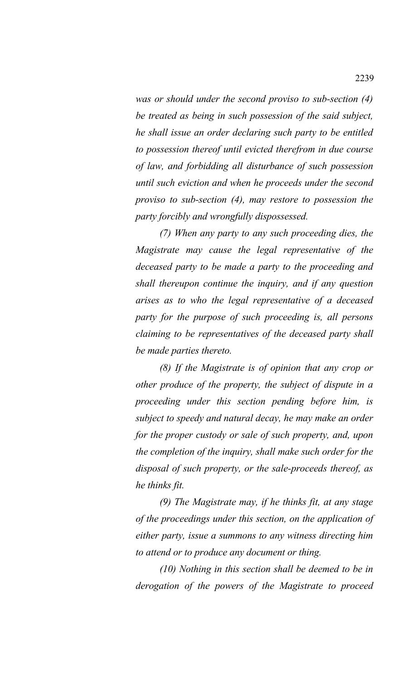*was or should under the second proviso to sub-section (4) be treated as being in such possession of the said subject, he shall issue an order declaring such party to be entitled to possession thereof until evicted therefrom in due course of law, and forbidding all disturbance of such possession until such eviction and when he proceeds under the second proviso to sub-section (4), may restore to possession the party forcibly and wrongfully dispossessed.* 

*(7) When any party to any such proceeding dies, the Magistrate may cause the legal representative of the deceased party to be made a party to the proceeding and shall thereupon continue the inquiry, and if any question arises as to who the legal representative of a deceased party for the purpose of such proceeding is, all persons claiming to be representatives of the deceased party shall be made parties thereto.*

*(8) If the Magistrate is of opinion that any crop or other produce of the property, the subject of dispute in a proceeding under this section pending before him, is subject to speedy and natural decay, he may make an order for the proper custody or sale of such property, and, upon the completion of the inquiry, shall make such order for the disposal of such property, or the sale-proceeds thereof, as he thinks fit.*

*(9) The Magistrate may, if he thinks fit, at any stage of the proceedings under this section, on the application of either party, issue a summons to any witness directing him to attend or to produce any document or thing.*

*(10) Nothing in this section shall be deemed to be in derogation of the powers of the Magistrate to proceed*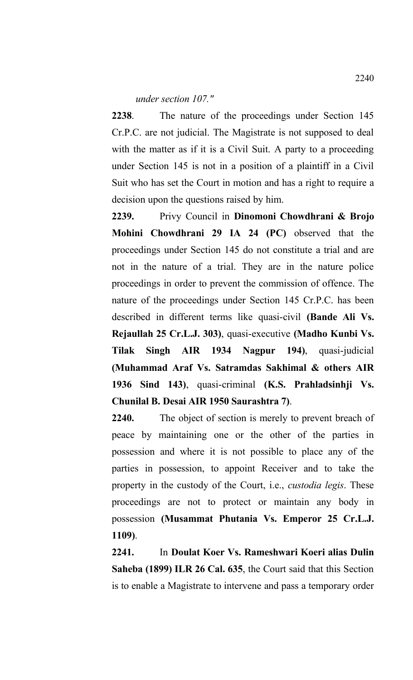## *under section 107."*

**2238**. The nature of the proceedings under Section 145 Cr.P.C. are not judicial. The Magistrate is not supposed to deal with the matter as if it is a Civil Suit. A party to a proceeding under Section 145 is not in a position of a plaintiff in a Civil Suit who has set the Court in motion and has a right to require a decision upon the questions raised by him.

**2239.** Privy Council in **Dinomoni Chowdhrani & Brojo Mohini Chowdhrani 29 IA 24 (PC)** observed that the proceedings under Section 145 do not constitute a trial and are not in the nature of a trial. They are in the nature police proceedings in order to prevent the commission of offence. The nature of the proceedings under Section 145 Cr.P.C. has been described in different terms like quasi-civil **(Bande Ali Vs. Rejaullah 25 Cr.L.J. 303)**, quasi-executive **(Madho Kunbi Vs. Tilak Singh AIR 1934 Nagpur 194)**, quasi-judicial **(Muhammad Araf Vs. Satramdas Sakhimal & others AIR 1936 Sind 143)**, quasi-criminal **(K.S. Prahladsinhji Vs. Chunilal B. Desai AIR 1950 Saurashtra 7)**.

**2240.** The object of section is merely to prevent breach of peace by maintaining one or the other of the parties in possession and where it is not possible to place any of the parties in possession, to appoint Receiver and to take the property in the custody of the Court, i.e., *custodia legis*. These proceedings are not to protect or maintain any body in possession **(Musammat Phutania Vs. Emperor 25 Cr.L.J. 1109)**.

**2241.** In **Doulat Koer Vs. Rameshwari Koeri alias Dulin Saheba (1899) ILR 26 Cal. 635**, the Court said that this Section is to enable a Magistrate to intervene and pass a temporary order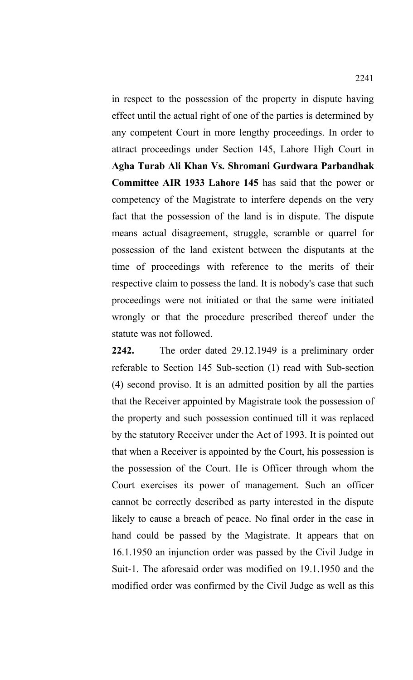in respect to the possession of the property in dispute having effect until the actual right of one of the parties is determined by any competent Court in more lengthy proceedings. In order to attract proceedings under Section 145, Lahore High Court in **Agha Turab Ali Khan Vs. Shromani Gurdwara Parbandhak Committee AIR 1933 Lahore 145** has said that the power or competency of the Magistrate to interfere depends on the very fact that the possession of the land is in dispute. The dispute means actual disagreement, struggle, scramble or quarrel for possession of the land existent between the disputants at the time of proceedings with reference to the merits of their respective claim to possess the land. It is nobody's case that such proceedings were not initiated or that the same were initiated wrongly or that the procedure prescribed thereof under the statute was not followed.

**2242.** The order dated 29.12.1949 is a preliminary order referable to Section 145 Sub-section (1) read with Sub-section (4) second proviso. It is an admitted position by all the parties that the Receiver appointed by Magistrate took the possession of the property and such possession continued till it was replaced by the statutory Receiver under the Act of 1993. It is pointed out that when a Receiver is appointed by the Court, his possession is the possession of the Court. He is Officer through whom the Court exercises its power of management. Such an officer cannot be correctly described as party interested in the dispute likely to cause a breach of peace. No final order in the case in hand could be passed by the Magistrate. It appears that on 16.1.1950 an injunction order was passed by the Civil Judge in Suit-1. The aforesaid order was modified on 19.1.1950 and the modified order was confirmed by the Civil Judge as well as this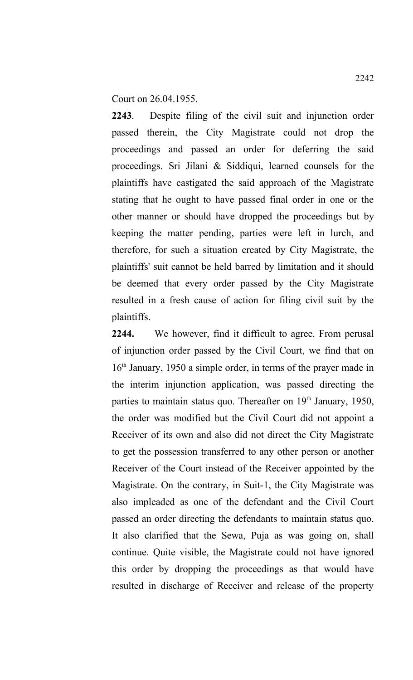Court on 26.04.1955.

**2243**. Despite filing of the civil suit and injunction order passed therein, the City Magistrate could not drop the proceedings and passed an order for deferring the said proceedings. Sri Jilani & Siddiqui, learned counsels for the plaintiffs have castigated the said approach of the Magistrate stating that he ought to have passed final order in one or the other manner or should have dropped the proceedings but by keeping the matter pending, parties were left in lurch, and therefore, for such a situation created by City Magistrate, the plaintiffs' suit cannot be held barred by limitation and it should be deemed that every order passed by the City Magistrate resulted in a fresh cause of action for filing civil suit by the plaintiffs.

**2244.** We however, find it difficult to agree. From perusal of injunction order passed by the Civil Court, we find that on 16th January, 1950 a simple order, in terms of the prayer made in the interim injunction application, was passed directing the parties to maintain status quo. Thereafter on 19<sup>th</sup> January, 1950, the order was modified but the Civil Court did not appoint a Receiver of its own and also did not direct the City Magistrate to get the possession transferred to any other person or another Receiver of the Court instead of the Receiver appointed by the Magistrate. On the contrary, in Suit-1, the City Magistrate was also impleaded as one of the defendant and the Civil Court passed an order directing the defendants to maintain status quo. It also clarified that the Sewa, Puja as was going on, shall continue. Quite visible, the Magistrate could not have ignored this order by dropping the proceedings as that would have resulted in discharge of Receiver and release of the property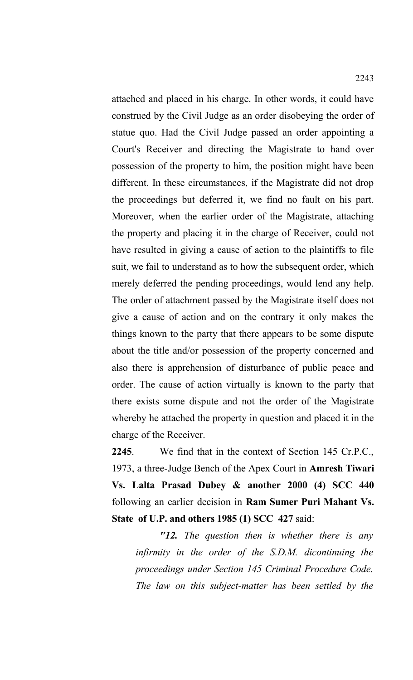attached and placed in his charge. In other words, it could have construed by the Civil Judge as an order disobeying the order of statue quo. Had the Civil Judge passed an order appointing a Court's Receiver and directing the Magistrate to hand over possession of the property to him, the position might have been different. In these circumstances, if the Magistrate did not drop the proceedings but deferred it, we find no fault on his part. Moreover, when the earlier order of the Magistrate, attaching the property and placing it in the charge of Receiver, could not have resulted in giving a cause of action to the plaintiffs to file suit, we fail to understand as to how the subsequent order, which merely deferred the pending proceedings, would lend any help. The order of attachment passed by the Magistrate itself does not give a cause of action and on the contrary it only makes the things known to the party that there appears to be some dispute about the title and/or possession of the property concerned and also there is apprehension of disturbance of public peace and order. The cause of action virtually is known to the party that there exists some dispute and not the order of the Magistrate whereby he attached the property in question and placed it in the charge of the Receiver.

**2245**. We find that in the context of Section 145 Cr.P.C., 1973, a three-Judge Bench of the Apex Court in **Amresh Tiwari Vs. Lalta Prasad Dubey & another 2000 (4) SCC 440** following an earlier decision in **Ram Sumer Puri Mahant Vs. State of U.P. and others 1985 (1) SCC 427** said:

*"12. The question then is whether there is any infirmity in the order of the S.D.M. dicontinuing the proceedings under Section 145 Criminal Procedure Code. The law on this subject-matter has been settled by the*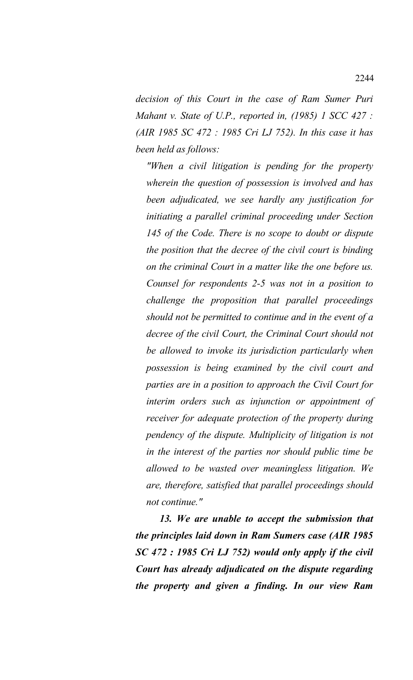*decision of this Court in the case of Ram Sumer Puri Mahant v. State of U.P., reported in, (1985) 1 SCC 427 : (AIR 1985 SC 472 : 1985 Cri LJ 752). In this case it has been held as follows:* 

*"When a civil litigation is pending for the property wherein the question of possession is involved and has been adjudicated, we see hardly any justification for initiating a parallel criminal proceeding under Section 145 of the Code. There is no scope to doubt or dispute the position that the decree of the civil court is binding on the criminal Court in a matter like the one before us. Counsel for respondents 2-5 was not in a position to challenge the proposition that parallel proceedings should not be permitted to continue and in the event of a decree of the civil Court, the Criminal Court should not be allowed to invoke its jurisdiction particularly when possession is being examined by the civil court and parties are in a position to approach the Civil Court for interim orders such as injunction or appointment of receiver for adequate protection of the property during pendency of the dispute. Multiplicity of litigation is not in the interest of the parties nor should public time be allowed to be wasted over meaningless litigation. We are, therefore, satisfied that parallel proceedings should not continue."*

*13. We are unable to accept the submission that the principles laid down in Ram Sumers case (AIR 1985 SC 472 : 1985 Cri LJ 752) would only apply if the civil Court has already adjudicated on the dispute regarding the property and given a finding. In our view Ram*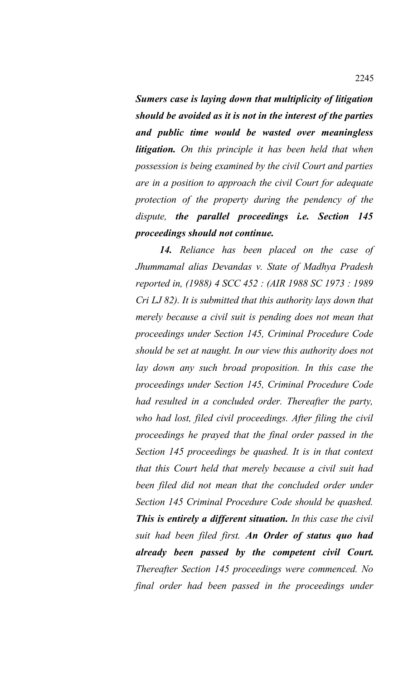*Sumers case is laying down that multiplicity of litigation should be avoided as it is not in the interest of the parties and public time would be wasted over meaningless litigation. On this principle it has been held that when possession is being examined by the civil Court and parties are in a position to approach the civil Court for adequate protection of the property during the pendency of the dispute, the parallel proceedings i.e. Section 145 proceedings should not continue.*

*14. Reliance has been placed on the case of Jhummamal alias Devandas v. State of Madhya Pradesh reported in, (1988) 4 SCC 452 : (AIR 1988 SC 1973 : 1989 Cri LJ 82). It is submitted that this authority lays down that merely because a civil suit is pending does not mean that proceedings under Section 145, Criminal Procedure Code should be set at naught. In our view this authority does not lay down any such broad proposition. In this case the proceedings under Section 145, Criminal Procedure Code had resulted in a concluded order. Thereafter the party, who had lost, filed civil proceedings. After filing the civil proceedings he prayed that the final order passed in the Section 145 proceedings be quashed. It is in that context that this Court held that merely because a civil suit had been filed did not mean that the concluded order under Section 145 Criminal Procedure Code should be quashed. This is entirely a different situation. In this case the civil suit had been filed first. An Order of status quo had already been passed by the competent civil Court. Thereafter Section 145 proceedings were commenced. No final order had been passed in the proceedings under*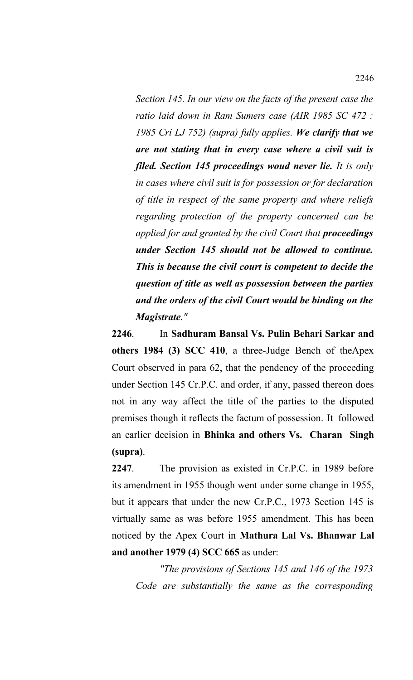*Section 145. In our view on the facts of the present case the ratio laid down in Ram Sumers case (AIR 1985 SC 472 : 1985 Cri LJ 752) (supra) fully applies. We clarify that we are not stating that in every case where a civil suit is filed. Section 145 proceedings woud never lie. It is only in cases where civil suit is for possession or for declaration of title in respect of the same property and where reliefs regarding protection of the property concerned can be applied for and granted by the civil Court that proceedings under Section 145 should not be allowed to continue. This is because the civil court is competent to decide the question of title as well as possession between the parties and the orders of the civil Court would be binding on the Magistrate."* 

**2246**. In **Sadhuram Bansal Vs. Pulin Behari Sarkar and others 1984 (3) SCC 410**, a three-Judge Bench of theApex Court observed in para 62, that the pendency of the proceeding under Section 145 Cr.P.C. and order, if any, passed thereon does not in any way affect the title of the parties to the disputed premises though it reflects the factum of possession. It followed an earlier decision in **Bhinka and others Vs. Charan Singh (supra)**.

**2247**. The provision as existed in Cr.P.C. in 1989 before its amendment in 1955 though went under some change in 1955, but it appears that under the new Cr.P.C., 1973 Section 145 is virtually same as was before 1955 amendment. This has been noticed by the Apex Court in **Mathura Lal Vs. Bhanwar Lal and another 1979 (4) SCC 665** as under:

*"The provisions of Sections 145 and 146 of the 1973 Code are substantially the same as the corresponding*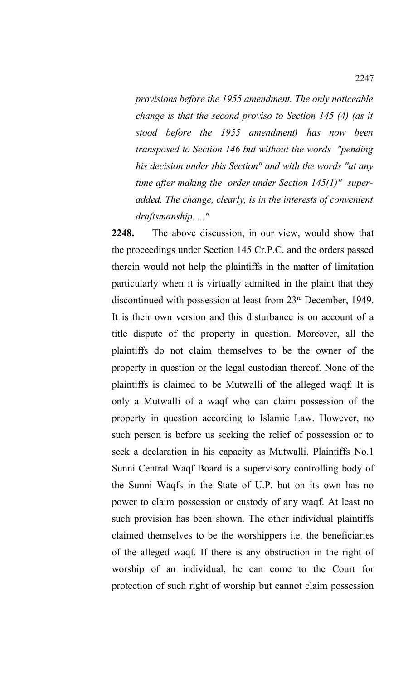*provisions before the 1955 amendment. The only noticeable change is that the second proviso to Section 145 (4) (as it stood before the 1955 amendment) has now been transposed to Section 146 but without the words "pending his decision under this Section" and with the words "at any time after making the order under Section 145(1)" superadded. The change, clearly, is in the interests of convenient draftsmanship. ..."*

**2248.** The above discussion, in our view, would show that the proceedings under Section 145 Cr.P.C. and the orders passed therein would not help the plaintiffs in the matter of limitation particularly when it is virtually admitted in the plaint that they discontinued with possession at least from 23<sup>rd</sup> December, 1949. It is their own version and this disturbance is on account of a title dispute of the property in question. Moreover, all the plaintiffs do not claim themselves to be the owner of the property in question or the legal custodian thereof. None of the plaintiffs is claimed to be Mutwalli of the alleged waqf. It is only a Mutwalli of a waqf who can claim possession of the property in question according to Islamic Law. However, no such person is before us seeking the relief of possession or to seek a declaration in his capacity as Mutwalli. Plaintiffs No.1 Sunni Central Waqf Board is a supervisory controlling body of the Sunni Waqfs in the State of U.P. but on its own has no power to claim possession or custody of any waqf. At least no such provision has been shown. The other individual plaintiffs claimed themselves to be the worshippers i.e. the beneficiaries of the alleged waqf. If there is any obstruction in the right of worship of an individual, he can come to the Court for protection of such right of worship but cannot claim possession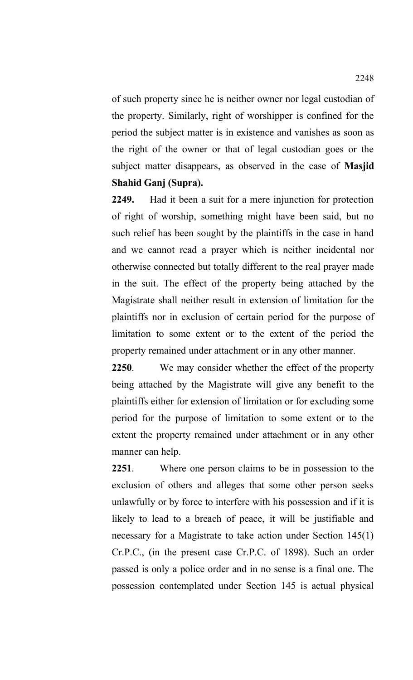of such property since he is neither owner nor legal custodian of the property. Similarly, right of worshipper is confined for the period the subject matter is in existence and vanishes as soon as the right of the owner or that of legal custodian goes or the subject matter disappears, as observed in the case of **Masjid Shahid Ganj (Supra).** 

**2249.** Had it been a suit for a mere injunction for protection of right of worship, something might have been said, but no such relief has been sought by the plaintiffs in the case in hand and we cannot read a prayer which is neither incidental nor otherwise connected but totally different to the real prayer made in the suit. The effect of the property being attached by the Magistrate shall neither result in extension of limitation for the plaintiffs nor in exclusion of certain period for the purpose of limitation to some extent or to the extent of the period the property remained under attachment or in any other manner.

**2250**. We may consider whether the effect of the property being attached by the Magistrate will give any benefit to the plaintiffs either for extension of limitation or for excluding some period for the purpose of limitation to some extent or to the extent the property remained under attachment or in any other manner can help.

**2251**. Where one person claims to be in possession to the exclusion of others and alleges that some other person seeks unlawfully or by force to interfere with his possession and if it is likely to lead to a breach of peace, it will be justifiable and necessary for a Magistrate to take action under Section 145(1) Cr.P.C., (in the present case Cr.P.C. of 1898). Such an order passed is only a police order and in no sense is a final one. The possession contemplated under Section 145 is actual physical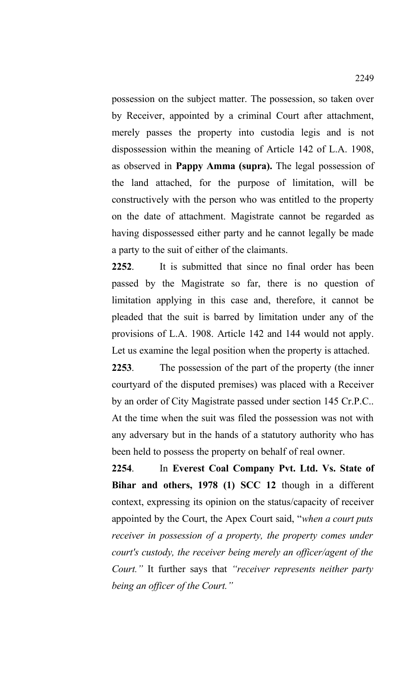possession on the subject matter. The possession, so taken over by Receiver, appointed by a criminal Court after attachment, merely passes the property into custodia legis and is not dispossession within the meaning of Article 142 of L.A. 1908, as observed in **Pappy Amma (supra).** The legal possession of the land attached, for the purpose of limitation, will be constructively with the person who was entitled to the property on the date of attachment. Magistrate cannot be regarded as having dispossessed either party and he cannot legally be made a party to the suit of either of the claimants.

**2252**. It is submitted that since no final order has been passed by the Magistrate so far, there is no question of limitation applying in this case and, therefore, it cannot be pleaded that the suit is barred by limitation under any of the provisions of L.A. 1908. Article 142 and 144 would not apply. Let us examine the legal position when the property is attached.

**2253**. The possession of the part of the property (the inner courtyard of the disputed premises) was placed with a Receiver by an order of City Magistrate passed under section 145 Cr.P.C.. At the time when the suit was filed the possession was not with any adversary but in the hands of a statutory authority who has been held to possess the property on behalf of real owner.

**2254**. In **Everest Coal Company Pvt. Ltd. Vs. State of Bihar and others, 1978 (1) SCC 12** though in a different context, expressing its opinion on the status/capacity of receiver appointed by the Court, the Apex Court said, "*when a court puts receiver in possession of a property, the property comes under court's custody, the receiver being merely an officer/agent of the Court."* It further says that *"receiver represents neither party being an officer of the Court."*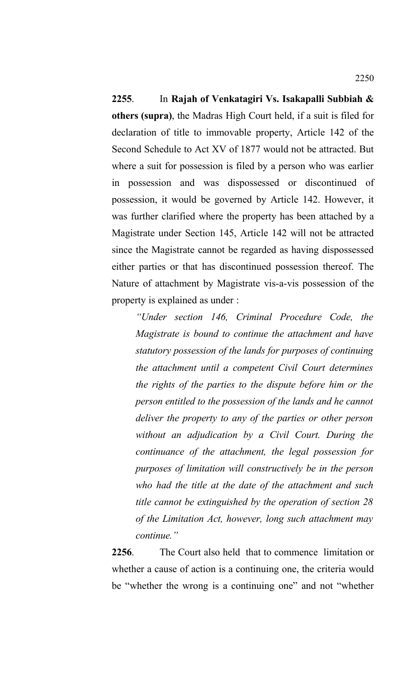**2255**. In **Rajah of Venkatagiri Vs. Isakapalli Subbiah & others (supra)**, the Madras High Court held, if a suit is filed for declaration of title to immovable property, Article 142 of the Second Schedule to Act XV of 1877 would not be attracted. But where a suit for possession is filed by a person who was earlier in possession and was dispossessed or discontinued of possession, it would be governed by Article 142. However, it was further clarified where the property has been attached by a Magistrate under Section 145, Article 142 will not be attracted since the Magistrate cannot be regarded as having dispossessed either parties or that has discontinued possession thereof. The Nature of attachment by Magistrate vis-a-vis possession of the property is explained as under :

*"Under section 146, Criminal Procedure Code, the Magistrate is bound to continue the attachment and have statutory possession of the lands for purposes of continuing the attachment until a competent Civil Court determines the rights of the parties to the dispute before him or the person entitled to the possession of the lands and he cannot deliver the property to any of the parties or other person without an adjudication by a Civil Court. During the continuance of the attachment, the legal possession for purposes of limitation will constructively be in the person who had the title at the date of the attachment and such title cannot be extinguished by the operation of section 28 of the Limitation Act, however, long such attachment may continue."*

**2256**. The Court also held that to commence limitation or whether a cause of action is a continuing one, the criteria would be "whether the wrong is a continuing one" and not "whether